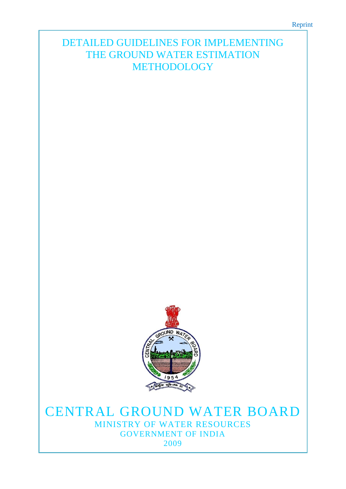# DETAILED GUIDELINES FOR IMPLEMENTING THE GROUND WATER ESTIMATION METHODOLOGY



# CENTRAL GROUND WATER BOARD MINISTRY OF WATER RESOURCES GOVERNMENT OF INDIA 2009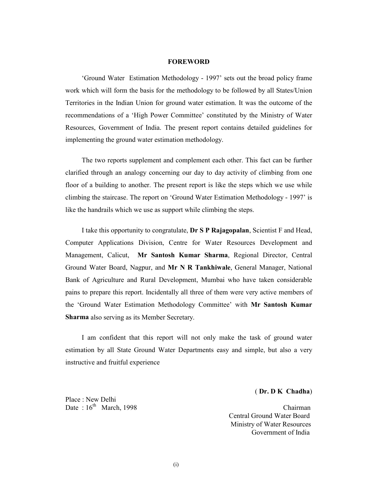#### FOREWORD

'Ground Water Estimation Methodology - 1997' sets out the broad policy frame work which will form the basis for the methodology to be followed by all States/Union Territories in the Indian Union for ground water estimation. It was the outcome of the recommendations of a 'High Power Committee' constituted by the Ministry of Water Resources, Government of India. The present report contains detailed guidelines for implementing the ground water estimation methodology.

The two reports supplement and complement each other. This fact can be further clarified through an analogy concerning our day to day activity of climbing from one floor of a building to another. The present report is like the steps which we use while climbing the staircase. The report on 'Ground Water Estimation Methodology - 1997' is like the handrails which we use as support while climbing the steps.

I take this opportunity to congratulate, Dr S P Rajagopalan, Scientist F and Head, Computer Applications Division, Centre for Water Resources Development and Management, Calicut, Mr Santosh Kumar Sharma, Regional Director, Central Ground Water Board, Nagpur, and Mr N R Tankhiwale, General Manager, National Bank of Agriculture and Rural Development, Mumbai who have taken considerable pains to prepare this report. Incidentally all three of them were very active members of the 'Ground Water Estimation Methodology Committee' with Mr Santosh Kumar Sharma also serving as its Member Secretary.

I am confident that this report will not only make the task of ground water estimation by all State Ground Water Departments easy and simple, but also a very instructive and fruitful experience

#### ( Dr. D K Chadha)

Place : New Delhi

Date :  $16<sup>th</sup>$  March, 1998 Chairman Central Ground Water Board Ministry of Water Resources Government of India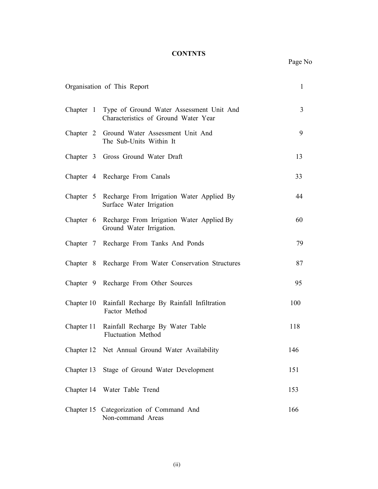# **CONTNTS**

|            | Organisation of This Report                                                                | $\mathbf{1}$ |
|------------|--------------------------------------------------------------------------------------------|--------------|
|            | Chapter 1 Type of Ground Water Assessment Unit And<br>Characteristics of Ground Water Year | 3            |
|            | Chapter 2 Ground Water Assessment Unit And<br>The Sub-Units Within It                      | 9            |
|            | Chapter 3 Gross Ground Water Draft                                                         | 13           |
|            | Chapter 4 Recharge From Canals                                                             | 33           |
|            | Chapter 5 Recharge From Irrigation Water Applied By<br>Surface Water Irrigation            | 44           |
|            | Chapter 6 Recharge From Irrigation Water Applied By<br>Ground Water Irrigation.            | 60           |
|            | Chapter 7 Recharge From Tanks And Ponds                                                    | 79           |
|            | Chapter 8 Recharge From Water Conservation Structures                                      | 87           |
|            | Chapter 9 Recharge From Other Sources                                                      | 95           |
| Chapter 10 | Rainfall Recharge By Rainfall Infiltration<br>Factor Method                                | 100          |
| Chapter 11 | Rainfall Recharge By Water Table<br><b>Fluctuation Method</b>                              | 118          |
|            | Chapter 12 Net Annual Ground Water Availability                                            | 146          |
| Chapter 13 | Stage of Ground Water Development                                                          | 151          |
| Chapter 14 | Water Table Trend                                                                          | 153          |
| Chapter 15 | Categorization of Command And<br>Non-command Areas                                         | 166          |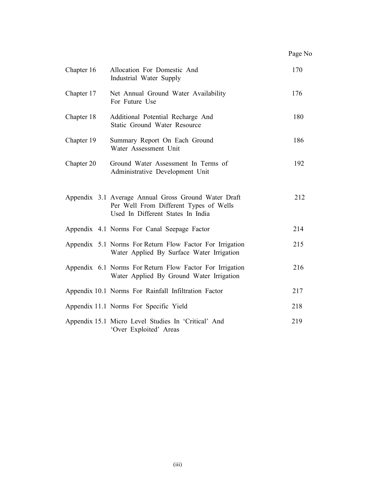| Page No |  |
|---------|--|
|---------|--|

| Chapter 16 | Allocation For Domestic And<br>Industrial Water Supply                                                                              |     |
|------------|-------------------------------------------------------------------------------------------------------------------------------------|-----|
| Chapter 17 | Net Annual Ground Water Availability<br>For Future Use                                                                              | 176 |
| Chapter 18 | Additional Potential Recharge And<br>Static Ground Water Resource                                                                   | 180 |
| Chapter 19 | Summary Report On Each Ground<br>Water Assessment Unit                                                                              | 186 |
| Chapter 20 | Ground Water Assessment In Terms of<br>Administrative Development Unit                                                              | 192 |
|            | Appendix 3.1 Average Annual Gross Ground Water Draft<br>Per Well From Different Types of Wells<br>Used In Different States In India | 212 |
|            | Appendix 4.1 Norms For Canal Seepage Factor                                                                                         | 214 |
|            | Appendix 5.1 Norms For Return Flow Factor For Irrigation<br>Water Applied By Surface Water Irrigation                               | 215 |
|            | Appendix 6.1 Norms For Return Flow Factor For Irrigation<br>Water Applied By Ground Water Irrigation                                | 216 |
|            | Appendix 10.1 Norms For Rainfall Infiltration Factor                                                                                | 217 |
|            | Appendix 11.1 Norms For Specific Yield                                                                                              | 218 |
|            | Appendix 15.1 Micro Level Studies In 'Critical' And<br>'Over Exploited' Areas                                                       | 219 |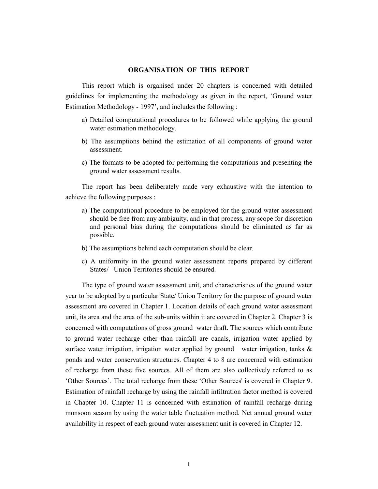#### ORGANISATION OF THIS REPORT

This report which is organised under 20 chapters is concerned with detailed guidelines for implementing the methodology as given in the report, 'Ground water Estimation Methodology - 1997', and includes the following :

- a) Detailed computational procedures to be followed while applying the ground water estimation methodology.
- b) The assumptions behind the estimation of all components of ground water assessment.
- c) The formats to be adopted for performing the computations and presenting the ground water assessment results.

The report has been deliberately made very exhaustive with the intention to achieve the following purposes :

- a) The computational procedure to be employed for the ground water assessment should be free from any ambiguity, and in that process, any scope for discretion and personal bias during the computations should be eliminated as far as possible.
- b) The assumptions behind each computation should be clear.
- c) A uniformity in the ground water assessment reports prepared by different States/ Union Territories should be ensured.

The type of ground water assessment unit, and characteristics of the ground water year to be adopted by a particular State/ Union Territory for the purpose of ground water assessment are covered in Chapter 1. Location details of each ground water assessment unit, its area and the area of the sub-units within it are covered in Chapter 2. Chapter 3 is concerned with computations of gross ground water draft. The sources which contribute to ground water recharge other than rainfall are canals, irrigation water applied by surface water irrigation, irrigation water applied by ground water irrigation, tanks  $\&$ ponds and water conservation structures. Chapter 4 to 8 are concerned with estimation of recharge from these five sources. All of them are also collectively referred to as 'Other Sources'. The total recharge from these 'Other Sources' is covered in Chapter 9. Estimation of rainfall recharge by using the rainfall infiltration factor method is covered in Chapter 10. Chapter 11 is concerned with estimation of rainfall recharge during monsoon season by using the water table fluctuation method. Net annual ground water availability in respect of each ground water assessment unit is covered in Chapter 12.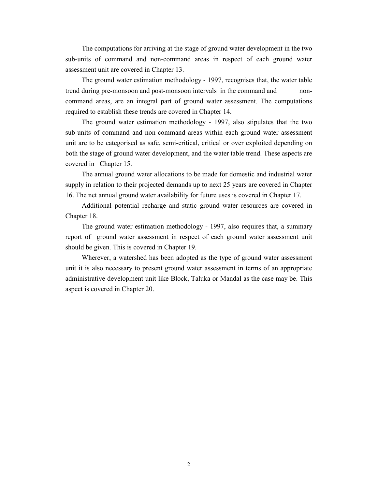The computations for arriving at the stage of ground water development in the two sub-units of command and non-command areas in respect of each ground water assessment unit are covered in Chapter 13.

The ground water estimation methodology - 1997, recognises that, the water table trend during pre-monsoon and post-monsoon intervals in the command and noncommand areas, are an integral part of ground water assessment. The computations required to establish these trends are covered in Chapter 14.

The ground water estimation methodology - 1997, also stipulates that the two sub-units of command and non-command areas within each ground water assessment unit are to be categorised as safe, semi-critical, critical or over exploited depending on both the stage of ground water development, and the water table trend. These aspects are covered in Chapter 15.

The annual ground water allocations to be made for domestic and industrial water supply in relation to their projected demands up to next 25 years are covered in Chapter 16. The net annual ground water availability for future uses is covered in Chapter 17.

Additional potential recharge and static ground water resources are covered in Chapter 18.

The ground water estimation methodology - 1997, also requires that, a summary report of ground water assessment in respect of each ground water assessment unit should be given. This is covered in Chapter 19.

Wherever, a watershed has been adopted as the type of ground water assessment unit it is also necessary to present ground water assessment in terms of an appropriate administrative development unit like Block, Taluka or Mandal as the case may be. This aspect is covered in Chapter 20.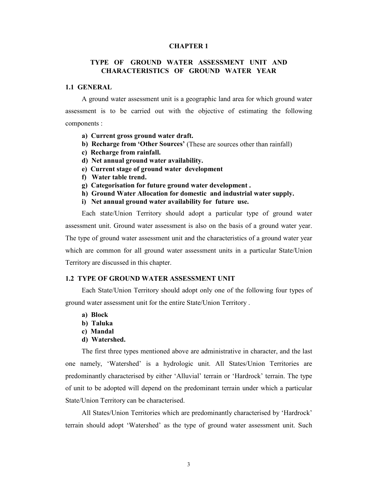#### CHAPTER 1

## TYPE OF GROUND WATER ASSESSMENT UNIT AND CHARACTERISTICS OF GROUND WATER YEAR

#### 1.1 GENERAL

A ground water assessment unit is a geographic land area for which ground water assessment is to be carried out with the objective of estimating the following components :

- a) Current gross ground water draft.
- b) Recharge from 'Other Sources' (These are sources other than rainfall)
- c) Recharge from rainfall.
- d) Net annual ground water availability.
- e) Current stage of ground water development
- f) Water table trend.
- g) Categorisation for future ground water development .
- h) Ground Water Allocation for domestic and industrial water supply.
- i) Net annual ground water availability for future use.

Each state/Union Territory should adopt a particular type of ground water assessment unit. Ground water assessment is also on the basis of a ground water year. The type of ground water assessment unit and the characteristics of a ground water year which are common for all ground water assessment units in a particular State/Union Territory are discussed in this chapter.

## 1.2 TYPE OF GROUND WATER ASSESSMENT UNIT

Each State/Union Territory should adopt only one of the following four types of ground water assessment unit for the entire State/Union Territory .

- a) Block
- b) Taluka
- c) Mandal
- d) Watershed.

The first three types mentioned above are administrative in character, and the last one namely, 'Watershed' is a hydrologic unit. All States/Union Territories are predominantly characterised by either 'Alluvial' terrain or 'Hardrock' terrain. The type of unit to be adopted will depend on the predominant terrain under which a particular State/Union Territory can be characterised.

All States/Union Territories which are predominantly characterised by 'Hardrock' terrain should adopt 'Watershed' as the type of ground water assessment unit. Such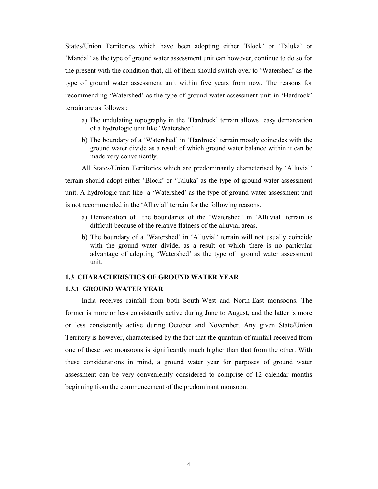States/Union Territories which have been adopting either 'Block' or 'Taluka' or 'Mandal' as the type of ground water assessment unit can however, continue to do so for the present with the condition that, all of them should switch over to 'Watershed' as the type of ground water assessment unit within five years from now. The reasons for recommending 'Watershed' as the type of ground water assessment unit in 'Hardrock' terrain are as follows :

- a) The undulating topography in the 'Hardrock' terrain allows easy demarcation of a hydrologic unit like 'Watershed'.
- b) The boundary of a 'Watershed' in 'Hardrock' terrain mostly coincides with the ground water divide as a result of which ground water balance within it can be made very conveniently.

All States/Union Territories which are predominantly characterised by 'Alluvial' terrain should adopt either 'Block' or 'Taluka' as the type of ground water assessment unit. A hydrologic unit like a 'Watershed' as the type of ground water assessment unit is not recommended in the 'Alluvial' terrain for the following reasons.

- a) Demarcation of the boundaries of the 'Watershed' in 'Alluvial' terrain is difficult because of the relative flatness of the alluvial areas.
- b) The boundary of a 'Watershed' in 'Alluvial' terrain will not usually coincide with the ground water divide, as a result of which there is no particular advantage of adopting 'Watershed' as the type of ground water assessment unit.

#### 1.3 CHARACTERISTICS OF GROUND WATER YEAR

## 1.3.1 GROUND WATER YEAR

India receives rainfall from both South-West and North-East monsoons. The former is more or less consistently active during June to August, and the latter is more or less consistently active during October and November. Any given State/Union Territory is however, characterised by the fact that the quantum of rainfall received from one of these two monsoons is significantly much higher than that from the other. With these considerations in mind, a ground water year for purposes of ground water assessment can be very conveniently considered to comprise of 12 calendar months beginning from the commencement of the predominant monsoon.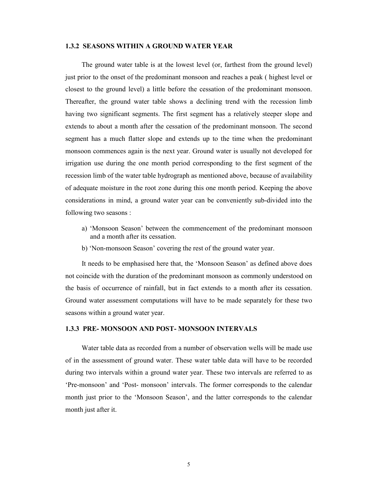#### 1.3.2 SEASONS WITHIN A GROUND WATER YEAR

The ground water table is at the lowest level (or, farthest from the ground level) just prior to the onset of the predominant monsoon and reaches a peak ( highest level or closest to the ground level) a little before the cessation of the predominant monsoon. Thereafter, the ground water table shows a declining trend with the recession limb having two significant segments. The first segment has a relatively steeper slope and extends to about a month after the cessation of the predominant monsoon. The second segment has a much flatter slope and extends up to the time when the predominant monsoon commences again is the next year. Ground water is usually not developed for irrigation use during the one month period corresponding to the first segment of the recession limb of the water table hydrograph as mentioned above, because of availability of adequate moisture in the root zone during this one month period. Keeping the above considerations in mind, a ground water year can be conveniently sub-divided into the following two seasons :

- a) 'Monsoon Season' between the commencement of the predominant monsoon and a month after its cessation.
- b) 'Non-monsoon Season' covering the rest of the ground water year.

It needs to be emphasised here that, the 'Monsoon Season' as defined above does not coincide with the duration of the predominant monsoon as commonly understood on the basis of occurrence of rainfall, but in fact extends to a month after its cessation. Ground water assessment computations will have to be made separately for these two seasons within a ground water year.

#### 1.3.3 PRE- MONSOON AND POST- MONSOON INTERVALS

Water table data as recorded from a number of observation wells will be made use of in the assessment of ground water. These water table data will have to be recorded during two intervals within a ground water year. These two intervals are referred to as 'Pre-monsoon' and 'Post- monsoon' intervals. The former corresponds to the calendar month just prior to the 'Monsoon Season', and the latter corresponds to the calendar month just after it.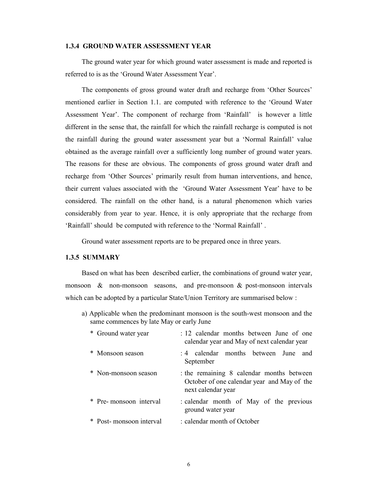#### 1.3.4 GROUND WATER ASSESSMENT YEAR

The ground water year for which ground water assessment is made and reported is referred to is as the 'Ground Water Assessment Year'.

The components of gross ground water draft and recharge from 'Other Sources' mentioned earlier in Section 1.1. are computed with reference to the 'Ground Water Assessment Year'. The component of recharge from 'Rainfall' is however a little different in the sense that, the rainfall for which the rainfall recharge is computed is not the rainfall during the ground water assessment year but a 'Normal Rainfall' value obtained as the average rainfall over a sufficiently long number of ground water years. The reasons for these are obvious. The components of gross ground water draft and recharge from 'Other Sources' primarily result from human interventions, and hence, their current values associated with the 'Ground Water Assessment Year' have to be considered. The rainfall on the other hand, is a natural phenomenon which varies considerably from year to year. Hence, it is only appropriate that the recharge from 'Rainfall' should be computed with reference to the 'Normal Rainfall' .

Ground water assessment reports are to be prepared once in three years.

## 1.3.5 SUMMARY

Based on what has been described earlier, the combinations of ground water year, monsoon & non-monsoon seasons, and pre-monsoon & post-monsoon intervals which can be adopted by a particular State/Union Territory are summarised below :

a) Applicable when the predominant monsoon is the south-west monsoon and the same commences by late May or early June

| * Ground water year     | : 12 calendar months between June of one<br>calendar year and May of next calendar year                      |
|-------------------------|--------------------------------------------------------------------------------------------------------------|
| * Monsoon season        | : 4 calendar months between June and<br>September                                                            |
| * Non-monsoon season    | the remaining 8 calendar months between<br>October of one calendar year and May of the<br>next calendar year |
| * Pre-monsoon interval  | : calendar month of May of the previous<br>ground water year                                                 |
| * Post-monsoon interval | : calendar month of October                                                                                  |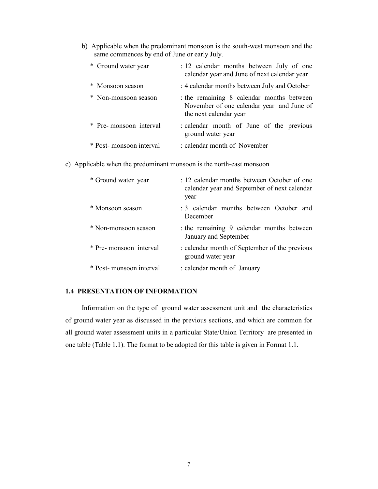b) Applicable when the predominant monsoon is the south-west monsoon and the same commences by end of June or early July.

| * Ground water year      | : 12 calendar months between July of one<br>calendar year and June of next calendar year                       |
|--------------------------|----------------------------------------------------------------------------------------------------------------|
| * Monsoon season         | : 4 calendar months between July and October                                                                   |
| * Non-monsoon season     | the remaining 8 calendar months between<br>November of one calendar year and June of<br>the next calendar year |
| * Pre-monsoon interval   | : calendar month of June of the previous<br>ground water year                                                  |
| * Post- monsoon interval | : calendar month of November                                                                                   |

c) Applicable when the predominant monsoon is the north-east monsoon

| * Ground water year      | : 12 calendar months between October of one<br>calendar year and September of next calendar<br>year |
|--------------------------|-----------------------------------------------------------------------------------------------------|
| * Monsoon season         | : 3 calendar months between October and<br>December                                                 |
| * Non-monsoon season     | the remaining 9 calendar months between<br>January and September                                    |
| * Pre- monsoon interval  | : calendar month of September of the previous<br>ground water year                                  |
| * Post- monsoon interval | : calendar month of January                                                                         |

## 1.4 PRESENTATION OF INFORMATION

Information on the type of ground water assessment unit and the characteristics of ground water year as discussed in the previous sections, and which are common for all ground water assessment units in a particular State/Union Territory are presented in one table (Table 1.1). The format to be adopted for this table is given in Format 1.1.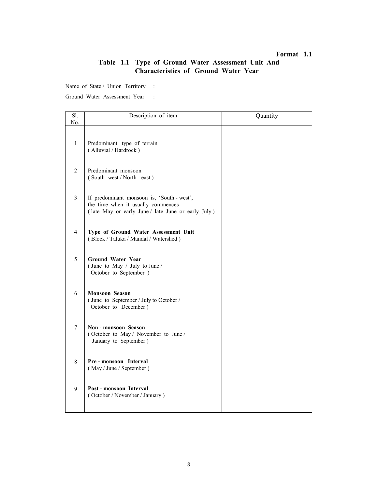## Format 1.1

# Table 1.1 Type of Ground Water Assessment Unit And Characteristics of Ground Water Year

Name of State / Union Territory :

| Sl.            | Description of item                                                                                                                    | Quantity |
|----------------|----------------------------------------------------------------------------------------------------------------------------------------|----------|
| No.            |                                                                                                                                        |          |
| $\mathbf{1}$   | Predominant type of terrain<br>(Alluvial / Hardrock)                                                                                   |          |
| $\overline{2}$ | Predominant monsoon<br>(South -west / North - east)                                                                                    |          |
| 3              | If predominant monsoon is, 'South - west',<br>the time when it usually commences<br>(late May or early June / late June or early July) |          |
| 4              | Type of Ground Water Assessment Unit<br>(Block / Taluka / Mandal / Watershed)                                                          |          |
| 5              | <b>Ground Water Year</b><br>(June to May / July to June /<br>October to September )                                                    |          |
| 6              | <b>Monsoon Season</b><br>(June to September / July to October /<br>October to December)                                                |          |
| 7              | Non-monsoon Season<br>(October to May / November to June /<br>January to September)                                                    |          |
| 8              | Pre-monsoon Interval<br>(May / June / September)                                                                                       |          |
| 9              | Post - monsoon Interval<br>(October / November / January)                                                                              |          |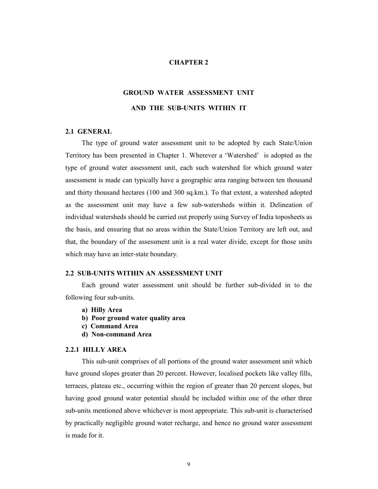## CHAPTER 2

# GROUND WATER ASSESSMENT UNIT AND THE SUB-UNITS WITHIN IT

#### 2.1 GENERAL

The type of ground water assessment unit to be adopted by each State/Union Territory has been presented in Chapter 1. Wherever a 'Watershed' is adopted as the type of ground water assessment unit, each such watershed for which ground water assessment is made can typically have a geographic area ranging between ten thousand and thirty thousand hectares (100 and 300 sq.km.). To that extent, a watershed adopted as the assessment unit may have a few sub-watersheds within it. Delineation of individual watersheds should be carried out properly using Survey of India toposheets as the basis, and ensuring that no areas within the State/Union Territory are left out, and that, the boundary of the assessment unit is a real water divide, except for those units which may have an inter-state boundary.

#### 2.2 SUB-UNITS WITHIN AN ASSESSMENT UNIT

Each ground water assessment unit should be further sub-divided in to the following four sub-units.

- a) Hilly Area
- b) Poor ground water quality area
- c) Command Area
- d) Non-command Area

#### 2.2.1 HILLY AREA

This sub-unit comprises of all portions of the ground water assessment unit which have ground slopes greater than 20 percent. However, localised pockets like valley fills, terraces, plateau etc., occurring within the region of greater than 20 percent slopes, but having good ground water potential should be included within one of the other three sub-units mentioned above whichever is most appropriate. This sub-unit is characterised by practically negligible ground water recharge, and hence no ground water assessment is made for it.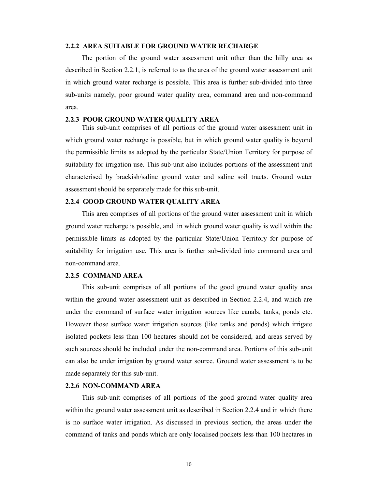#### 2.2.2 AREA SUITABLE FOR GROUND WATER RECHARGE

The portion of the ground water assessment unit other than the hilly area as described in Section 2.2.1, is referred to as the area of the ground water assessment unit in which ground water recharge is possible. This area is further sub-divided into three sub-units namely, poor ground water quality area, command area and non-command area.

#### 2.2.3 POOR GROUND WATER QUALITY AREA

This sub-unit comprises of all portions of the ground water assessment unit in which ground water recharge is possible, but in which ground water quality is beyond the permissible limits as adopted by the particular State/Union Territory for purpose of suitability for irrigation use. This sub-unit also includes portions of the assessment unit characterised by brackish/saline ground water and saline soil tracts. Ground water assessment should be separately made for this sub-unit.

#### 2.2.4 GOOD GROUND WATER QUALITY AREA

This area comprises of all portions of the ground water assessment unit in which ground water recharge is possible, and in which ground water quality is well within the permissible limits as adopted by the particular State/Union Territory for purpose of suitability for irrigation use. This area is further sub-divided into command area and non-command area.

## 2.2.5 COMMAND AREA

This sub-unit comprises of all portions of the good ground water quality area within the ground water assessment unit as described in Section 2.2.4, and which are under the command of surface water irrigation sources like canals, tanks, ponds etc. However those surface water irrigation sources (like tanks and ponds) which irrigate isolated pockets less than 100 hectares should not be considered, and areas served by such sources should be included under the non-command area. Portions of this sub-unit can also be under irrigation by ground water source. Ground water assessment is to be made separately for this sub-unit.

#### 2.2.6 NON-COMMAND AREA

This sub-unit comprises of all portions of the good ground water quality area within the ground water assessment unit as described in Section 2.2.4 and in which there is no surface water irrigation. As discussed in previous section, the areas under the command of tanks and ponds which are only localised pockets less than 100 hectares in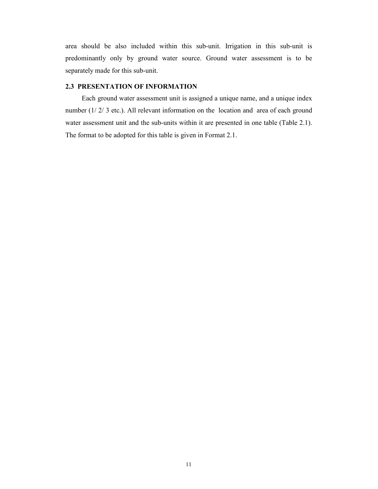area should be also included within this sub-unit. Irrigation in this sub-unit is predominantly only by ground water source. Ground water assessment is to be separately made for this sub-unit.

## 2.3 PRESENTATION OF INFORMATION

Each ground water assessment unit is assigned a unique name, and a unique index number (1/2/3 etc.). All relevant information on the location and area of each ground water assessment unit and the sub-units within it are presented in one table (Table 2.1). The format to be adopted for this table is given in Format 2.1.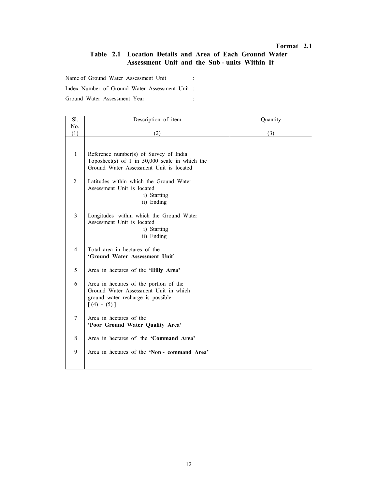## Format 2.1

# Table 2.1 Location Details and Area of Each Ground Water Assessment Unit and the Sub - units Within It

Name of Ground Water Assessment Unit :

Index Number of Ground Water Assessment Unit :

| Sl.            | Description of item                                                                                                                   | Quantity |
|----------------|---------------------------------------------------------------------------------------------------------------------------------------|----------|
| No.            |                                                                                                                                       |          |
| (1)            | (2)                                                                                                                                   | (3)      |
| $\mathbf{1}$   | Reference number(s) of Survey of India<br>Toposheet(s) of 1 in $50,000$ scale in which the<br>Ground Water Assessment Unit is located |          |
| 2              | Latitudes within which the Ground Water<br>Assessment Unit is located<br>i) Starting<br>ii) Ending                                    |          |
| 3              | Longitudes within which the Ground Water<br>Assessment Unit is located<br>i) Starting<br>ii) Ending                                   |          |
| $\overline{4}$ | Total area in hectares of the<br>'Ground Water Assessment Unit'                                                                       |          |
| 5              | Area in hectares of the 'Hilly Area'                                                                                                  |          |
| 6              | Area in hectares of the portion of the<br>Ground Water Assessment Unit in which<br>ground water recharge is possible<br>$[(4) - (5)]$ |          |
| $\tau$         | Area in hectares of the<br>'Poor Ground Water Quality Area'                                                                           |          |
| 8              | Area in hectares of the 'Command Area'                                                                                                |          |
| 9              | Area in hectares of the 'Non - command Area'                                                                                          |          |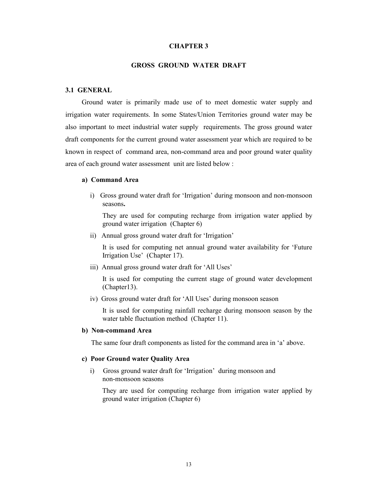#### CHAPTER 3

#### GROSS GROUND WATER DRAFT

#### 3.1 GENERAL

Ground water is primarily made use of to meet domestic water supply and irrigation water requirements. In some States/Union Territories ground water may be also important to meet industrial water supply requirements. The gross ground water draft components for the current ground water assessment year which are required to be known in respect of command area, non-command area and poor ground water quality area of each ground water assessment unit are listed below :

### a) Command Area

i) Gross ground water draft for 'Irrigation' during monsoon and non-monsoon seasons.

They are used for computing recharge from irrigation water applied by ground water irrigation (Chapter 6)

ii) Annual gross ground water draft for 'Irrigation'

 It is used for computing net annual ground water availability for 'Future Irrigation Use' (Chapter 17).

iii) Annual gross ground water draft for 'All Uses'

It is used for computing the current stage of ground water development (Chapter13).

iv) Gross ground water draft for 'All Uses' during monsoon season

 It is used for computing rainfall recharge during monsoon season by the water table fluctuation method (Chapter 11).

### b) Non-command Area

The same four draft components as listed for the command area in 'a' above.

#### c) Poor Ground water Quality Area

i) Gross ground water draft for 'Irrigation' during monsoon and non-monsoon seasons

 They are used for computing recharge from irrigation water applied by ground water irrigation (Chapter 6)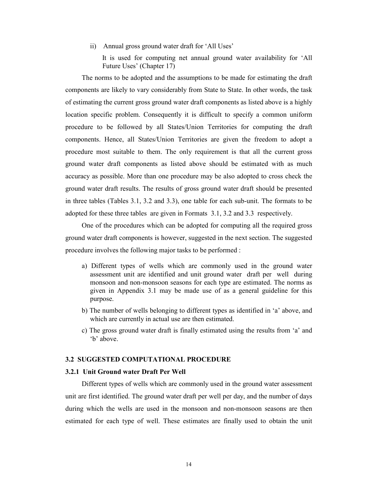ii) Annual gross ground water draft for 'All Uses'

 It is used for computing net annual ground water availability for 'All Future Uses' (Chapter 17)

The norms to be adopted and the assumptions to be made for estimating the draft components are likely to vary considerably from State to State. In other words, the task of estimating the current gross ground water draft components as listed above is a highly location specific problem. Consequently it is difficult to specify a common uniform procedure to be followed by all States/Union Territories for computing the draft components. Hence, all States/Union Territories are given the freedom to adopt a procedure most suitable to them. The only requirement is that all the current gross ground water draft components as listed above should be estimated with as much accuracy as possible. More than one procedure may be also adopted to cross check the ground water draft results. The results of gross ground water draft should be presented in three tables (Tables 3.1, 3.2 and 3.3), one table for each sub-unit. The formats to be adopted for these three tables are given in Formats 3.1, 3.2 and 3.3 respectively.

One of the procedures which can be adopted for computing all the required gross ground water draft components is however, suggested in the next section. The suggested procedure involves the following major tasks to be performed :

- a) Different types of wells which are commonly used in the ground water assessment unit are identified and unit ground water draft per well during monsoon and non-monsoon seasons for each type are estimated. The norms as given in Appendix 3.1 may be made use of as a general guideline for this purpose.
- b) The number of wells belonging to different types as identified in 'a' above, and which are currently in actual use are then estimated.
- c) The gross ground water draft is finally estimated using the results from 'a' and 'b' above.

#### 3.2 SUGGESTED COMPUTATIONAL PROCEDURE

#### 3.2.1 Unit Ground water Draft Per Well

Different types of wells which are commonly used in the ground water assessment unit are first identified. The ground water draft per well per day, and the number of days during which the wells are used in the monsoon and non-monsoon seasons are then estimated for each type of well. These estimates are finally used to obtain the unit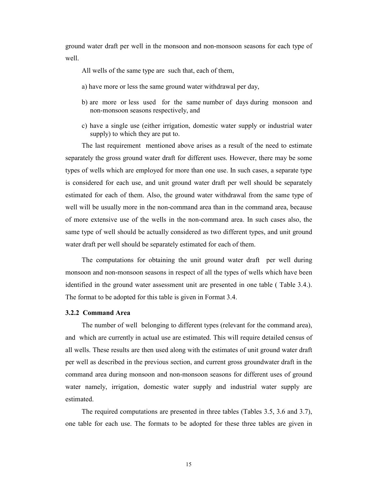ground water draft per well in the monsoon and non-monsoon seasons for each type of well.

All wells of the same type are such that, each of them,

- a) have more or less the same ground water withdrawal per day,
- b) are more or less used for the same number of days during monsoon and non-monsoon seasons respectively, and
- c) have a single use (either irrigation, domestic water supply or industrial water supply) to which they are put to.

The last requirement mentioned above arises as a result of the need to estimate separately the gross ground water draft for different uses. However, there may be some types of wells which are employed for more than one use. In such cases, a separate type is considered for each use, and unit ground water draft per well should be separately estimated for each of them. Also, the ground water withdrawal from the same type of well will be usually more in the non-command area than in the command area, because of more extensive use of the wells in the non-command area. In such cases also, the same type of well should be actually considered as two different types, and unit ground water draft per well should be separately estimated for each of them.

The computations for obtaining the unit ground water draft per well during monsoon and non-monsoon seasons in respect of all the types of wells which have been identified in the ground water assessment unit are presented in one table ( Table 3.4.). The format to be adopted for this table is given in Format 3.4.

#### 3.2.2 Command Area

The number of well belonging to different types (relevant for the command area), and which are currently in actual use are estimated. This will require detailed census of all wells. These results are then used along with the estimates of unit ground water draft per well as described in the previous section, and current gross groundwater draft in the command area during monsoon and non-monsoon seasons for different uses of ground water namely, irrigation, domestic water supply and industrial water supply are estimated.

The required computations are presented in three tables (Tables 3.5, 3.6 and 3.7), one table for each use. The formats to be adopted for these three tables are given in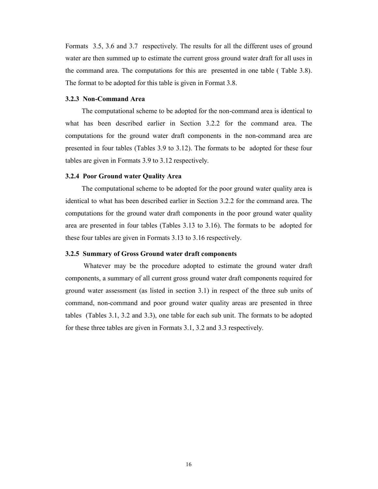Formats 3.5, 3.6 and 3.7 respectively. The results for all the different uses of ground water are then summed up to estimate the current gross ground water draft for all uses in the command area. The computations for this are presented in one table ( Table 3.8). The format to be adopted for this table is given in Format 3.8.

## 3.2.3 Non-Command Area

The computational scheme to be adopted for the non-command area is identical to what has been described earlier in Section 3.2.2 for the command area. The computations for the ground water draft components in the non-command area are presented in four tables (Tables 3.9 to 3.12). The formats to be adopted for these four tables are given in Formats 3.9 to 3.12 respectively.

#### 3.2.4 Poor Ground water Quality Area

The computational scheme to be adopted for the poor ground water quality area is identical to what has been described earlier in Section 3.2.2 for the command area. The computations for the ground water draft components in the poor ground water quality area are presented in four tables (Tables 3.13 to 3.16). The formats to be adopted for these four tables are given in Formats 3.13 to 3.16 respectively.

#### 3.2.5 Summary of Gross Ground water draft components

 Whatever may be the procedure adopted to estimate the ground water draft components, a summary of all current gross ground water draft components required for ground water assessment (as listed in section 3.1) in respect of the three sub units of command, non-command and poor ground water quality areas are presented in three tables (Tables 3.1, 3.2 and 3.3), one table for each sub unit. The formats to be adopted for these three tables are given in Formats 3.1, 3.2 and 3.3 respectively.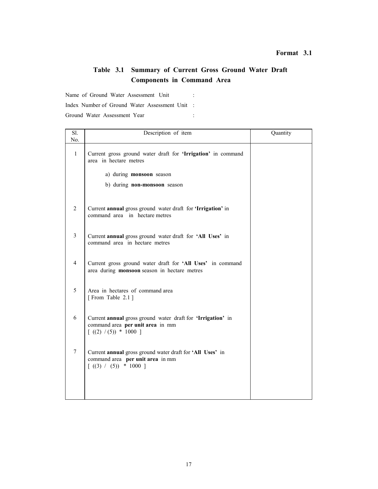# Table 3.1 Summary of Current Gross Ground Water Draft Components in Command Area

Name of Ground Water Assessment Unit :

Index Number of Ground Water Assessment Unit :

| Sl.            | Description of item                                                                                                                   | Quantity |
|----------------|---------------------------------------------------------------------------------------------------------------------------------------|----------|
| No.            |                                                                                                                                       |          |
| $\mathbf{1}$   | Current gross ground water draft for 'Irrigation' in command<br>area in hectare metres                                                |          |
|                | a) during <b>monsoon</b> season                                                                                                       |          |
|                | b) during non-monsoon season                                                                                                          |          |
|                |                                                                                                                                       |          |
| 2              | Current annual gross ground water draft for 'Irrigation' in<br>command area in hectare metres                                         |          |
| 3              | Current annual gross ground water draft for 'All Uses' in<br>command area in hectare metres                                           |          |
| $\overline{4}$ | Current gross ground water draft for 'All Uses' in command<br>area during monsoon season in hectare metres                            |          |
| 5              | Area in hectares of command area<br>[From Table 2.1]                                                                                  |          |
| 6              | Current annual gross ground water draft for 'Irrigation' in<br>command area per unit area in mm<br>$\lceil ((2) / (5)) * 1000 \rceil$ |          |
| 7              | Current annual gross ground water draft for 'All Uses' in<br>command area per unit area in mm<br>$\lceil ((3) / (5)) \rceil$ 1000 ]   |          |
|                |                                                                                                                                       |          |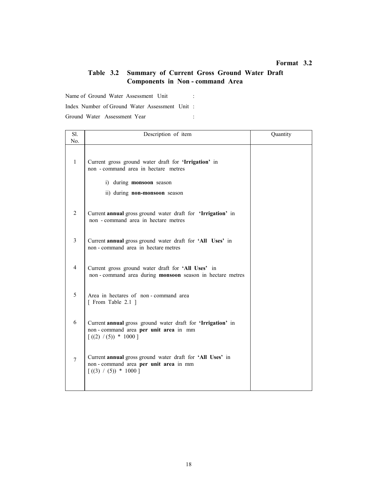## Table 3.2 Summary of Current Gross Ground Water Draft Components in Non - command Area

Name of Ground Water Assessment Unit : Index Number of Ground Water Assessment Unit :

| Sl.<br>No.     | Description of item                                                                                                                                              | Quantity |
|----------------|------------------------------------------------------------------------------------------------------------------------------------------------------------------|----------|
| $\mathbf{1}$   | Current gross ground water draft for 'Irrigation' in<br>non - command area in hectare metres<br>i) during <b>monsoon</b> season<br>ii) during non-monsoon season |          |
| 2              | Current annual gross ground water draft for 'Irrigation' in<br>non - command area in hectare metres                                                              |          |
| 3              | Current annual gross ground water draft for 'All Uses' in<br>non - command area in hectare metres                                                                |          |
| $\overline{4}$ | Current gross ground water draft for 'All Uses' in<br>non-command area during monsoon season in hectare metres                                                   |          |
| 5              | Area in hectares of non-command area<br>[ From Table 2.1 ]                                                                                                       |          |
| 6              | Current annual gross ground water draft for 'Irrigation' in<br>non-command area per unit area in mm<br>$[(2) / (5)) * 1000]$                                     |          |
| 7              | Current annual gross ground water draft for 'All Uses' in<br>non-command area per unit area in mm<br>$[(3) / (5)) * 1000]$                                       |          |
|                |                                                                                                                                                                  |          |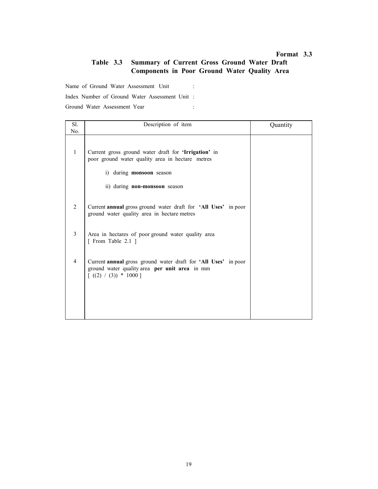# Table 3.3 Summary of Current Gross Ground Water Draft Components in Poor Ground Water Quality Area

Name of Ground Water Assessment Unit :

Index Number of Ground Water Assessment Unit :

| Sl.<br>No.     | Description of item                                                                                                                                                          | Quantity |
|----------------|------------------------------------------------------------------------------------------------------------------------------------------------------------------------------|----------|
| $\mathbf{1}$   | Current gross ground water draft for 'Irrigation' in<br>poor ground water quality area in hectare metres<br>i) during <b>monsoon</b> season<br>ii) during non-monsoon season |          |
| 2              | Current annual gross ground water draft for 'All Uses' in poor<br>ground water quality area in hectare metres                                                                |          |
| 3              | Area in hectares of poor ground water quality area<br>[ From Table 2.1 ]                                                                                                     |          |
| $\overline{4}$ | Current annual gross ground water draft for 'All Uses' in poor<br>ground water quality area per unit area in mm<br>$[(2) / (3)) * 1000]$                                     |          |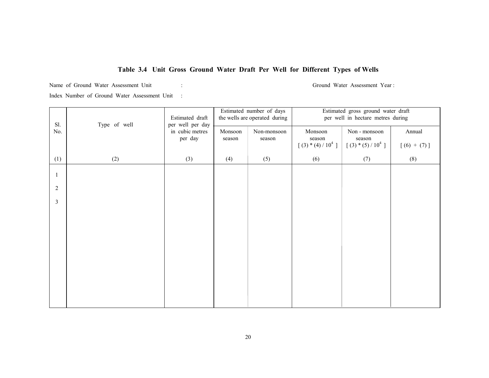# Table 3.4 Unit Gross Ground Water Draft Per Well for Different Types of Wells

Name of Ground Water Assessment Unit : Ground Water Assessment Year :

| Sl. | Type of well | Estimated draft<br>per well per day | Estimated number of days<br>the wells are operated during |                       | Estimated gross ground water draft<br>per well in hectare metres during |                                                |                         |
|-----|--------------|-------------------------------------|-----------------------------------------------------------|-----------------------|-------------------------------------------------------------------------|------------------------------------------------|-------------------------|
| No. |              | in cubic metres<br>per day          | Monsoon<br>season                                         | Non-monsoon<br>season | Monsoon<br>season<br>$[(3) * (4) / 104]$                                | Non - monsoon<br>season<br>$[(3) * (5) / 104]$ | Annual<br>$[(6) + (7)]$ |
| (1) | (2)          | (3)                                 | (4)                                                       | (5)                   | (6)                                                                     | (7)                                            | (8)                     |
|     |              |                                     |                                                           |                       |                                                                         |                                                |                         |
| 2   |              |                                     |                                                           |                       |                                                                         |                                                |                         |
| 3   |              |                                     |                                                           |                       |                                                                         |                                                |                         |
|     |              |                                     |                                                           |                       |                                                                         |                                                |                         |
|     |              |                                     |                                                           |                       |                                                                         |                                                |                         |
|     |              |                                     |                                                           |                       |                                                                         |                                                |                         |
|     |              |                                     |                                                           |                       |                                                                         |                                                |                         |
|     |              |                                     |                                                           |                       |                                                                         |                                                |                         |
|     |              |                                     |                                                           |                       |                                                                         |                                                |                         |
|     |              |                                     |                                                           |                       |                                                                         |                                                |                         |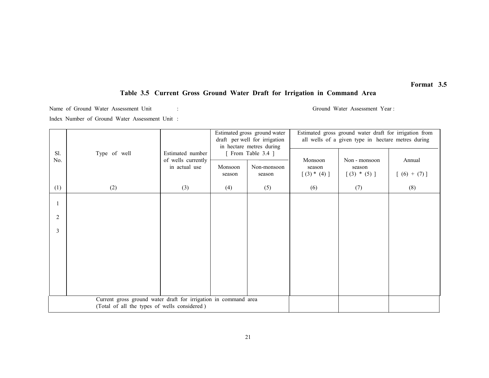#### Table 3.5 Current Gross Ground Water Draft for Irrigation in Command Area

Name of Ground Water Assessment Unit : Ground Water Assessment Year :

|            |                                                                                                                 |                                                         | Estimated gross ground water<br>draft per well for irrigation<br>in hectare metres during |                                             | Estimated gross ground water draft for irrigation from<br>all wells of a given type in hectare metres during |                                          |                         |
|------------|-----------------------------------------------------------------------------------------------------------------|---------------------------------------------------------|-------------------------------------------------------------------------------------------|---------------------------------------------|--------------------------------------------------------------------------------------------------------------|------------------------------------------|-------------------------|
| Sl.<br>No. | Type of well                                                                                                    | Estimated number<br>of wells currently<br>in actual use | Monsoon<br>season                                                                         | [ From Table 3.4 ]<br>Non-monsoon<br>season | Monsoon<br>season<br>$[(3) * (4)]$                                                                           | Non - monsoon<br>season<br>$[(3) * (5)]$ | Annual<br>$[(6) + (7)]$ |
| (1)        | (2)                                                                                                             | (3)                                                     | (4)                                                                                       | (5)                                         | (6)                                                                                                          | (7)                                      | (8)                     |
|            |                                                                                                                 |                                                         |                                                                                           |                                             |                                                                                                              |                                          |                         |
| 2          |                                                                                                                 |                                                         |                                                                                           |                                             |                                                                                                              |                                          |                         |
| 3          |                                                                                                                 |                                                         |                                                                                           |                                             |                                                                                                              |                                          |                         |
|            |                                                                                                                 |                                                         |                                                                                           |                                             |                                                                                                              |                                          |                         |
|            |                                                                                                                 |                                                         |                                                                                           |                                             |                                                                                                              |                                          |                         |
|            |                                                                                                                 |                                                         |                                                                                           |                                             |                                                                                                              |                                          |                         |
|            |                                                                                                                 |                                                         |                                                                                           |                                             |                                                                                                              |                                          |                         |
|            | Current gross ground water draft for irrigation in command area<br>(Total of all the types of wells considered) |                                                         |                                                                                           |                                             |                                                                                                              |                                          |                         |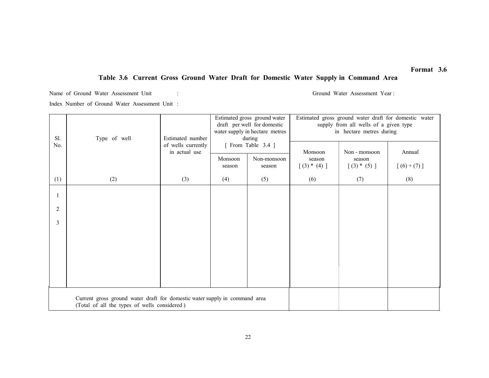## Table 3.6 Current Gross Ground Water Draft for Domestic Water Supply in Command Area

Name of Ground Water Assessment Unit : Ground Water Assessment Year : Index Number of Ground Water Assessment Unit :

| Sl. | Type of well                                                                                                               | Estimated number   | Estimated gross ground water<br>draft per well for domestic<br>water supply in hectare metres<br>during<br>[ From Table 3.4 ]<br>in actual use<br>Monsoon<br>Non-monsoon |        | Estimated gross ground water draft for domestic water<br>supply from all wells of a given type<br>in hectare metres during |                         |             |  |
|-----|----------------------------------------------------------------------------------------------------------------------------|--------------------|--------------------------------------------------------------------------------------------------------------------------------------------------------------------------|--------|----------------------------------------------------------------------------------------------------------------------------|-------------------------|-------------|--|
| No. |                                                                                                                            | of wells currently |                                                                                                                                                                          |        | Monsoon<br>season                                                                                                          | Non - monsoon<br>season | Annual      |  |
|     |                                                                                                                            |                    | season                                                                                                                                                                   | season | $[(3) * (4)]$                                                                                                              | $[(3) * (5)]$           | $[(6)+(7)]$ |  |
| (1) | (2)                                                                                                                        | (3)                | (4)                                                                                                                                                                      | (5)    | (6)                                                                                                                        | (7)                     | (8)         |  |
|     |                                                                                                                            |                    |                                                                                                                                                                          |        |                                                                                                                            |                         |             |  |
| 2   |                                                                                                                            |                    |                                                                                                                                                                          |        |                                                                                                                            |                         |             |  |
| 3   |                                                                                                                            |                    |                                                                                                                                                                          |        |                                                                                                                            |                         |             |  |
|     |                                                                                                                            |                    |                                                                                                                                                                          |        |                                                                                                                            |                         |             |  |
|     |                                                                                                                            |                    |                                                                                                                                                                          |        |                                                                                                                            |                         |             |  |
|     |                                                                                                                            |                    |                                                                                                                                                                          |        |                                                                                                                            |                         |             |  |
|     |                                                                                                                            |                    |                                                                                                                                                                          |        |                                                                                                                            |                         |             |  |
|     | Current gross ground water draft for domestic water supply in command area<br>(Total of all the types of wells considered) |                    |                                                                                                                                                                          |        |                                                                                                                            |                         |             |  |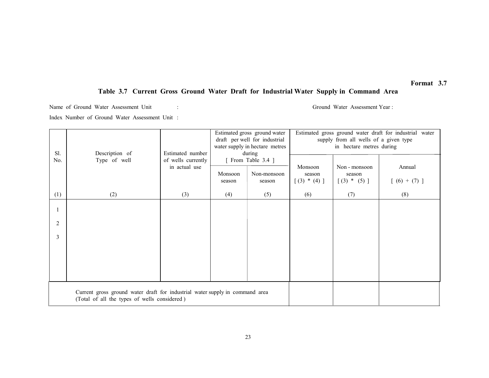## Table 3.7 Current Gross Ground Water Draft for Industrial Water Supply in Command Area

Name of Ground Water Assessment Unit : Ground Water Assessment Year : Ground Water Assessment Year : Index Number of Ground Water Assessment Unit :

| Sl.            | Description of                                                               | Estimated number                    | Estimated gross ground water<br>draft per well for industrial<br>water supply in hectare metres<br>during<br>[ From Table 3.4 ]<br>Monsoon<br>Non-monsoon<br>season<br>season |     | Estimated gross ground water draft for industrial water<br>supply from all wells of a given type<br>in hectare metres during |                                          |                         |
|----------------|------------------------------------------------------------------------------|-------------------------------------|-------------------------------------------------------------------------------------------------------------------------------------------------------------------------------|-----|------------------------------------------------------------------------------------------------------------------------------|------------------------------------------|-------------------------|
| No.            | Type of well                                                                 | of wells currently<br>in actual use |                                                                                                                                                                               |     | Monsoon<br>season<br>$[(3) * (4)]$                                                                                           | Non - monsoon<br>season<br>$[(3) * (5)]$ | Annual<br>$[(6) + (7)]$ |
| (1)            | (2)                                                                          | (3)                                 | (4)                                                                                                                                                                           | (5) | (6)                                                                                                                          | (7)                                      | (8)                     |
|                |                                                                              |                                     |                                                                                                                                                                               |     |                                                                                                                              |                                          |                         |
| $\overline{2}$ |                                                                              |                                     |                                                                                                                                                                               |     |                                                                                                                              |                                          |                         |
| 3              |                                                                              |                                     |                                                                                                                                                                               |     |                                                                                                                              |                                          |                         |
|                |                                                                              |                                     |                                                                                                                                                                               |     |                                                                                                                              |                                          |                         |
|                |                                                                              |                                     |                                                                                                                                                                               |     |                                                                                                                              |                                          |                         |
|                | Current gross ground water draft for industrial water supply in command area |                                     |                                                                                                                                                                               |     |                                                                                                                              |                                          |                         |
|                | (Total of all the types of wells considered)                                 |                                     |                                                                                                                                                                               |     |                                                                                                                              |                                          |                         |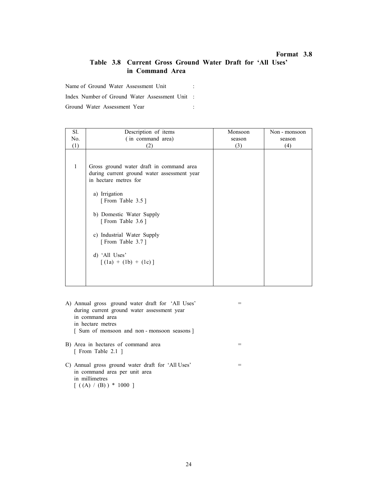## Table 3.8 Current Gross Ground Water Draft for 'All Uses' in Command Area

Name of Ground Water Assessment Unit :

Index Number of Ground Water Assessment Unit :

| Sl. | Description of items                                                                                                                                                                                                                                                                                | Monsoon | Non - monsoon |
|-----|-----------------------------------------------------------------------------------------------------------------------------------------------------------------------------------------------------------------------------------------------------------------------------------------------------|---------|---------------|
| No. | (in command area)                                                                                                                                                                                                                                                                                   | season  | season        |
| (1) | (2)                                                                                                                                                                                                                                                                                                 | (3)     | (4)           |
| 1   | Gross ground water draft in command area<br>during current ground water assessment year<br>in hectare metres for<br>a) Irrigation<br>[From Table 3.5]<br>b) Domestic Water Supply<br>[From Table 3.6]<br>Industrial Water Supply<br>c)<br>[From Table 3.7]<br>d) 'All Uses'<br>$(1a) + (1b) + (1c)$ |         |               |

- A) Annual gross ground water draft for 'All Uses' = during current ground water assessment year in command area in hectare metres [ Sum of monsoon and non - monsoon seasons ] B) Area in hectares of command area = [ From Table 2.1 ]
- $C$ ) Annual gross ground water draft for 'All Uses'  $=$  in command area per unit area in millimetres  $[( (A) / (B)) * 1000 ]$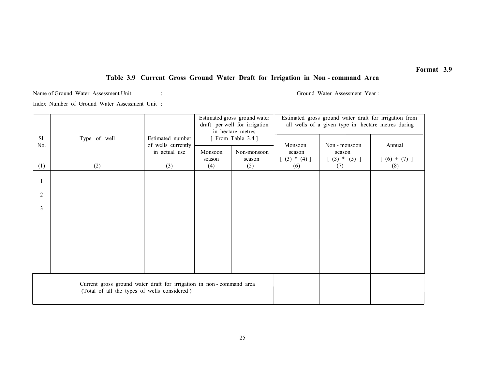# Table 3.9 Current Gross Ground Water Draft for Irrigation in Non - command Area

Name of Ground Water Assessment Unit : Ground Water Assessment Year : Ground Water Assessment Year :

|     |                                                                                                                     |                    |                                         | Estimated gross ground water<br>draft per well for irrigation | Estimated gross ground water draft for irrigation from<br>all wells of a given type in hectare metres during |                           |               |
|-----|---------------------------------------------------------------------------------------------------------------------|--------------------|-----------------------------------------|---------------------------------------------------------------|--------------------------------------------------------------------------------------------------------------|---------------------------|---------------|
| Sl. | Type of well                                                                                                        | Estimated number   | in hectare metres<br>[ From Table 3.4 ] |                                                               |                                                                                                              |                           |               |
| No. |                                                                                                                     | of wells currently |                                         |                                                               | Monsoon                                                                                                      | Non - monsoon             | Annual        |
|     |                                                                                                                     | in actual use      | Monsoon<br>season                       | Non-monsoon<br>season                                         | season<br>$[ (3) * (4) ]$                                                                                    | season<br>$[ (3) * (5) ]$ | $[(6) + (7)]$ |
| (1) | (2)                                                                                                                 | (3)                | (4)                                     | (5)                                                           | (6)                                                                                                          | (7)                       | (8)           |
|     |                                                                                                                     |                    |                                         |                                                               |                                                                                                              |                           |               |
| 2   |                                                                                                                     |                    |                                         |                                                               |                                                                                                              |                           |               |
| 3   |                                                                                                                     |                    |                                         |                                                               |                                                                                                              |                           |               |
|     |                                                                                                                     |                    |                                         |                                                               |                                                                                                              |                           |               |
|     |                                                                                                                     |                    |                                         |                                                               |                                                                                                              |                           |               |
|     |                                                                                                                     |                    |                                         |                                                               |                                                                                                              |                           |               |
|     |                                                                                                                     |                    |                                         |                                                               |                                                                                                              |                           |               |
|     | Current gross ground water draft for irrigation in non-command area<br>(Total of all the types of wells considered) |                    |                                         |                                                               |                                                                                                              |                           |               |
|     |                                                                                                                     |                    |                                         |                                                               |                                                                                                              |                           |               |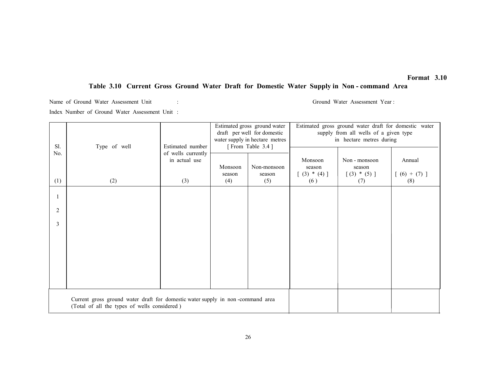# Table 3.10 Current Gross Ground Water Draft for Domestic Water Supply in Non - command Area

Name of Ground Water Assessment Unit : Ground Water Assessment Year :

| Sl.                                                                                                                            | Type of well | Estimated number                    | Estimated gross ground water<br>draft per well for domestic<br>water supply in hectare metres<br>[From Table 3.4] |                              | Estimated gross ground water draft for domestic water<br>supply from all wells of a given type<br>in hectare metres during |                                |                      |
|--------------------------------------------------------------------------------------------------------------------------------|--------------|-------------------------------------|-------------------------------------------------------------------------------------------------------------------|------------------------------|----------------------------------------------------------------------------------------------------------------------------|--------------------------------|----------------------|
| No.                                                                                                                            |              | of wells currently<br>in actual use |                                                                                                                   |                              | Monsoon                                                                                                                    | Non - monsoon                  | Annual               |
| (1)                                                                                                                            | (2)          | (3)                                 | Monsoon<br>season<br>(4)                                                                                          | Non-monsoon<br>season<br>(5) | season<br>$[ (3) * (4) ]$<br>(6)                                                                                           | season<br>$[(3) * (5)]$<br>(7) | $[(6) + (7)]$<br>(8) |
|                                                                                                                                |              |                                     |                                                                                                                   |                              |                                                                                                                            |                                |                      |
| 2                                                                                                                              |              |                                     |                                                                                                                   |                              |                                                                                                                            |                                |                      |
| 3                                                                                                                              |              |                                     |                                                                                                                   |                              |                                                                                                                            |                                |                      |
|                                                                                                                                |              |                                     |                                                                                                                   |                              |                                                                                                                            |                                |                      |
|                                                                                                                                |              |                                     |                                                                                                                   |                              |                                                                                                                            |                                |                      |
|                                                                                                                                |              |                                     |                                                                                                                   |                              |                                                                                                                            |                                |                      |
|                                                                                                                                |              |                                     |                                                                                                                   |                              |                                                                                                                            |                                |                      |
| Current gross ground water draft for domestic water supply in non-command area<br>(Total of all the types of wells considered) |              |                                     |                                                                                                                   |                              |                                                                                                                            |                                |                      |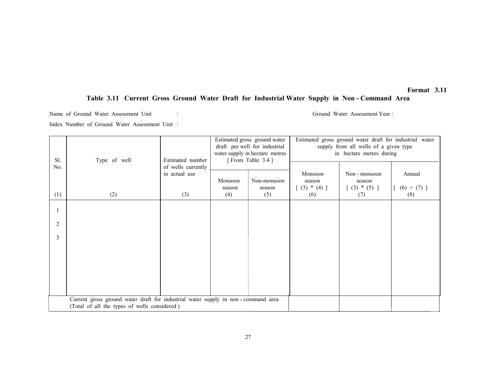# Table 3.11 Current Gross Ground Water Draft for Industrial Water Supply in Non - Command Area

Name of Ground Water Assessment Unit : Ground Water Assessment Year : Ground Water Assessment Year :

| Sl.<br>No.                                                                                                                       | Type of well | Estimated number<br>of wells currently<br>in actual use<br>(3) | Estimated gross ground water<br>draft per well for industrial<br>water supply in hectare metres<br>[From Table 3.4] |                              | Estimated gross ground water draft for industrial water<br>supply from all wells of a given type<br>in hectare metres during |                                                   |                                  |
|----------------------------------------------------------------------------------------------------------------------------------|--------------|----------------------------------------------------------------|---------------------------------------------------------------------------------------------------------------------|------------------------------|------------------------------------------------------------------------------------------------------------------------------|---------------------------------------------------|----------------------------------|
| (1)                                                                                                                              | (2)          |                                                                | Monsoon<br>season<br>(4)                                                                                            | Non-monsoon<br>season<br>(5) | Monsoon<br>season<br>$[ (3) * (4) ]$<br>(6)                                                                                  | Non - monsoon<br>season<br>$[ (3) * (5) ]$<br>(7) | Annual<br>$[ (6) + (7) ]$<br>(8) |
|                                                                                                                                  |              |                                                                |                                                                                                                     |                              |                                                                                                                              |                                                   |                                  |
| 2                                                                                                                                |              |                                                                |                                                                                                                     |                              |                                                                                                                              |                                                   |                                  |
| 3                                                                                                                                |              |                                                                |                                                                                                                     |                              |                                                                                                                              |                                                   |                                  |
|                                                                                                                                  |              |                                                                |                                                                                                                     |                              |                                                                                                                              |                                                   |                                  |
|                                                                                                                                  |              |                                                                |                                                                                                                     |                              |                                                                                                                              |                                                   |                                  |
|                                                                                                                                  |              |                                                                |                                                                                                                     |                              |                                                                                                                              |                                                   |                                  |
| Current gross ground water draft for industrial water supply in non-command area<br>(Total of all the types of wells considered) |              |                                                                |                                                                                                                     |                              |                                                                                                                              |                                                   |                                  |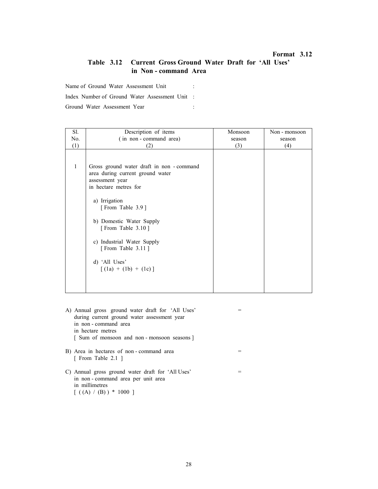## Table 3.12 Current Gross Ground Water Draft for 'All Uses' in Non - command Area

Name of Ground Water Assessment Unit :

Index Number of Ground Water Assessment Unit :

| Sl. | Description of items                                                                                                      | Monsoon | Non - monsoon |
|-----|---------------------------------------------------------------------------------------------------------------------------|---------|---------------|
| No. | (in non-command area)                                                                                                     | season  | season        |
| (1) | (2)                                                                                                                       | (3)     | (4)           |
|     |                                                                                                                           |         |               |
| 1   | Gross ground water draft in non - command<br>area during current ground water<br>assessment year<br>in hectare metres for |         |               |
|     | a) Irrigation<br>[From Table 3.9]                                                                                         |         |               |
|     | b) Domestic Water Supply<br>[From Table 3.10]                                                                             |         |               |
|     | c) Industrial Water Supply<br>[From Table 3.11]                                                                           |         |               |
|     | d) 'All Uses'<br>$[(1a) + (1b) + (1c)]$                                                                                   |         |               |
|     |                                                                                                                           |         |               |

- A) Annual gross ground water draft for 'All Uses' = during current ground water assessment year in non - command area in hectare metres [ Sum of monsoon and non - monsoon seasons ] B) Area in hectares of non-command area = [ From Table 2.1 ]
- C) Annual gross ground water draft for 'All Uses' = in non - command area per unit area in millimetres  $[( (A) / (B)) * 1000 ]$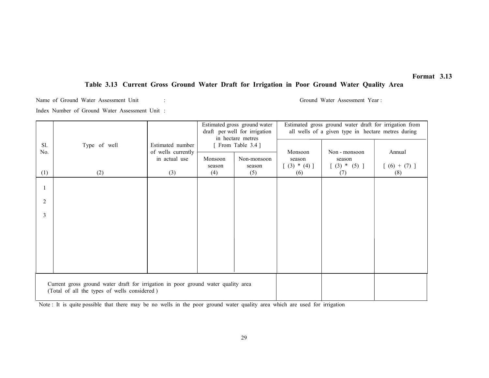## Table 3.13 Current Gross Ground Water Draft for Irrigation in Poor Ground Water Quality Area

Name of Ground Water Assessment Unit : Ground Water Assessment Year : Ground Water Assessment Year :

Index Number of Ground Water Assessment Unit :

|                                                                                                                                   |              |                                        | Estimated gross ground water<br>draft per well for irrigation<br>in hectare metres |                       | Estimated gross ground water draft for irrigation from<br>all wells of a given type in hectare metres during |                           |               |
|-----------------------------------------------------------------------------------------------------------------------------------|--------------|----------------------------------------|------------------------------------------------------------------------------------|-----------------------|--------------------------------------------------------------------------------------------------------------|---------------------------|---------------|
| Sl.<br>No.                                                                                                                        | Type of well | Estimated number<br>of wells currently |                                                                                    | [ From Table 3.4 ]    | Monsoon                                                                                                      | Non - monsoon             | Annual        |
|                                                                                                                                   |              | in actual use                          | Monsoon<br>season                                                                  | Non-monsoon<br>season | season<br>$(3) * (4)$ ]                                                                                      | season<br>$[ (3) * (5) ]$ | $[(6) + (7)]$ |
| (1)                                                                                                                               | (2)          | (3)                                    | (4)                                                                                | (5)                   | (6)                                                                                                          | (7)                       | (8)           |
|                                                                                                                                   |              |                                        |                                                                                    |                       |                                                                                                              |                           |               |
| 2                                                                                                                                 |              |                                        |                                                                                    |                       |                                                                                                              |                           |               |
| 3                                                                                                                                 |              |                                        |                                                                                    |                       |                                                                                                              |                           |               |
|                                                                                                                                   |              |                                        |                                                                                    |                       |                                                                                                              |                           |               |
|                                                                                                                                   |              |                                        |                                                                                    |                       |                                                                                                              |                           |               |
|                                                                                                                                   |              |                                        |                                                                                    |                       |                                                                                                              |                           |               |
|                                                                                                                                   |              |                                        |                                                                                    |                       |                                                                                                              |                           |               |
| Current gross ground water draft for irrigation in poor ground water quality area<br>(Total of all the types of wells considered) |              |                                        |                                                                                    |                       |                                                                                                              |                           |               |

Note : It is quite possible that there may be no wells in the poor ground water quality area which are used for irrigation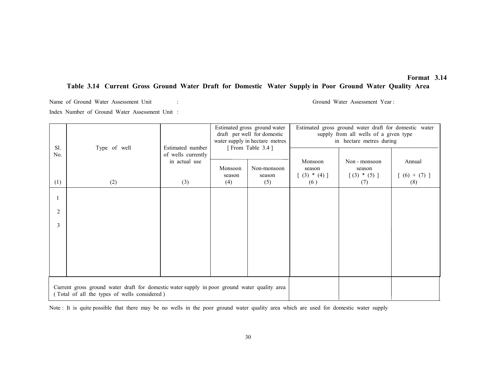## Table 3.14 Current Gross Ground Water Draft for Domestic Water Supply in Poor Ground Water Quality Area

Name of Ground Water Assessment Unit : Ground Water Assessment Year : Ground Water Assessment Year :

Index Number of Ground Water Assessment Unit :

| Sl.            | Type of well                                                                                                                                 | Estimated number                    | Estimated gross ground water<br>draft per well for domestic<br>water supply in hectare metres<br>[From Table 3.4] |               | Estimated gross ground water draft for domestic water<br>supply from all wells of a given type<br>in hectare metres during |                         |                      |
|----------------|----------------------------------------------------------------------------------------------------------------------------------------------|-------------------------------------|-------------------------------------------------------------------------------------------------------------------|---------------|----------------------------------------------------------------------------------------------------------------------------|-------------------------|----------------------|
| No.            |                                                                                                                                              | of wells currently<br>in actual use | Monsoon                                                                                                           | Non-monsoon   | Monsoon<br>season                                                                                                          | Non - monsoon<br>season | Annual               |
| (1)            | (2)                                                                                                                                          | (3)                                 | season<br>(4)                                                                                                     | season<br>(5) | $(3) * (4)$ ]<br>(6)                                                                                                       | $[(3) * (5)]$<br>(7)    | $[(6) + (7)]$<br>(8) |
|                |                                                                                                                                              |                                     |                                                                                                                   |               |                                                                                                                            |                         |                      |
| $\overline{2}$ |                                                                                                                                              |                                     |                                                                                                                   |               |                                                                                                                            |                         |                      |
| 3              |                                                                                                                                              |                                     |                                                                                                                   |               |                                                                                                                            |                         |                      |
|                |                                                                                                                                              |                                     |                                                                                                                   |               |                                                                                                                            |                         |                      |
|                |                                                                                                                                              |                                     |                                                                                                                   |               |                                                                                                                            |                         |                      |
|                |                                                                                                                                              |                                     |                                                                                                                   |               |                                                                                                                            |                         |                      |
|                | Current gross ground water draft for domestic water supply in poor ground water quality area<br>(Total of all the types of wells considered) |                                     |                                                                                                                   |               |                                                                                                                            |                         |                      |

Note : It is quite possible that there may be no wells in the poor ground water quality area which are used for domestic water supply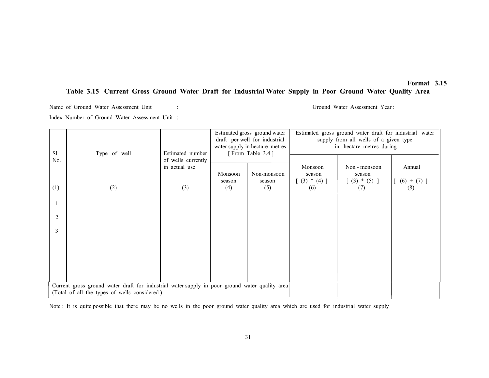## Table 3.15 Current Gross Ground Water Draft for Industrial Water Supply in Poor Ground Water Quality Area

Name of Ground Water Assessment Unit : Ground Water Assessment Year : Index Number of Ground Water Assessment Unit :

| Sl.<br>No.                                                                                                                                     | Type of well<br>Estimated number |                                            | Estimated gross ground water<br>draft per well for industrial<br>water supply in hectare metres<br>[From Table 3.4] |                              | Estimated gross ground water draft for industrial water<br>supply from all wells of a given type<br>in hectare metres during |                                                   |                                  |
|------------------------------------------------------------------------------------------------------------------------------------------------|----------------------------------|--------------------------------------------|---------------------------------------------------------------------------------------------------------------------|------------------------------|------------------------------------------------------------------------------------------------------------------------------|---------------------------------------------------|----------------------------------|
| (1)                                                                                                                                            | (2)                              | of wells currently<br>in actual use<br>(3) | Monsoon<br>season<br>(4)                                                                                            | Non-monsoon<br>season<br>(5) | Monsoon<br>season<br>$[ (3) * (4) ]$<br>(6)                                                                                  | Non - monsoon<br>season<br>$[ (3) * (5) ]$<br>(7) | Annual<br>$[ (6) + (7) ]$<br>(8) |
|                                                                                                                                                |                                  |                                            |                                                                                                                     |                              |                                                                                                                              |                                                   |                                  |
| 2                                                                                                                                              |                                  |                                            |                                                                                                                     |                              |                                                                                                                              |                                                   |                                  |
| 3                                                                                                                                              |                                  |                                            |                                                                                                                     |                              |                                                                                                                              |                                                   |                                  |
|                                                                                                                                                |                                  |                                            |                                                                                                                     |                              |                                                                                                                              |                                                   |                                  |
|                                                                                                                                                |                                  |                                            |                                                                                                                     |                              |                                                                                                                              |                                                   |                                  |
|                                                                                                                                                |                                  |                                            |                                                                                                                     |                              |                                                                                                                              |                                                   |                                  |
| Current gross ground water draft for industrial water supply in poor ground water quality area<br>(Total of all the types of wells considered) |                                  |                                            |                                                                                                                     |                              |                                                                                                                              |                                                   |                                  |

Note : It is quite possible that there may be no wells in the poor ground water quality area which are used for industrial water supply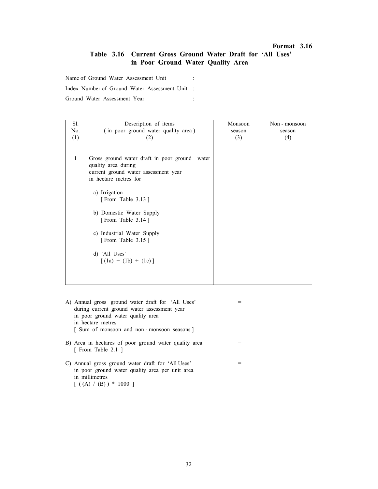## Table 3.16 Current Gross Ground Water Draft for 'All Uses' in Poor Ground Water Quality Area

Name of Ground Water Assessment Unit :

Index Number of Ground Water Assessment Unit :

| Sl.          | Description of items                                                                                                                                                                                                                                                                                                          | Monsoon | Non - monsoon |
|--------------|-------------------------------------------------------------------------------------------------------------------------------------------------------------------------------------------------------------------------------------------------------------------------------------------------------------------------------|---------|---------------|
| No.          | (in poor ground water quality area)                                                                                                                                                                                                                                                                                           | season  | season        |
| (1)          | '21                                                                                                                                                                                                                                                                                                                           | (3)     | (4)           |
| $\mathbf{1}$ | Gross ground water draft in poor ground<br>water<br>quality area during<br>current ground water assessment year<br>in hectare metres for<br>a) Irrigation<br>[From Table 3.13]<br>b) Domestic Water Supply<br>[From Table 3.14]<br>c) Industrial Water Supply<br>[From Table 3.15]<br>d) 'All Uses'<br>$[(1a) + (1b) + (1c)]$ |         |               |
|              |                                                                                                                                                                                                                                                                                                                               |         |               |
|              |                                                                                                                                                                                                                                                                                                                               |         |               |
|              |                                                                                                                                                                                                                                                                                                                               |         |               |

- A) Annual gross ground water draft for 'All Uses' = during current ground water assessment year in poor ground water quality area in hectare metres [ Sum of monsoon and non - monsoon seasons ]
- B) Area in hectares of poor ground water quality area = [ From Table 2.1 ]
- C) Annual gross ground water draft for 'All Uses' = in poor ground water quality area per unit area in millimetres  $[( (A) / (B)) * 1000 ]$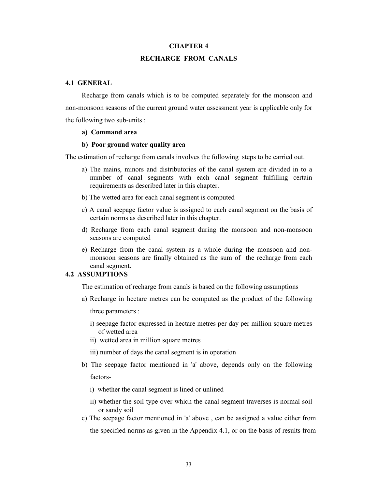#### CHAPTER 4

## RECHARGE FROM CANALS

## 4.1 GENERAL

Recharge from canals which is to be computed separately for the monsoon and non-monsoon seasons of the current ground water assessment year is applicable only for the following two sub-units :

#### a) Command area

#### b) Poor ground water quality area

The estimation of recharge from canals involves the following steps to be carried out.

- a) The mains, minors and distributories of the canal system are divided in to a number of canal segments with each canal segment fulfilling certain requirements as described later in this chapter.
- b) The wetted area for each canal segment is computed
- c) A canal seepage factor value is assigned to each canal segment on the basis of certain norms as described later in this chapter.
- d) Recharge from each canal segment during the monsoon and non-monsoon seasons are computed
- e) Recharge from the canal system as a whole during the monsoon and nonmonsoon seasons are finally obtained as the sum of the recharge from each canal segment.

### 4.2 ASSUMPTIONS

The estimation of recharge from canals is based on the following assumptions

a) Recharge in hectare metres can be computed as the product of the following

three parameters :

- i) seepage factor expressed in hectare metres per day per million square metres of wetted area
- ii) wetted area in million square metres
- iii) number of days the canal segment is in operation
- b) The seepage factor mentioned in 'a' above, depends only on the following factors
	- i) whether the canal segment is lined or unlined
	- ii) whether the soil type over which the canal segment traverses is normal soil or sandy soil
- c) The seepage factor mentioned in 'a' above , can be assigned a value either from the specified norms as given in the Appendix 4.1, or on the basis of results from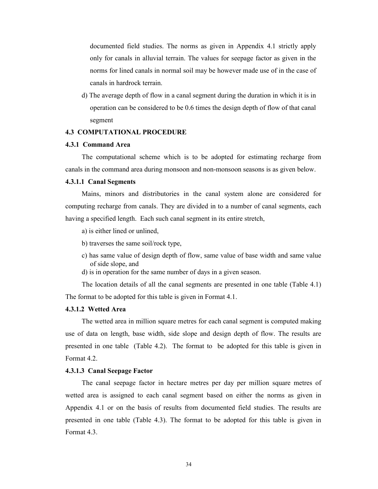documented field studies. The norms as given in Appendix 4.1 strictly apply only for canals in alluvial terrain. The values for seepage factor as given in the norms for lined canals in normal soil may be however made use of in the case of canals in hardrock terrain.

d) The average depth of flow in a canal segment during the duration in which it is in operation can be considered to be 0.6 times the design depth of flow of that canal segment

### 4.3 COMPUTATIONAL PROCEDURE

### 4.3.1 Command Area

The computational scheme which is to be adopted for estimating recharge from canals in the command area during monsoon and non-monsoon seasons is as given below.

#### 4.3.1.1 Canal Segments

Mains, minors and distributories in the canal system alone are considered for computing recharge from canals. They are divided in to a number of canal segments, each having a specified length. Each such canal segment in its entire stretch,

a) is either lined or unlined,

b) traverses the same soil/rock type,

- c) has same value of design depth of flow, same value of base width and same value of side slope, and
- d) is in operation for the same number of days in a given season.

The location details of all the canal segments are presented in one table (Table 4.1) The format to be adopted for this table is given in Format 4.1.

## 4.3.1.2 Wetted Area

The wetted area in million square metres for each canal segment is computed making use of data on length, base width, side slope and design depth of flow. The results are presented in one table (Table 4.2). The format to be adopted for this table is given in Format 4.2.

### 4.3.1.3 Canal Seepage Factor

The canal seepage factor in hectare metres per day per million square metres of wetted area is assigned to each canal segment based on either the norms as given in Appendix 4.1 or on the basis of results from documented field studies. The results are presented in one table (Table 4.3). The format to be adopted for this table is given in Format 4.3.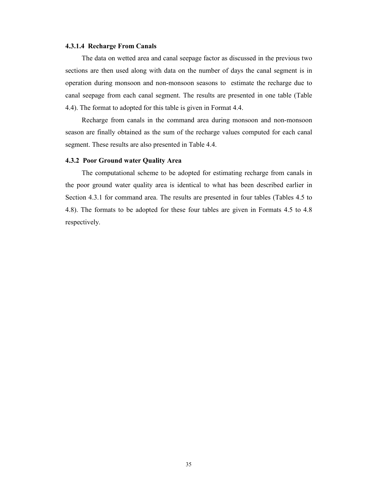#### 4.3.1.4 Recharge From Canals

The data on wetted area and canal seepage factor as discussed in the previous two sections are then used along with data on the number of days the canal segment is in operation during monsoon and non-monsoon seasons to estimate the recharge due to canal seepage from each canal segment. The results are presented in one table (Table 4.4). The format to adopted for this table is given in Format 4.4.

Recharge from canals in the command area during monsoon and non-monsoon season are finally obtained as the sum of the recharge values computed for each canal segment. These results are also presented in Table 4.4.

### 4.3.2 Poor Ground water Quality Area

The computational scheme to be adopted for estimating recharge from canals in the poor ground water quality area is identical to what has been described earlier in Section 4.3.1 for command area. The results are presented in four tables (Tables 4.5 to 4.8). The formats to be adopted for these four tables are given in Formats 4.5 to 4.8 respectively.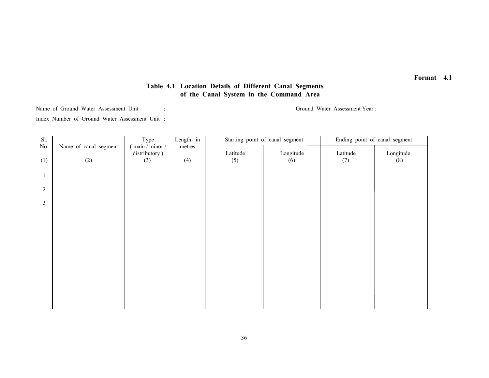## Table 4.1 Location Details of Different Canal Segments of the Canal System in the Command Area

Name of Ground Water Assessment Unit :

Ground Water Assessment Year:

Index Number of Ground Water Assessment Unit :

| Sl.            |                       | Type             | Length in |          | Starting point of canal segment | Ending point of canal segment |           |
|----------------|-----------------------|------------------|-----------|----------|---------------------------------|-------------------------------|-----------|
| No.            | Name of canal segment | $main / minor /$ | metres    |          |                                 |                               |           |
|                |                       | distributory)    |           | Latitude | Longitude                       | Latitude                      | Longitude |
| (1)            | (2)                   | (3)              | (4)       | (5)      | (6)                             | (7)                           | (8)       |
|                |                       |                  |           |          |                                 |                               |           |
|                |                       |                  |           |          |                                 |                               |           |
|                |                       |                  |           |          |                                 |                               |           |
| $\sqrt{2}$     |                       |                  |           |          |                                 |                               |           |
|                |                       |                  |           |          |                                 |                               |           |
| $\mathfrak{Z}$ |                       |                  |           |          |                                 |                               |           |
|                |                       |                  |           |          |                                 |                               |           |
|                |                       |                  |           |          |                                 |                               |           |
|                |                       |                  |           |          |                                 |                               |           |
|                |                       |                  |           |          |                                 |                               |           |
|                |                       |                  |           |          |                                 |                               |           |
|                |                       |                  |           |          |                                 |                               |           |
|                |                       |                  |           |          |                                 |                               |           |
|                |                       |                  |           |          |                                 |                               |           |
|                |                       |                  |           |          |                                 |                               |           |
|                |                       |                  |           |          |                                 |                               |           |
|                |                       |                  |           |          |                                 |                               |           |
|                |                       |                  |           |          |                                 |                               |           |
|                |                       |                  |           |          |                                 |                               |           |
|                |                       |                  |           |          |                                 |                               |           |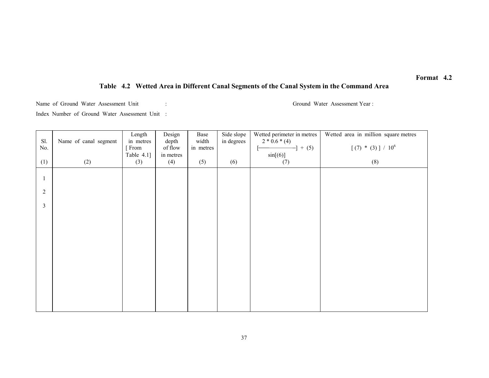## Table 4.2 Wetted Area in Different Canal Segments of the Canal System in the Command Area

Name of Ground Water Assessment Unit : Ground Water Assessment Year :

Index Number of Ground Water Assessment Unit :

| Sl.            | Name of canal segment | Length<br>in metres | Design<br>depth  | Base<br>width | Side slope<br>in degrees | Wetted perimeter in metres<br>$2 * 0.6 * (4)$ | Wetted area in million square metres |
|----------------|-----------------------|---------------------|------------------|---------------|--------------------------|-----------------------------------------------|--------------------------------------|
| No.            |                       | [From               | of flow          | in metres     |                          | $-] + (5)$                                    | $[(7) * (3)] / 10^{6}$               |
| (1)            | (2)                   | Table 4.1]<br>(3)   | in metres<br>(4) | (5)           | (6)                      | sin[(6)]<br>(7)                               | (8)                                  |
|                |                       |                     |                  |               |                          |                                               |                                      |
|                |                       |                     |                  |               |                          |                                               |                                      |
| $\overline{2}$ |                       |                     |                  |               |                          |                                               |                                      |
| $\overline{3}$ |                       |                     |                  |               |                          |                                               |                                      |
|                |                       |                     |                  |               |                          |                                               |                                      |
|                |                       |                     |                  |               |                          |                                               |                                      |
|                |                       |                     |                  |               |                          |                                               |                                      |
|                |                       |                     |                  |               |                          |                                               |                                      |
|                |                       |                     |                  |               |                          |                                               |                                      |
|                |                       |                     |                  |               |                          |                                               |                                      |
|                |                       |                     |                  |               |                          |                                               |                                      |
|                |                       |                     |                  |               |                          |                                               |                                      |
|                |                       |                     |                  |               |                          |                                               |                                      |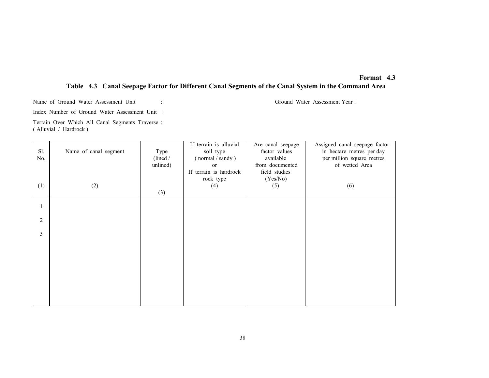## Format 4.3 Table 4.3 Canal Seepage Factor for Different Canal Segments of the Canal System in the Command Area

Name of Ground Water Assessment Unit : Ground Water Assessment Year :

Index Number of Ground Water Assessment Unit :

Terrain Over Which All Canal Segments Traverse : ( Alluvial / Hardrock )

| Sl.<br>No.     | Name of canal segment | Type<br>(line d)<br>unlined) | If terrain is alluvial<br>soil type<br>(normal / sandy)<br>or<br>If terrain is hardrock | Are canal seepage<br>factor values<br>available<br>from documented<br>field studies | Assigned canal seepage factor<br>in hectare metres per day<br>per million square metres<br>of wetted Area |
|----------------|-----------------------|------------------------------|-----------------------------------------------------------------------------------------|-------------------------------------------------------------------------------------|-----------------------------------------------------------------------------------------------------------|
| (1)            | (2)                   | (3)                          | rock type<br>(4)                                                                        | (Yes/No)<br>(5)                                                                     | (6)                                                                                                       |
|                |                       |                              |                                                                                         |                                                                                     |                                                                                                           |
| $\overline{2}$ |                       |                              |                                                                                         |                                                                                     |                                                                                                           |
| 3              |                       |                              |                                                                                         |                                                                                     |                                                                                                           |
|                |                       |                              |                                                                                         |                                                                                     |                                                                                                           |
|                |                       |                              |                                                                                         |                                                                                     |                                                                                                           |
|                |                       |                              |                                                                                         |                                                                                     |                                                                                                           |
|                |                       |                              |                                                                                         |                                                                                     |                                                                                                           |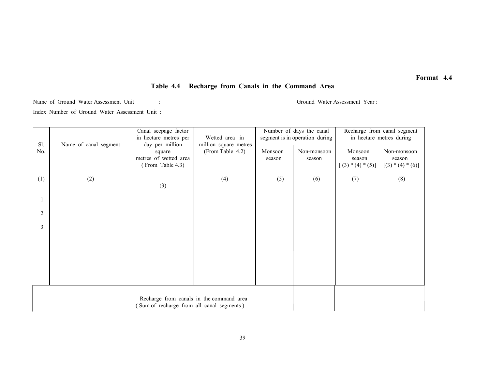## Table 4.4 Recharge from Canals in the Command Area

Name of Ground Water Assessment Unit : Ground Water Assessment Year : Ground Water Assessment Year :

Index Number of Ground Water Assessment Unit :

|                |                                                                                      | Canal seepage factor<br>in hectare metres per | Wetted area in                            |         | Number of days the canal<br>segment is in operation during | Recharge from canal segment<br>in hectare metres during |                               |  |
|----------------|--------------------------------------------------------------------------------------|-----------------------------------------------|-------------------------------------------|---------|------------------------------------------------------------|---------------------------------------------------------|-------------------------------|--|
| Sl.<br>No.     | Name of canal segment                                                                | day per million<br>square                     | million square metres<br>(From Table 4.2) | Monsoon | Non-monsoon                                                | Monsoon                                                 | Non-monsoon                   |  |
|                |                                                                                      | metres of wetted area<br>(From Table 4.3)     |                                           | season  | season                                                     | season<br>$[(3) * (4) * (5)]$                           | season<br>$[(3) * (4) * (6)]$ |  |
| (1)            | (2)                                                                                  | (3)                                           | (4)                                       | (5)     | (6)                                                        | (7)                                                     | (8)                           |  |
|                |                                                                                      |                                               |                                           |         |                                                            |                                                         |                               |  |
| $\overline{2}$ |                                                                                      |                                               |                                           |         |                                                            |                                                         |                               |  |
| 3              |                                                                                      |                                               |                                           |         |                                                            |                                                         |                               |  |
|                |                                                                                      |                                               |                                           |         |                                                            |                                                         |                               |  |
|                |                                                                                      |                                               |                                           |         |                                                            |                                                         |                               |  |
|                |                                                                                      |                                               |                                           |         |                                                            |                                                         |                               |  |
|                |                                                                                      |                                               |                                           |         |                                                            |                                                         |                               |  |
|                | Recharge from canals in the command area<br>Sum of recharge from all canal segments) |                                               |                                           |         |                                                            |                                                         |                               |  |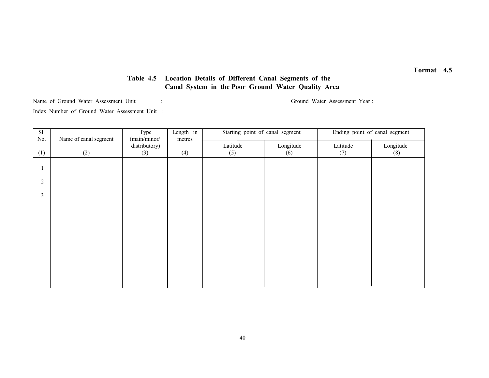## Table 4.5 Location Details of Different Canal Segments of the Canal System in the Poor Ground Water Quality Area

Name of Ground Water Assessment Unit : Ground Water Assessment Year : Ground Water Assessment Year :

Index Number of Ground Water Assessment Unit :

| Sl.            |                       | Type                          | Length in | Starting point of canal segment |           | Ending point of canal segment |           |  |
|----------------|-----------------------|-------------------------------|-----------|---------------------------------|-----------|-------------------------------|-----------|--|
| No.            | Name of canal segment | (main/minor/<br>distributory) | metres    | Latitude                        | Longitude | Latitude                      | Longitude |  |
| (1)            | (2)                   | (3)                           | (4)       | (5)                             | (6)       | (7)                           | (8)       |  |
|                |                       |                               |           |                                 |           |                               |           |  |
|                |                       |                               |           |                                 |           |                               |           |  |
| $\overline{2}$ |                       |                               |           |                                 |           |                               |           |  |
|                |                       |                               |           |                                 |           |                               |           |  |
| 3              |                       |                               |           |                                 |           |                               |           |  |
|                |                       |                               |           |                                 |           |                               |           |  |
|                |                       |                               |           |                                 |           |                               |           |  |
|                |                       |                               |           |                                 |           |                               |           |  |
|                |                       |                               |           |                                 |           |                               |           |  |
|                |                       |                               |           |                                 |           |                               |           |  |
|                |                       |                               |           |                                 |           |                               |           |  |
|                |                       |                               |           |                                 |           |                               |           |  |
|                |                       |                               |           |                                 |           |                               |           |  |
|                |                       |                               |           |                                 |           |                               |           |  |
|                |                       |                               |           |                                 |           |                               |           |  |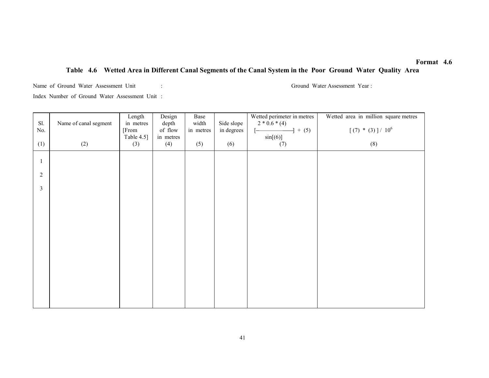## Table 4.6 Wetted Area in Different Canal Segments of the Canal System in the Poor Ground Water Quality Area

Name of Ground Water Assessment Unit : Ground Water Assessment Year : Ground Water Assessment Year : Index Number of Ground Water Assessment Unit :

| Sl.<br>$\rm No.$ | Name of canal segment | Length<br>in metres<br>[From | Design<br>depth<br>of flow | Base<br>width<br>in metres | Side slope<br>in degrees | Wetted perimeter in metres<br>$2 * 0.6 * (4)$<br>$-1 + (5)$<br>$[-]$ | Wetted area in million square metres<br>$[ (7) * (3) ] / 10^6$ |
|------------------|-----------------------|------------------------------|----------------------------|----------------------------|--------------------------|----------------------------------------------------------------------|----------------------------------------------------------------|
| (1)              | (2)                   | Table 4.5]<br>(3)            | in metres<br>(4)           | (5)                        | (6)                      | sin[(6)]<br>(7)                                                      | (8)                                                            |
| $\mathbf{1}$     |                       |                              |                            |                            |                          |                                                                      |                                                                |
| $\overline{2}$   |                       |                              |                            |                            |                          |                                                                      |                                                                |
| $\mathfrak{Z}$   |                       |                              |                            |                            |                          |                                                                      |                                                                |
|                  |                       |                              |                            |                            |                          |                                                                      |                                                                |
|                  |                       |                              |                            |                            |                          |                                                                      |                                                                |
|                  |                       |                              |                            |                            |                          |                                                                      |                                                                |
|                  |                       |                              |                            |                            |                          |                                                                      |                                                                |
|                  |                       |                              |                            |                            |                          |                                                                      |                                                                |
|                  |                       |                              |                            |                            |                          |                                                                      |                                                                |
|                  |                       |                              |                            |                            |                          |                                                                      |                                                                |
|                  |                       |                              |                            |                            |                          |                                                                      |                                                                |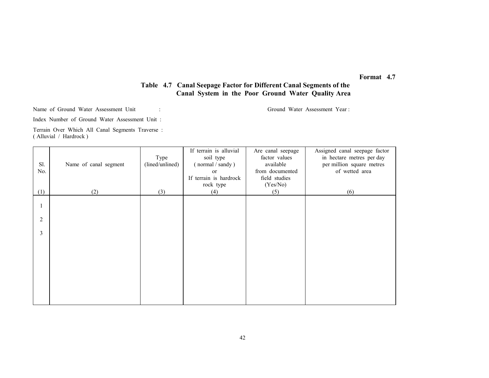## Table 4.7 Canal Seepage Factor for Different Canal Segments of the Canal System in the Poor Ground Water Quality Area

Name of Ground Water Assessment Unit : Ground Water Assessment Year :

Index Number of Ground Water Assessment Unit :

Terrain Over Which All Canal Segments Traverse : ( Alluvial / Hardrock )

|                |                       |                 | If terrain is alluvial | Are canal seepage | Assigned canal seepage factor |
|----------------|-----------------------|-----------------|------------------------|-------------------|-------------------------------|
|                |                       | Type            | soil type              | factor values     | in hectare metres per day     |
| Sl.            | Name of canal segment | (lined/unlined) | (normal / sandy)       | available         | per million square metres     |
| No.            |                       |                 | <sub>or</sub>          | from documented   | of wetted area                |
|                |                       |                 | If terrain is hardrock | field studies     |                               |
|                |                       |                 | rock type              | (Yes/No)          |                               |
| (1)            | (2)                   | (3)             | (4)                    | (5)               | (6)                           |
|                |                       |                 |                        |                   |                               |
|                |                       |                 |                        |                   |                               |
|                |                       |                 |                        |                   |                               |
| $\overline{2}$ |                       |                 |                        |                   |                               |
| 3              |                       |                 |                        |                   |                               |
|                |                       |                 |                        |                   |                               |
|                |                       |                 |                        |                   |                               |
|                |                       |                 |                        |                   |                               |
|                |                       |                 |                        |                   |                               |
|                |                       |                 |                        |                   |                               |
|                |                       |                 |                        |                   |                               |
|                |                       |                 |                        |                   |                               |
|                |                       |                 |                        |                   |                               |
|                |                       |                 |                        |                   |                               |
|                |                       |                 |                        |                   |                               |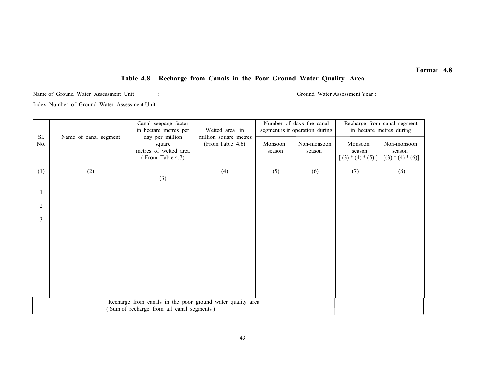## Table 4.8 Recharge from Canals in the Poor Ground Water Quality Area

Name of Ground Water Assessment Unit : Ground Water Assessment Year : Ground Water Assessment Year : Index Number of Ground Water Assessment Unit :

| Sl.            | Canal seepage factor<br>in hectare metres per<br>Name of canal segment<br>day per million<br>square<br>metres of wetted area<br>(From Table 4.7) |                  | Wetted area in<br>million square metres |                       | Number of days the canal<br>segment is in operation during | Recharge from canal segment<br>in hectare metres during |     |  |
|----------------|--------------------------------------------------------------------------------------------------------------------------------------------------|------------------|-----------------------------------------|-----------------------|------------------------------------------------------------|---------------------------------------------------------|-----|--|
| No.            |                                                                                                                                                  | (From Table 4.6) | Monsoon<br>season                       | Non-monsoon<br>season | Monsoon<br>season<br>$[(3) * (4) * (5)]$                   | Non-monsoon<br>season<br>$[(3) * (4) * (6)]$            |     |  |
| (1)            | (2)                                                                                                                                              | (3)              | (4)                                     | (5)                   | (6)                                                        | (7)                                                     | (8) |  |
|                |                                                                                                                                                  |                  |                                         |                       |                                                            |                                                         |     |  |
| $\overline{2}$ |                                                                                                                                                  |                  |                                         |                       |                                                            |                                                         |     |  |
| 3              |                                                                                                                                                  |                  |                                         |                       |                                                            |                                                         |     |  |
|                |                                                                                                                                                  |                  |                                         |                       |                                                            |                                                         |     |  |
|                |                                                                                                                                                  |                  |                                         |                       |                                                            |                                                         |     |  |
|                |                                                                                                                                                  |                  |                                         |                       |                                                            |                                                         |     |  |
|                |                                                                                                                                                  |                  |                                         |                       |                                                            |                                                         |     |  |
|                |                                                                                                                                                  |                  |                                         |                       |                                                            |                                                         |     |  |
|                | Recharge from canals in the poor ground water quality area<br>(Sum of recharge from all canal segments)                                          |                  |                                         |                       |                                                            |                                                         |     |  |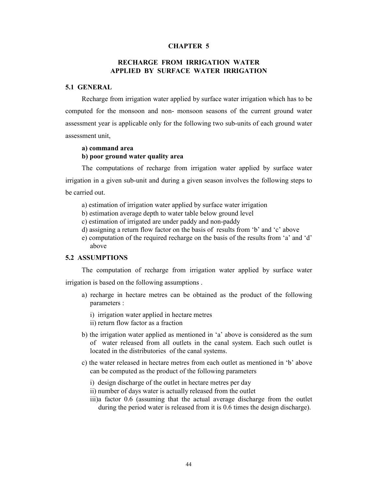### CHAPTER 5

## RECHARGE FROM IRRIGATION WATER APPLIED BY SURFACE WATER IRRIGATION

### 5.1 GENERAL

Recharge from irrigation water applied by surface water irrigation which has to be computed for the monsoon and non- monsoon seasons of the current ground water assessment year is applicable only for the following two sub-units of each ground water assessment unit,

#### a) command area

## b) poor ground water quality area

The computations of recharge from irrigation water applied by surface water irrigation in a given sub-unit and during a given season involves the following steps to be carried out.

- a) estimation of irrigation water applied by surface water irrigation
- b) estimation average depth to water table below ground level
- c) estimation of irrigated are under paddy and non-paddy
- d) assigning a return flow factor on the basis of results from 'b' and 'c' above
- e) computation of the required recharge on the basis of the results from 'a' and 'd' above

### 5.2 ASSUMPTIONS

The computation of recharge from irrigation water applied by surface water irrigation is based on the following assumptions .

- a) recharge in hectare metres can be obtained as the product of the following parameters :
	- i) irrigation water applied in hectare metres
	- ii) return flow factor as a fraction
- b) the irrigation water applied as mentioned in 'a' above is considered as the sum of water released from all outlets in the canal system. Each such outlet is located in the distributories of the canal systems.
- c) the water released in hectare metres from each outlet as mentioned in 'b' above can be computed as the product of the following parameters
	- i) design discharge of the outlet in hectare metres per day
	- ii) number of days water is actually released from the outlet
	- iii)a factor 0.6 (assuming that the actual average discharge from the outlet during the period water is released from it is 0.6 times the design discharge).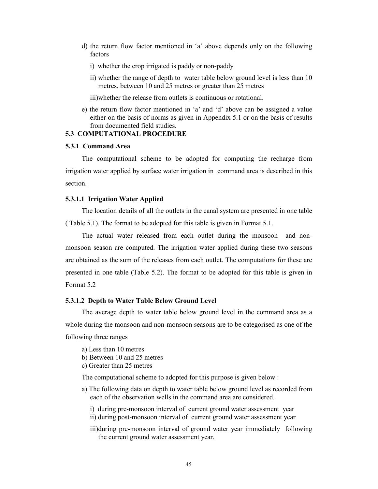- d) the return flow factor mentioned in 'a' above depends only on the following factors
	- i) whether the crop irrigated is paddy or non-paddy
	- ii) whether the range of depth to water table below ground level is less than 10 metres, between 10 and 25 metres or greater than 25 metres

iii)whether the release from outlets is continuous or rotational.

e) the return flow factor mentioned in 'a' and 'd' above can be assigned a value either on the basis of norms as given in Appendix 5.1 or on the basis of results from documented field studies.

## 5.3 COMPUTATIONAL PROCEDURE

## 5.3.1 Command Area

The computational scheme to be adopted for computing the recharge from irrigation water applied by surface water irrigation in command area is described in this section.

### 5.3.1.1 Irrigation Water Applied

The location details of all the outlets in the canal system are presented in one table ( Table 5.1). The format to be adopted for this table is given in Format 5.1.

The actual water released from each outlet during the monsoon and nonmonsoon season are computed. The irrigation water applied during these two seasons are obtained as the sum of the releases from each outlet. The computations for these are presented in one table (Table 5.2). The format to be adopted for this table is given in Format 5.2

### 5.3.1.2 Depth to Water Table Below Ground Level

The average depth to water table below ground level in the command area as a whole during the monsoon and non-monsoon seasons are to be categorised as one of the following three ranges

- a) Less than 10 metres
- b) Between 10 and 25 metres
- c) Greater than 25 metres

The computational scheme to adopted for this purpose is given below :

- a) The following data on depth to water table below ground level as recorded from each of the observation wells in the command area are considered.
	- i) during pre-monsoon interval of current ground water assessment year
	- ii) during post-monsoon interval of current ground water assessment year
	- iii)during pre-monsoon interval of ground water year immediately following the current ground water assessment year.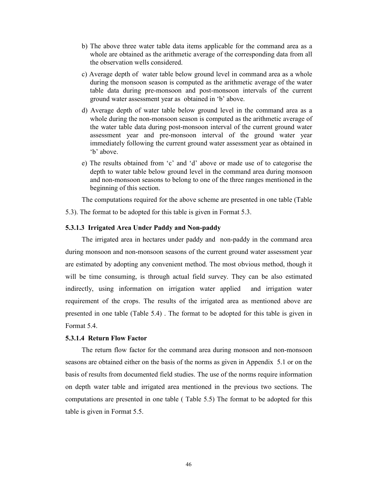- b) The above three water table data items applicable for the command area as a whole are obtained as the arithmetic average of the corresponding data from all the observation wells considered.
- c) Average depth of water table below ground level in command area as a whole during the monsoon season is computed as the arithmetic average of the water table data during pre-monsoon and post-monsoon intervals of the current ground water assessment year as obtained in 'b' above.
- d) Average depth of water table below ground level in the command area as a whole during the non-monsoon season is computed as the arithmetic average of the water table data during post-monsoon interval of the current ground water assessment year and pre-monsoon interval of the ground water year immediately following the current ground water assessment year as obtained in 'b' above.
- e) The results obtained from 'c' and 'd' above or made use of to categorise the depth to water table below ground level in the command area during monsoon and non-monsoon seasons to belong to one of the three ranges mentioned in the beginning of this section.

The computations required for the above scheme are presented in one table (Table

5.3). The format to be adopted for this table is given in Format 5.3.

### 5.3.1.3 Irrigated Area Under Paddy and Non-paddy

The irrigated area in hectares under paddy and non-paddy in the command area during monsoon and non-monsoon seasons of the current ground water assessment year are estimated by adopting any convenient method. The most obvious method, though it will be time consuming, is through actual field survey. They can be also estimated indirectly, using information on irrigation water applied and irrigation water requirement of the crops. The results of the irrigated area as mentioned above are presented in one table (Table 5.4) . The format to be adopted for this table is given in Format 5.4.

### 5.3.1.4 Return Flow Factor

The return flow factor for the command area during monsoon and non-monsoon seasons are obtained either on the basis of the norms as given in Appendix 5.1 or on the basis of results from documented field studies. The use of the norms require information on depth water table and irrigated area mentioned in the previous two sections. The computations are presented in one table ( Table 5.5) The format to be adopted for this table is given in Format 5.5.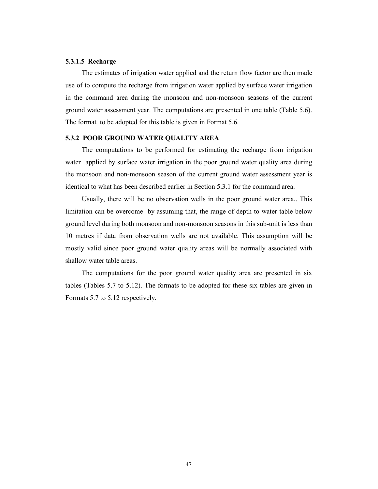## 5.3.1.5 Recharge

The estimates of irrigation water applied and the return flow factor are then made use of to compute the recharge from irrigation water applied by surface water irrigation in the command area during the monsoon and non-monsoon seasons of the current ground water assessment year. The computations are presented in one table (Table 5.6). The format to be adopted for this table is given in Format 5.6.

### 5.3.2 POOR GROUND WATER QUALITY AREA

The computations to be performed for estimating the recharge from irrigation water applied by surface water irrigation in the poor ground water quality area during the monsoon and non-monsoon season of the current ground water assessment year is identical to what has been described earlier in Section 5.3.1 for the command area.

Usually, there will be no observation wells in the poor ground water area.. This limitation can be overcome by assuming that, the range of depth to water table below ground level during both monsoon and non-monsoon seasons in this sub-unit is less than 10 metres if data from observation wells are not available. This assumption will be mostly valid since poor ground water quality areas will be normally associated with shallow water table areas.

The computations for the poor ground water quality area are presented in six tables (Tables 5.7 to 5.12). The formats to be adopted for these six tables are given in Formats 5.7 to 5.12 respectively.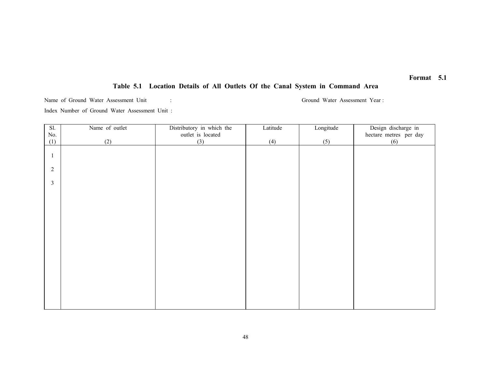## Table 5.1 Location Details of All Outlets Of the Canal System in Command Area

Name of Ground Water Assessment Unit : Ground Water Assessment Year : Index Number of Ground Water Assessment Unit :

Sl. No. (1) Name of outlet (2) Distributory in which the outlet is located (3) Latitude (4) Longitude (5) Design discharge in hectare metres per day (6) 1 2 3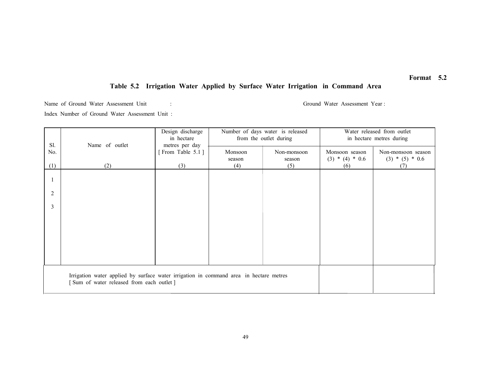## Table 5.2 Irrigation Water Applied by Surface Water Irrigation in Command Area

Name of Ground Water Assessment Unit : Ground Water Assessment Year : Ground Water Assessment Year : Index Number of Ground Water Assessment Unit :

|     |                                                                                                                                    | Design discharge                   |                        | Number of days water is released | Water released from outlet |                          |  |  |
|-----|------------------------------------------------------------------------------------------------------------------------------------|------------------------------------|------------------------|----------------------------------|----------------------------|--------------------------|--|--|
| Sl. |                                                                                                                                    | in hectare                         | from the outlet during |                                  |                            | in hectare metres during |  |  |
| No. | Name of outlet                                                                                                                     | metres per day<br>[From Table 5.1] | Monsoon                | Non-monsoon                      | Monsoon season             | Non-monsoon season       |  |  |
|     |                                                                                                                                    |                                    | season                 | season                           | $(3) * (4) * 0.6$          | $(3) * (5) * 0.6$        |  |  |
| (1) | (2)                                                                                                                                | (3)                                | (4)                    | (5)                              | (6)                        | (7)                      |  |  |
|     |                                                                                                                                    |                                    |                        |                                  |                            |                          |  |  |
|     |                                                                                                                                    |                                    |                        |                                  |                            |                          |  |  |
| 2   |                                                                                                                                    |                                    |                        |                                  |                            |                          |  |  |
|     |                                                                                                                                    |                                    |                        |                                  |                            |                          |  |  |
| 3   |                                                                                                                                    |                                    |                        |                                  |                            |                          |  |  |
|     |                                                                                                                                    |                                    |                        |                                  |                            |                          |  |  |
|     |                                                                                                                                    |                                    |                        |                                  |                            |                          |  |  |
|     |                                                                                                                                    |                                    |                        |                                  |                            |                          |  |  |
|     |                                                                                                                                    |                                    |                        |                                  |                            |                          |  |  |
|     |                                                                                                                                    |                                    |                        |                                  |                            |                          |  |  |
|     |                                                                                                                                    |                                    |                        |                                  |                            |                          |  |  |
|     |                                                                                                                                    |                                    |                        |                                  |                            |                          |  |  |
|     | Irrigation water applied by surface water irrigation in command area in hectare metres<br>[Sum of water released from each outlet] |                                    |                        |                                  |                            |                          |  |  |
|     |                                                                                                                                    |                                    |                        |                                  |                            |                          |  |  |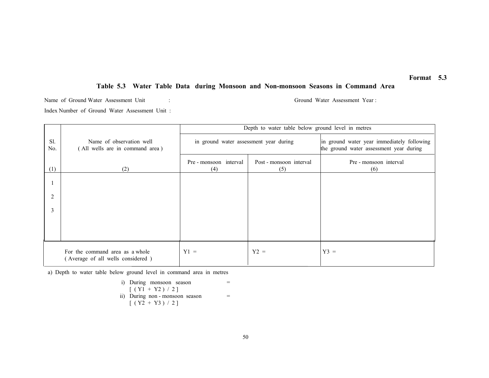## Table 5.3 Water Table Data during Monsoon and Non-monsoon Seasons in Command Area

Name of Ground Water Assessment Unit : Ground Water Assessment Year : Index Number of Ground Water Assessment Unit :

|            |                                                                      | Depth to water table below ground level in metres |                                |                                                                                       |  |  |
|------------|----------------------------------------------------------------------|---------------------------------------------------|--------------------------------|---------------------------------------------------------------------------------------|--|--|
| Sl.<br>No. | Name of observation well<br>(All wells are in command area)          | in ground water assessment year during            |                                | in ground water year immediately following<br>the ground water assessment year during |  |  |
| (1)        | (2)                                                                  | Pre - monsoon interval<br>(4)                     | Post - monsoon interval<br>(5) | Pre - monsoon interval<br>(6)                                                         |  |  |
|            |                                                                      |                                                   |                                |                                                                                       |  |  |
| 2          |                                                                      |                                                   |                                |                                                                                       |  |  |
| 3          |                                                                      |                                                   |                                |                                                                                       |  |  |
|            |                                                                      |                                                   |                                |                                                                                       |  |  |
|            | For the command area as a whole<br>(Average of all wells considered) | $Y1 =$                                            | $Y2 =$                         | $Y3 =$                                                                                |  |  |

a) Depth to water table below ground level in command area in metres

i) During monsoon season  
\n
$$
[(Y1 + Y2) / 2]
$$
\nii) During non-monsoon season  
\n
$$
[(Y2 + Y3) / 2]
$$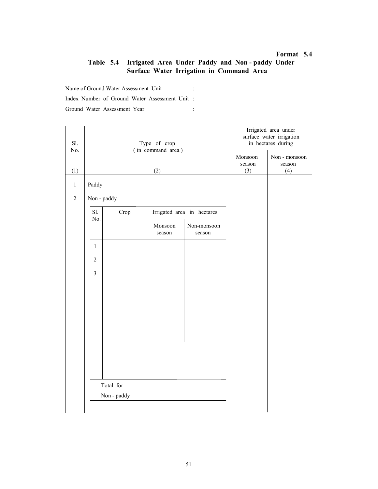## Table 5.4 Irrigated Area Under Paddy and Non - paddy Under Surface Water Irrigation in Command Area

Name of Ground Water Assessment Unit : Index Number of Ground Water Assessment Unit : Ground Water Assessment Year :

| Sl.            |                |             | Type of crop      |                            |                   | Irrigated area under<br>surface water irrigation<br>in hectares during |
|----------------|----------------|-------------|-------------------|----------------------------|-------------------|------------------------------------------------------------------------|
| No.            |                |             | (in command area) |                            | Monsoon<br>season | Non - monsoon<br>season                                                |
| (1)            |                |             | (2)               |                            | (3)               | (4)                                                                    |
| $\,1$          | Paddy          |             |                   |                            |                   |                                                                        |
| $\overline{2}$ | Non - paddy    |             |                   |                            |                   |                                                                        |
|                | Sl.            | Crop        |                   | Irrigated area in hectares |                   |                                                                        |
|                | No.            |             | Monsoon<br>season | Non-monsoon<br>season      |                   |                                                                        |
|                | $\mathbf{1}$   |             |                   |                            |                   |                                                                        |
|                | $\overline{2}$ |             |                   |                            |                   |                                                                        |
|                | $\mathfrak{Z}$ |             |                   |                            |                   |                                                                        |
|                |                |             |                   |                            |                   |                                                                        |
|                |                |             |                   |                            |                   |                                                                        |
|                |                |             |                   |                            |                   |                                                                        |
|                |                |             |                   |                            |                   |                                                                        |
|                |                |             |                   |                            |                   |                                                                        |
|                |                |             |                   |                            |                   |                                                                        |
|                |                |             |                   |                            |                   |                                                                        |
|                | Total for      |             |                   |                            |                   |                                                                        |
|                |                | Non - paddy |                   |                            |                   |                                                                        |
|                |                |             |                   |                            |                   |                                                                        |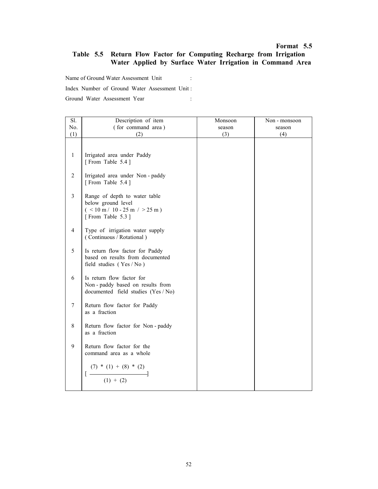## Table 5.5 Return Flow Factor for Computing Recharge from Irrigation Water Applied by Surface Water Irrigation in Command Area

Name of Ground Water Assessment Unit :

Index Number of Ground Water Assessment Unit :

| Sl.            | Description of item                                                                                         | Monsoon | Non - monsoon |
|----------------|-------------------------------------------------------------------------------------------------------------|---------|---------------|
| No.            | (for command area)                                                                                          | season  | season        |
| (1)            | (2)                                                                                                         | (3)     | (4)           |
| $\mathbf{1}$   | Irrigated area under Paddy                                                                                  |         |               |
|                | [From Table 5.4]                                                                                            |         |               |
| $\sqrt{2}$     | Irrigated area under Non-paddy<br>[From Table 5.4]                                                          |         |               |
| $\overline{3}$ | Range of depth to water table<br>below ground level<br>$($ < 10 m / 10 - 25 m / > 25 m)<br>[From Table 5.3] |         |               |
| $\overline{4}$ | Type of irrigation water supply<br>(Continuous / Rotational)                                                |         |               |
| 5              | Is return flow factor for Paddy<br>based on results from documented<br>field studies (Yes / No)             |         |               |
| 6              | Is return flow factor for<br>Non-paddy based on results from<br>documented field studies (Yes / No)         |         |               |
| $\tau$         | Return flow factor for Paddy<br>as a fraction                                                               |         |               |
| 8              | Return flow factor for Non-paddy<br>as a fraction                                                           |         |               |
| 9              | Return flow factor for the<br>command area as a whole                                                       |         |               |
|                | $\frac{(7) * (1) + (8) * (2)}{(1) + (2)}$<br>$\lceil - \rceil$                                              |         |               |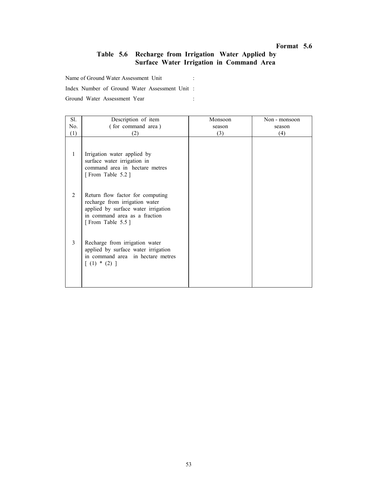## Table 5.6 Recharge from Irrigation Water Applied by Surface Water Irrigation in Command Area

Name of Ground Water Assessment Unit :

Index Number of Ground Water Assessment Unit :

| Sl.            | Description of item                                                                                                                                            | Monsoon | Non - monsoon |
|----------------|----------------------------------------------------------------------------------------------------------------------------------------------------------------|---------|---------------|
| No.            | (for command area)                                                                                                                                             | season  | season        |
| (1)            | (2)                                                                                                                                                            | (3)     | (4)           |
| 1              | Irrigation water applied by<br>surface water irrigation in<br>command area in hectare metres<br>[From Table 5.2]                                               |         |               |
| $\mathfrak{D}$ | Return flow factor for computing<br>recharge from irrigation water<br>applied by surface water irrigation<br>in command area as a fraction<br>[From Table 5.5] |         |               |
| 3              | Recharge from irrigation water<br>applied by surface water irrigation<br>in command area in hectare metres<br>$[ (1) * (2) ]$                                  |         |               |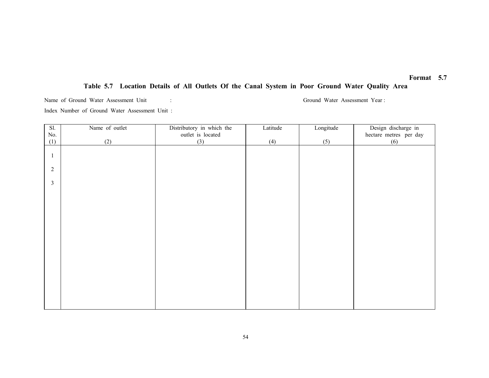## Table 5.7 Location Details of All Outlets Of the Canal System in Poor Ground Water Quality Area

Name of Ground Water Assessment Unit : Ground Water Assessment Year : Ground Water Assessment Year : Index Number of Ground Water Assessment Unit :

Sl. No. (1) Name of outlet (2) Distributory in which the outlet is located (3) Latitude (4) Longitude (5) Design discharge in hectare metres per day (6) 1 2 3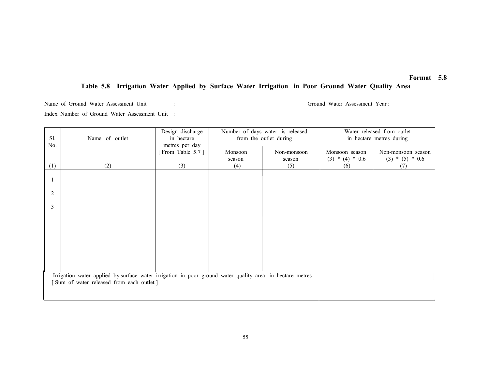## Table 5.8 Irrigation Water Applied by Surface Water Irrigation in Poor Ground Water Quality Area

Name of Ground Water Assessment Unit : Ground Water Assessment Year :

Index Number of Ground Water Assessment Unit :

| Sl.<br>No. | Name of outlet                                                                                                                                       | Design discharge<br>in hectare<br>metres per day | Number of days water is released<br>from the outlet during |                       | Water released from outlet<br>in hectare metres during |                                         |  |
|------------|------------------------------------------------------------------------------------------------------------------------------------------------------|--------------------------------------------------|------------------------------------------------------------|-----------------------|--------------------------------------------------------|-----------------------------------------|--|
|            |                                                                                                                                                      | From Table 5.7]                                  | Monsoon<br>season                                          | Non-monsoon<br>season | Monsoon season<br>$(3) * (4) * 0.6$                    | Non-monsoon season<br>$(3) * (5) * 0.6$ |  |
| (1)        | (2)                                                                                                                                                  | (3)                                              | (4)                                                        | (5)                   | (6)                                                    | (7)                                     |  |
|            |                                                                                                                                                      |                                                  |                                                            |                       |                                                        |                                         |  |
| 2          |                                                                                                                                                      |                                                  |                                                            |                       |                                                        |                                         |  |
| 3          |                                                                                                                                                      |                                                  |                                                            |                       |                                                        |                                         |  |
|            |                                                                                                                                                      |                                                  |                                                            |                       |                                                        |                                         |  |
|            |                                                                                                                                                      |                                                  |                                                            |                       |                                                        |                                         |  |
|            |                                                                                                                                                      |                                                  |                                                            |                       |                                                        |                                         |  |
|            |                                                                                                                                                      |                                                  |                                                            |                       |                                                        |                                         |  |
|            | Irrigation water applied by surface water irrigation in poor ground water quality area in hectare metres<br>Sum of water released from each outlet ] |                                                  |                                                            |                       |                                                        |                                         |  |
|            |                                                                                                                                                      |                                                  |                                                            |                       |                                                        |                                         |  |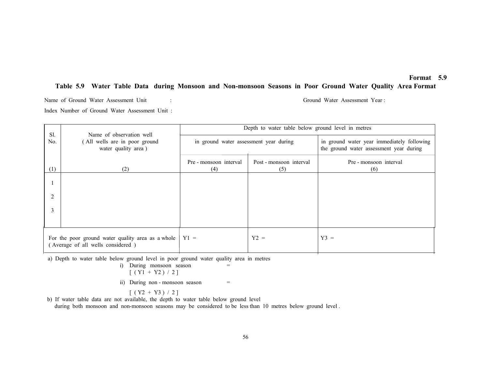#### Table 5.9 Water Table Data during Monsoon and Non-monsoon Seasons in Poor Ground Water Quality Area Format

Name of Ground Water Assessment Unit : Ground Water Assessment Year : Index Number of Ground Water Assessment Unit :

| Sl.<br>Name of observation well                                                        |                                                      | Depth to water table below ground level in metres |                                |                                                                                       |  |
|----------------------------------------------------------------------------------------|------------------------------------------------------|---------------------------------------------------|--------------------------------|---------------------------------------------------------------------------------------|--|
| No.                                                                                    | (All wells are in poor ground<br>water quality area) | in ground water assessment year during            |                                | in ground water year immediately following<br>the ground water assessment year during |  |
| (1)                                                                                    | (2)                                                  | Pre - monsoon interval<br>(4)                     | Post - monsoon interval<br>(5) | Pre - monsoon interval<br>(6)                                                         |  |
|                                                                                        |                                                      |                                                   |                                |                                                                                       |  |
| 2                                                                                      |                                                      |                                                   |                                |                                                                                       |  |
| 3                                                                                      |                                                      |                                                   |                                |                                                                                       |  |
|                                                                                        |                                                      |                                                   |                                |                                                                                       |  |
| For the poor ground water quality area as a whole<br>(Average of all wells considered) |                                                      | $Y1 =$                                            | $Y2 =$                         | $Y3 =$                                                                                |  |

a) Depth to water table below ground level in poor ground water quality area in metres

i) During monsoon season = 
$$
[(x1 + x2) / 2]
$$

$$
[ (Y1 + Y2) / 2 ]
$$

ii) During non - monsoon season  $=$ 

 $[( Y2 + Y3) / 2 ]$ 

b) If water table data are not available, the depth to water table below ground level

during both monsoon and non-monsoon seasons may be considered to be less than 10 metres below ground level .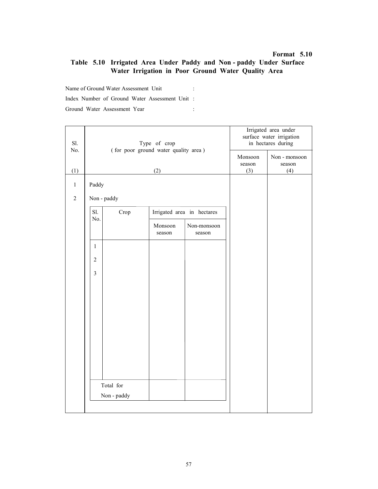## Table 5.10 Irrigated Area Under Paddy and Non - paddy Under Surface Water Irrigation in Poor Ground Water Quality Area

Name of Ground Water Assessment Unit : Index Number of Ground Water Assessment Unit : Ground Water Assessment Year :

| Sl.<br>No.     |                | Type of crop<br>(for poor ground water quality area) | Irrigated area under<br>surface water irrigation<br>in hectares during |                            |     |     |
|----------------|----------------|------------------------------------------------------|------------------------------------------------------------------------|----------------------------|-----|-----|
|                |                |                                                      | Monsoon<br>season                                                      | Non - monsoon<br>season    |     |     |
| (1)            |                |                                                      | (2)                                                                    |                            | (3) | (4) |
| $\,1$          | Paddy          |                                                      |                                                                        |                            |     |     |
| $\overline{2}$ | Non - paddy    |                                                      |                                                                        |                            |     |     |
|                | Sl.<br>No.     | Crop                                                 |                                                                        | Irrigated area in hectares |     |     |
|                |                |                                                      | Monsoon<br>season                                                      | Non-monsoon<br>season      |     |     |
|                | $\mathbf{1}$   |                                                      |                                                                        |                            |     |     |
|                | $\overline{2}$ |                                                      |                                                                        |                            |     |     |
|                | $\mathfrak{Z}$ |                                                      |                                                                        |                            |     |     |
|                |                |                                                      |                                                                        |                            |     |     |
|                |                |                                                      |                                                                        |                            |     |     |
|                |                |                                                      |                                                                        |                            |     |     |
|                |                |                                                      |                                                                        |                            |     |     |
|                |                |                                                      |                                                                        |                            |     |     |
|                |                |                                                      |                                                                        |                            |     |     |
|                |                |                                                      |                                                                        |                            |     |     |
|                |                | Total for                                            |                                                                        |                            |     |     |
|                |                | Non - paddy                                          |                                                                        |                            |     |     |
|                |                |                                                      |                                                                        |                            |     |     |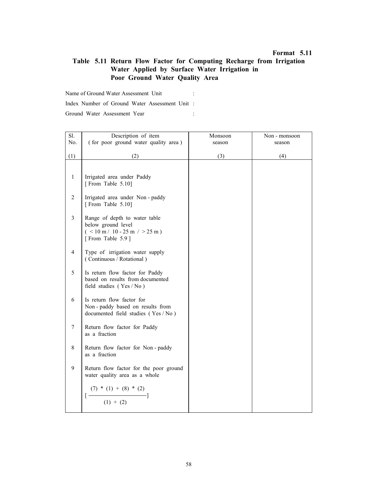## Table 5.11 Return Flow Factor for Computing Recharge from Irrigation Water Applied by Surface Water Irrigation in Poor Ground Water Quality Area

Name of Ground Water Assessment Unit :

Index Number of Ground Water Assessment Unit :

| Sl.            | Description of item                                          | Monsoon | Non - monsoon |
|----------------|--------------------------------------------------------------|---------|---------------|
| No.            | (for poor ground water quality area)                         | season  | season        |
|                |                                                              |         |               |
| (1)            | (2)                                                          | (3)     | (4)           |
|                |                                                              |         |               |
|                |                                                              |         |               |
| $\mathbf{1}$   | Irrigated area under Paddy                                   |         |               |
|                | [From Table 5.10]                                            |         |               |
| $\overline{2}$ |                                                              |         |               |
|                | Irrigated area under Non-paddy<br>[From Table 5.10]          |         |               |
|                |                                                              |         |               |
| $\mathfrak{Z}$ | Range of depth to water table                                |         |               |
|                | below ground level                                           |         |               |
|                | $($ < 10 m/ 10 - 25 m / > 25 m)                              |         |               |
|                | [From Table 5.9]                                             |         |               |
|                |                                                              |         |               |
| $\overline{4}$ | Type of irrigation water supply                              |         |               |
|                | (Continuous / Rotational)                                    |         |               |
|                |                                                              |         |               |
| 5              | Is return flow factor for Paddy                              |         |               |
|                | based on results from documented<br>field studies (Yes / No) |         |               |
|                |                                                              |         |               |
| 6              | Is return flow factor for                                    |         |               |
|                | Non-paddy based on results from                              |         |               |
|                | documented field studies (Yes / No)                          |         |               |
|                |                                                              |         |               |
| $\tau$         | Return flow factor for Paddy                                 |         |               |
|                | as a fraction                                                |         |               |
|                |                                                              |         |               |
| 8              | Return flow factor for Non-paddy                             |         |               |
|                | as a fraction                                                |         |               |
| 9              | Return flow factor for the poor ground                       |         |               |
|                | water quality area as a whole                                |         |               |
|                |                                                              |         |               |
|                |                                                              |         |               |
|                |                                                              |         |               |
|                | $\frac{(7) * (1) + (8) * (2)}{(1) + (2)}$                    |         |               |
|                |                                                              |         |               |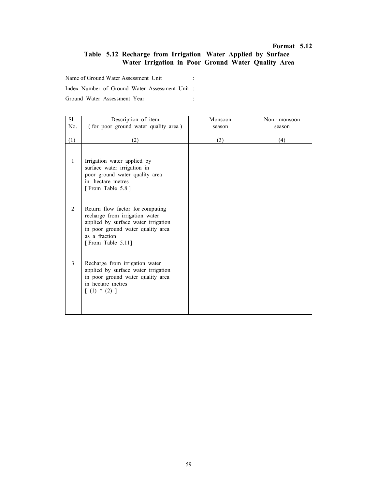## Table 5.12 Recharge from Irrigation Water Applied by Surface Water Irrigation in Poor Ground Water Quality Area

Name of Ground Water Assessment Unit :

Index Number of Ground Water Assessment Unit :

| Sl.<br>No. | Description of item<br>(for poor ground water quality area)                                                                                                                          | Monsoon<br>season | Non - monsoon<br>season |
|------------|--------------------------------------------------------------------------------------------------------------------------------------------------------------------------------------|-------------------|-------------------------|
|            |                                                                                                                                                                                      |                   |                         |
| (1)        | (2)                                                                                                                                                                                  | (3)               | (4)                     |
| 1          | Irrigation water applied by<br>surface water irrigation in<br>poor ground water quality area<br>in hectare metres<br>[From Table 5.8]                                                |                   |                         |
| 2          | Return flow factor for computing<br>recharge from irrigation water<br>applied by surface water irrigation<br>in poor ground water quality area<br>as a fraction<br>[From Table 5.11] |                   |                         |
| 3          | Recharge from irrigation water<br>applied by surface water irrigation<br>in poor ground water quality area<br>in hectare metres<br>$(1) * (2)$ ]                                     |                   |                         |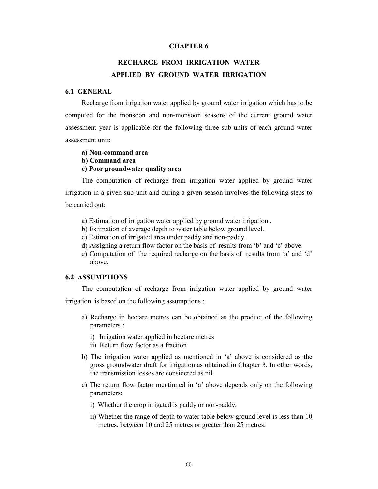### CHAPTER 6

# RECHARGE FROM IRRIGATION WATER APPLIED BY GROUND WATER IRRIGATION

## 6.1 GENERAL

Recharge from irrigation water applied by ground water irrigation which has to be computed for the monsoon and non-monsoon seasons of the current ground water assessment year is applicable for the following three sub-units of each ground water assessment unit:

## a) Non-command area b) Command area c) Poor groundwater quality area

The computation of recharge from irrigation water applied by ground water irrigation in a given sub-unit and during a given season involves the following steps to be carried out:

- a) Estimation of irrigation water applied by ground water irrigation .
- b) Estimation of average depth to water table below ground level.
- c) Estimation of irrigated area under paddy and non-paddy.
- d) Assigning a return flow factor on the basis of results from 'b' and 'c' above.
- e) Computation of the required recharge on the basis of results from 'a' and 'd' above.

## 6.2 ASSUMPTIONS

The computation of recharge from irrigation water applied by ground water irrigation is based on the following assumptions :

- a) Recharge in hectare metres can be obtained as the product of the following parameters :
	- i) Irrigation water applied in hectare metres
	- ii) Return flow factor as a fraction
- b) The irrigation water applied as mentioned in 'a' above is considered as the gross groundwater draft for irrigation as obtained in Chapter 3. In other words, the transmission losses are considered as nil.
- c) The return flow factor mentioned in 'a' above depends only on the following parameters:
	- i) Whether the crop irrigated is paddy or non-paddy.
	- ii) Whether the range of depth to water table below ground level is less than 10 metres, between 10 and 25 metres or greater than 25 metres.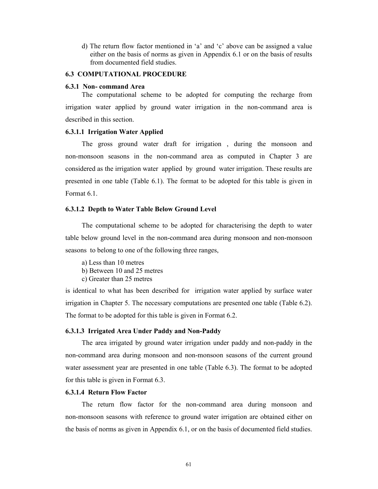d) The return flow factor mentioned in 'a' and 'c' above can be assigned a value either on the basis of norms as given in Appendix 6.1 or on the basis of results from documented field studies.

### 6.3 COMPUTATIONAL PROCEDURE

#### 6.3.1 Non- command Area

The computational scheme to be adopted for computing the recharge from irrigation water applied by ground water irrigation in the non-command area is described in this section.

### 6.3.1.1 Irrigation Water Applied

The gross ground water draft for irrigation , during the monsoon and non-monsoon seasons in the non-command area as computed in Chapter 3 are considered as the irrigation water applied by ground water irrigation. These results are presented in one table (Table 6.1). The format to be adopted for this table is given in Format 6.1.

#### 6.3.1.2 Depth to Water Table Below Ground Level

The computational scheme to be adopted for characterising the depth to water table below ground level in the non-command area during monsoon and non-monsoon seasons to belong to one of the following three ranges,

a) Less than 10 metres b) Between 10 and 25 metres

c) Greater than 25 metres

is identical to what has been described for irrigation water applied by surface water irrigation in Chapter 5. The necessary computations are presented one table (Table 6.2). The format to be adopted for this table is given in Format 6.2.

#### 6.3.1.3 Irrigated Area Under Paddy and Non-Paddy

The area irrigated by ground water irrigation under paddy and non-paddy in the non-command area during monsoon and non-monsoon seasons of the current ground water assessment year are presented in one table (Table 6.3). The format to be adopted for this table is given in Format 6.3.

### 6.3.1.4 Return Flow Factor

The return flow factor for the non-command area during monsoon and non-monsoon seasons with reference to ground water irrigation are obtained either on the basis of norms as given in Appendix 6.1, or on the basis of documented field studies.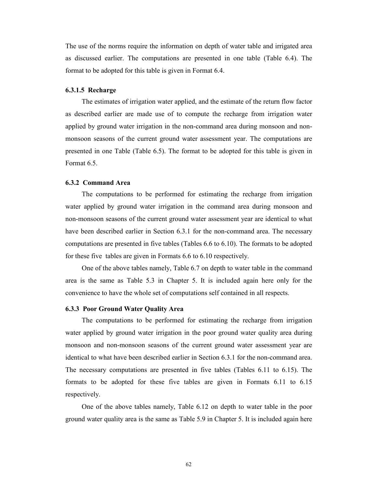The use of the norms require the information on depth of water table and irrigated area as discussed earlier. The computations are presented in one table (Table 6.4). The format to be adopted for this table is given in Format 6.4.

### 6.3.1.5 Recharge

The estimates of irrigation water applied, and the estimate of the return flow factor as described earlier are made use of to compute the recharge from irrigation water applied by ground water irrigation in the non-command area during monsoon and nonmonsoon seasons of the current ground water assessment year. The computations are presented in one Table (Table 6.5). The format to be adopted for this table is given in Format 6.5.

### 6.3.2 Command Area

The computations to be performed for estimating the recharge from irrigation water applied by ground water irrigation in the command area during monsoon and non-monsoon seasons of the current ground water assessment year are identical to what have been described earlier in Section 6.3.1 for the non-command area. The necessary computations are presented in five tables (Tables 6.6 to 6.10). The formats to be adopted for these five tables are given in Formats 6.6 to 6.10 respectively.

One of the above tables namely, Table 6.7 on depth to water table in the command area is the same as Table 5.3 in Chapter 5. It is included again here only for the convenience to have the whole set of computations self contained in all respects.

## 6.3.3 Poor Ground Water Quality Area

The computations to be performed for estimating the recharge from irrigation water applied by ground water irrigation in the poor ground water quality area during monsoon and non-monsoon seasons of the current ground water assessment year are identical to what have been described earlier in Section 6.3.1 for the non-command area. The necessary computations are presented in five tables (Tables 6.11 to 6.15). The formats to be adopted for these five tables are given in Formats 6.11 to 6.15 respectively.

One of the above tables namely, Table 6.12 on depth to water table in the poor ground water quality area is the same as Table 5.9 in Chapter 5. It is included again here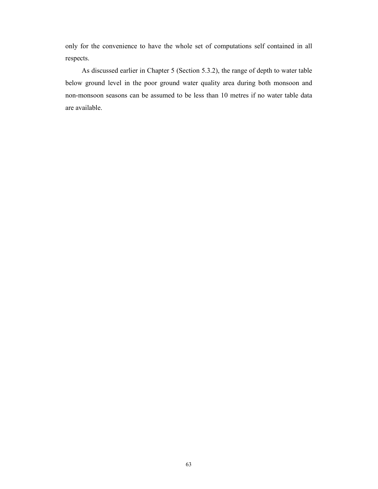only for the convenience to have the whole set of computations self contained in all respects.

As discussed earlier in Chapter 5 (Section 5.3.2), the range of depth to water table below ground level in the poor ground water quality area during both monsoon and non-monsoon seasons can be assumed to be less than 10 metres if no water table data are available.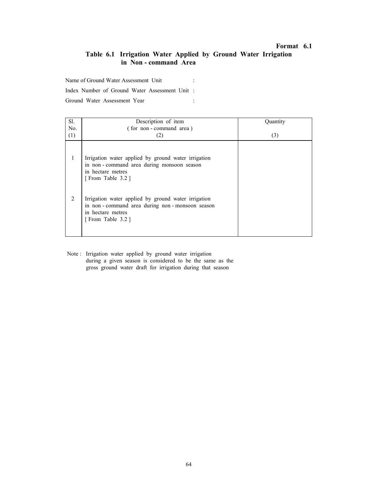## Table 6.1 Irrigation Water Applied by Ground Water Irrigation in Non - command Area

Name of Ground Water Assessment Unit :

Index Number of Ground Water Assessment Unit :

Ground Water Assessment Year :

| Sl.            | Description of item                                                                                                                           | Quantity |
|----------------|-----------------------------------------------------------------------------------------------------------------------------------------------|----------|
| No.            | (for non-command area)                                                                                                                        |          |
| (1)            | (2)                                                                                                                                           | (3)      |
| 1              | Irrigation water applied by ground water irrigation<br>in non-command area during monsoon season<br>in hectare metres<br>[From Table 3.2]     |          |
| $\overline{2}$ | Irrigation water applied by ground water irrigation<br>in non-command area during non-monsoon season<br>in hectare metres<br>[From Table 3.2] |          |

Note : Irrigation water applied by ground water irrigation during a given season is considered to be the same as the gross ground water draft for irrigation during that season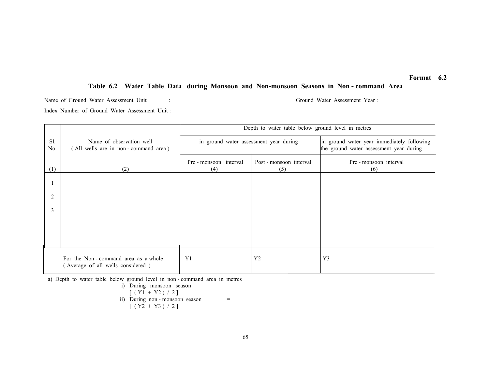## Table 6.2 Water Table Data during Monsoon and Non-monsoon Seasons in Non - command Area

Name of Ground Water Assessment Unit : Ground Water Assessment Year : Index Number of Ground Water Assessment Unit :

|            |                                                                          | Depth to water table below ground level in metres |                                |                                                                                       |  |  |
|------------|--------------------------------------------------------------------------|---------------------------------------------------|--------------------------------|---------------------------------------------------------------------------------------|--|--|
| Sl.<br>No. | Name of observation well<br>(All wells are in non-command area)          | in ground water assessment year during            |                                | in ground water year immediately following<br>the ground water assessment year during |  |  |
| (1)        | (2)                                                                      | Pre-monsoon interval<br>(4)                       | Post - monsoon interval<br>(5) | Pre - monsoon interval<br>(6)                                                         |  |  |
|            |                                                                          |                                                   |                                |                                                                                       |  |  |
| 2          |                                                                          |                                                   |                                |                                                                                       |  |  |
| 3          |                                                                          |                                                   |                                |                                                                                       |  |  |
|            |                                                                          |                                                   |                                |                                                                                       |  |  |
|            |                                                                          |                                                   |                                |                                                                                       |  |  |
|            | For the Non-command area as a whole<br>(Average of all wells considered) | $Y1 =$                                            | $Y2 =$                         | $Y3 =$                                                                                |  |  |

a) Depth to water table below ground level in non - command area in metres

i) During monsoon season  
\n
$$
[(Y1 + Y2) / 2]
$$
\nii) During non-monsoon season  
\n
$$
[(Y2 + Y3) / 2]
$$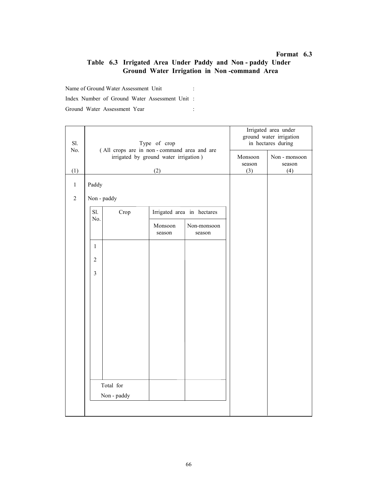## Table 6.3 Irrigated Area Under Paddy and Non - paddy Under Ground Water Irrigation in Non -command Area

Name of Ground Water Assessment Unit : Index Number of Ground Water Assessment Unit :

| Sl.<br>No.     |                          | Type of crop<br>(All crops are in non-command area and are | Irrigated area under<br>ground water irrigation<br>in hectares during |                            |     |     |
|----------------|--------------------------|------------------------------------------------------------|-----------------------------------------------------------------------|----------------------------|-----|-----|
|                |                          | irrigated by ground water irrigation)                      | Monsoon<br>season                                                     | Non - monsoon<br>season    |     |     |
| (1)            | (2)                      |                                                            |                                                                       |                            | (3) | (4) |
| $\mathbf{1}$   | Paddy                    |                                                            |                                                                       |                            |     |     |
| $\overline{2}$ | Non - paddy              |                                                            |                                                                       |                            |     |     |
|                | Sl.<br>No.               | Crop                                                       |                                                                       | Irrigated area in hectares |     |     |
|                |                          |                                                            | Monsoon<br>season                                                     | Non-monsoon<br>season      |     |     |
|                | $\mathbf{1}$             |                                                            |                                                                       |                            |     |     |
|                | $\overline{2}$           |                                                            |                                                                       |                            |     |     |
|                | $\overline{\mathbf{3}}$  |                                                            |                                                                       |                            |     |     |
|                |                          |                                                            |                                                                       |                            |     |     |
|                |                          |                                                            |                                                                       |                            |     |     |
|                |                          |                                                            |                                                                       |                            |     |     |
|                |                          |                                                            |                                                                       |                            |     |     |
|                |                          |                                                            |                                                                       |                            |     |     |
|                |                          |                                                            |                                                                       |                            |     |     |
|                |                          |                                                            |                                                                       |                            |     |     |
|                | Total for<br>Non - paddy |                                                            |                                                                       |                            |     |     |
|                |                          |                                                            |                                                                       |                            |     |     |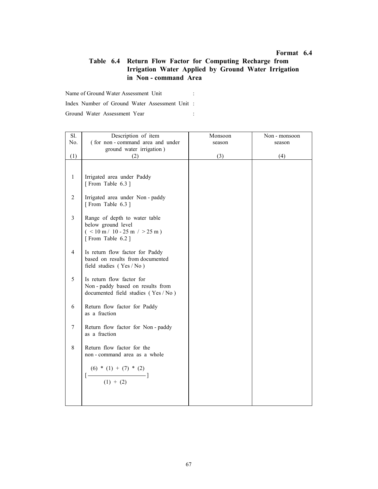## Table 6.4 Return Flow Factor for Computing Recharge from Irrigation Water Applied by Ground Water Irrigation in Non - command Area

Name of Ground Water Assessment Unit :

Index Number of Ground Water Assessment Unit :

| Sl.            | Description of item                                                                                         | Monsoon | Non - monsoon |
|----------------|-------------------------------------------------------------------------------------------------------------|---------|---------------|
| No.            | (for non-command area and under                                                                             | season  | season        |
|                | ground water irrigation)                                                                                    |         |               |
| (1)            | (2)                                                                                                         | (3)     | (4)           |
|                |                                                                                                             |         |               |
| $\mathbf{1}$   | Irrigated area under Paddy<br>[From Table 6.3]                                                              |         |               |
| $\sqrt{2}$     | Irrigated area under Non-paddy<br>[From Table 6.3]                                                          |         |               |
| $\mathfrak{Z}$ | Range of depth to water table<br>below ground level<br>$($ < 10 m / 10 - 25 m / > 25 m)<br>[From Table 6.2] |         |               |
| $\overline{4}$ | Is return flow factor for Paddy<br>based on results from documented<br>field studies $(Yes / No)$           |         |               |
| 5              | Is return flow factor for<br>Non-paddy based on results from<br>documented field studies (Yes / No)         |         |               |
| 6              | Return flow factor for Paddy<br>as a fraction                                                               |         |               |
| $\tau$         | Return flow factor for Non-paddy<br>as a fraction                                                           |         |               |
| $\,8\,$        | Return flow factor for the<br>non-command area as a whole                                                   |         |               |
|                | (6) * (1) + (7) * (2)<br>(1) + (2)                                                                          |         |               |
|                |                                                                                                             |         |               |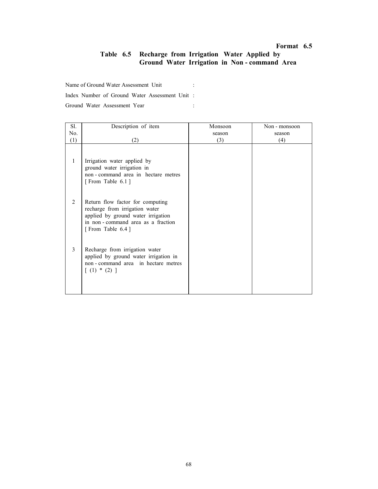## Table 6.5 Recharge from Irrigation Water Applied by Ground Water Irrigation in Non - command Area

Name of Ground Water Assessment Unit :

Index Number of Ground Water Assessment Unit :

| Sl. | Description of item                                                                                                                                               | Monsoon | Non - monsoon |
|-----|-------------------------------------------------------------------------------------------------------------------------------------------------------------------|---------|---------------|
| No. |                                                                                                                                                                   | season  | season        |
| (1) | (2)                                                                                                                                                               | (3)     | (4)           |
| 1   | Irrigation water applied by<br>ground water irrigation in<br>non - command area in hectare metres<br>[From Table 6.1]                                             |         |               |
| 2   | Return flow factor for computing<br>recharge from irrigation water<br>applied by ground water irrigation<br>in non-command area as a fraction<br>[From Table 6.4] |         |               |
| 3   | Recharge from irrigation water<br>applied by ground water irrigation in<br>non-command area in hectare metres<br>$[ (1) * (2) ]$                                  |         |               |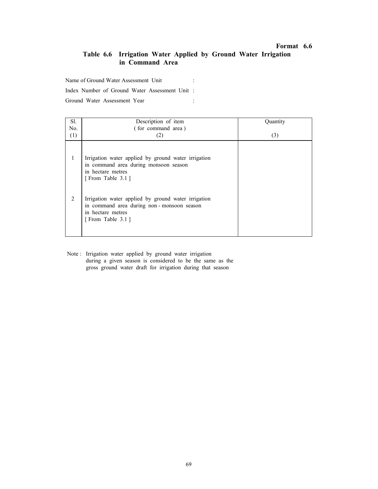# Table 6.6 Irrigation Water Applied by Ground Water Irrigation in Command Area

Name of Ground Water Assessment Unit :

Index Number of Ground Water Assessment Unit :

Ground Water Assessment Year :

| Sl. | Description of item                                                                                                                       | Quantity |
|-----|-------------------------------------------------------------------------------------------------------------------------------------------|----------|
| No. | (for command area)                                                                                                                        |          |
| (1) | (2)                                                                                                                                       | (3)      |
| 1   | Irrigation water applied by ground water irrigation<br>in command area during monsoon season<br>in hectare metres<br>[From Table 3.1]     |          |
| 2   | Irrigation water applied by ground water irrigation<br>in command area during non-monsoon season<br>in hectare metres<br>[From Table 3.1] |          |

Note : Irrigation water applied by ground water irrigation during a given season is considered to be the same as the gross ground water draft for irrigation during that season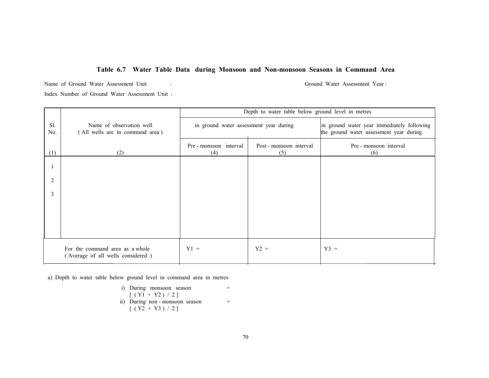#### Table 6.7 Water Table Data during Monsoon and Non-monsoon Seasons in Command Area

Name of Ground Water Assessment Unit : Ground Water Assessment Year : Index Number of Ground Water Assessment Unit :

Sl. No. (1) Name of observation well ( All wells are in command area ) (2) Depth to water table below ground level in metres in ground water assessment year during in ground water year immediately following the ground water assessment year during Pre - monsoon interval Post - monsoon interval Pre - monsoon interval (4) (5) (6) 1 2 3 For the command area as a whole  $Y1 = Y2 = \begin{vmatrix} Y2 \end{vmatrix}$  and  $Y3 = \begin{vmatrix} Y3 \end{vmatrix}$ ( Average of all wells considered )

a) Depth to water table below ground level in command area in metres

i) During monsoon season  
\n
$$
[(Y1 + Y2) / 2]
$$
\n
$$
11)
$$
\n
$$
12
$$
\n
$$
13
$$
\n
$$
14
$$
\n
$$
15
$$
\n
$$
16
$$
\n
$$
17
$$
\n
$$
18
$$
\n
$$
19
$$
\n
$$
19
$$
\n
$$
19
$$
\n
$$
19
$$
\n
$$
19
$$
\n
$$
19
$$
\n
$$
19
$$
\n
$$
19
$$
\n
$$
19
$$
\n
$$
19
$$
\n
$$
19
$$
\n
$$
19
$$
\n
$$
19
$$
\n
$$
19
$$
\n
$$
19
$$
\n
$$
19
$$
\n
$$
19
$$
\n
$$
19
$$
\n
$$
19
$$
\n
$$
19
$$
\n
$$
19
$$
\n
$$
19
$$
\n
$$
19
$$
\n
$$
19
$$
\n
$$
19
$$
\n
$$
19
$$
\n
$$
19
$$
\n
$$
19
$$
\n
$$
19
$$
\n
$$
19
$$
\n
$$
19
$$
\n
$$
19
$$
\n
$$
19
$$
\n
$$
19
$$
\n
$$
19
$$
\n
$$
19
$$
\n
$$
19
$$
\n
$$
19
$$
\n
$$
19
$$
\n
$$
19
$$
\n
$$
19
$$
\n
$$
19
$$
\n
$$
19
$$
\n
$$
19
$$
\n
$$
19
$$
\n
$$
19
$$
\n
$$
19
$$
\n
$$
19
$$
\n
$$
19
$$
\n
$$
19
$$
\n
$$
19
$$
\n
$$
19
$$
\n
$$
19
$$
\n<math display="</p>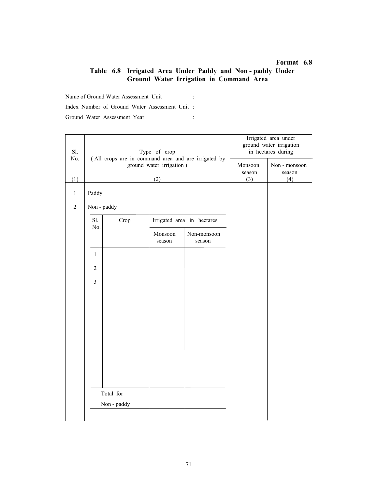# Table 6.8 Irrigated Area Under Paddy and Non - paddy Under Ground Water Irrigation in Command Area

Name of Ground Water Assessment Unit : Index Number of Ground Water Assessment Unit : Ground Water Assessment Year : :

| Sl.<br>No.     |                | Type of crop                                                                    |                   | Irrigated area under<br>ground water irrigation<br>in hectares during |     |     |
|----------------|----------------|---------------------------------------------------------------------------------|-------------------|-----------------------------------------------------------------------|-----|-----|
|                |                | (All crops are in command area and are irrigated by<br>ground water irrigation) | Monsoon<br>season | Non - monsoon<br>season                                               |     |     |
| (1)            |                |                                                                                 | (2)               |                                                                       | (3) | (4) |
| $\mathbf{1}$   | Paddy          |                                                                                 |                   |                                                                       |     |     |
| $\overline{2}$ | Non - paddy    |                                                                                 |                   |                                                                       |     |     |
|                | Sl.<br>No.     | Crop                                                                            |                   | Irrigated area in hectares                                            |     |     |
|                |                |                                                                                 | Monsoon<br>season | Non-monsoon<br>season                                                 |     |     |
|                | 1              |                                                                                 |                   |                                                                       |     |     |
|                | $\overline{2}$ |                                                                                 |                   |                                                                       |     |     |
|                | 3              |                                                                                 |                   |                                                                       |     |     |
|                |                |                                                                                 |                   |                                                                       |     |     |
|                |                |                                                                                 |                   |                                                                       |     |     |
|                |                |                                                                                 |                   |                                                                       |     |     |
|                |                |                                                                                 |                   |                                                                       |     |     |
|                |                |                                                                                 |                   |                                                                       |     |     |
|                |                |                                                                                 |                   |                                                                       |     |     |
|                |                |                                                                                 |                   |                                                                       |     |     |
|                |                | Total for                                                                       |                   |                                                                       |     |     |
|                |                | Non - paddy                                                                     |                   |                                                                       |     |     |
|                |                |                                                                                 |                   |                                                                       |     |     |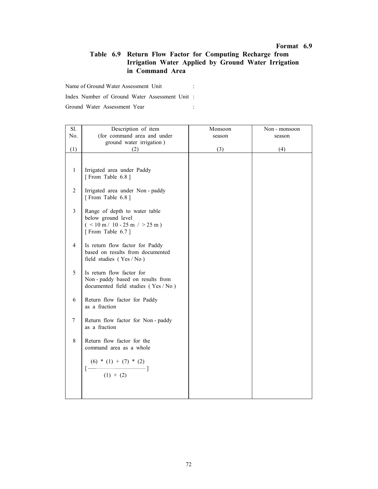# Table 6.9 Return Flow Factor for Computing Recharge from Irrigation Water Applied by Ground Water Irrigation in Command Area

Name of Ground Water Assessment Unit :

Index Number of Ground Water Assessment Unit :

Ground Water Assessment Year : :

| Sl.              | Description of item                                                                                         | Monsoon | Non - monsoon |
|------------------|-------------------------------------------------------------------------------------------------------------|---------|---------------|
| No.              | (for command area and under                                                                                 | season  | season        |
|                  | ground water irrigation)                                                                                    |         |               |
| (1)              | (2)                                                                                                         | (3)     | (4)           |
|                  |                                                                                                             |         |               |
| $\mathbf{1}$     | Irrigated area under Paddy<br>[From Table 6.8]                                                              |         |               |
| $\overline{c}$   | Irrigated area under Non-paddy<br>[From Table 6.8]                                                          |         |               |
| $\mathfrak{Z}$   | Range of depth to water table<br>below ground level<br>$($ < 10 m / 10 - 25 m / > 25 m)<br>[From Table 6.7] |         |               |
| $\overline{4}$   | Is return flow factor for Paddy<br>based on results from documented<br>field studies $(Yes / No)$           |         |               |
| 5                | Is return flow factor for<br>Non-paddy based on results from<br>documented field studies (Yes / No)         |         |               |
| 6                | Return flow factor for Paddy<br>as a fraction                                                               |         |               |
| $\boldsymbol{7}$ | Return flow factor for Non-paddy<br>as a fraction                                                           |         |               |
| 8                | Return flow factor for the<br>command area as a whole                                                       |         |               |
|                  | (6) * (1) + (7) * (2)<br>$(1) + (2)$                                                                        |         |               |
|                  |                                                                                                             |         |               |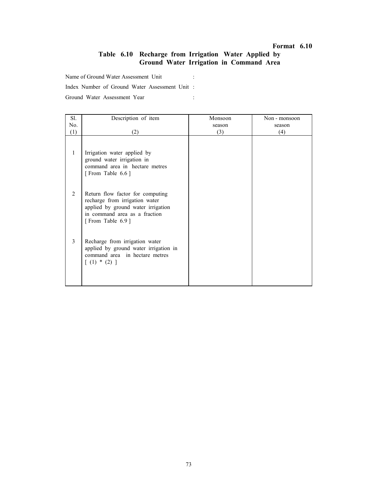# Table 6.10 Recharge from Irrigation Water Applied by Ground Water Irrigation in Command Area

Name of Ground Water Assessment Unit :

Index Number of Ground Water Assessment Unit :

Ground Water Assessment Year :

| Sl.          | Description of item                                                                                                                                           | Monsoon | Non - monsoon |
|--------------|---------------------------------------------------------------------------------------------------------------------------------------------------------------|---------|---------------|
| No.          |                                                                                                                                                               | season  | season        |
| (1)          | (2)                                                                                                                                                           | (3)     | (4)           |
| $\mathbf{1}$ | Irrigation water applied by<br>ground water irrigation in<br>command area in hectare metres<br>[From Table 6.6]                                               |         |               |
| 2            | Return flow factor for computing<br>recharge from irrigation water<br>applied by ground water irrigation<br>in command area as a fraction<br>[From Table 6.9] |         |               |
| 3            | Recharge from irrigation water<br>applied by ground water irrigation in<br>command area in hectare metres<br>$(1) * (2)$ ]                                    |         |               |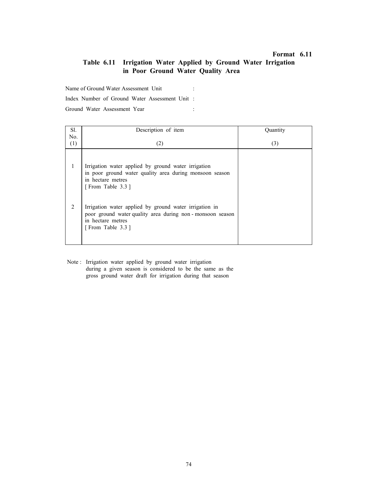# Table 6.11 Irrigation Water Applied by Ground Water Irrigation in Poor Ground Water Quality Area

Name of Ground Water Assessment Unit :

Index Number of Ground Water Assessment Unit :

Ground Water Assessment Year :

| Sl. | Description of item                                                                                                                                         | Quantity |
|-----|-------------------------------------------------------------------------------------------------------------------------------------------------------------|----------|
| No. |                                                                                                                                                             |          |
| (1) | (2)                                                                                                                                                         | (3)      |
| 1   | Irrigation water applied by ground water irrigation<br>in poor ground water quality area during monsoon season<br>in hectare metres<br>[From Table 3.3]     |          |
| 2   | Irrigation water applied by ground water irrigation in<br>poor ground water quality area during non-monsoon season<br>in hectare metres<br>[From Table 3.3] |          |

Note : Irrigation water applied by ground water irrigation during a given season is considered to be the same as the gross ground water draft for irrigation during that season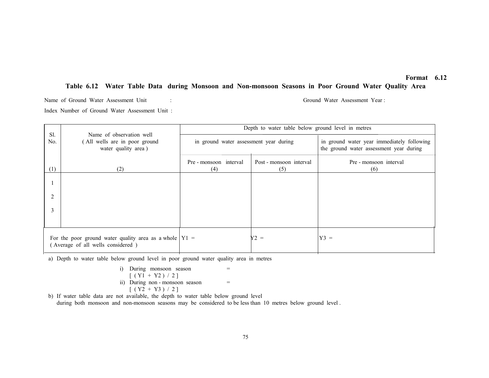# Table 6.12 Water Table Data during Monsoon and Non-monsoon Seasons in Poor Ground Water Quality Area

Name of Ground Water Assessment Unit : Ground Water Assessment Year : Index Number of Ground Water Assessment Unit :

| Sl.                                                                                            |                                                                                  | Depth to water table below ground level in metres |                                |                                                                                       |  |
|------------------------------------------------------------------------------------------------|----------------------------------------------------------------------------------|---------------------------------------------------|--------------------------------|---------------------------------------------------------------------------------------|--|
| No.                                                                                            | Name of observation well<br>(All wells are in poor ground<br>water quality area) | in ground water assessment year during            |                                | in ground water year immediately following<br>the ground water assessment year during |  |
| (1)                                                                                            | (2)                                                                              | Pre - monsoon interval<br>(4)                     | Post - monsoon interval<br>(5) | Pre - monsoon interval<br>(6)                                                         |  |
|                                                                                                |                                                                                  |                                                   |                                |                                                                                       |  |
| 2                                                                                              |                                                                                  |                                                   |                                |                                                                                       |  |
| 3                                                                                              |                                                                                  |                                                   |                                |                                                                                       |  |
|                                                                                                |                                                                                  |                                                   |                                |                                                                                       |  |
| For the poor ground water quality area as a whole $ Y  =$<br>(Average of all wells considered) |                                                                                  |                                                   | $Y2 =$                         | $Y3 =$                                                                                |  |

a) Depth to water table below ground level in poor ground water quality area in metres

i) During monsoon season =  
\n
$$
[(Y1 + Y2) / 2]
$$
\nii) During non-monsoon season =  
\n
$$
[(Y2 + Y3) / 2]
$$

 b) If water table data are not available, the depth to water table below ground level during both monsoon and non-monsoon seasons may be considered to be less than 10 metres below ground level . Format 6.12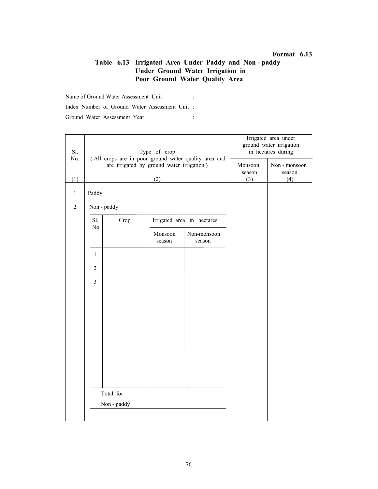# Table 6.13 Irrigated Area Under Paddy and Non - paddy Under Ground Water Irrigation in Poor Ground Water Quality Area

Name of Ground Water Assessment Unit : Index Number of Ground Water Assessment Unit : Ground Water Assessment Year : :

| Sl.<br>No.     |                | Type of crop                                                                                      | Irrigated area under<br>ground water irrigation<br>in hectares during |                            |  |  |
|----------------|----------------|---------------------------------------------------------------------------------------------------|-----------------------------------------------------------------------|----------------------------|--|--|
|                |                | (All crops are in poor ground water quality area and<br>are irrigated by ground water irrigation) | Monsoon<br>season                                                     | Non - monsoon<br>season    |  |  |
| (1)            |                |                                                                                                   | (3)                                                                   | (4)                        |  |  |
| $\mathbf{1}$   | Paddy          |                                                                                                   |                                                                       |                            |  |  |
| $\overline{2}$ | Non - paddy    |                                                                                                   |                                                                       |                            |  |  |
|                | Sl.<br>No.     | Crop                                                                                              |                                                                       | Irrigated area in hectares |  |  |
|                |                |                                                                                                   | Monsoon<br>season                                                     | Non-monsoon<br>season      |  |  |
|                | $\mathbf{1}$   |                                                                                                   |                                                                       |                            |  |  |
|                | $\overline{2}$ |                                                                                                   |                                                                       |                            |  |  |
|                | $\overline{3}$ |                                                                                                   |                                                                       |                            |  |  |
|                |                |                                                                                                   |                                                                       |                            |  |  |
|                |                |                                                                                                   |                                                                       |                            |  |  |
|                |                |                                                                                                   |                                                                       |                            |  |  |
|                |                |                                                                                                   |                                                                       |                            |  |  |
|                |                |                                                                                                   |                                                                       |                            |  |  |
|                |                |                                                                                                   |                                                                       |                            |  |  |
|                |                |                                                                                                   |                                                                       |                            |  |  |
|                |                | Total for                                                                                         |                                                                       |                            |  |  |
|                |                | Non - paddy                                                                                       |                                                                       |                            |  |  |
|                |                |                                                                                                   |                                                                       |                            |  |  |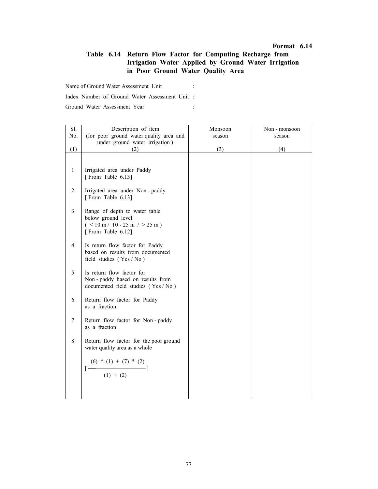# Table 6.14 Return Flow Factor for Computing Recharge from Irrigation Water Applied by Ground Water Irrigation in Poor Ground Water Quality Area

Name of Ground Water Assessment Unit :

Index Number of Ground Water Assessment Unit :

Ground Water Assessment Year : :

| Sl.                      | Description of item                                                                                          | Monsoon | Non - monsoon |
|--------------------------|--------------------------------------------------------------------------------------------------------------|---------|---------------|
| No.                      | (for poor ground water quality area and                                                                      | season  | season        |
|                          | under ground water irrigation)                                                                               |         |               |
| (1)                      | (2)                                                                                                          | (3)     | (4)           |
|                          |                                                                                                              |         |               |
| $\mathbf{1}$             | Irrigated area under Paddy<br>[From Table 6.13]                                                              |         |               |
| $\overline{c}$           | Irrigated area under Non-paddy<br>[From Table 6.13]                                                          |         |               |
| $\mathfrak{Z}$           | Range of depth to water table<br>below ground level<br>$($ < 10 m / 10 - 25 m / > 25 m)<br>[From Table 6.12] |         |               |
| $\overline{\mathcal{A}}$ | Is return flow factor for Paddy<br>based on results from documented<br>field studies (Yes / No)              |         |               |
| 5                        | Is return flow factor for<br>Non-paddy based on results from<br>documented field studies (Yes / No)          |         |               |
| 6                        | Return flow factor for Paddy<br>as a fraction                                                                |         |               |
| 7                        | Return flow factor for Non-paddy<br>as a fraction                                                            |         |               |
| $\,8\,$                  | Return flow factor for the poor ground<br>water quality area as a whole                                      |         |               |
|                          | $\left[\frac{(6) * (1) + (7) * (2)}{} \right]$<br>$(1) + (2)$                                                |         |               |
|                          |                                                                                                              |         |               |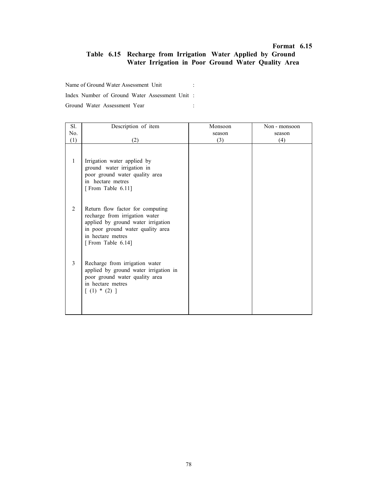# Table 6.15 Recharge from Irrigation Water Applied by Ground Water Irrigation in Poor Ground Water Quality Area

Name of Ground Water Assessment Unit :

Index Number of Ground Water Assessment Unit :

Ground Water Assessment Year : :

| Sl.          | Description of item                                                                                                                                                                     | Monsoon | Non - monsoon |
|--------------|-----------------------------------------------------------------------------------------------------------------------------------------------------------------------------------------|---------|---------------|
| No.          |                                                                                                                                                                                         | season  | season        |
| (1)          | (2)                                                                                                                                                                                     | (3)     | (4)           |
| $\mathbf{1}$ | Irrigation water applied by<br>ground water irrigation in<br>poor ground water quality area<br>in hectare metres<br>[From Table 6.11]                                                   |         |               |
| 2            | Return flow factor for computing<br>recharge from irrigation water<br>applied by ground water irrigation<br>in poor ground water quality area<br>in hectare metres<br>[From Table 6.14] |         |               |
| 3            | Recharge from irrigation water<br>applied by ground water irrigation in<br>poor ground water quality area<br>in hectare metres<br>$[ (1) * (2) ]$                                       |         |               |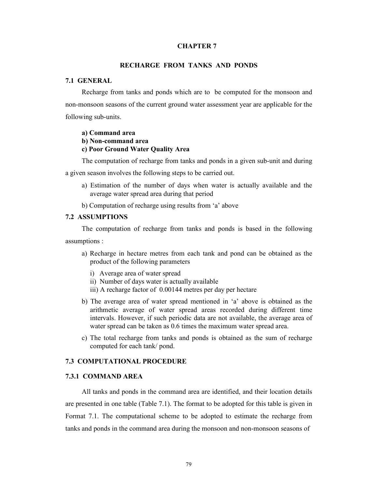#### CHAPTER 7

### RECHARGE FROM TANKS AND PONDS

#### 7.1 GENERAL

Recharge from tanks and ponds which are to be computed for the monsoon and non-monsoon seasons of the current ground water assessment year are applicable for the following sub-units.

#### a) Command area

#### b) Non-command area

### c) Poor Ground Water Quality Area

The computation of recharge from tanks and ponds in a given sub-unit and during

a given season involves the following steps to be carried out.

- a) Estimation of the number of days when water is actually available and the average water spread area during that period
- b) Computation of recharge using results from 'a' above

### 7.2 ASSUMPTIONS

The computation of recharge from tanks and ponds is based in the following assumptions :

- a) Recharge in hectare metres from each tank and pond can be obtained as the product of the following parameters
	- i) Average area of water spread
	- ii) Number of days water is actually available
	- iii) A recharge factor of 0.00144 metres per day per hectare
- b) The average area of water spread mentioned in 'a' above is obtained as the arithmetic average of water spread areas recorded during different time intervals. However, if such periodic data are not available, the average area of water spread can be taken as 0.6 times the maximum water spread area.
- c) The total recharge from tanks and ponds is obtained as the sum of recharge computed for each tank/ pond.

### 7.3 COMPUTATIONAL PROCEDURE

### 7.3.1 COMMAND AREA

All tanks and ponds in the command area are identified, and their location details are presented in one table (Table 7.1). The format to be adopted for this table is given in Format 7.1. The computational scheme to be adopted to estimate the recharge from tanks and ponds in the command area during the monsoon and non-monsoon seasons of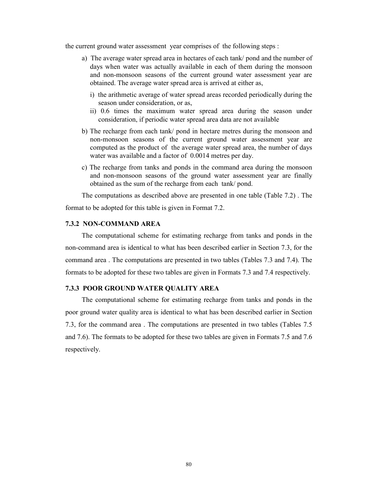the current ground water assessment year comprises of the following steps :

- a) The average water spread area in hectares of each tank/ pond and the number of days when water was actually available in each of them during the monsoon and non-monsoon seasons of the current ground water assessment year are obtained. The average water spread area is arrived at either as,
	- i) the arithmetic average of water spread areas recorded periodically during the season under consideration, or as,
	- ii) 0.6 times the maximum water spread area during the season under consideration, if periodic water spread area data are not available
- b) The recharge from each tank/ pond in hectare metres during the monsoon and non-monsoon seasons of the current ground water assessment year are computed as the product of the average water spread area, the number of days water was available and a factor of 0.0014 metres per day.
- c) The recharge from tanks and ponds in the command area during the monsoon and non-monsoon seasons of the ground water assessment year are finally obtained as the sum of the recharge from each tank/ pond.

The computations as described above are presented in one table (Table 7.2) . The format to be adopted for this table is given in Format 7.2.

### 7.3.2 NON-COMMAND AREA

The computational scheme for estimating recharge from tanks and ponds in the non-command area is identical to what has been described earlier in Section 7.3, for the command area . The computations are presented in two tables (Tables 7.3 and 7.4). The formats to be adopted for these two tables are given in Formats 7.3 and 7.4 respectively.

# 7.3.3 POOR GROUND WATER QUALITY AREA

The computational scheme for estimating recharge from tanks and ponds in the poor ground water quality area is identical to what has been described earlier in Section 7.3, for the command area . The computations are presented in two tables (Tables 7.5 and 7.6). The formats to be adopted for these two tables are given in Formats 7.5 and 7.6 respectively.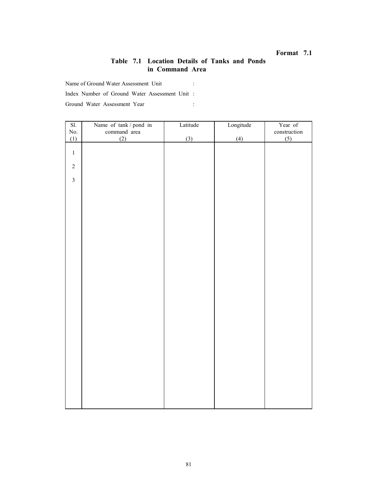# Table 7.1 Location Details of Tanks and Ponds in Command Area

Name of Ground Water Assessment Unit :

Index Number of Ground Water Assessment Unit :

Ground Water Assessment Year :

| SI.                     | Name of tank / pond in | Latitude | Longitude | Year of               |
|-------------------------|------------------------|----------|-----------|-----------------------|
|                         | command area           |          |           |                       |
| No.<br>(1)              | (2)                    | (3)      | (4)       | $construction$<br>(5) |
|                         |                        |          |           |                       |
| $\,1$                   |                        |          |           |                       |
|                         |                        |          |           |                       |
| $\overline{c}$          |                        |          |           |                       |
|                         |                        |          |           |                       |
| $\overline{\mathbf{3}}$ |                        |          |           |                       |
|                         |                        |          |           |                       |
|                         |                        |          |           |                       |
|                         |                        |          |           |                       |
|                         |                        |          |           |                       |
|                         |                        |          |           |                       |
|                         |                        |          |           |                       |
|                         |                        |          |           |                       |
|                         |                        |          |           |                       |
|                         |                        |          |           |                       |
|                         |                        |          |           |                       |
|                         |                        |          |           |                       |
|                         |                        |          |           |                       |
|                         |                        |          |           |                       |
|                         |                        |          |           |                       |
|                         |                        |          |           |                       |
|                         |                        |          |           |                       |
|                         |                        |          |           |                       |
|                         |                        |          |           |                       |
|                         |                        |          |           |                       |
|                         |                        |          |           |                       |
|                         |                        |          |           |                       |
|                         |                        |          |           |                       |
|                         |                        |          |           |                       |
|                         |                        |          |           |                       |
|                         |                        |          |           |                       |
|                         |                        |          |           |                       |
|                         |                        |          |           |                       |
|                         |                        |          |           |                       |
|                         |                        |          |           |                       |
|                         |                        |          |           |                       |
|                         |                        |          |           |                       |
|                         |                        |          |           |                       |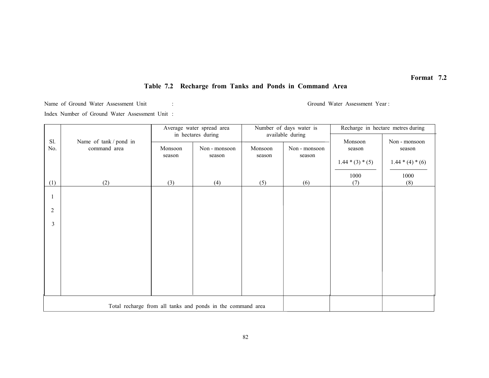# Table 7.2 Recharge from Tanks and Ponds in Command Area

Name of Ground Water Assessment Unit : Ground Water Assessment Year :

Index Number of Ground Water Assessment Unit :

|              |                                                             |         | Average water spread area |         | Number of days water is |                    | Recharge in hectare metres during |  |
|--------------|-------------------------------------------------------------|---------|---------------------------|---------|-------------------------|--------------------|-----------------------------------|--|
| Sl.          | Name of tank / pond in                                      |         | in hectares during        |         | available during        | Monsoon            | Non - monsoon                     |  |
| No.          | command area                                                | Monsoon | Non - monsoon             | Monsoon | Non - monsoon           | season             | season                            |  |
|              |                                                             | season  | season                    | season  | season                  | $1.44 * (3) * (5)$ | $1.44*(4)*(6)$                    |  |
|              |                                                             |         |                           |         |                         | 1000               |                                   |  |
| (1)          | (2)                                                         | (3)     | (4)                       | (5)     | (6)                     | (7)                | 1000<br>(8)                       |  |
| -1           |                                                             |         |                           |         |                         |                    |                                   |  |
|              |                                                             |         |                           |         |                         |                    |                                   |  |
| 2            |                                                             |         |                           |         |                         |                    |                                   |  |
| $\mathbf{3}$ |                                                             |         |                           |         |                         |                    |                                   |  |
|              |                                                             |         |                           |         |                         |                    |                                   |  |
|              |                                                             |         |                           |         |                         |                    |                                   |  |
|              |                                                             |         |                           |         |                         |                    |                                   |  |
|              |                                                             |         |                           |         |                         |                    |                                   |  |
|              |                                                             |         |                           |         |                         |                    |                                   |  |
|              |                                                             |         |                           |         |                         |                    |                                   |  |
|              |                                                             |         |                           |         |                         |                    |                                   |  |
|              | Total recharge from all tanks and ponds in the command area |         |                           |         |                         |                    |                                   |  |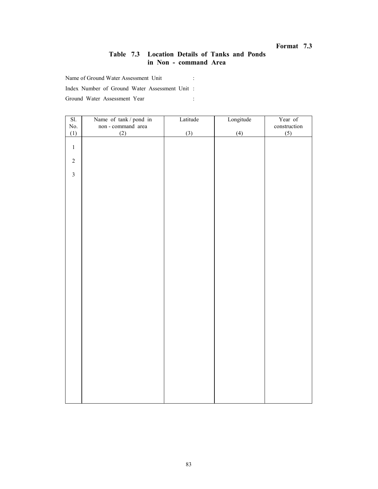# Table 7.3 Location Details of Tanks and Ponds in Non - command Area

Name of Ground Water Assessment Unit :

Index Number of Ground Water Assessment Unit :

Ground Water Assessment Year :

| SI.            | Name of tank / pond in<br>non - command area | Latitude | Longitude | Year of                           |
|----------------|----------------------------------------------|----------|-----------|-----------------------------------|
| $\rm No.$      |                                              |          |           |                                   |
| (1)            | (2)                                          | (3)      | (4)       | $\frac{\text{construction}}{(5)}$ |
|                |                                              |          |           |                                   |
| $\mathbf{1}$   |                                              |          |           |                                   |
|                |                                              |          |           |                                   |
| $\overline{c}$ |                                              |          |           |                                   |
|                |                                              |          |           |                                   |
| $\overline{3}$ |                                              |          |           |                                   |
|                |                                              |          |           |                                   |
|                |                                              |          |           |                                   |
|                |                                              |          |           |                                   |
|                |                                              |          |           |                                   |
|                |                                              |          |           |                                   |
|                |                                              |          |           |                                   |
|                |                                              |          |           |                                   |
|                |                                              |          |           |                                   |
|                |                                              |          |           |                                   |
|                |                                              |          |           |                                   |
|                |                                              |          |           |                                   |
|                |                                              |          |           |                                   |
|                |                                              |          |           |                                   |
|                |                                              |          |           |                                   |
|                |                                              |          |           |                                   |
|                |                                              |          |           |                                   |
|                |                                              |          |           |                                   |
|                |                                              |          |           |                                   |
|                |                                              |          |           |                                   |
|                |                                              |          |           |                                   |
|                |                                              |          |           |                                   |
|                |                                              |          |           |                                   |
|                |                                              |          |           |                                   |
|                |                                              |          |           |                                   |
|                |                                              |          |           |                                   |
|                |                                              |          |           |                                   |
|                |                                              |          |           |                                   |
|                |                                              |          |           |                                   |
|                |                                              |          |           |                                   |
|                |                                              |          |           |                                   |
|                |                                              |          |           |                                   |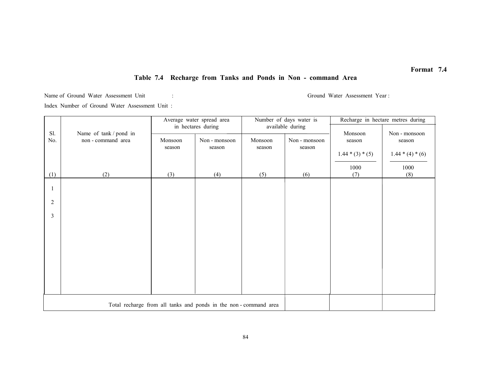# Table 7.4 Recharge from Tanks and Ponds in Non - command Area

Name of Ground Water Assessment Unit : Ground Water Assessment Year : Ground Water Assessment Year :

Index Number of Ground Water Assessment Unit :

|                                                                 |                        | Number of days water is<br>Average water spread area |               |         | Recharge in hectare metres during |                    |                         |
|-----------------------------------------------------------------|------------------------|------------------------------------------------------|---------------|---------|-----------------------------------|--------------------|-------------------------|
| Sl.                                                             | Name of tank / pond in | in hectares during<br>available during               |               |         | Monsoon                           |                    |                         |
| No.                                                             | non-command area       | Monsoon                                              | Non - monsoon | Monsoon | Non - monsoon                     | season             | Non - monsoon<br>season |
|                                                                 |                        | season<br>season                                     | season        | season  |                                   |                    |                         |
|                                                                 |                        |                                                      |               |         |                                   | $1.44 * (3) * (5)$ | $1.44*(4)*(6)$          |
|                                                                 |                        |                                                      |               |         |                                   | 1000               | 1000                    |
| (1)                                                             | (2)                    | (3)                                                  | (4)           | (5)     | (6)                               | (7)                | (8)                     |
|                                                                 |                        |                                                      |               |         |                                   |                    |                         |
|                                                                 |                        |                                                      |               |         |                                   |                    |                         |
| $\overline{2}$                                                  |                        |                                                      |               |         |                                   |                    |                         |
| 3                                                               |                        |                                                      |               |         |                                   |                    |                         |
|                                                                 |                        |                                                      |               |         |                                   |                    |                         |
|                                                                 |                        |                                                      |               |         |                                   |                    |                         |
|                                                                 |                        |                                                      |               |         |                                   |                    |                         |
|                                                                 |                        |                                                      |               |         |                                   |                    |                         |
|                                                                 |                        |                                                      |               |         |                                   |                    |                         |
|                                                                 |                        |                                                      |               |         |                                   |                    |                         |
|                                                                 |                        |                                                      |               |         |                                   |                    |                         |
|                                                                 |                        |                                                      |               |         |                                   |                    |                         |
|                                                                 |                        |                                                      |               |         |                                   |                    |                         |
| Total recharge from all tanks and ponds in the non-command area |                        |                                                      |               |         |                                   |                    |                         |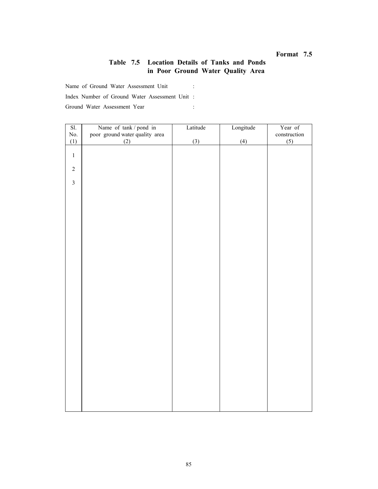# Table 7.5 Location Details of Tanks and Ponds in Poor Ground Water Quality Area

Name of Ground Water Assessment Unit :

Index Number of Ground Water Assessment Unit :

Ground Water Assessment Year : :

| SI.                     | Name of tank / pond in         | Latitude | Longitude | Year of      |
|-------------------------|--------------------------------|----------|-----------|--------------|
| No.                     | poor ground water quality area |          |           | construction |
| (1)                     | (2)                            | (3)      | (4)       | (5)          |
|                         |                                |          |           |              |
| $\,1$                   |                                |          |           |              |
|                         |                                |          |           |              |
| $\sqrt{2}$              |                                |          |           |              |
|                         |                                |          |           |              |
| $\overline{\mathbf{3}}$ |                                |          |           |              |
|                         |                                |          |           |              |
|                         |                                |          |           |              |
|                         |                                |          |           |              |
|                         |                                |          |           |              |
|                         |                                |          |           |              |
|                         |                                |          |           |              |
|                         |                                |          |           |              |
|                         |                                |          |           |              |
|                         |                                |          |           |              |
|                         |                                |          |           |              |
|                         |                                |          |           |              |
|                         |                                |          |           |              |
|                         |                                |          |           |              |
|                         |                                |          |           |              |
|                         |                                |          |           |              |
|                         |                                |          |           |              |
|                         |                                |          |           |              |
|                         |                                |          |           |              |
|                         |                                |          |           |              |
|                         |                                |          |           |              |
|                         |                                |          |           |              |
|                         |                                |          |           |              |
|                         |                                |          |           |              |
|                         |                                |          |           |              |
|                         |                                |          |           |              |
|                         |                                |          |           |              |
|                         |                                |          |           |              |
|                         |                                |          |           |              |
|                         |                                |          |           |              |
|                         |                                |          |           |              |
|                         |                                |          |           |              |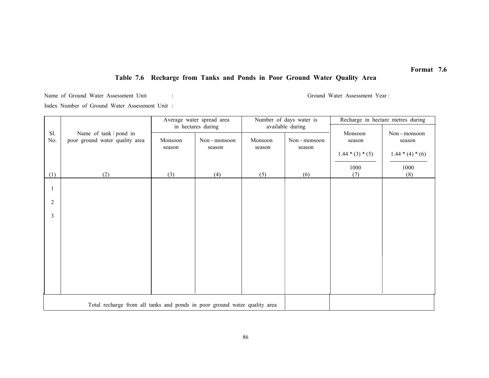# Table 7.6 Recharge from Tanks and Ponds in Poor Ground Water Quality Area

Name of Ground Water Assessment Unit : Ground Water Assessment Year :

Index Number of Ground Water Assessment Unit :

|                |                                                                           | Average water spread area<br>Number of days water is |                                               | Recharge in hectare metres during |                                             |                                                 |                                                       |
|----------------|---------------------------------------------------------------------------|------------------------------------------------------|-----------------------------------------------|-----------------------------------|---------------------------------------------|-------------------------------------------------|-------------------------------------------------------|
| Sl.<br>No.     | Name of tank / pond in<br>poor ground water quality area                  | Monsoon<br>season                                    | in hectares during<br>Non - monsoon<br>season | Monsoon<br>season                 | available during<br>Non - monsoon<br>season | Monsoon<br>season<br>$1.44 * (3) * (5)$<br>1000 | Non - monsoon<br>season<br>$1.44 * (4) * (6)$<br>1000 |
| (1)            | (2)                                                                       | (3)                                                  | (4)                                           | (5)                               | (6)                                         | (7)                                             | (8)                                                   |
|                |                                                                           |                                                      |                                               |                                   |                                             |                                                 |                                                       |
| $\overline{2}$ |                                                                           |                                                      |                                               |                                   |                                             |                                                 |                                                       |
| 3              |                                                                           |                                                      |                                               |                                   |                                             |                                                 |                                                       |
|                |                                                                           |                                                      |                                               |                                   |                                             |                                                 |                                                       |
|                |                                                                           |                                                      |                                               |                                   |                                             |                                                 |                                                       |
|                |                                                                           |                                                      |                                               |                                   |                                             |                                                 |                                                       |
|                |                                                                           |                                                      |                                               |                                   |                                             |                                                 |                                                       |
|                |                                                                           |                                                      |                                               |                                   |                                             |                                                 |                                                       |
|                | Total recharge from all tanks and ponds in poor ground water quality area |                                                      |                                               |                                   |                                             |                                                 |                                                       |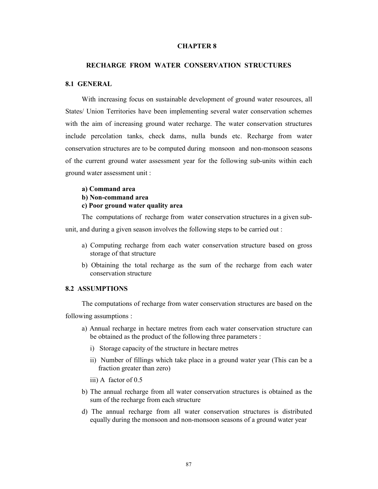#### CHAPTER 8

### RECHARGE FROM WATER CONSERVATION STRUCTURES

### 8.1 GENERAL

With increasing focus on sustainable development of ground water resources, all States/ Union Territories have been implementing several water conservation schemes with the aim of increasing ground water recharge. The water conservation structures include percolation tanks, check dams, nulla bunds etc. Recharge from water conservation structures are to be computed during monsoon and non-monsoon seasons of the current ground water assessment year for the following sub-units within each ground water assessment unit :

#### a) Command area

#### b) Non-command area

c) Poor ground water quality area

The computations of recharge from water conservation structures in a given subunit, and during a given season involves the following steps to be carried out :

- a) Computing recharge from each water conservation structure based on gross storage of that structure
- b) Obtaining the total recharge as the sum of the recharge from each water conservation structure

### 8.2 ASSUMPTIONS

The computations of recharge from water conservation structures are based on the following assumptions :

- a) Annual recharge in hectare metres from each water conservation structure can be obtained as the product of the following three parameters :
	- i) Storage capacity of the structure in hectare metres
	- ii) Number of fillings which take place in a ground water year (This can be a fraction greater than zero)
	- iii) A factor of 0.5
- b) The annual recharge from all water conservation structures is obtained as the sum of the recharge from each structure
- d) The annual recharge from all water conservation structures is distributed equally during the monsoon and non-monsoon seasons of a ground water year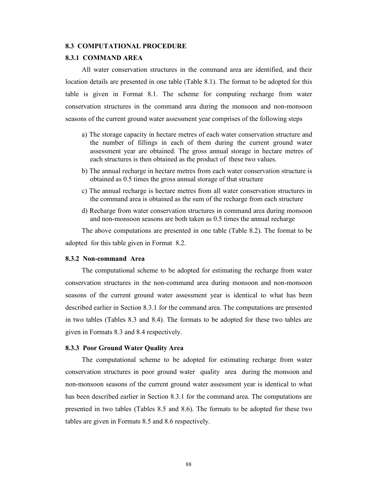#### 8.3 COMPUTATIONAL PROCEDURE

### 8.3.1 COMMAND AREA

All water conservation structures in the command area are identified, and their location details are presented in one table (Table 8.1). The format to be adopted for this table is given in Format 8.1. The scheme for computing recharge from water conservation structures in the command area during the monsoon and non-monsoon seasons of the current ground water assessment year comprises of the following steps

- a) The storage capacity in hectare metres of each water conservation structure and the number of fillings in each of them during the current ground water assessment year are obtained. The gross annual storage in hectare metres of each structures is then obtained as the product of these two values.
- b) The annual recharge in hectare metres from each water conservation structure is obtained as 0.5 times the gross annual storage of that structure
- c) The annual recharge is hectare metres from all water conservation structures in the command area is obtained as the sum of the recharge from each structure
- d) Recharge from water conservation structures in command area during monsoon and non-monsoon seasons are both taken as 0.5 times the annual recharge

The above computations are presented in one table (Table 8.2). The format to be

adopted for this table given in Format 8.2.

#### 8.3.2 Non-command Area

The computational scheme to be adopted for estimating the recharge from water conservation structures in the non-command area during monsoon and non-monsoon seasons of the current ground water assessment year is identical to what has been described earlier in Section 8.3.1 for the command area. The computations are presented in two tables (Tables 8.3 and 8.4). The formats to be adopted for these two tables are given in Formats 8.3 and 8.4 respectively.

#### 8.3.3 Poor Ground Water Quality Area

The computational scheme to be adopted for estimating recharge from water conservation structures in poor ground water quality area during the monsoon and non-monsoon seasons of the current ground water assessment year is identical to what has been described earlier in Section 8.3.1 for the command area. The computations are presented in two tables (Tables 8.5 and 8.6). The formats to be adopted for these two tables are given in Formats 8.5 and 8.6 respectively.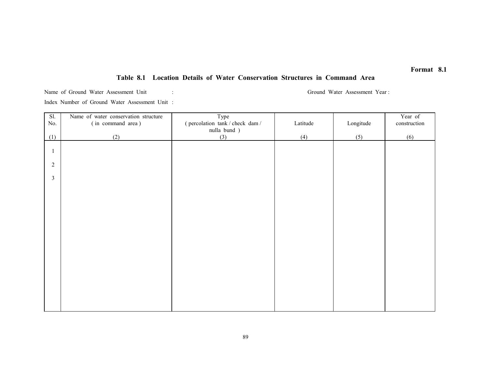# Table 8.1 Location Details of Water Conservation Structures in Command Area

Name of Ground Water Assessment Unit : Ground Water Assessment Year : Ground Water Assessment Year :

Index Number of Ground Water Assessment Unit :

| SI.            | Name of water conservation structure | Type                         |          |           | Year of      |
|----------------|--------------------------------------|------------------------------|----------|-----------|--------------|
| No.            | (in command area)                    | (percolation tank/check dam/ | Latitude | Longitude | construction |
|                |                                      | nulla bund)                  |          |           |              |
| (1)            | (2)                                  | (3)                          | (4)      | (5)       | (6)          |
|                |                                      |                              |          |           |              |
| -1             |                                      |                              |          |           |              |
|                |                                      |                              |          |           |              |
| $\sqrt{2}$     |                                      |                              |          |           |              |
| $\mathfrak{Z}$ |                                      |                              |          |           |              |
|                |                                      |                              |          |           |              |
|                |                                      |                              |          |           |              |
|                |                                      |                              |          |           |              |
|                |                                      |                              |          |           |              |
|                |                                      |                              |          |           |              |
|                |                                      |                              |          |           |              |
|                |                                      |                              |          |           |              |
|                |                                      |                              |          |           |              |
|                |                                      |                              |          |           |              |
|                |                                      |                              |          |           |              |
|                |                                      |                              |          |           |              |
|                |                                      |                              |          |           |              |
|                |                                      |                              |          |           |              |
|                |                                      |                              |          |           |              |
|                |                                      |                              |          |           |              |
|                |                                      |                              |          |           |              |
|                |                                      |                              |          |           |              |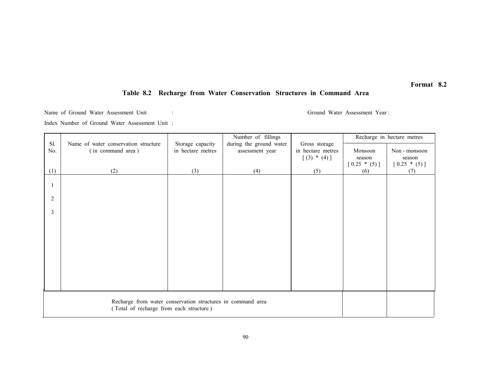### Table 8.2 Recharge from Water Conservation Structures in Command Area

Name of Ground Water Assessment Unit : Ground Water Assessment Year : Index Number of Ground Water Assessment Unit :

|                |                                                             |                                       | Number of fillings                         |                                    |                       | Recharge in hectare metres |
|----------------|-------------------------------------------------------------|---------------------------------------|--------------------------------------------|------------------------------------|-----------------------|----------------------------|
| Sl.<br>No.     | Name of water conservation structure<br>(in command area)   | Storage capacity<br>in hectare metres | during the ground water<br>assessment year | Gross storage<br>in hectare metres | Monsoon               | Non - monsoon              |
|                |                                                             |                                       |                                            | $[(3) * (4)]$                      | season                | season                     |
| (1)            | (2)                                                         | (3)                                   | (4)                                        | (5)                                | $[0.25 * (5)]$<br>(6) | $[0.25 * (5)]$<br>(7)      |
|                |                                                             |                                       |                                            |                                    |                       |                            |
|                |                                                             |                                       |                                            |                                    |                       |                            |
| $\overline{2}$ |                                                             |                                       |                                            |                                    |                       |                            |
| $\overline{3}$ |                                                             |                                       |                                            |                                    |                       |                            |
|                |                                                             |                                       |                                            |                                    |                       |                            |
|                |                                                             |                                       |                                            |                                    |                       |                            |
|                |                                                             |                                       |                                            |                                    |                       |                            |
|                |                                                             |                                       |                                            |                                    |                       |                            |
|                |                                                             |                                       |                                            |                                    |                       |                            |
|                |                                                             |                                       |                                            |                                    |                       |                            |
|                |                                                             |                                       |                                            |                                    |                       |                            |
|                |                                                             |                                       |                                            |                                    |                       |                            |
|                | Recharge from water conservation structures in command area |                                       |                                            |                                    |                       |                            |
|                | (Total of recharge from each structure)                     |                                       |                                            |                                    |                       |                            |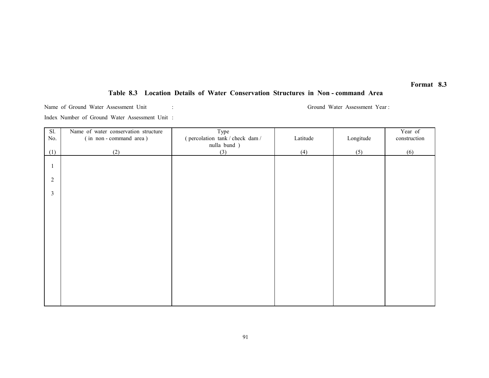# Table 8.3 Location Details of Water Conservation Structures in Non - command Area

Name of Ground Water Assessment Unit : Ground Water Assessment Year :

Index Number of Ground Water Assessment Unit :

| $\overline{SI}$ . | Name of water conservation structure | Type                         |          |           | Year of      |
|-------------------|--------------------------------------|------------------------------|----------|-----------|--------------|
| No.               | (in non-command area)                | (percolation tank/check dam/ | Latitude | Longitude | construction |
|                   |                                      | nulla bund )                 |          |           |              |
| (1)               | (2)                                  | (3)                          | (4)      | (5)       | (6)          |
|                   |                                      |                              |          |           |              |
|                   |                                      |                              |          |           |              |
|                   |                                      |                              |          |           |              |
| $\overline{2}$    |                                      |                              |          |           |              |
| $\mathfrak{Z}$    |                                      |                              |          |           |              |
|                   |                                      |                              |          |           |              |
|                   |                                      |                              |          |           |              |
|                   |                                      |                              |          |           |              |
|                   |                                      |                              |          |           |              |
|                   |                                      |                              |          |           |              |
|                   |                                      |                              |          |           |              |
|                   |                                      |                              |          |           |              |
|                   |                                      |                              |          |           |              |
|                   |                                      |                              |          |           |              |
|                   |                                      |                              |          |           |              |
|                   |                                      |                              |          |           |              |
|                   |                                      |                              |          |           |              |
|                   |                                      |                              |          |           |              |
|                   |                                      |                              |          |           |              |
|                   |                                      |                              |          |           |              |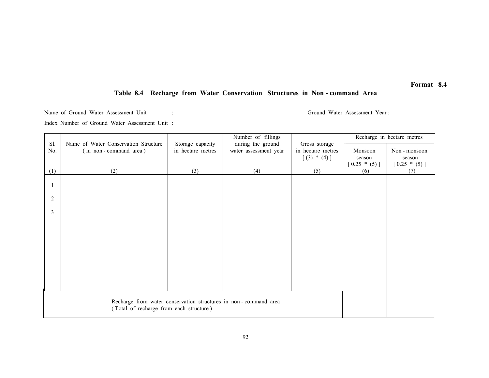# Table 8.4 Recharge from Water Conservation Structures in Non - command Area

Name of Ground Water Assessment Unit : Ground Water Assessment Year : Index Number of Ground Water Assessment Unit :

|                                                                 |                                                               |                                       | Number of fillings                         |                                    |                | Recharge in hectare metres |
|-----------------------------------------------------------------|---------------------------------------------------------------|---------------------------------------|--------------------------------------------|------------------------------------|----------------|----------------------------|
| Sl.<br>No.                                                      | Name of Water Conservation Structure<br>(in non-command area) | Storage capacity<br>in hectare metres | during the ground<br>water assessment year | Gross storage<br>in hectare metres | Monsoon        | Non - monsoon              |
|                                                                 |                                                               |                                       |                                            | $[(3) * (4)]$                      | season         | season                     |
|                                                                 |                                                               |                                       |                                            |                                    | $[0.25 * (5)]$ | $[0.25 * (5)]$             |
| (1)                                                             | (2)                                                           | (3)                                   | (4)                                        | (5)                                | (6)            | (7)                        |
|                                                                 |                                                               |                                       |                                            |                                    |                |                            |
|                                                                 |                                                               |                                       |                                            |                                    |                |                            |
| $\overline{2}$                                                  |                                                               |                                       |                                            |                                    |                |                            |
|                                                                 |                                                               |                                       |                                            |                                    |                |                            |
| 3                                                               |                                                               |                                       |                                            |                                    |                |                            |
|                                                                 |                                                               |                                       |                                            |                                    |                |                            |
|                                                                 |                                                               |                                       |                                            |                                    |                |                            |
|                                                                 |                                                               |                                       |                                            |                                    |                |                            |
|                                                                 |                                                               |                                       |                                            |                                    |                |                            |
|                                                                 |                                                               |                                       |                                            |                                    |                |                            |
|                                                                 |                                                               |                                       |                                            |                                    |                |                            |
|                                                                 |                                                               |                                       |                                            |                                    |                |                            |
|                                                                 |                                                               |                                       |                                            |                                    |                |                            |
|                                                                 |                                                               |                                       |                                            |                                    |                |                            |
| Recharge from water conservation structures in non-command area |                                                               |                                       |                                            |                                    |                |                            |
|                                                                 | (Total of recharge from each structure)                       |                                       |                                            |                                    |                |                            |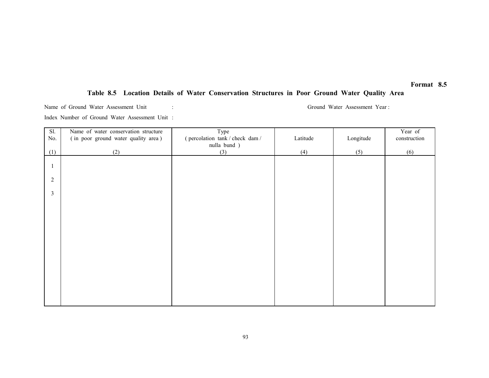# Table 8.5 Location Details of Water Conservation Structures in Poor Ground Water Quality Area

Name of Ground Water Assessment Unit : Ground Water Assessment Year :

Index Number of Ground Water Assessment Unit :

| Sl.        | Name of water conservation structure | Type                         |          |           | Year of      |
|------------|--------------------------------------|------------------------------|----------|-----------|--------------|
| $\rm No.$  | (in poor ground water quality area)  | (percolation tank/check dam/ | Latitude | Longitude | construction |
|            |                                      | nulla bund )                 |          |           |              |
| (1)        | (2)                                  | (3)                          | (4)      | (5)       | (6)          |
|            |                                      |                              |          |           |              |
|            |                                      |                              |          |           |              |
| $\sqrt{2}$ |                                      |                              |          |           |              |
|            |                                      |                              |          |           |              |
| 3          |                                      |                              |          |           |              |
|            |                                      |                              |          |           |              |
|            |                                      |                              |          |           |              |
|            |                                      |                              |          |           |              |
|            |                                      |                              |          |           |              |
|            |                                      |                              |          |           |              |
|            |                                      |                              |          |           |              |
|            |                                      |                              |          |           |              |
|            |                                      |                              |          |           |              |
|            |                                      |                              |          |           |              |
|            |                                      |                              |          |           |              |
|            |                                      |                              |          |           |              |
|            |                                      |                              |          |           |              |
|            |                                      |                              |          |           |              |
|            |                                      |                              |          |           |              |
|            |                                      |                              |          |           |              |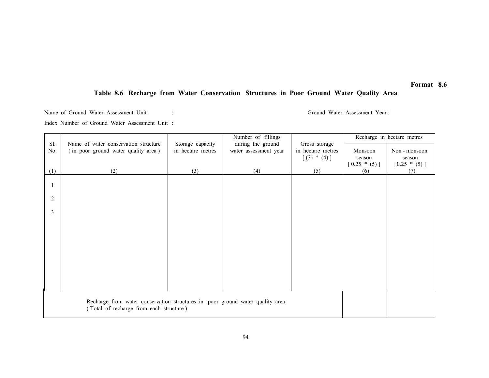# Table 8.6 Recharge from Water Conservation Structures in Poor Ground Water Quality Area

Name of Ground Water Assessment Unit : Ground Water Assessment Year : Index Number of Ground Water Assessment Unit :

|                                                                               |                                                                             |                                       | Number of fillings                         |                                    |                | Recharge in hectare metres |
|-------------------------------------------------------------------------------|-----------------------------------------------------------------------------|---------------------------------------|--------------------------------------------|------------------------------------|----------------|----------------------------|
| Sl.<br>No.                                                                    | Name of water conservation structure<br>(in poor ground water quality area) | Storage capacity<br>in hectare metres | during the ground<br>water assessment year | Gross storage<br>in hectare metres | Monsoon        | Non - monsoon              |
|                                                                               |                                                                             |                                       |                                            | $[(3) * (4)]$                      | season         | season                     |
|                                                                               |                                                                             |                                       |                                            |                                    | $[0.25 * (5)]$ | $[0.25 * (5)]$             |
| (1)                                                                           | (2)                                                                         | (3)                                   | (4)                                        | (5)                                | (6)            | (7)                        |
|                                                                               |                                                                             |                                       |                                            |                                    |                |                            |
|                                                                               |                                                                             |                                       |                                            |                                    |                |                            |
| 2                                                                             |                                                                             |                                       |                                            |                                    |                |                            |
| 3                                                                             |                                                                             |                                       |                                            |                                    |                |                            |
|                                                                               |                                                                             |                                       |                                            |                                    |                |                            |
|                                                                               |                                                                             |                                       |                                            |                                    |                |                            |
|                                                                               |                                                                             |                                       |                                            |                                    |                |                            |
|                                                                               |                                                                             |                                       |                                            |                                    |                |                            |
|                                                                               |                                                                             |                                       |                                            |                                    |                |                            |
|                                                                               |                                                                             |                                       |                                            |                                    |                |                            |
|                                                                               |                                                                             |                                       |                                            |                                    |                |                            |
|                                                                               |                                                                             |                                       |                                            |                                    |                |                            |
|                                                                               |                                                                             |                                       |                                            |                                    |                |                            |
|                                                                               |                                                                             |                                       |                                            |                                    |                |                            |
| Recharge from water conservation structures in poor ground water quality area |                                                                             |                                       |                                            |                                    |                |                            |
| (Total of recharge from each structure)                                       |                                                                             |                                       |                                            |                                    |                |                            |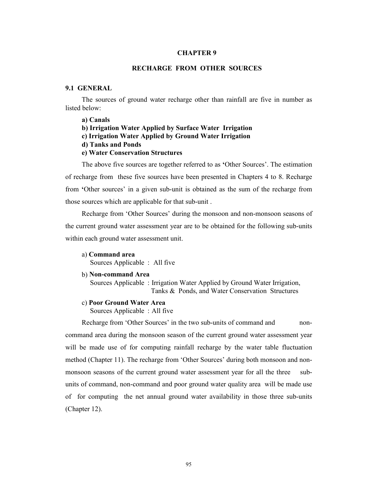#### CHAPTER 9

# RECHARGE FROM OTHER SOURCES

### 9.1 GENERAL

The sources of ground water recharge other than rainfall are five in number as listed below:

a) Canals

- b) Irrigation Water Applied by Surface Water Irrigation
- c) Irrigation Water Applied by Ground Water Irrigation
- d) Tanks and Ponds

### e) Water Conservation Structures

The above five sources are together referred to as 'Other Sources'. The estimation of recharge from these five sources have been presented in Chapters 4 to 8. Recharge from 'Other sources' in a given sub-unit is obtained as the sum of the recharge from those sources which are applicable for that sub-unit .

Recharge from 'Other Sources' during the monsoon and non-monsoon seasons of the current ground water assessment year are to be obtained for the following sub-units within each ground water assessment unit.

a) Command area

Sources Applicable : All five

b) Non-command Area

Sources Applicable : Irrigation Water Applied by Ground Water Irrigation, Tanks & Ponds, and Water Conservation Structures

c) Poor Ground Water Area

Sources Applicable : All five

Recharge from 'Other Sources' in the two sub-units of command and noncommand area during the monsoon season of the current ground water assessment year will be made use of for computing rainfall recharge by the water table fluctuation method (Chapter 11). The recharge from 'Other Sources' during both monsoon and nonmonsoon seasons of the current ground water assessment year for all the three subunits of command, non-command and poor ground water quality area will be made use of for computing the net annual ground water availability in those three sub-units (Chapter 12).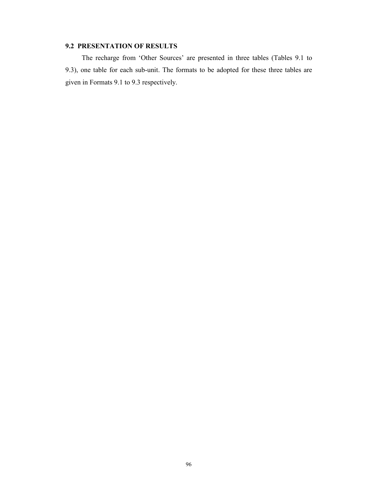# 9.2 PRESENTATION OF RESULTS

The recharge from 'Other Sources' are presented in three tables (Tables 9.1 to 9.3), one table for each sub-unit. The formats to be adopted for these three tables are given in Formats 9.1 to 9.3 respectively.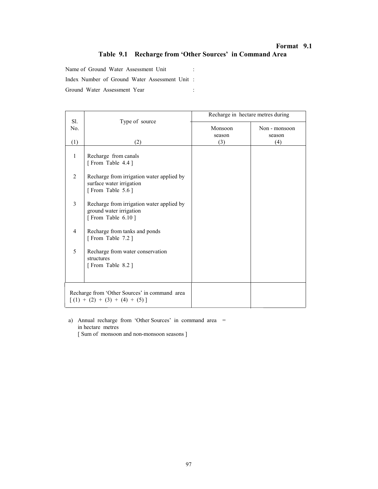# Format 9.1 Table 9.1 Recharge from 'Other Sources' in Command Area

Name of Ground Water Assessment Unit :

Index Number of Ground Water Assessment Unit :

Ground Water Assessment Year :

|                |                                                                                           | Recharge in hectare metres during |               |
|----------------|-------------------------------------------------------------------------------------------|-----------------------------------|---------------|
| Sl.<br>No.     | Type of source                                                                            | Monsoon                           | Non - monsoon |
|                |                                                                                           | season                            | season        |
| (1)            | (2)                                                                                       | (3)                               | (4)           |
| $\mathbf{1}$   | Recharge from canals<br>[From Table 4.4]                                                  |                                   |               |
| $\overline{2}$ | Recharge from irrigation water applied by<br>surface water irrigation<br>[From Table 5.6] |                                   |               |
| $\overline{3}$ | Recharge from irrigation water applied by<br>ground water irrigation<br>[From Table 6.10] |                                   |               |
| 4              | Recharge from tanks and ponds<br>[From Table 7.2]                                         |                                   |               |
| 5              | Recharge from water conservation<br>structures<br>[From Table 8.2]                        |                                   |               |
|                | Recharge from 'Other Sources' in command area<br>$\lceil$ (1) + (2) + (3) + (4) + (5) ]   |                                   |               |

 a) Annual recharge from 'Other Sources' in command area = in hectare metres

[ Sum of monsoon and non-monsoon seasons ]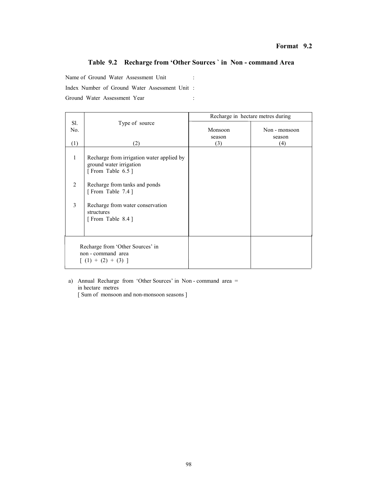## Format 9.2

# Table 9.2 Recharge from 'Other Sources ` in Non - command Area

Name of Ground Water Assessment Unit :

Index Number of Ground Water Assessment Unit :

Ground Water Assessment Year :

|                |                                                                                          | Recharge in hectare metres during |               |
|----------------|------------------------------------------------------------------------------------------|-----------------------------------|---------------|
| Sl.            | Type of source                                                                           |                                   |               |
| No.            |                                                                                          | Monsoon                           | Non - monsoon |
|                |                                                                                          | season                            | season        |
| (1)            | (2)                                                                                      | (3)                               | (4)           |
| 1              | Recharge from irrigation water applied by<br>ground water irrigation<br>[From Table 6.5] |                                   |               |
| $\mathfrak{D}$ | Recharge from tanks and ponds<br>[From Table 7.4]                                        |                                   |               |
| 3              | Recharge from water conservation<br>structures<br>[From Table 8.4]                       |                                   |               |
|                | Recharge from 'Other Sources' in<br>non - command area<br>$\lceil$ (1) + (2) + (3) ]     |                                   |               |

 a) Annual Recharge from 'Other Sources' in Non - command area = in hectare metres

[ Sum of monsoon and non-monsoon seasons ]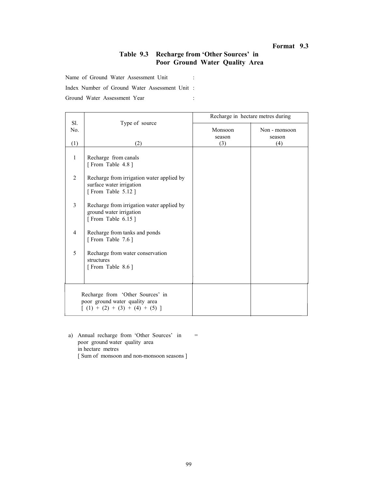# Format 9.3

# Table 9.3 Recharge from 'Other Sources' in Poor Ground Water Quality Area

Name of Ground Water Assessment Unit :

Index Number of Ground Water Assessment Unit :

Ground Water Assessment Year :

|                |                                                                                                              | Recharge in hectare metres during |                         |  |
|----------------|--------------------------------------------------------------------------------------------------------------|-----------------------------------|-------------------------|--|
| Sl.<br>No.     | Type of source                                                                                               | Monsoon<br>season                 | Non - monsoon<br>season |  |
| (1)            | (2)                                                                                                          | (3)                               | (4)                     |  |
| 1              | Recharge from canals<br>[From Table 4.8]                                                                     |                                   |                         |  |
| $\overline{2}$ | Recharge from irrigation water applied by<br>surface water irrigation<br>[From Table 5.12]                   |                                   |                         |  |
| 3              | Recharge from irrigation water applied by<br>ground water irrigation<br>[From Table 6.15]                    |                                   |                         |  |
| $\overline{4}$ | Recharge from tanks and ponds<br>[From Table 7.6]                                                            |                                   |                         |  |
| 5              | Recharge from water conservation<br>structures<br>[From Table 8.6]                                           |                                   |                         |  |
|                | Recharge from 'Other Sources' in<br>poor ground water quality area<br>$\lceil$ (1) + (2) + (3) + (4) + (5) ] |                                   |                         |  |

a) Annual recharge from 'Other Sources' in = poor ground water quality area in hectare metres [ Sum of monsoon and non-monsoon seasons ]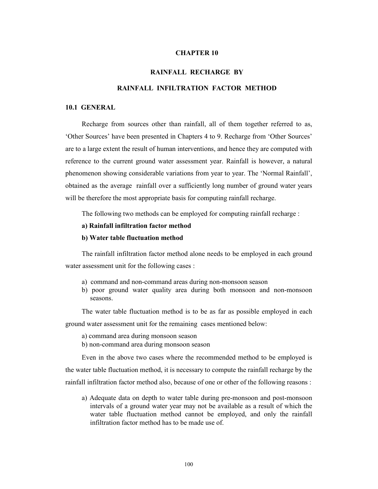### CHAPTER 10

#### RAINFALL RECHARGE BY

### RAINFALL INFILTRATION FACTOR METHOD

#### 10.1 GENERAL

Recharge from sources other than rainfall, all of them together referred to as, 'Other Sources' have been presented in Chapters 4 to 9. Recharge from 'Other Sources' are to a large extent the result of human interventions, and hence they are computed with reference to the current ground water assessment year. Rainfall is however, a natural phenomenon showing considerable variations from year to year. The 'Normal Rainfall', obtained as the average rainfall over a sufficiently long number of ground water years will be therefore the most appropriate basis for computing rainfall recharge.

The following two methods can be employed for computing rainfall recharge :

#### a) Rainfall infiltration factor method

#### b) Water table fluctuation method

The rainfall infiltration factor method alone needs to be employed in each ground water assessment unit for the following cases :

- a) command and non-command areas during non-monsoon season
- b) poor ground water quality area during both monsoon and non-monsoon seasons.

The water table fluctuation method is to be as far as possible employed in each

ground water assessment unit for the remaining cases mentioned below:

- a) command area during monsoon season
- b) non-command area during monsoon season

Even in the above two cases where the recommended method to be employed is

the water table fluctuation method, it is necessary to compute the rainfall recharge by the rainfall infiltration factor method also, because of one or other of the following reasons :

a) Adequate data on depth to water table during pre-monsoon and post-monsoon intervals of a ground water year may not be available as a result of which the water table fluctuation method cannot be employed, and only the rainfall infiltration factor method has to be made use of.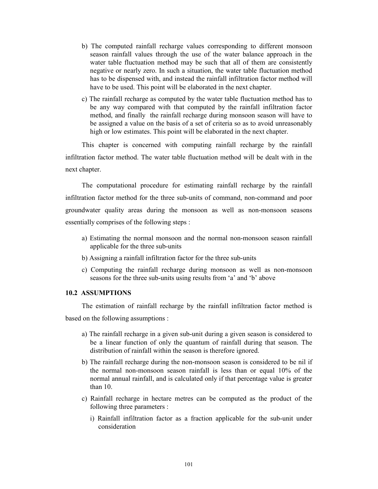- b) The computed rainfall recharge values corresponding to different monsoon season rainfall values through the use of the water balance approach in the water table fluctuation method may be such that all of them are consistently negative or nearly zero. In such a situation, the water table fluctuation method has to be dispensed with, and instead the rainfall infiltration factor method will have to be used. This point will be elaborated in the next chapter.
- c) The rainfall recharge as computed by the water table fluctuation method has to be any way compared with that computed by the rainfall infiltration factor method, and finally the rainfall recharge during monsoon season will have to be assigned a value on the basis of a set of criteria so as to avoid unreasonably high or low estimates. This point will be elaborated in the next chapter.

This chapter is concerned with computing rainfall recharge by the rainfall infiltration factor method. The water table fluctuation method will be dealt with in the next chapter.

The computational procedure for estimating rainfall recharge by the rainfall infiltration factor method for the three sub-units of command, non-command and poor groundwater quality areas during the monsoon as well as non-monsoon seasons essentially comprises of the following steps :

- a) Estimating the normal monsoon and the normal non-monsoon season rainfall applicable for the three sub-units
- b) Assigning a rainfall infiltration factor for the three sub-units
- c) Computing the rainfall recharge during monsoon as well as non-monsoon seasons for the three sub-units using results from 'a' and 'b' above

### 10.2 ASSUMPTIONS

The estimation of rainfall recharge by the rainfall infiltration factor method is based on the following assumptions :

- a) The rainfall recharge in a given sub-unit during a given season is considered to be a linear function of only the quantum of rainfall during that season. The distribution of rainfall within the season is therefore ignored.
- b) The rainfall recharge during the non-monsoon season is considered to be nil if the normal non-monsoon season rainfall is less than or equal 10% of the normal annual rainfall, and is calculated only if that percentage value is greater than 10.
- c) Rainfall recharge in hectare metres can be computed as the product of the following three parameters :
	- i) Rainfall infiltration factor as a fraction applicable for the sub-unit under consideration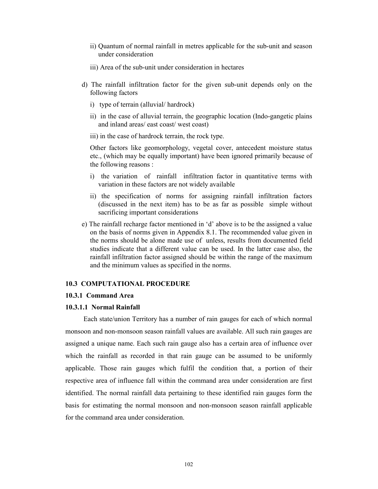- ii) Quantum of normal rainfall in metres applicable for the sub-unit and season under consideration
- iii) Area of the sub-unit under consideration in hectares
- d) The rainfall infiltration factor for the given sub-unit depends only on the following factors
	- i) type of terrain (alluvial/ hardrock)
	- ii) in the case of alluvial terrain, the geographic location (Indo-gangetic plains and inland areas/ east coast/ west coast)
	- iii) in the case of hardrock terrain, the rock type.

Other factors like geomorphology, vegetal cover, antecedent moisture status etc., (which may be equally important) have been ignored primarily because of the following reasons :

- i) the variation of rainfall infiltration factor in quantitative terms with variation in these factors are not widely available
- ii) the specification of norms for assigning rainfall infiltration factors (discussed in the next item) has to be as far as possible simple without sacrificing important considerations
- e) The rainfall recharge factor mentioned in 'd' above is to be the assigned a value on the basis of norms given in Appendix 8.1. The recommended value given in the norms should be alone made use of unless, results from documented field studies indicate that a different value can be used. In the latter case also, the rainfall infiltration factor assigned should be within the range of the maximum and the minimum values as specified in the norms.

#### 10.3 COMPUTATIONAL PROCEDURE

### 10.3.1 Command Area

#### 10.3.1.1 Normal Rainfall

 Each state/union Territory has a number of rain gauges for each of which normal monsoon and non-monsoon season rainfall values are available. All such rain gauges are assigned a unique name. Each such rain gauge also has a certain area of influence over which the rainfall as recorded in that rain gauge can be assumed to be uniformly applicable. Those rain gauges which fulfil the condition that, a portion of their respective area of influence fall within the command area under consideration are first identified. The normal rainfall data pertaining to these identified rain gauges form the basis for estimating the normal monsoon and non-monsoon season rainfall applicable for the command area under consideration.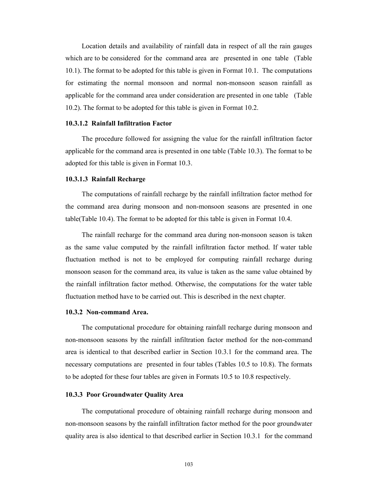Location details and availability of rainfall data in respect of all the rain gauges which are to be considered for the command area are presented in one table (Table 10.1). The format to be adopted for this table is given in Format 10.1. The computations for estimating the normal monsoon and normal non-monsoon season rainfall as applicable for the command area under consideration are presented in one table (Table 10.2). The format to be adopted for this table is given in Format 10.2.

### 10.3.1.2 Rainfall Infiltration Factor

The procedure followed for assigning the value for the rainfall infiltration factor applicable for the command area is presented in one table (Table 10.3). The format to be adopted for this table is given in Format 10.3.

#### 10.3.1.3 Rainfall Recharge

The computations of rainfall recharge by the rainfall infiltration factor method for the command area during monsoon and non-monsoon seasons are presented in one table(Table 10.4). The format to be adopted for this table is given in Format 10.4.

The rainfall recharge for the command area during non-monsoon season is taken as the same value computed by the rainfall infiltration factor method. If water table fluctuation method is not to be employed for computing rainfall recharge during monsoon season for the command area, its value is taken as the same value obtained by the rainfall infiltration factor method. Otherwise, the computations for the water table fluctuation method have to be carried out. This is described in the next chapter.

### 10.3.2 Non-command Area.

The computational procedure for obtaining rainfall recharge during monsoon and non-monsoon seasons by the rainfall infiltration factor method for the non-command area is identical to that described earlier in Section 10.3.1 for the command area. The necessary computations are presented in four tables (Tables 10.5 to 10.8). The formats to be adopted for these four tables are given in Formats 10.5 to 10.8 respectively.

#### 10.3.3 Poor Groundwater Quality Area

The computational procedure of obtaining rainfall recharge during monsoon and non-monsoon seasons by the rainfall infiltration factor method for the poor groundwater quality area is also identical to that described earlier in Section 10.3.1 for the command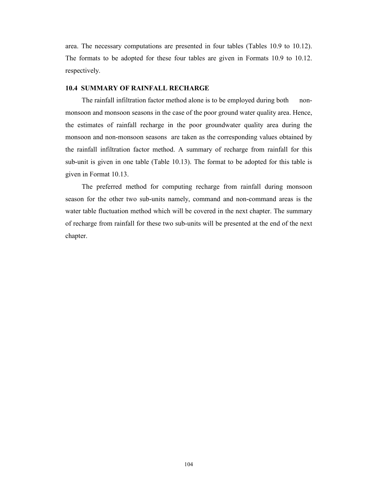area. The necessary computations are presented in four tables (Tables 10.9 to 10.12). The formats to be adopted for these four tables are given in Formats 10.9 to 10.12. respectively.

### 10.4 SUMMARY OF RAINFALL RECHARGE

The rainfall infiltration factor method alone is to be employed during both nonmonsoon and monsoon seasons in the case of the poor ground water quality area. Hence, the estimates of rainfall recharge in the poor groundwater quality area during the monsoon and non-monsoon seasons are taken as the corresponding values obtained by the rainfall infiltration factor method. A summary of recharge from rainfall for this sub-unit is given in one table (Table 10.13). The format to be adopted for this table is given in Format 10.13.

The preferred method for computing recharge from rainfall during monsoon season for the other two sub-units namely, command and non-command areas is the water table fluctuation method which will be covered in the next chapter. The summary of recharge from rainfall for these two sub-units will be presented at the end of the next chapter.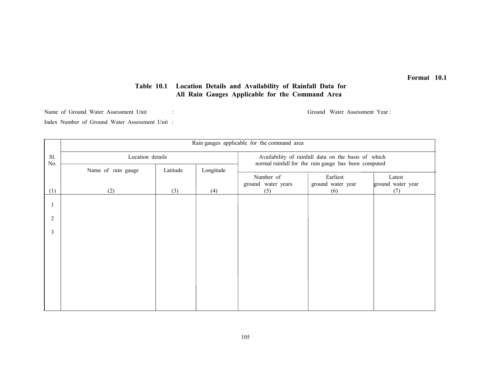# Table 10.1 Location Details and Availability of Rainfall Data for All Rain Gauges Applicable for the Command Area

Name of Ground Water Assessment Unit : Ground Water Assessment Year :

Index Number of Ground Water Assessment Unit :

|                | Rain gauges applicable for the command area |          |           |                                                                                                             |                          |                          |
|----------------|---------------------------------------------|----------|-----------|-------------------------------------------------------------------------------------------------------------|--------------------------|--------------------------|
| Sl.<br>No.     | Location details                            |          |           | Availability of rainfall data on the basis of which<br>normal rainfall for the rain gauge has been computed |                          |                          |
|                | Name of rain gauge                          | Latitude | Longitude |                                                                                                             |                          |                          |
|                |                                             |          |           | Number of                                                                                                   | Earliest                 | Latest                   |
| (1)            | (2)                                         | (3)      | (4)       | ground water years<br>(5)                                                                                   | ground water year<br>(6) | ground water year<br>(7) |
|                |                                             |          |           |                                                                                                             |                          |                          |
| $\overline{c}$ |                                             |          |           |                                                                                                             |                          |                          |
| 3              |                                             |          |           |                                                                                                             |                          |                          |
|                |                                             |          |           |                                                                                                             |                          |                          |
|                |                                             |          |           |                                                                                                             |                          |                          |
|                |                                             |          |           |                                                                                                             |                          |                          |
|                |                                             |          |           |                                                                                                             |                          |                          |
|                |                                             |          |           |                                                                                                             |                          |                          |
|                |                                             |          |           |                                                                                                             |                          |                          |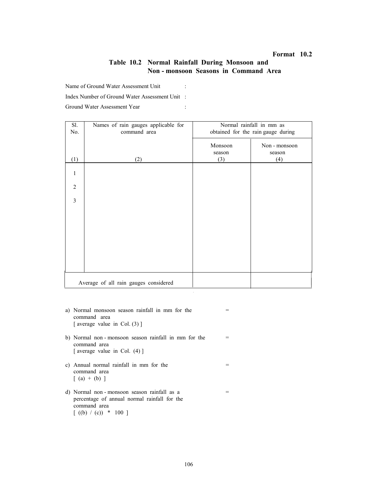### Table 10.2 Normal Rainfall During Monsoon and Non - monsoon Seasons in Command Area

Name of Ground Water Assessment Unit :

Index Number of Ground Water Assessment Unit :

| Sl.            | Names of rain gauges applicable for   | Normal rainfall in mm as           |               |  |  |  |
|----------------|---------------------------------------|------------------------------------|---------------|--|--|--|
| No.            | command area                          | obtained for the rain gauge during |               |  |  |  |
|                |                                       | Monsoon                            | Non - monsoon |  |  |  |
|                |                                       | season                             | season        |  |  |  |
| (1)            | (2)                                   | (3)                                | (4)           |  |  |  |
|                |                                       |                                    |               |  |  |  |
| $\mathbf{1}$   |                                       |                                    |               |  |  |  |
| $\overline{2}$ |                                       |                                    |               |  |  |  |
|                |                                       |                                    |               |  |  |  |
| $\overline{3}$ |                                       |                                    |               |  |  |  |
|                |                                       |                                    |               |  |  |  |
|                |                                       |                                    |               |  |  |  |
|                |                                       |                                    |               |  |  |  |
|                |                                       |                                    |               |  |  |  |
|                |                                       |                                    |               |  |  |  |
|                |                                       |                                    |               |  |  |  |
|                |                                       |                                    |               |  |  |  |
|                |                                       |                                    |               |  |  |  |
|                |                                       |                                    |               |  |  |  |
|                | Average of all rain gauges considered |                                    |               |  |  |  |

- a) Normal monsoon season rainfall in mm for the  $=$  command area [ average value in Col. (3) ]
- b) Normal non monsoon season rainfall in mm for the  $=$  command area [ average value in Col. (4) ]
- c) Annual normal rainfall in mm for the  $=$  command area  $[ (a) + (b) ]$
- d) Normal non monsoon season rainfall as  $a =$  percentage of annual normal rainfall for the command area  $[(\text{ (b) } / \text{ (c)}) * 100 ]$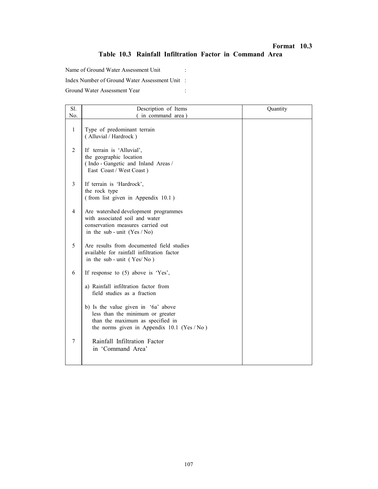# Format 10.3 Table 10.3 Rainfall Infiltration Factor in Command Area

Name of Ground Water Assessment Unit : Index Number of Ground Water Assessment Unit : Ground Water Assessment Year :

| Sl.            | Description of Items                                                                                                                                        | Quantity |
|----------------|-------------------------------------------------------------------------------------------------------------------------------------------------------------|----------|
| No.            | (in command area)                                                                                                                                           |          |
| $\mathbf{1}$   | Type of predominant terrain<br>(Alluvial / Hardrock)                                                                                                        |          |
| 2              | If terrain is 'Alluvial',<br>the geographic location<br>(Indo - Gangetic and Inland Areas /<br>East Coast / West Coast)                                     |          |
| $\overline{3}$ | If terrain is 'Hardrock',<br>the rock type<br>(from list given in Appendix 10.1)                                                                            |          |
| $\overline{4}$ | Are watershed development programmes<br>with associated soil and water<br>conservation measures carried out<br>in the sub - unit $(Yes / No)$               |          |
| 5              | Are results from documented field studies<br>available for rainfall infiltration factor<br>in the sub-unit (Yes/No)                                         |          |
| 6              | If response to $(5)$ above is 'Yes',                                                                                                                        |          |
|                | a) Rainfall infiltration factor from<br>field studies as a fraction                                                                                         |          |
|                | b) Is the value given in '6a' above<br>less than the minimum or greater<br>than the maximum as specified in<br>the norms given in Appendix $10.1$ (Yes /No) |          |
| 7              | Rainfall Infiltration Factor<br>in 'Command Area'                                                                                                           |          |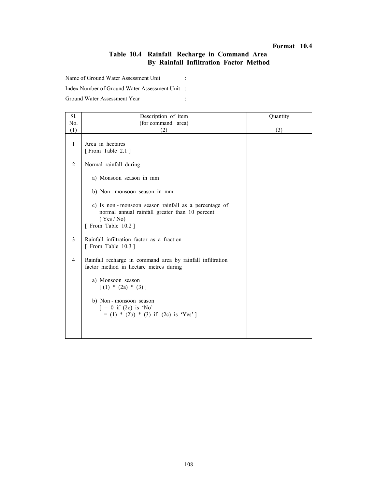# Table 10.4 Rainfall Recharge in Command Area By Rainfall Infiltration Factor Method

Name of Ground Water Assessment Unit :

Index Number of Ground Water Assessment Unit :

| Sl.            | Description of item                                                                                                                         | Quantity |
|----------------|---------------------------------------------------------------------------------------------------------------------------------------------|----------|
| No.            | (for command area)                                                                                                                          |          |
| (1)            | (2)                                                                                                                                         | (3)      |
| $\mathbf{1}$   | Area in hectares<br>[From Table 2.1]                                                                                                        |          |
| $\overline{2}$ | Normal rainfall during                                                                                                                      |          |
|                | a) Monsoon season in mm                                                                                                                     |          |
|                | b) Non-monsoon season in mm                                                                                                                 |          |
|                | c) Is non-monsoon season rainfall as a percentage of<br>normal annual rainfall greater than 10 percent<br>(Yes / No)<br>[ From Table 10.2 ] |          |
| 3              | Rainfall infiltration factor as a fraction<br>[ From Table $10.3$ ]                                                                         |          |
| $\overline{4}$ | Rainfall recharge in command area by rainfall infiltration<br>factor method in hectare metres during                                        |          |
|                | a) Monsoon season<br>$(1) * (2a) * (3)$                                                                                                     |          |
|                | b) Non - monsoon season<br>$= 0$ if (2c) is 'No'<br>$= (1) * (2b) * (3)$ if (2c) is 'Yes']                                                  |          |
|                |                                                                                                                                             |          |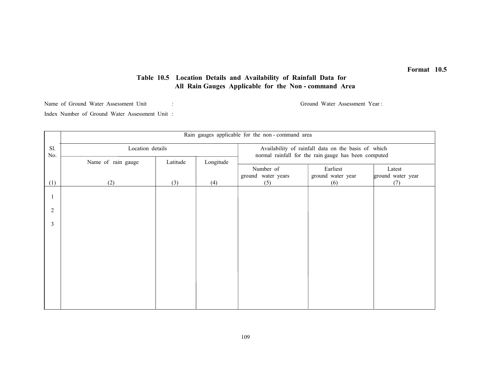### Table 10.5 Location Details and Availability of Rainfall Data for All Rain Gauges Applicable for the Non - command Area

Name of Ground Water Assessment Unit : Ground Water Assessment Year :

Index Number of Ground Water Assessment Unit :

|                |                    |          |           | Rain gauges applicable for the non-command area                                                             |                   |                   |
|----------------|--------------------|----------|-----------|-------------------------------------------------------------------------------------------------------------|-------------------|-------------------|
| Sl.<br>No.     | Location details   |          |           | Availability of rainfall data on the basis of which<br>normal rainfall for the rain gauge has been computed |                   |                   |
|                | Name of rain gauge | Latitude | Longitude | Number of                                                                                                   | Earliest          | Latest            |
|                |                    |          |           | ground water years                                                                                          | ground water year | ground water year |
| (1)            | (2)                | (3)      | (4)       | (5)                                                                                                         | (6)               | (7)               |
|                |                    |          |           |                                                                                                             |                   |                   |
| $\overline{c}$ |                    |          |           |                                                                                                             |                   |                   |
| 3              |                    |          |           |                                                                                                             |                   |                   |
|                |                    |          |           |                                                                                                             |                   |                   |
|                |                    |          |           |                                                                                                             |                   |                   |
|                |                    |          |           |                                                                                                             |                   |                   |
|                |                    |          |           |                                                                                                             |                   |                   |
|                |                    |          |           |                                                                                                             |                   |                   |
|                |                    |          |           |                                                                                                             |                   |                   |
|                |                    |          |           |                                                                                                             |                   |                   |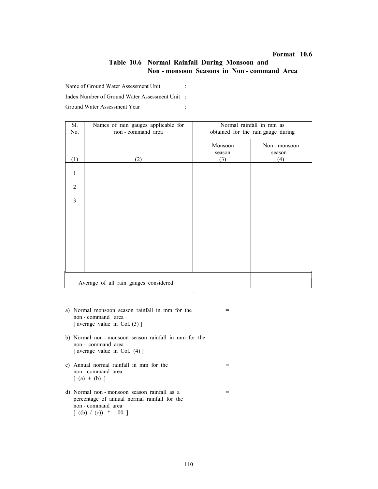### Table 10.6 Normal Rainfall During Monsoon and Non - monsoon Seasons in Non - command Area

Name of Ground Water Assessment Unit :

Index Number of Ground Water Assessment Unit :

| Sl.            | Names of rain gauges applicable for   | Normal rainfall in mm as           |               |  |
|----------------|---------------------------------------|------------------------------------|---------------|--|
| No.            | non - command area                    | obtained for the rain gauge during |               |  |
|                |                                       | Monsoon                            | Non - monsoon |  |
|                |                                       | season                             | season        |  |
| (1)            | (2)                                   | (3)                                | (4)           |  |
|                |                                       |                                    |               |  |
| 1              |                                       |                                    |               |  |
|                |                                       |                                    |               |  |
| $\overline{2}$ |                                       |                                    |               |  |
| $\overline{3}$ |                                       |                                    |               |  |
|                |                                       |                                    |               |  |
|                |                                       |                                    |               |  |
|                |                                       |                                    |               |  |
|                |                                       |                                    |               |  |
|                |                                       |                                    |               |  |
|                |                                       |                                    |               |  |
|                |                                       |                                    |               |  |
|                |                                       |                                    |               |  |
|                |                                       |                                    |               |  |
|                |                                       |                                    |               |  |
|                | Average of all rain gauges considered |                                    |               |  |

- a) Normal monsoon season rainfall in mm for the  $=$  non - command area [ average value in Col. (3) ]
- b) Normal non monsoon season rainfall in mm for the  $=$  non - command area [ average value in Col. (4) ]
- c) Annual normal rainfall in mm for the  $=$  non - command area  $[ (a) + (b) ]$
- d) Normal non monsoon season rainfall as  $a =$  percentage of annual normal rainfall for the non - command area  $[( (b) / (c)) * 100 ]$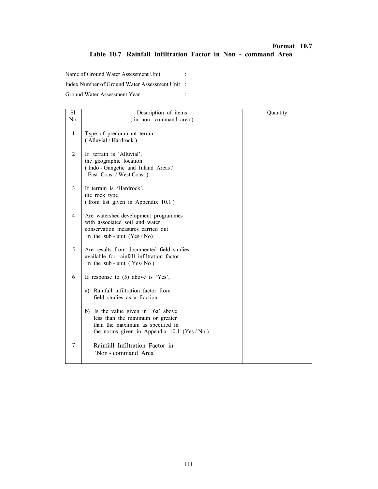# Format 10.7 Table 10.7 Rainfall Infiltration Factor in Non - command Area

Name of Ground Water Assessment Unit :

Index Number of Ground Water Assessment Unit :

| Sl.            | Description of items                                                                                                                                         | Quantity |
|----------------|--------------------------------------------------------------------------------------------------------------------------------------------------------------|----------|
| No.            | (in non-command area)                                                                                                                                        |          |
| $\mathbf{1}$   | Type of predominant terrain<br>(Alluvial / Hardrock)                                                                                                         |          |
| 2              | If terrain is 'Alluvial',<br>the geographic location<br>(Indo - Gangetic and Inland Areas /<br>East Coast / West Coast)                                      |          |
| 3              | If terrain is 'Hardrock',<br>the rock type<br>(from list given in Appendix 10.1)                                                                             |          |
| $\overline{4}$ | Are watershed development programmes<br>with associated soil and water<br>conservation measures carried out<br>in the sub-unit $(Yes / No)$                  |          |
| 5              | Are results from documented field studies<br>available for rainfall infiltration factor<br>in the sub-unit $(Yes/No)$                                        |          |
| 6              | If response to $(5)$ above is 'Yes',                                                                                                                         |          |
|                | Rainfall infiltration factor from<br>a)<br>field studies as a fraction                                                                                       |          |
|                | b) Is the value given in '6a' above<br>less than the minimum or greater<br>than the maximum as specified in<br>the norms given in Appendix $10.1$ (Yes / No) |          |
| 7              | Rainfall Infiltration Factor in<br>'Non - command Area'                                                                                                      |          |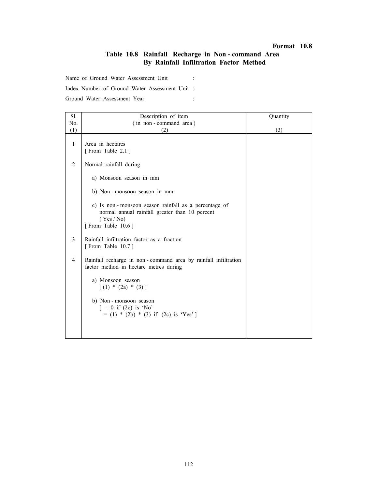### Table 10.8 Rainfall Recharge in Non - command Area By Rainfall Infiltration Factor Method

Name of Ground Water Assessment Unit :

Index Number of Ground Water Assessment Unit :

| Sl.            | Description of item                                                                                                                     | Quantity |
|----------------|-----------------------------------------------------------------------------------------------------------------------------------------|----------|
| No.            | (in non-command area)                                                                                                                   |          |
| (1)            | (2)                                                                                                                                     | (3)      |
| $\mathbf{1}$   | Area in hectares<br>[From Table 2.1]                                                                                                    |          |
| 2              | Normal rainfall during                                                                                                                  |          |
|                | a) Monsoon season in mm                                                                                                                 |          |
|                | b) Non-monsoon season in mm                                                                                                             |          |
|                | c) Is non-monsoon season rainfall as a percentage of<br>normal annual rainfall greater than 10 percent<br>(Yes/No)<br>[From Table 10.6] |          |
| 3              | Rainfall infiltration factor as a fraction<br>[From Table 10.7]                                                                         |          |
| $\overline{4}$ | Rainfall recharge in non-command area by rainfall infiltration<br>factor method in hectare metres during                                |          |
|                | a) Monsoon season<br>$(1) * (2a) * (3)$                                                                                                 |          |
|                | b) Non-monsoon season<br>$= 0$ if (2c) is 'No'<br>$= (1) * (2b) * (3)$ if (2c) is 'Yes']                                                |          |
|                |                                                                                                                                         |          |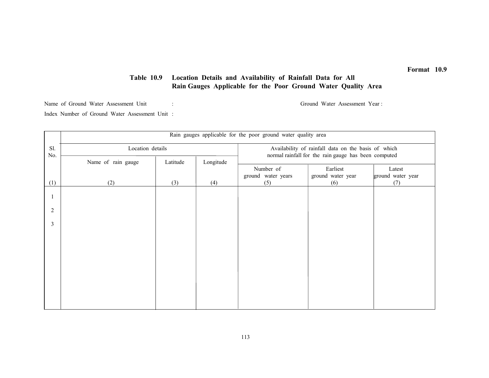### Table 10.9 Location Details and Availability of Rainfall Data for All Rain Gauges Applicable for the Poor Ground Water Quality Area

Name of Ground Water Assessment Unit : Ground Water Assessment Year :

Index Number of Ground Water Assessment Unit :

|                |                    |          |           | Rain gauges applicable for the poor ground water quality area                                               |                          |                          |
|----------------|--------------------|----------|-----------|-------------------------------------------------------------------------------------------------------------|--------------------------|--------------------------|
| Sl.<br>No.     | Location details   |          |           | Availability of rainfall data on the basis of which<br>normal rainfall for the rain gauge has been computed |                          |                          |
|                | Name of rain gauge | Latitude | Longitude | Number of                                                                                                   | Earliest                 | Latest                   |
| (1)            | (2)                | (3)      | (4)       | ground water years<br>(5)                                                                                   | ground water year<br>(6) | ground water year<br>(7) |
|                |                    |          |           |                                                                                                             |                          |                          |
|                |                    |          |           |                                                                                                             |                          |                          |
| $\overline{2}$ |                    |          |           |                                                                                                             |                          |                          |
| 3              |                    |          |           |                                                                                                             |                          |                          |
|                |                    |          |           |                                                                                                             |                          |                          |
|                |                    |          |           |                                                                                                             |                          |                          |
|                |                    |          |           |                                                                                                             |                          |                          |
|                |                    |          |           |                                                                                                             |                          |                          |
|                |                    |          |           |                                                                                                             |                          |                          |
|                |                    |          |           |                                                                                                             |                          |                          |
|                |                    |          |           |                                                                                                             |                          |                          |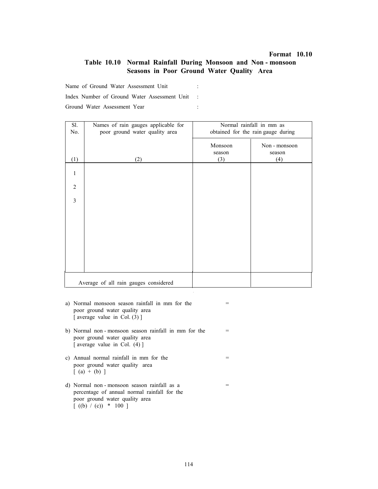### Table 10.10 Normal Rainfall During Monsoon and Non - monsoon Seasons in Poor Ground Water Quality Area

Name of Ground Water Assessment Unit :

Index Number of Ground Water Assessment Unit :

| Sl.            | Names of rain gauges applicable for   | Normal rainfall in mm as           |               |  |  |
|----------------|---------------------------------------|------------------------------------|---------------|--|--|
| No.            | poor ground water quality area        | obtained for the rain gauge during |               |  |  |
|                |                                       | Monsoon                            | Non - monsoon |  |  |
|                |                                       | season                             | season        |  |  |
| (1)            | (2)                                   | (3)                                | (4)           |  |  |
|                |                                       |                                    |               |  |  |
|                |                                       |                                    |               |  |  |
| $\overline{2}$ |                                       |                                    |               |  |  |
|                |                                       |                                    |               |  |  |
| $\overline{3}$ |                                       |                                    |               |  |  |
|                |                                       |                                    |               |  |  |
|                |                                       |                                    |               |  |  |
|                |                                       |                                    |               |  |  |
|                |                                       |                                    |               |  |  |
|                |                                       |                                    |               |  |  |
|                |                                       |                                    |               |  |  |
|                |                                       |                                    |               |  |  |
|                |                                       |                                    |               |  |  |
|                | Average of all rain gauges considered |                                    |               |  |  |
|                |                                       |                                    |               |  |  |

- a) Normal monsoon season rainfall in mm for the  $=$  poor ground water quality area [ average value in Col. (3) ]
- b) Normal non monsoon season rainfall in mm for the  $=$  poor ground water quality area [ average value in Col. (4) ]
- c) Annual normal rainfall in mm for the  $=$  poor ground water quality area  $[ (a) + (b) ]$
- d) Normal non monsoon season rainfall as  $a =$  percentage of annual normal rainfall for the poor ground water quality area  $[( (b) / (c)) * 100 ]$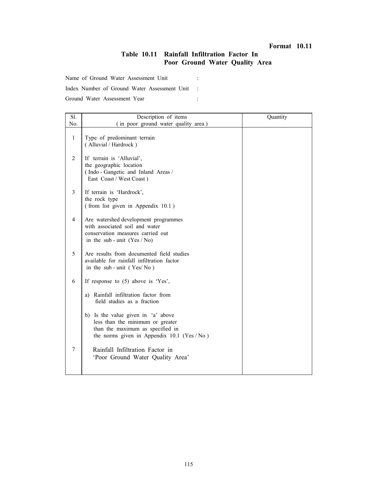# Table 10.11 Rainfall Infiltration Factor In Poor Ground Water Quality Area

Name of Ground Water Assessment Unit :

Index Number of Ground Water Assessment Unit :

| Sl.            | Description of items                                                                                                                                       | Quantity |
|----------------|------------------------------------------------------------------------------------------------------------------------------------------------------------|----------|
| No.            | (in poor ground water quality area)                                                                                                                        |          |
| $\mathbf{1}$   | Type of predominant terrain<br>(Alluvial / Hardrock)                                                                                                       |          |
| 2              | If terrain is 'Alluvial',<br>the geographic location<br>(Indo - Gangetic and Inland Areas /<br>East Coast / West Coast)                                    |          |
| 3              | If terrain is 'Hardrock',<br>the rock type<br>(from list given in Appendix 10.1)                                                                           |          |
| $\overline{4}$ | Are watershed development programmes<br>with associated soil and water<br>conservation measures carried out<br>in the sub-unit $(Yes / No)$                |          |
| 5              | Are results from documented field studies<br>available for rainfall infiltration factor<br>in the sub-unit $(Yes/No)$                                      |          |
| 6              | If response to $(5)$ above is 'Yes',                                                                                                                       |          |
|                | Rainfall infiltration factor from<br>a)<br>field studies as a fraction                                                                                     |          |
|                | b) Is the value given in 'a' above<br>less than the minimum or greater<br>than the maximum as specified in<br>the norms given in Appendix $10.1$ (Yes /No) |          |
| $\overline{7}$ | Rainfall Infiltration Factor in<br>'Poor Ground Water Quality Area'                                                                                        |          |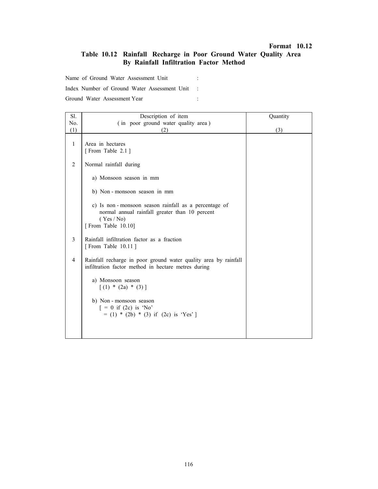# Table 10.12 Rainfall Recharge in Poor Ground Water Quality Area By Rainfall Infiltration Factor Method

Name of Ground Water Assessment Unit :

Index Number of Ground Water Assessment Unit :

| Sl.            | Description of item                                                                                                                      | Quantity |
|----------------|------------------------------------------------------------------------------------------------------------------------------------------|----------|
| No.            | (in poor ground water quality area)                                                                                                      |          |
| (1)            | (2)                                                                                                                                      | (3)      |
| $\mathbf{1}$   | Area in hectares<br>[From Table 2.1]                                                                                                     |          |
| 2              | Normal rainfall during                                                                                                                   |          |
|                | a) Monsoon season in mm                                                                                                                  |          |
|                | b) Non-monsoon season in mm                                                                                                              |          |
|                | c) Is non-monsoon season rainfall as a percentage of<br>normal annual rainfall greater than 10 percent<br>(Yes/No)<br>[From Table 10.10] |          |
| 3              | Rainfall infiltration factor as a fraction<br>[From Table 10.11]                                                                         |          |
| $\overline{4}$ | Rainfall recharge in poor ground water quality area by rainfall<br>infiltration factor method in hectare metres during                   |          |
|                | a) Monsoon season<br>$(1) * (2a) * (3)$                                                                                                  |          |
|                | b) Non-monsoon season<br>$= 0$ if (2c) is 'No'<br>$= (1) * (2b) * (3)$ if (2c) is 'Yes']                                                 |          |
|                |                                                                                                                                          |          |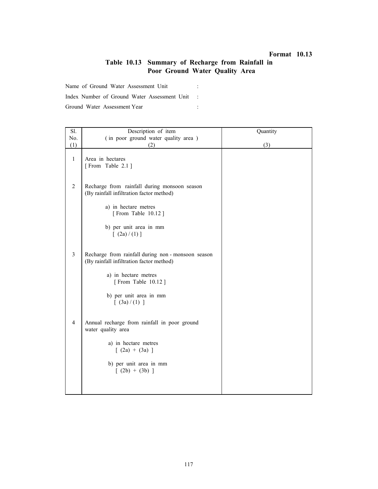# Table 10.13 Summary of Recharge from Rainfall in Poor Ground Water Quality Area

Name of Ground Water Assessment Unit :

Index Number of Ground Water Assessment Unit :

| Sl.            | Description of item                                                                          | Quantity |
|----------------|----------------------------------------------------------------------------------------------|----------|
| No.            | (in poor ground water quality area)                                                          |          |
| (1)            | (2)                                                                                          | (3)      |
| $\mathbf{1}$   | Area in hectares<br>[From Table 2.1]                                                         |          |
| 2              | Recharge from rainfall during monsoon season<br>(By rainfall infiltration factor method)     |          |
|                | a) in hectare metres<br>[From Table 10.12]                                                   |          |
|                | b) per unit area in mm<br>[ (2a)/(1) ]                                                       |          |
| $\overline{3}$ | Recharge from rainfall during non-monsoon season<br>(By rainfall infiltration factor method) |          |
|                | a) in hectare metres<br>[From Table 10.12]                                                   |          |
|                | b) per unit area in mm<br>[ (3a)/(1) ]                                                       |          |
| $\overline{4}$ | Annual recharge from rainfall in poor ground<br>water quality area                           |          |
|                | a) in hectare metres<br>$[ (2a) + (3a) ]$                                                    |          |
|                | b) per unit area in mm<br>$(2b) + (3b)$ ]                                                    |          |
|                |                                                                                              |          |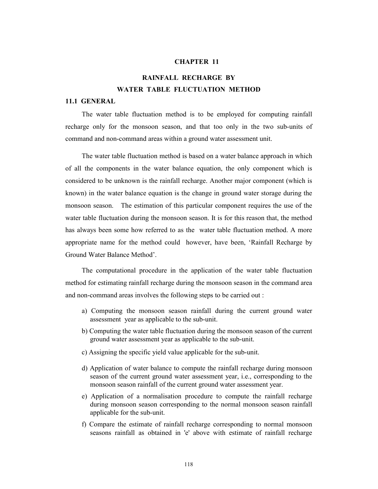#### CHAPTER 11

# RAINFALL RECHARGE BY WATER TABLE FLUCTUATION METHOD

#### 11.1 GENERAL

The water table fluctuation method is to be employed for computing rainfall recharge only for the monsoon season, and that too only in the two sub-units of command and non-command areas within a ground water assessment unit.

The water table fluctuation method is based on a water balance approach in which of all the components in the water balance equation, the only component which is considered to be unknown is the rainfall recharge. Another major component (which is known) in the water balance equation is the change in ground water storage during the monsoon season. The estimation of this particular component requires the use of the water table fluctuation during the monsoon season. It is for this reason that, the method has always been some how referred to as the water table fluctuation method. A more appropriate name for the method could however, have been, 'Rainfall Recharge by Ground Water Balance Method'.

The computational procedure in the application of the water table fluctuation method for estimating rainfall recharge during the monsoon season in the command area and non-command areas involves the following steps to be carried out :

- a) Computing the monsoon season rainfall during the current ground water assessment year as applicable to the sub-unit.
- b) Computing the water table fluctuation during the monsoon season of the current ground water assessment year as applicable to the sub-unit.
- c) Assigning the specific yield value applicable for the sub-unit.
- d) Application of water balance to compute the rainfall recharge during monsoon season of the current ground water assessment year, i.e., corresponding to the monsoon season rainfall of the current ground water assessment year.
- e) Application of a normalisation procedure to compute the rainfall recharge during monsoon season corresponding to the normal monsoon season rainfall applicable for the sub-unit.
- f) Compare the estimate of rainfall recharge corresponding to normal monsoon seasons rainfall as obtained in 'e' above with estimate of rainfall recharge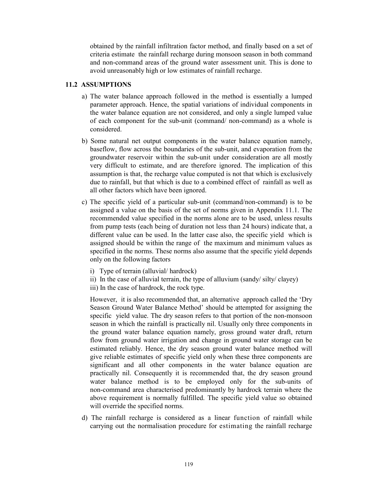obtained by the rainfall infiltration factor method, and finally based on a set of criteria estimate the rainfall recharge during monsoon season in both command and non-command areas of the ground water assessment unit. This is done to avoid unreasonably high or low estimates of rainfall recharge.

### 11.2 ASSUMPTIONS

- a) The water balance approach followed in the method is essentially a lumped parameter approach. Hence, the spatial variations of individual components in the water balance equation are not considered, and only a single lumped value of each component for the sub-unit (command/ non-command) as a whole is considered.
- b) Some natural net output components in the water balance equation namely, baseflow, flow across the boundaries of the sub-unit, and evaporation from the groundwater reservoir within the sub-unit under consideration are all mostly very difficult to estimate, and are therefore ignored. The implication of this assumption is that, the recharge value computed is not that which is exclusively due to rainfall, but that which is due to a combined effect of rainfall as well as all other factors which have been ignored.
- c) The specific yield of a particular sub-unit (command/non-command) is to be assigned a value on the basis of the set of norms given in Appendix 11.1. The recommended value specified in the norms alone are to be used, unless results from pump tests (each being of duration not less than 24 hours) indicate that, a different value can be used. In the latter case also, the specific yield which is assigned should be within the range of the maximum and minimum values as specified in the norms. These norms also assume that the specific yield depends only on the following factors
	- i) Type of terrain (alluvial/ hardrock)
	- ii) In the case of alluvial terrain, the type of alluvium (sandy/ silty/ clayey)
	- iii) In the case of hardrock, the rock type.

However, it is also recommended that, an alternative approach called the 'Dry Season Ground Water Balance Method' should be attempted for assigning the specific yield value. The dry season refers to that portion of the non-monsoon season in which the rainfall is practically nil. Usually only three components in the ground water balance equation namely, gross ground water draft, return flow from ground water irrigation and change in ground water storage can be estimated reliably. Hence, the dry season ground water balance method will give reliable estimates of specific yield only when these three components are significant and all other components in the water balance equation are practically nil. Consequently it is recommended that, the dry season ground water balance method is to be employed only for the sub-units of non-command area characterised predominantly by hardrock terrain where the above requirement is normally fulfilled. The specific yield value so obtained will override the specified norms.

d) The rainfall recharge is considered as a linear function of rainfall while carrying out the normalisation procedure for estimating the rainfall recharge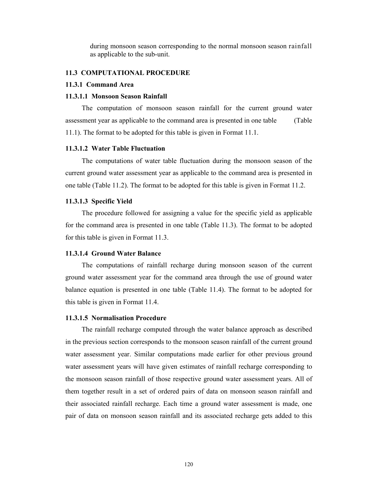during monsoon season corresponding to the normal monsoon season rainfall as applicable to the sub-unit.

#### 11.3 COMPUTATIONAL PROCEDURE

#### 11.3.1 Command Area

#### 11.3.1.1 Monsoon Season Rainfall

The computation of monsoon season rainfall for the current ground water assessment year as applicable to the command area is presented in one table (Table 11.1). The format to be adopted for this table is given in Format 11.1.

#### 11.3.1.2 Water Table Fluctuation

The computations of water table fluctuation during the monsoon season of the current ground water assessment year as applicable to the command area is presented in one table (Table 11.2). The format to be adopted for this table is given in Format 11.2.

#### 11.3.1.3 Specific Yield

The procedure followed for assigning a value for the specific yield as applicable for the command area is presented in one table (Table 11.3). The format to be adopted for this table is given in Format 11.3.

#### 11.3.1.4 Ground Water Balance

The computations of rainfall recharge during monsoon season of the current ground water assessment year for the command area through the use of ground water balance equation is presented in one table (Table 11.4). The format to be adopted for this table is given in Format 11.4.

### 11.3.1.5 Normalisation Procedure

The rainfall recharge computed through the water balance approach as described in the previous section corresponds to the monsoon season rainfall of the current ground water assessment year. Similar computations made earlier for other previous ground water assessment years will have given estimates of rainfall recharge corresponding to the monsoon season rainfall of those respective ground water assessment years. All of them together result in a set of ordered pairs of data on monsoon season rainfall and their associated rainfall recharge. Each time a ground water assessment is made, one pair of data on monsoon season rainfall and its associated recharge gets added to this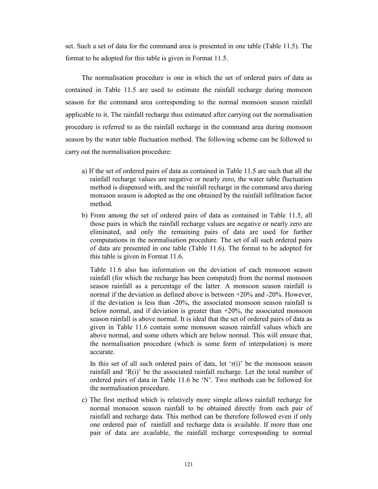set. Such a set of data for the command area is presented in one table (Table 11.5). The format to be adopted for this table is given in Format 11.5.

The normalisation procedure is one in which the set of ordered pairs of data as contained in Table 11.5 are used to estimate the rainfall recharge during monsoon season for the command area corresponding to the normal monsoon season rainfall applicable to it. The rainfall recharge thus estimated after carrying out the normalisation procedure is referred to as the rainfall recharge in the command area during monsoon season by the water table fluctuation method. The following scheme can be followed to carry out the normalisation procedure:

- a) If the set of ordered pairs of data as contained in Table 11.5 are such that all the rainfall recharge values are negative or nearly zero, the water table fluctuation method is dispensed with, and the rainfall recharge in the command area during monsoon season is adopted as the one obtained by the rainfall infiltration factor method.
- b) From among the set of ordered pairs of data as contained in Table 11.5, all those pairs in which the rainfall recharge values are negative or nearly zero are eliminated, and only the remaining pairs of data are used for further computations in the normalisation procedure. The set of all such ordered pairs of data are presented in one table (Table 11.6). The format to be adopted for this table is given in Format 11.6.

Table 11.6 also has information on the deviation of each monsoon season rainfall (for which the recharge has been computed) from the normal monsoon season rainfall as a percentage of the latter. A monsoon season rainfall is normal if the deviation as defined above is between +20% and -20%. However, if the deviation is less than -20%, the associated monsoon season rainfall is below normal, and if deviation is greater than  $+20\%$ , the associated monsoon season rainfall is above normal. It is ideal that the set of ordered pairs of data as given in Table 11.6 contain some monsoon season rainfall values which are above normal, and some others which are below normal. This will ensure that, the normalisation procedure (which is some form of interpolation) is more accurate.

In this set of all such ordered pairs of data, let ' $r(i)$ ' be the monsoon season rainfall and 'R(i)' be the associated rainfall recharge. Let the total number of ordered pairs of data in Table 11.6 be 'N'. Two methods can be followed for the normalisation procedure.

c) The first method which is relatively more simple allows rainfall recharge for normal monsoon season rainfall to be obtained directly from each pair of rainfall and recharge data. This method can be therefore followed even if only one ordered pair of rainfall and recharge data is available. If more than one pair of data are available, the rainfall recharge corresponding to normal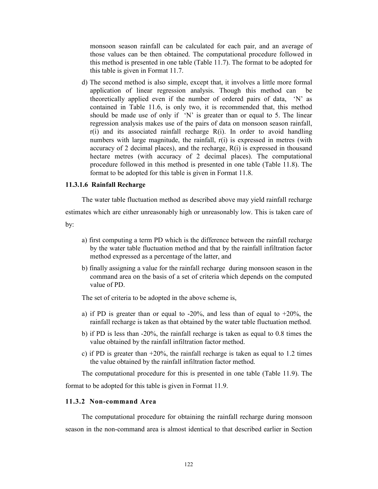monsoon season rainfall can be calculated for each pair, and an average of those values can be then obtained. The computational procedure followed in this method is presented in one table (Table 11.7). The format to be adopted for this table is given in Format 11.7.

d) The second method is also simple, except that, it involves a little more formal application of linear regression analysis. Though this method can be theoretically applied even if the number of ordered pairs of data, 'N' as contained in Table 11.6, is only two, it is recommended that, this method should be made use of only if  $'N'$  is greater than or equal to 5. The linear regression analysis makes use of the pairs of data on monsoon season rainfall,  $r(i)$  and its associated rainfall recharge  $R(i)$ . In order to avoid handling numbers with large magnitude, the rainfall,  $r(i)$  is expressed in metres (with accuracy of 2 decimal places), and the recharge,  $R(i)$  is expressed in thousand hectare metres (with accuracy of 2 decimal places). The computational procedure followed in this method is presented in one table (Table 11.8). The format to be adopted for this table is given in Format 11.8.

#### 11.3.1.6 Rainfall Recharge

The water table fluctuation method as described above may yield rainfall recharge

estimates which are either unreasonably high or unreasonably low. This is taken care of by:

- a) first computing a term PD which is the difference between the rainfall recharge by the water table fluctuation method and that by the rainfall infiltration factor method expressed as a percentage of the latter, and
- b) finally assigning a value for the rainfall recharge during monsoon season in the command area on the basis of a set of criteria which depends on the computed value of PD.

The set of criteria to be adopted in the above scheme is,

- a) if PD is greater than or equal to  $-20\%$ , and less than of equal to  $+20\%$ , the rainfall recharge is taken as that obtained by the water table fluctuation method.
- b) if PD is less than -20%, the rainfall recharge is taken as equal to 0.8 times the value obtained by the rainfall infiltration factor method.
- c) if PD is greater than  $+20\%$ , the rainfall recharge is taken as equal to 1.2 times the value obtained by the rainfall infiltration factor method.

The computational procedure for this is presented in one table (Table 11.9). The format to be adopted for this table is given in Format 11.9.

#### 11.3.2 Non-command Area

The computational procedure for obtaining the rainfall recharge during monsoon season in the non-command area is almost identical to that described earlier in Section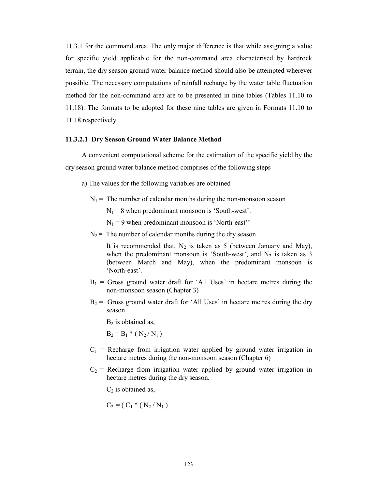11.3.1 for the command area. The only major difference is that while assigning a value for specific yield applicable for the non-command area characterised by hardrock terrain, the dry season ground water balance method should also be attempted wherever possible. The necessary computations of rainfall recharge by the water table fluctuation method for the non-command area are to be presented in nine tables (Tables 11.10 to 11.18). The formats to be adopted for these nine tables are given in Formats 11.10 to 11.18 respectively.

#### 11.3.2.1 Dry Season Ground Water Balance Method

A convenient computational scheme for the estimation of the specific yield by the dry season ground water balance method comprises of the following steps

- a) The values for the following variables are obtained
	- $N_1$  = The number of calendar months during the non-monsoon season
		- $N_1 = 8$  when predominant monsoon is 'South-west'.
		- $N_1 = 9$  when predominant monsoon is 'North-east''
	- $N_2$  = The number of calendar months during the dry season

It is recommended that,  $N_2$  is taken as 5 (between January and May), when the predominant monsoon is 'South-west', and  $N_2$  is taken as 3 (between March and May), when the predominant monsoon is 'North-east'.

- $B_1$  = Gross ground water draft for 'All Uses' in hectare metres during the non-monsoon season (Chapter 3)
- $B_2$  = Gross ground water draft for 'All Uses' in hectare metres during the dry season.

 $B<sub>2</sub>$  is obtained as,

 $B_2 = B_1 * (N_2/N_1)$ 

- $C_1$  = Recharge from irrigation water applied by ground water irrigation in hectare metres during the non-monsoon season (Chapter 6)
- $C_2$  = Recharge from irrigation water applied by ground water irrigation in hectare metres during the dry season.

 $C_2$  is obtained as,

$$
C_2 = (C_1 * (N_2 / N_1))
$$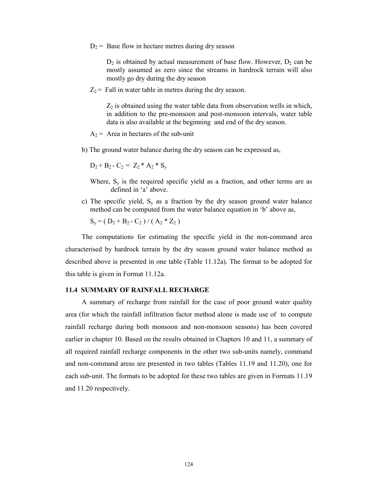$D_2$  = Base flow in hectare metres during dry season

 $D_2$  is obtained by actual measurement of base flow. However,  $D_2$  can be mostly assumed as zero since the streams in hardrock terrain will also mostly go dry during the dry season

 $Z_2$  = Fall in water table in metres during the dry season.

 $Z_2$  is obtained using the water table data from observation wells in which, in addition to the pre-monsoon and post-monsoon intervals, water table data is also available at the beginning and end of the dry season.

- $A_2$  = Area in hectares of the sub-unit
- b) The ground water balance during the dry season can be expressed as,

$$
D_2 + B_2 - C_2 = Z_2 * A_2 * S_y
$$

- Where,  $S_y$  is the required specific yield as a fraction, and other terms are as defined in 'a' above.
- c) The specific yield,  $S_v$  as a fraction by the dry season ground water balance method can be computed from the water balance equation in 'b' above as,

$$
S_y = (D_2 + B_2 - C_2) / (A_2 * Z_2)
$$

The computations for estimating the specific yield in the non-command area characterised by hardrock terrain by the dry season ground water balance method as described above is presented in one table (Table 11.12a). The format to be adopted for this table is given in Format 11.12a.

#### 11.4 SUMMARY OF RAINFALL RECHARGE

A summary of recharge from rainfall for the case of poor ground water quality area (for which the rainfall infiltration factor method alone is made use of to compute rainfall recharge during both monsoon and non-monsoon seasons) has been covered earlier in chapter 10. Based on the results obtained in Chapters 10 and 11, a summary of all required rainfall recharge components in the other two sub-units namely, command and non-command areas are presented in two tables (Tables 11.19 and 11.20), one for each sub-unit. The formats to be adopted for these two tables are given in Formats 11.19 and 11.20 respectively.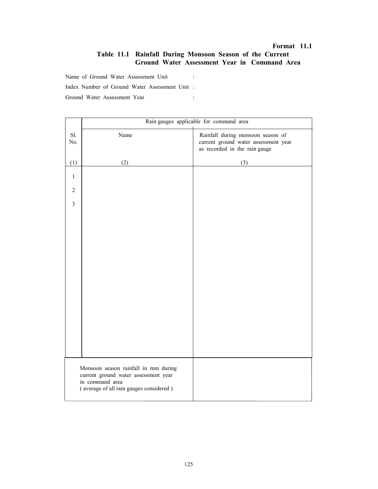### Format 11.1 Table 11.1 Rainfall During Monsoon Season of the Current Ground Water Assessment Year in Command Area

Name of Ground Water Assessment Unit : Index Number of Ground Water Assessment Unit : Ground Water Assessment Year :

|                | Rain gauges applicable for command area                                                                                                    |                                                                                                            |  |  |
|----------------|--------------------------------------------------------------------------------------------------------------------------------------------|------------------------------------------------------------------------------------------------------------|--|--|
| S1.<br>No.     | Name                                                                                                                                       | Rainfall during monsoon season of<br>current ground water assessment year<br>as recorded in the rain gauge |  |  |
| (1)            | (2)                                                                                                                                        | (3)                                                                                                        |  |  |
| $\mathbf{1}$   |                                                                                                                                            |                                                                                                            |  |  |
| $\overline{2}$ |                                                                                                                                            |                                                                                                            |  |  |
| $\overline{3}$ |                                                                                                                                            |                                                                                                            |  |  |
|                |                                                                                                                                            |                                                                                                            |  |  |
|                |                                                                                                                                            |                                                                                                            |  |  |
|                |                                                                                                                                            |                                                                                                            |  |  |
|                |                                                                                                                                            |                                                                                                            |  |  |
|                |                                                                                                                                            |                                                                                                            |  |  |
|                |                                                                                                                                            |                                                                                                            |  |  |
|                |                                                                                                                                            |                                                                                                            |  |  |
|                |                                                                                                                                            |                                                                                                            |  |  |
|                |                                                                                                                                            |                                                                                                            |  |  |
|                |                                                                                                                                            |                                                                                                            |  |  |
|                |                                                                                                                                            |                                                                                                            |  |  |
|                |                                                                                                                                            |                                                                                                            |  |  |
|                | Monsoon season rainfall in mm during<br>current ground water assessment year<br>in command area<br>(average of all rain gauges considered) |                                                                                                            |  |  |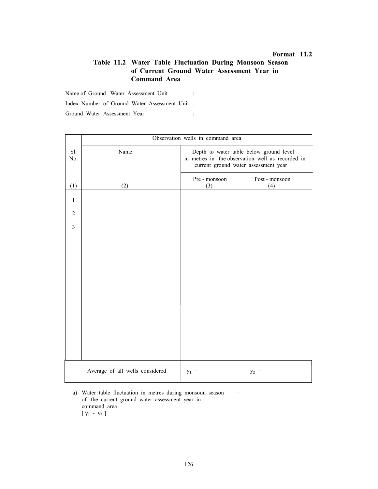### Table 11.2 Water Table Fluctuation During Monsoon Season of Current Ground Water Assessment Year in Command Area

Name of Ground Water Assessment Unit :

Index Number of Ground Water Assessment Unit :

Ground Water Assessment Year :

|                | Observation wells in command area |                                                                                                                                     |                       |  |  |
|----------------|-----------------------------------|-------------------------------------------------------------------------------------------------------------------------------------|-----------------------|--|--|
| Sl.<br>No.     | Name                              | Depth to water table below ground level<br>in metres in the observation well as recorded in<br>current ground water assessment year |                       |  |  |
| (1)            | (2)                               | Pre - monsoon<br>(3)                                                                                                                | Post - monsoon<br>(4) |  |  |
| $\mathbf{1}$   |                                   |                                                                                                                                     |                       |  |  |
| $\overline{2}$ |                                   |                                                                                                                                     |                       |  |  |
| $\overline{3}$ |                                   |                                                                                                                                     |                       |  |  |
|                |                                   |                                                                                                                                     |                       |  |  |
|                |                                   |                                                                                                                                     |                       |  |  |
|                |                                   |                                                                                                                                     |                       |  |  |
|                |                                   |                                                                                                                                     |                       |  |  |
|                |                                   |                                                                                                                                     |                       |  |  |
|                |                                   |                                                                                                                                     |                       |  |  |
|                |                                   |                                                                                                                                     |                       |  |  |
|                |                                   |                                                                                                                                     |                       |  |  |
|                |                                   |                                                                                                                                     |                       |  |  |
|                | Average of all wells considered   | $y_1 =$                                                                                                                             | $y_2 =$               |  |  |

a) Water table fluctuation in metres during monsoon season = of the current ground water assessment year in command area  $[y_1 - y_2]$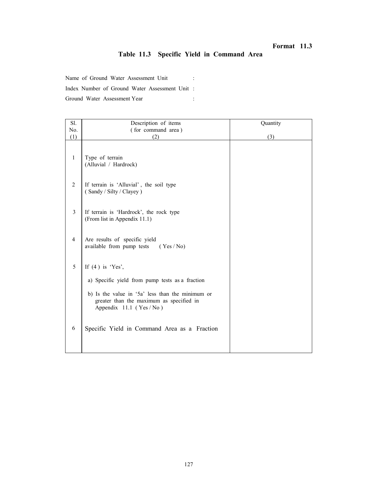# Table 11.3 Specific Yield in Command Area

Name of Ground Water Assessment Unit :

Index Number of Ground Water Assessment Unit :

| Sl.          | Description of items                                                                                                     | Quantity |
|--------------|--------------------------------------------------------------------------------------------------------------------------|----------|
| No.          | (for command area)                                                                                                       |          |
| (1)          | (2)                                                                                                                      | (3)      |
| $\mathbf{1}$ | Type of terrain<br>(Alluvial / Hardrock)                                                                                 |          |
| 2            | If terrain is 'Alluvial', the soil type<br>(Sandy / Silty / Clayey)                                                      |          |
| 3            | If terrain is 'Hardrock', the rock type<br>(From list in Appendix 11.1)                                                  |          |
| 4            | Are results of specific yield<br>available from pump tests<br>(Yes/No)                                                   |          |
| 5            | If $(4)$ is 'Yes',                                                                                                       |          |
|              | a) Specific yield from pump tests as a fraction                                                                          |          |
|              | b) Is the value in '5a' less than the minimum or<br>greater than the maximum as specified in<br>Appendix 11.1 (Yes / No) |          |
| 6            | Specific Yield in Command Area as a Fraction                                                                             |          |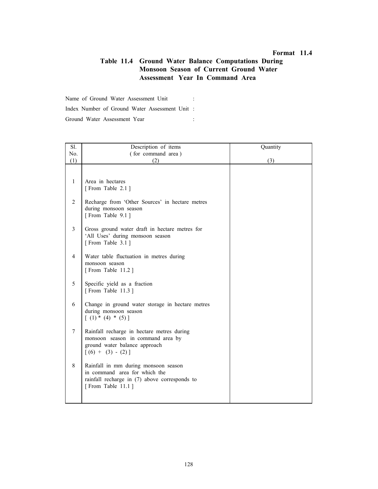### Table 11.4 Ground Water Balance Computations During Monsoon Season of Current Ground Water Assessment Year In Command Area

Name of Ground Water Assessment Unit : Index Number of Ground Water Assessment Unit : Ground Water Assessment Year :

| Description of items                                                                                                                        | Quantity         |
|---------------------------------------------------------------------------------------------------------------------------------------------|------------------|
| (for command area)                                                                                                                          |                  |
| (2)                                                                                                                                         | (3)              |
|                                                                                                                                             |                  |
| [From Table 2.1]                                                                                                                            |                  |
| Recharge from 'Other Sources' in hectare metres<br>during monsoon season<br>[From Table 9.1]                                                |                  |
| Gross ground water draft in hectare metres for<br>'All Uses' during monsoon season<br>[From Table 3.1]                                      |                  |
| Water table fluctuation in metres during<br>monsoon season<br>[From Table 11.2]                                                             |                  |
| Specific yield as a fraction<br>[From Table 11.3]                                                                                           |                  |
| Change in ground water storage in hectare metres<br>during monsoon season<br>$(1) * (4) * (5)$                                              |                  |
| Rainfall recharge in hectare metres during<br>monsoon season in command area by<br>ground water balance approach<br>$[(6) + (3) - (2)]$     |                  |
| Rainfall in mm during monsoon season<br>in command area for which the<br>rainfall recharge in (7) above corresponds to<br>[From Table 11.1] |                  |
|                                                                                                                                             | Area in hectares |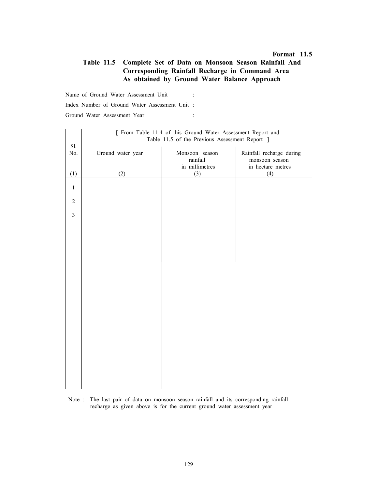### Table 11.5 Complete Set of Data on Monsoon Season Rainfall And Corresponding Rainfall Recharge in Command Area As obtained by Ground Water Balance Approach

Name of Ground Water Assessment Unit :

Index Number of Ground Water Assessment Unit :

| Ground Water Assessment Year |  |
|------------------------------|--|
|                              |  |

|                | [ From Table 11.4 of this Ground Water Assessment Report and |                            |                                            |  |  |  |  |
|----------------|--------------------------------------------------------------|----------------------------|--------------------------------------------|--|--|--|--|
|                | Table 11.5 of the Previous Assessment Report ]               |                            |                                            |  |  |  |  |
| Sl.            |                                                              |                            |                                            |  |  |  |  |
| No.            | Ground water year                                            | Monsoon season<br>rainfall | Rainfall recharge during<br>monsoon season |  |  |  |  |
|                |                                                              | in millimetres             | in hectare metres                          |  |  |  |  |
| (1)            | (2)                                                          | (3)                        | (4)                                        |  |  |  |  |
|                |                                                              |                            |                                            |  |  |  |  |
| $\mathbf{1}$   |                                                              |                            |                                            |  |  |  |  |
| $\overline{2}$ |                                                              |                            |                                            |  |  |  |  |
|                |                                                              |                            |                                            |  |  |  |  |
| $\overline{3}$ |                                                              |                            |                                            |  |  |  |  |
|                |                                                              |                            |                                            |  |  |  |  |
|                |                                                              |                            |                                            |  |  |  |  |
|                |                                                              |                            |                                            |  |  |  |  |
|                |                                                              |                            |                                            |  |  |  |  |
|                |                                                              |                            |                                            |  |  |  |  |
|                |                                                              |                            |                                            |  |  |  |  |
|                |                                                              |                            |                                            |  |  |  |  |
|                |                                                              |                            |                                            |  |  |  |  |
|                |                                                              |                            |                                            |  |  |  |  |
|                |                                                              |                            |                                            |  |  |  |  |
|                |                                                              |                            |                                            |  |  |  |  |
|                |                                                              |                            |                                            |  |  |  |  |
|                |                                                              |                            |                                            |  |  |  |  |
|                |                                                              |                            |                                            |  |  |  |  |
|                |                                                              |                            |                                            |  |  |  |  |
|                |                                                              |                            |                                            |  |  |  |  |
|                |                                                              |                            |                                            |  |  |  |  |
|                |                                                              |                            |                                            |  |  |  |  |
|                |                                                              |                            |                                            |  |  |  |  |
|                |                                                              |                            |                                            |  |  |  |  |
|                |                                                              |                            |                                            |  |  |  |  |

 Note : The last pair of data on monsoon season rainfall and its corresponding rainfall recharge as given above is for the current ground water assessment year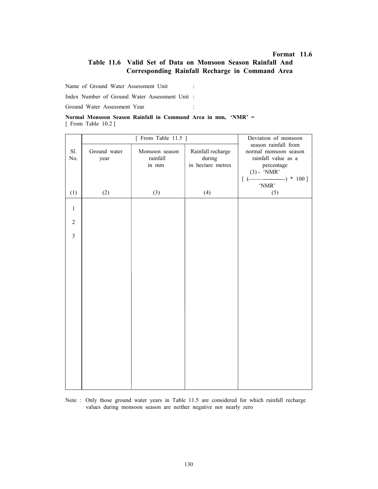### Table 11.6 Valid Set of Data on Monsoon Season Rainfall And Corresponding Rainfall Recharge in Command Area

Name of Ground Water Assessment Unit :

Index Number of Ground Water Assessment Unit :

Ground Water Assessment Year :

|                     |  |  | Normal Monsoon Season Rainfall in Command Area in mm, 'NMR' = |  |  |  |
|---------------------|--|--|---------------------------------------------------------------|--|--|--|
| [ From Table 10.2 ] |  |  |                                                               |  |  |  |

|                |                      | [ From Table 11.5 ]                 | Deviation of monsoon                                    |                                                                                                                           |
|----------------|----------------------|-------------------------------------|---------------------------------------------------------|---------------------------------------------------------------------------------------------------------------------------|
| Sl.<br>No.     | Ground water<br>year | Monsoon season<br>rainfall<br>in mm | Rainfall recharge<br>$\rm{during}$<br>in hectare metres | season rainfall from<br>normal monsoon season<br>rainfall value as a<br>percentage<br>$(3) - 'NMR'$<br>$-) * 100]$<br>[ E |
| (1)            | (2)                  | (3)                                 | (4)                                                     | $^{\circ}\text{NMR}$<br>(5)                                                                                               |
| $\mathbf{1}$   |                      |                                     |                                                         |                                                                                                                           |
| $\overline{2}$ |                      |                                     |                                                         |                                                                                                                           |
| $\overline{3}$ |                      |                                     |                                                         |                                                                                                                           |
|                |                      |                                     |                                                         |                                                                                                                           |
|                |                      |                                     |                                                         |                                                                                                                           |
|                |                      |                                     |                                                         |                                                                                                                           |
|                |                      |                                     |                                                         |                                                                                                                           |
|                |                      |                                     |                                                         |                                                                                                                           |
|                |                      |                                     |                                                         |                                                                                                                           |
|                |                      |                                     |                                                         |                                                                                                                           |
|                |                      |                                     |                                                         |                                                                                                                           |
|                |                      |                                     |                                                         |                                                                                                                           |
|                |                      |                                     |                                                         |                                                                                                                           |

Note : Only those ground water years in Table 11.5 are considered for which rainfall recharge values during monsoon season are neither negative nor nearly zero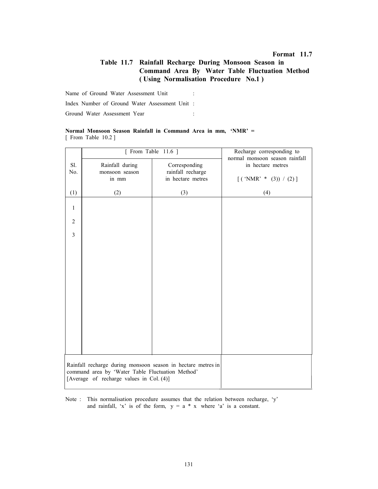# Table 11.7 Rainfall Recharge During Monsoon Season in Command Area By Water Table Fluctuation Method ( Using Normalisation Procedure No.1 )

Name of Ground Water Assessment Unit :

Index Number of Ground Water Assessment Unit :

Ground Water Assessment Year :

#### Normal Monsoon Season Rainfall in Command Area in mm, 'NMR' = [ From Table 10.2 ]

|                | [ From Table $11.6$ ]                                                                                                                                        | Recharge corresponding to<br>normal monsoon season rainfall |                                               |  |
|----------------|--------------------------------------------------------------------------------------------------------------------------------------------------------------|-------------------------------------------------------------|-----------------------------------------------|--|
| Sl.<br>No.     | Rainfall during<br>monsoon season<br>in mm                                                                                                                   | Corresponding<br>rainfall recharge<br>in hectare metres     | in hectare metres<br>$[$ ('NMR' * (3)) / (2)] |  |
| (1)            | (2)                                                                                                                                                          | (3)                                                         | (4)                                           |  |
| $\mathbf{1}$   |                                                                                                                                                              |                                                             |                                               |  |
| $\overline{2}$ |                                                                                                                                                              |                                                             |                                               |  |
| $\overline{3}$ |                                                                                                                                                              |                                                             |                                               |  |
|                |                                                                                                                                                              |                                                             |                                               |  |
|                |                                                                                                                                                              |                                                             |                                               |  |
|                |                                                                                                                                                              |                                                             |                                               |  |
|                |                                                                                                                                                              |                                                             |                                               |  |
|                |                                                                                                                                                              |                                                             |                                               |  |
|                |                                                                                                                                                              |                                                             |                                               |  |
|                |                                                                                                                                                              |                                                             |                                               |  |
|                |                                                                                                                                                              |                                                             |                                               |  |
|                | Rainfall recharge during monsoon season in hectare metres in<br>command area by 'Water Table Fluctuation Method'<br>[Average of recharge values in Col. (4)] |                                                             |                                               |  |

Note : This normalisation procedure assumes that the relation between recharge, 'y' and rainfall, 'x' is of the form,  $y = a * x$  where 'a' is a constant.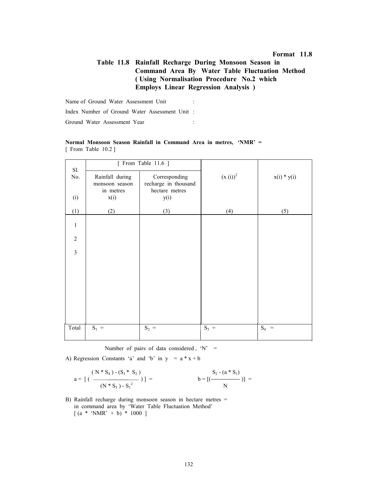# Table 11.8 Rainfall Recharge During Monsoon Season in Command Area By Water Table Fluctuation Method ( Using Normalisation Procedure No.2 which Employs Linear Regression Analysis )

Name of Ground Water Assessment Unit : Index Number of Ground Water Assessment Unit : Ground Water Assessment Year :

| Sl.            |                             | [ From Table 11.6 ]                    |              |               |
|----------------|-----------------------------|----------------------------------------|--------------|---------------|
| No.            | Rainfall during             | Corresponding                          | $(x(i))^{2}$ | $x(i) * y(i)$ |
|                | monsoon season<br>in metres | recharge in thousand<br>hectare metres |              |               |
| (i)            | x(i)                        | y(i)                                   |              |               |
| (1)            | (2)                         | (3)                                    | (4)          | (5)           |
| $\mathbf{1}$   |                             |                                        |              |               |
| $\overline{2}$ |                             |                                        |              |               |
| $\overline{3}$ |                             |                                        |              |               |
|                |                             |                                        |              |               |
|                |                             |                                        |              |               |
|                |                             |                                        |              |               |
|                |                             |                                        |              |               |
|                |                             |                                        |              |               |
| Total          | $S_1 =$                     | $S_2 =$                                | $S_3 =$      | $S_4 =$       |

Normal Monsoon Season Rainfall in Command Area in metres, 'NMR' = [ From Table 10.2 ]

Number of pairs of data considered,  $'N' =$ 

A) Regression Constants 'a' and 'b' in  $y = a * x + b$ 

$$
a = \left[ \left( \frac{(N * S_4) - (S_1 * S_2)}{(N * S_3) - S_1^2} \right) \right] = \qquad b = \left[ \left( \frac{S_2 - (a * S_1)}{N} \right) \right] =
$$

B) Rainfall recharge during monsoon season in hectare metres = in command area by 'Water Table Fluctuation Method'  $[(a * 'NMR' + b) * 1000]$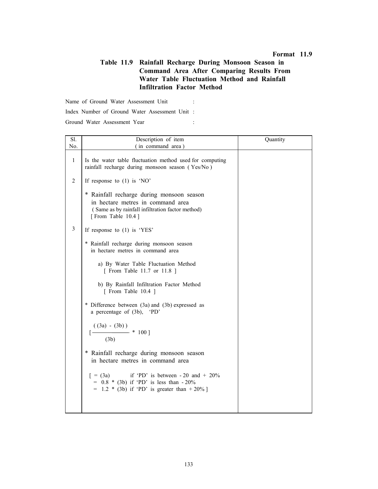### Table 11.9 Rainfall Recharge During Monsoon Season in Command Area After Comparing Results From Water Table Fluctuation Method and Rainfall Infiltration Factor Method

Name of Ground Water Assessment Unit :

Index Number of Ground Water Assessment Unit :

Ground Water Assessment Year :

| Sl.          | Description of item                                                                                                                                     | Quantity |
|--------------|---------------------------------------------------------------------------------------------------------------------------------------------------------|----------|
| No.          | (in command area)                                                                                                                                       |          |
| $\mathbf{1}$ | Is the water table fluctuation method used for computing<br>rainfall recharge during monsoon season (Yes/No)                                            |          |
| 2            | If response to $(1)$ is 'NO'                                                                                                                            |          |
|              | * Rainfall recharge during monsoon season<br>in hectare metres in command area<br>(Same as by rainfall infiltration factor method)<br>[From Table 10.4] |          |
| 3            | If response to $(1)$ is 'YES'                                                                                                                           |          |
|              | * Rainfall recharge during monsoon season<br>in hectare metres in command area                                                                          |          |
|              | a) By Water Table Fluctuation Method<br>[ From Table 11.7 or 11.8 ]                                                                                     |          |
|              | b) By Rainfall Infiltration Factor Method<br>[ From Table 10.4 ]                                                                                        |          |
|              | * Difference between (3a) and (3b) expressed as<br>a percentage of (3b), 'PD'                                                                           |          |
|              | $((3a) - (3b))$<br>$\frac{100}{ }$ * 100<br>(3b)                                                                                                        |          |
|              | * Rainfall recharge during monsoon season<br>in hectare metres in command area                                                                          |          |
|              | if 'PD' is between $-20$ and $+20\%$<br>$= (3a)$<br>$= 0.8 * (3b)$ if 'PD' is less than $-20\%$<br>$= 1.2$ * (3b) if 'PD' is greater than $+20\%$ ]     |          |
|              |                                                                                                                                                         |          |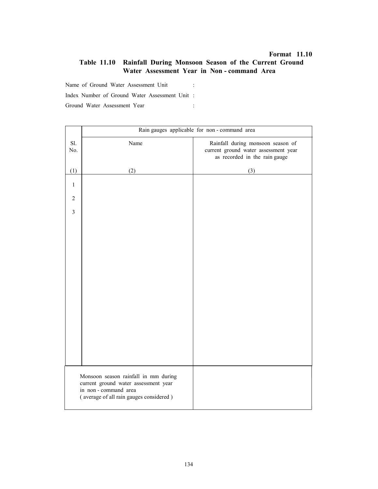# Table 11.10 Rainfall During Monsoon Season of the Current Ground Water Assessment Year in Non - command Area

Name of Ground Water Assessment Unit :

Index Number of Ground Water Assessment Unit :

|                                                                                                                                                | Rain gauges applicable for non-command area |                                                                                                            |  |  |  |  |  |
|------------------------------------------------------------------------------------------------------------------------------------------------|---------------------------------------------|------------------------------------------------------------------------------------------------------------|--|--|--|--|--|
| Sl.<br>No.                                                                                                                                     | Name                                        | Rainfall during monsoon season of<br>current ground water assessment year<br>as recorded in the rain gauge |  |  |  |  |  |
| (1)                                                                                                                                            | (2)                                         | (3)                                                                                                        |  |  |  |  |  |
| $\mathbf{1}$                                                                                                                                   |                                             |                                                                                                            |  |  |  |  |  |
| $\overline{2}$                                                                                                                                 |                                             |                                                                                                            |  |  |  |  |  |
| $\overline{3}$                                                                                                                                 |                                             |                                                                                                            |  |  |  |  |  |
|                                                                                                                                                |                                             |                                                                                                            |  |  |  |  |  |
|                                                                                                                                                |                                             |                                                                                                            |  |  |  |  |  |
|                                                                                                                                                |                                             |                                                                                                            |  |  |  |  |  |
|                                                                                                                                                |                                             |                                                                                                            |  |  |  |  |  |
|                                                                                                                                                |                                             |                                                                                                            |  |  |  |  |  |
|                                                                                                                                                |                                             |                                                                                                            |  |  |  |  |  |
|                                                                                                                                                |                                             |                                                                                                            |  |  |  |  |  |
|                                                                                                                                                |                                             |                                                                                                            |  |  |  |  |  |
|                                                                                                                                                |                                             |                                                                                                            |  |  |  |  |  |
|                                                                                                                                                |                                             |                                                                                                            |  |  |  |  |  |
|                                                                                                                                                |                                             |                                                                                                            |  |  |  |  |  |
|                                                                                                                                                |                                             |                                                                                                            |  |  |  |  |  |
| Monsoon season rainfall in mm during<br>current ground water assessment year<br>in non-command area<br>(average of all rain gauges considered) |                                             |                                                                                                            |  |  |  |  |  |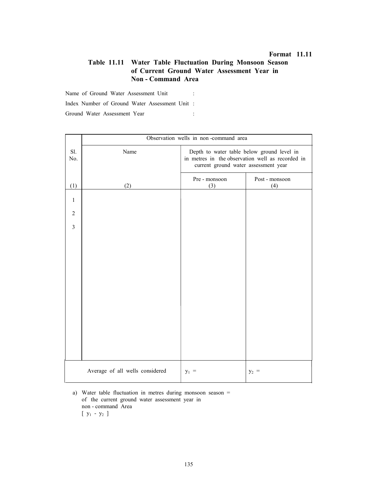### Table 11.11 Water Table Fluctuation During Monsoon Season of Current Ground Water Assessment Year in Non - Command Area

Name of Ground Water Assessment Unit :

Index Number of Ground Water Assessment Unit :

Ground Water Assessment Year :

|                | Observation wells in non-command area |                                                                                                                                        |                       |  |  |  |
|----------------|---------------------------------------|----------------------------------------------------------------------------------------------------------------------------------------|-----------------------|--|--|--|
| Sl.<br>No.     | Name                                  | Depth to water table below ground level in<br>in metres in the observation well as recorded in<br>current ground water assessment year |                       |  |  |  |
| (1)            | (2)                                   | Pre - monsoon<br>(3)                                                                                                                   | Post - monsoon<br>(4) |  |  |  |
| $\mathbf{1}$   |                                       |                                                                                                                                        |                       |  |  |  |
| $\overline{2}$ |                                       |                                                                                                                                        |                       |  |  |  |
| 3              |                                       |                                                                                                                                        |                       |  |  |  |
|                |                                       |                                                                                                                                        |                       |  |  |  |
|                |                                       |                                                                                                                                        |                       |  |  |  |
|                |                                       |                                                                                                                                        |                       |  |  |  |
|                |                                       |                                                                                                                                        |                       |  |  |  |
|                |                                       |                                                                                                                                        |                       |  |  |  |
|                |                                       |                                                                                                                                        |                       |  |  |  |
|                |                                       |                                                                                                                                        |                       |  |  |  |
|                |                                       |                                                                                                                                        |                       |  |  |  |
|                | Average of all wells considered       | $y_1 =$                                                                                                                                | $y_2 =$               |  |  |  |

 a) Water table fluctuation in metres during monsoon season = of the current ground water assessment year in non - command Area  $[y_1 - y_2]$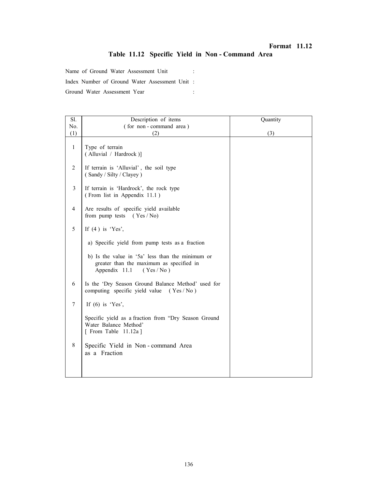# Format 11.12 Table 11.12 Specific Yield in Non - Command Area

Name of Ground Water Assessment Unit : Index Number of Ground Water Assessment Unit : Ground Water Assessment Year :

| Sl.            | Description of items                                                                                                      | Quantity |
|----------------|---------------------------------------------------------------------------------------------------------------------------|----------|
| No.            | (for non-command area)                                                                                                    |          |
| (1)            | (2)                                                                                                                       | (3)      |
| $\mathbf{1}$   | Type of terrain<br>(Alluvial / Hardrock)]                                                                                 |          |
| $\overline{2}$ | If terrain is 'Alluvial', the soil type<br>(Sandy / Silty / Clayey)                                                       |          |
| 3              | If terrain is 'Hardrock', the rock type<br>(From list in Appendix 11.1)                                                   |          |
| $\overline{4}$ | Are results of specific yield available<br>from pump tests $(Yes / No)$                                                   |          |
| 5              | If $(4)$ is 'Yes',                                                                                                        |          |
|                | a) Specific yield from pump tests as a fraction                                                                           |          |
|                | b) Is the value in '5a' less than the minimum or<br>greater than the maximum as specified in<br>Appendix 11.1<br>(Yes/No) |          |
| 6              | Is the 'Dry Season Ground Balance Method' used for<br>computing specific yield value (Yes / No)                           |          |
| 7              | If $(6)$ is 'Yes',                                                                                                        |          |
|                | Specific yield as a fraction from "Dry Season Ground<br>Water Balance Method'<br>[ From Table $11.12a$ ]                  |          |
| 8              | Specific Yield in Non-command Area<br>as a Fraction                                                                       |          |
|                |                                                                                                                           |          |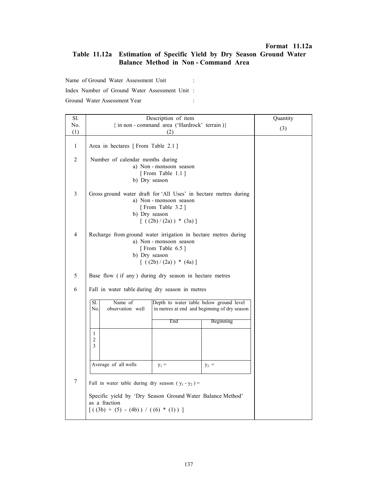### Format 11.12a

# Table 11.12a Estimation of Specific Yield by Dry Season Ground Water Balance Method in Non - Command Area

Name of Ground Water Assessment Unit :

Index Number of Ground Water Assessment Unit :

| Sl.          | Description of item                                                                                                                                       | Quantity |                  |  |  |  |
|--------------|-----------------------------------------------------------------------------------------------------------------------------------------------------------|----------|------------------|--|--|--|
| No.          | { in non - command area ('Hardrock' terrain)}                                                                                                             | (3)      |                  |  |  |  |
| (1)          |                                                                                                                                                           |          |                  |  |  |  |
| $\mathbf{1}$ | Area in hectares [From Table 2.1]                                                                                                                         |          |                  |  |  |  |
| 2            | Number of calendar months during<br>a) Non-monsoon season<br>[From Table 1.1]<br>b) Dry season                                                            |          |                  |  |  |  |
| 3            | Gross ground water draft for 'All Uses' in hectare metres during<br>a) Non-monsoon season<br>[From Table 3.2]<br>b) Dry season<br>$[( (2b)/(2a)) * (3a)]$ |          |                  |  |  |  |
| 4            | Recharge from ground water irrigation in hectare metres during<br>a) Non-monsoon season<br>[From Table 6.5]<br>b) Dry season<br>$[( (2b)/(2a)) * (4a)]$   |          |                  |  |  |  |
| 5            | Base flow (if any) during dry season in hectare metres                                                                                                    |          |                  |  |  |  |
| 6            | Fall in water table during dry season in metres                                                                                                           |          |                  |  |  |  |
|              | Name of<br>S1.<br>observation well<br>No.                                                                                                                 |          |                  |  |  |  |
|              |                                                                                                                                                           | End      | <b>Beginning</b> |  |  |  |
|              | 1<br>$\overline{2}$<br>3                                                                                                                                  |          |                  |  |  |  |
|              | Average of all wells                                                                                                                                      |          |                  |  |  |  |
| 7            | Fall in water table during dry season ( $y_1 - y_2$ ) =                                                                                                   |          |                  |  |  |  |
|              | Specific yield by 'Dry Season Ground Water Balance Method'<br>as a fraction<br>$[( (3b) + (5) - (4b)) / ((6) * (1)) ]$                                    |          |                  |  |  |  |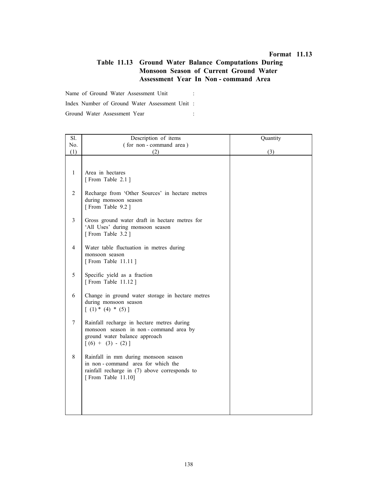# Table 11.13 Ground Water Balance Computations During Monsoon Season of Current Ground Water Assessment Year In Non - command Area

Name of Ground Water Assessment Unit :

Index Number of Ground Water Assessment Unit :

| Sl.            | Description of items                                                                         | Quantity |
|----------------|----------------------------------------------------------------------------------------------|----------|
| No.            | (for non-command area)                                                                       |          |
| (1)            | (2)                                                                                          | (3)      |
|                |                                                                                              |          |
| $\mathbf{1}$   | Area in hectares                                                                             |          |
|                | [From Table 2.1]                                                                             |          |
|                |                                                                                              |          |
| $\overline{2}$ | Recharge from 'Other Sources' in hectare metres<br>during monsoon season<br>[From Table 9.2] |          |
| $\overline{3}$ | Gross ground water draft in hectare metres for                                               |          |
|                | 'All Uses' during monsoon season                                                             |          |
|                | [From Table 3.2]                                                                             |          |
|                |                                                                                              |          |
| $\overline{4}$ | Water table fluctuation in metres during<br>monsoon season                                   |          |
|                | [From Table 11.11]                                                                           |          |
|                |                                                                                              |          |
| 5              | Specific yield as a fraction                                                                 |          |
|                | [From Table 11.12]                                                                           |          |
| 6              | Change in ground water storage in hectare metres                                             |          |
|                | during monsoon season                                                                        |          |
|                | $(1) * (4) * (5)$                                                                            |          |
| $\tau$         |                                                                                              |          |
|                | Rainfall recharge in hectare metres during<br>monsoon season in non-command area by          |          |
|                | ground water balance approach                                                                |          |
|                | $[(6) + (3) - (2)]$                                                                          |          |
| 8              | Rainfall in mm during monsoon season                                                         |          |
|                | in non-command area for which the                                                            |          |
|                | rainfall recharge in (7) above corresponds to                                                |          |
|                | [From Table 11.10]                                                                           |          |
|                |                                                                                              |          |
|                |                                                                                              |          |
|                |                                                                                              |          |
|                |                                                                                              |          |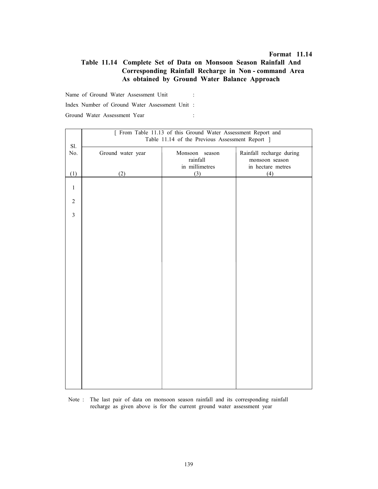### Table 11.14 Complete Set of Data on Monsoon Season Rainfall And Corresponding Rainfall Recharge in Non - command Area As obtained by Ground Water Balance Approach

Name of Ground Water Assessment Unit :

Index Number of Ground Water Assessment Unit :

Ground Water Assessment Year :

|                | [ From Table 11.13 of this Ground Water Assessment Report and |                            |                                     |  |  |  |  |
|----------------|---------------------------------------------------------------|----------------------------|-------------------------------------|--|--|--|--|
|                | Table 11.14 of the Previous Assessment Report ]               |                            |                                     |  |  |  |  |
| Sl.            |                                                               |                            |                                     |  |  |  |  |
| No.            | Ground water year                                             | Monsoon season             | Rainfall recharge during            |  |  |  |  |
|                |                                                               | rainfall<br>in millimetres | monsoon season<br>in hectare metres |  |  |  |  |
| (1)            | (2)                                                           | (3)                        | (4)                                 |  |  |  |  |
|                |                                                               |                            |                                     |  |  |  |  |
| $\mathbf{1}$   |                                                               |                            |                                     |  |  |  |  |
|                |                                                               |                            |                                     |  |  |  |  |
| $\sqrt{2}$     |                                                               |                            |                                     |  |  |  |  |
| $\overline{3}$ |                                                               |                            |                                     |  |  |  |  |
|                |                                                               |                            |                                     |  |  |  |  |
|                |                                                               |                            |                                     |  |  |  |  |
|                |                                                               |                            |                                     |  |  |  |  |
|                |                                                               |                            |                                     |  |  |  |  |
|                |                                                               |                            |                                     |  |  |  |  |
|                |                                                               |                            |                                     |  |  |  |  |
|                |                                                               |                            |                                     |  |  |  |  |
|                |                                                               |                            |                                     |  |  |  |  |
|                |                                                               |                            |                                     |  |  |  |  |
|                |                                                               |                            |                                     |  |  |  |  |
|                |                                                               |                            |                                     |  |  |  |  |
|                |                                                               |                            |                                     |  |  |  |  |
|                |                                                               |                            |                                     |  |  |  |  |
|                |                                                               |                            |                                     |  |  |  |  |
|                |                                                               |                            |                                     |  |  |  |  |
|                |                                                               |                            |                                     |  |  |  |  |
|                |                                                               |                            |                                     |  |  |  |  |
|                |                                                               |                            |                                     |  |  |  |  |
|                |                                                               |                            |                                     |  |  |  |  |
|                |                                                               |                            |                                     |  |  |  |  |

 Note : The last pair of data on monsoon season rainfall and its corresponding rainfall recharge as given above is for the current ground water assessment year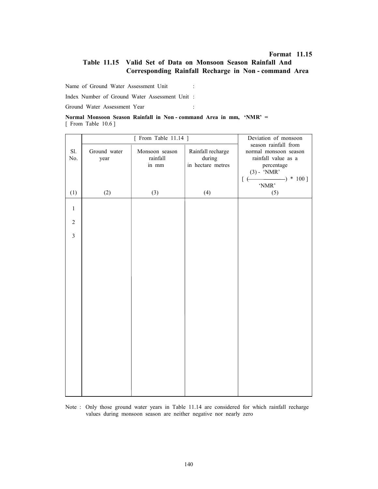### Table 11.15 Valid Set of Data on Monsoon Season Rainfall And Corresponding Rainfall Recharge in Non - command Area

Name of Ground Water Assessment Unit :

Index Number of Ground Water Assessment Unit :

Ground Water Assessment Year :

|                       |  | Normal Monsoon Season Rainfall in Non-command Area in mm, 'NMR' = |  |  |  |
|-----------------------|--|-------------------------------------------------------------------|--|--|--|
| [ From Table $10.6$ ] |  |                                                                   |  |  |  |

|                |                      | $[$ From Table 11.14 $]$            | Deviation of monsoon                                    |                                                                                                     |  |  |
|----------------|----------------------|-------------------------------------|---------------------------------------------------------|-----------------------------------------------------------------------------------------------------|--|--|
| Sl.<br>No.     | Ground water<br>year | Monsoon season<br>rainfall<br>in mm | Rainfall recharge<br>$\rm{during}$<br>in hectare metres | season rainfall from<br>normal monsoon season<br>rainfall value as a<br>percentage<br>$(3)$ - 'NMR' |  |  |
|                |                      |                                     |                                                         | $-) * 100$ ]<br>$[$ $\in$<br>'NMR'                                                                  |  |  |
| (1)            | (2)                  | (3)                                 | (4)                                                     | (5)                                                                                                 |  |  |
| $\mathbf{1}$   |                      |                                     |                                                         |                                                                                                     |  |  |
| $\sqrt{2}$     |                      |                                     |                                                         |                                                                                                     |  |  |
| $\overline{3}$ |                      |                                     |                                                         |                                                                                                     |  |  |
|                |                      |                                     |                                                         |                                                                                                     |  |  |
|                |                      |                                     |                                                         |                                                                                                     |  |  |
|                |                      |                                     |                                                         |                                                                                                     |  |  |
|                |                      |                                     |                                                         |                                                                                                     |  |  |
|                |                      |                                     |                                                         |                                                                                                     |  |  |
|                |                      |                                     |                                                         |                                                                                                     |  |  |
|                |                      |                                     |                                                         |                                                                                                     |  |  |
|                |                      |                                     |                                                         |                                                                                                     |  |  |
|                |                      |                                     |                                                         |                                                                                                     |  |  |
|                |                      |                                     |                                                         |                                                                                                     |  |  |
|                |                      |                                     |                                                         |                                                                                                     |  |  |

Note : Only those ground water years in Table 11.14 are considered for which rainfall recharge values during monsoon season are neither negative nor nearly zero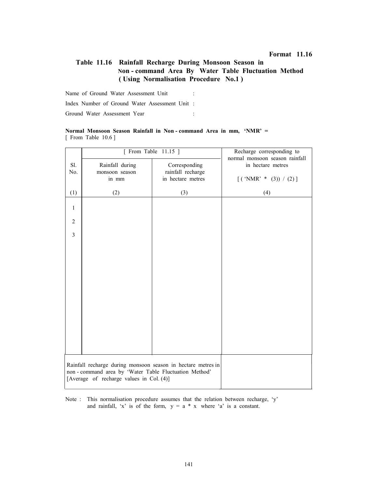# Table 11.16 Rainfall Recharge During Monsoon Season in Non - command Area By Water Table Fluctuation Method ( Using Normalisation Procedure No.1 )

Name of Ground Water Assessment Unit : Index Number of Ground Water Assessment Unit :

Ground Water Assessment Year :

#### Normal Monsoon Season Rainfall in Non - command Area in mm, 'NMR' = [ From Table 10.6 ]

|                |                                                                                                                      | [ From Table 11.15 ]               | Recharge corresponding to<br>normal monsoon season rainfall |
|----------------|----------------------------------------------------------------------------------------------------------------------|------------------------------------|-------------------------------------------------------------|
| Sl.<br>No.     | Rainfall during<br>monsoon season                                                                                    | Corresponding<br>rainfall recharge | in hectare metres                                           |
|                | in mm                                                                                                                | in hectare metres                  | $[('NMR' * (3)) / (2)]$                                     |
| (1)            | (2)                                                                                                                  | (3)                                | (4)                                                         |
| $\mathbf{1}$   |                                                                                                                      |                                    |                                                             |
| $\overline{2}$ |                                                                                                                      |                                    |                                                             |
| $\overline{3}$ |                                                                                                                      |                                    |                                                             |
|                |                                                                                                                      |                                    |                                                             |
|                |                                                                                                                      |                                    |                                                             |
|                |                                                                                                                      |                                    |                                                             |
|                |                                                                                                                      |                                    |                                                             |
|                |                                                                                                                      |                                    |                                                             |
|                |                                                                                                                      |                                    |                                                             |
|                |                                                                                                                      |                                    |                                                             |
|                |                                                                                                                      |                                    |                                                             |
|                | Rainfall recharge during monsoon season in hectare metres in<br>non-command area by 'Water Table Fluctuation Method' |                                    |                                                             |
|                | [Average of recharge values in Col. (4)]                                                                             |                                    |                                                             |

Note : This normalisation procedure assumes that the relation between recharge, 'y' and rainfall, 'x' is of the form,  $y = a * x$  where 'a' is a constant.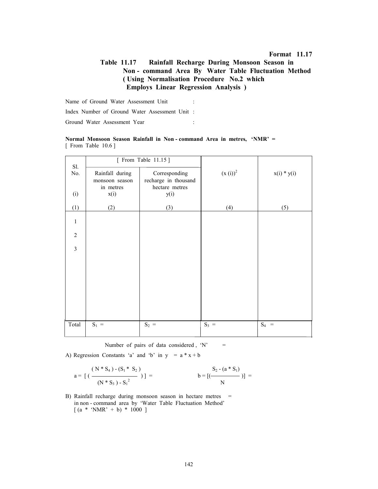# Table 11.17 Rainfall Recharge During Monsoon Season in Non - command Area By Water Table Fluctuation Method ( Using Normalisation Procedure No.2 which Employs Linear Regression Analysis )

Name of Ground Water Assessment Unit :

Index Number of Ground Water Assessment Unit :

Ground Water Assessment Year :

|                       |  | Normal Monsoon Season Rainfall in Non-command Area in metres, 'NMR' = |  |  |  |
|-----------------------|--|-----------------------------------------------------------------------|--|--|--|
| [ From Table $10.6$ ] |  |                                                                       |  |  |  |

| Sl.            |                                   | [ From Table 11.15 ]                  |              |               |
|----------------|-----------------------------------|---------------------------------------|--------------|---------------|
| No.            | Rainfall during<br>monsoon season | Corresponding<br>recharge in thousand | $(x(i))^{2}$ | $x(i) * y(i)$ |
| (i)            | in metres<br>x(i)                 | hectare metres<br>y(i)                |              |               |
| (1)            | (2)                               | (3)                                   | (4)          | (5)           |
| $\mathbf{1}$   |                                   |                                       |              |               |
| $\overline{2}$ |                                   |                                       |              |               |
| $\overline{3}$ |                                   |                                       |              |               |
|                |                                   |                                       |              |               |
|                |                                   |                                       |              |               |
|                |                                   |                                       |              |               |
|                |                                   |                                       |              |               |
|                |                                   |                                       |              |               |
| Total          | $S_1 =$                           | $S_2 =$                               | $S_3 =$      | $S_4 =$       |

Number of pairs of data considered,  $'N' =$ 

A) Regression Constants 'a' and 'b' in  $y = a * x + b$ 

$$
a = \left[ \left( \frac{(N * S_4) - (S_1 * S_2)}{(N * S_3) - S_1^2} \right) \right] = \qquad b = \left[ \left( \frac{S_2 - (a * S_1)}{N} \right) \right] =
$$

B) Rainfall recharge during monsoon season in hectare metres = in non - command area by 'Water Table Fluctuation Method'  $[(a * 'NMR' + b) * 1000]$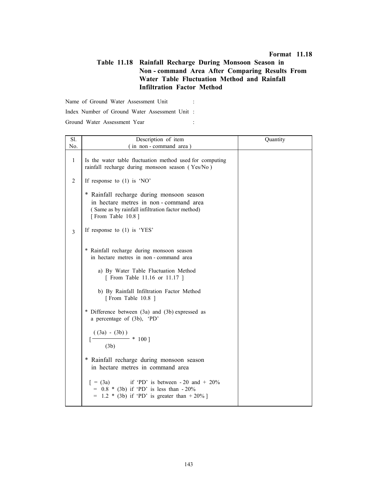#### Format 11.18

# Table 11.18 Rainfall Recharge During Monsoon Season in Non - command Area After Comparing Results From Water Table Fluctuation Method and Rainfall Infiltration Factor Method

Name of Ground Water Assessment Unit :

Index Number of Ground Water Assessment Unit :

Ground Water Assessment Year :

| Sl.            | Description of item                                                                                                                                         | Quantity |
|----------------|-------------------------------------------------------------------------------------------------------------------------------------------------------------|----------|
| No.            | (in non-command area)                                                                                                                                       |          |
| $\mathbf{1}$   | Is the water table fluctuation method used for computing<br>rainfall recharge during monsoon season (Yes/No)                                                |          |
| $\overline{2}$ | If response to $(1)$ is 'NO'                                                                                                                                |          |
|                | * Rainfall recharge during monsoon season<br>in hectare metres in non-command area<br>(Same as by rainfall infiltration factor method)<br>[From Table 10.8] |          |
| 3              | If response to $(1)$ is 'YES'                                                                                                                               |          |
|                | * Rainfall recharge during monsoon season<br>in hectare metres in non-command area                                                                          |          |
|                | a) By Water Table Fluctuation Method<br>[ From Table 11.16 or 11.17 ]                                                                                       |          |
|                | b) By Rainfall Infiltration Factor Method<br>[From Table 10.8 ]                                                                                             |          |
|                | * Difference between (3a) and (3b) expressed as<br>a percentage of (3b), 'PD'                                                                               |          |
|                | $\frac{((3a) - (3b))}{(3b)}$ * 100]<br>(3b)                                                                                                                 |          |
|                | * Rainfall recharge during monsoon season<br>in hectare metres in command area                                                                              |          |
|                | $[ = (3a)$<br>if 'PD' is between $-20$ and $+20\%$<br>$= 0.8 * (3b)$ if 'PD' is less than $-20\%$<br>= $1.2 * (3b)$ if 'PD' is greater than $+20\%$ ]       |          |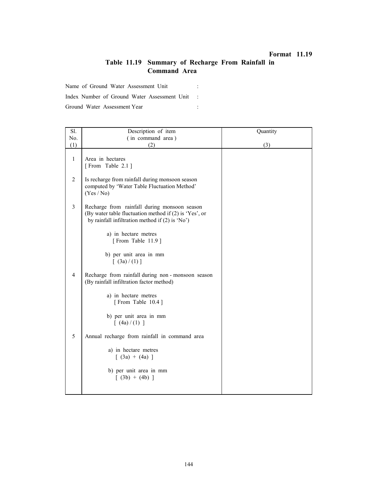#### Format 11.19

# Table 11.19 Summary of Recharge From Rainfall in Command Area

Name of Ground Water Assessment Unit :

Index Number of Ground Water Assessment Unit :

Ground Water Assessment Year :

| Sl.            | Description of item                                                                                                                                         | Quantity |
|----------------|-------------------------------------------------------------------------------------------------------------------------------------------------------------|----------|
| No.            | (in command area)                                                                                                                                           |          |
| (1)            | (2)                                                                                                                                                         | (3)      |
| $\mathbf{1}$   | Area in hectares<br>[From Table 2.1]                                                                                                                        |          |
| $\overline{2}$ | Is recharge from rainfall during monsoon season<br>computed by 'Water Table Fluctuation Method'<br>(Yes / No)                                               |          |
| $\overline{3}$ | Recharge from rainfall during monsoon season<br>(By water table fluctuation method if (2) is 'Yes', or<br>by rainfall infiltration method if $(2)$ is 'No') |          |
|                | a) in hectare metres<br>[From Table 11.9]                                                                                                                   |          |
|                | b) per unit area in mm<br>[ (3a)/(1) ]                                                                                                                      |          |
| $\overline{4}$ | Recharge from rainfall during non-monsoon season<br>(By rainfall infiltration factor method)                                                                |          |
|                | a) in hectare metres<br>[From Table 10.4]                                                                                                                   |          |
|                | b) per unit area in mm<br>[ (4a)/(1) ]                                                                                                                      |          |
| 5              | Annual recharge from rainfall in command area                                                                                                               |          |
|                | a) in hectare metres<br>$(3a) + (4a)$ ]                                                                                                                     |          |
|                | b) per unit area in mm<br>$(3b) + (4b)$ ]                                                                                                                   |          |
|                |                                                                                                                                                             |          |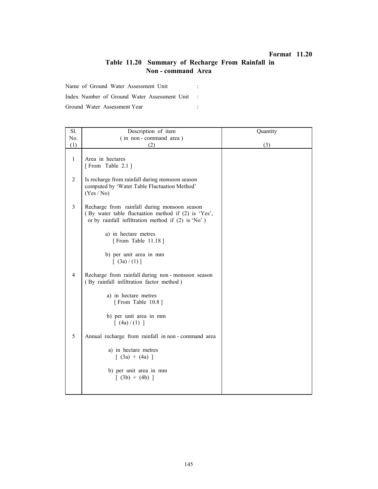#### Format 11.20

# Table 11.20 Summary of Recharge From Rainfall in Non - command Area

Name of Ground Water Assessment Unit :

Index Number of Ground Water Assessment Unit :

Ground Water Assessment Year :

Ē

| Sl.            | Description of item                                                                                                                                       | Quantity |
|----------------|-----------------------------------------------------------------------------------------------------------------------------------------------------------|----------|
| No.            | (in non-command area)                                                                                                                                     |          |
| (1)            | (2)                                                                                                                                                       | (3)      |
| $\mathbf{1}$   | Area in hectares<br>[From Table 2.1]                                                                                                                      |          |
| 2              | Is recharge from rainfall during monsoon season<br>computed by 'Water Table Fluctuation Method'<br>(Yes / No)                                             |          |
| 3              | Recharge from rainfall during monsoon season<br>(By water table fluctuation method if (2) is 'Yes',<br>or by rainfall infiltration method if (2) is 'No') |          |
|                | a) in hectare metres<br>[From Table 11.18]                                                                                                                |          |
|                | b) per unit area in mm<br>$\lceil (3a)/(1) \rceil$                                                                                                        |          |
| $\overline{4}$ | Recharge from rainfall during non-monsoon season<br>(By rainfall infiltration factor method)                                                              |          |
|                | a) in hectare metres<br>[From Table 10.8]                                                                                                                 |          |
|                | b) per unit area in mm<br>[ (4a)/(1) ]                                                                                                                    |          |
| 5              | Annual recharge from rainfall in non-command area                                                                                                         |          |
|                | a) in hectare metres<br>$[ (3a) + (4a) ]$                                                                                                                 |          |
|                | b) per unit area in mm<br>$(3b) + (4b)$ ]                                                                                                                 |          |
|                |                                                                                                                                                           |          |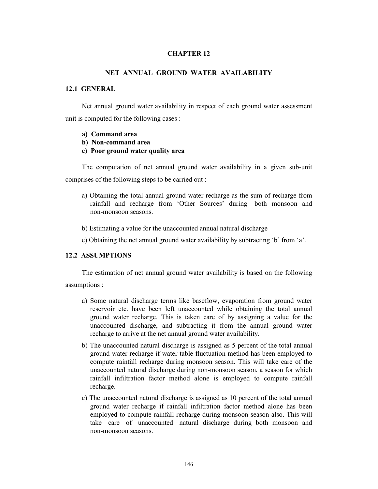#### CHAPTER 12

#### NET ANNUAL GROUND WATER AVAILABILITY

#### 12.1 GENERAL

Net annual ground water availability in respect of each ground water assessment unit is computed for the following cases :

- a) Command area
- b) Non-command area
- c) Poor ground water quality area

The computation of net annual ground water availability in a given sub-unit comprises of the following steps to be carried out :

- a) Obtaining the total annual ground water recharge as the sum of recharge from rainfall and recharge from 'Other Sources' during both monsoon and non-monsoon seasons.
- b) Estimating a value for the unaccounted annual natural discharge
- c) Obtaining the net annual ground water availability by subtracting 'b' from 'a'.

# 12.2 ASSUMPTIONS

The estimation of net annual ground water availability is based on the following assumptions :

- a) Some natural discharge terms like baseflow, evaporation from ground water reservoir etc. have been left unaccounted while obtaining the total annual ground water recharge. This is taken care of by assigning a value for the unaccounted discharge, and subtracting it from the annual ground water recharge to arrive at the net annual ground water availability.
- b) The unaccounted natural discharge is assigned as 5 percent of the total annual ground water recharge if water table fluctuation method has been employed to compute rainfall recharge during monsoon season. This will take care of the unaccounted natural discharge during non-monsoon season, a season for which rainfall infiltration factor method alone is employed to compute rainfall recharge.
- c) The unaccounted natural discharge is assigned as 10 percent of the total annual ground water recharge if rainfall infiltration factor method alone has been employed to compute rainfall recharge during monsoon season also. This will take care of unaccounted natural discharge during both monsoon and non-monsoon seasons.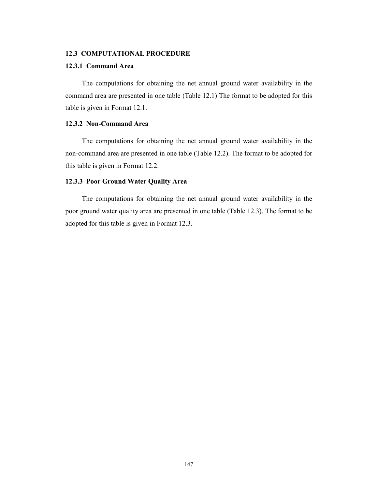#### 12.3 COMPUTATIONAL PROCEDURE

#### 12.3.1 Command Area

The computations for obtaining the net annual ground water availability in the command area are presented in one table (Table 12.1) The format to be adopted for this table is given in Format 12.1.

# 12.3.2 Non-Command Area

The computations for obtaining the net annual ground water availability in the non-command area are presented in one table (Table 12.2). The format to be adopted for this table is given in Format 12.2.

#### 12.3.3 Poor Ground Water Quality Area

The computations for obtaining the net annual ground water availability in the poor ground water quality area are presented in one table (Table 12.3). The format to be adopted for this table is given in Format 12.3.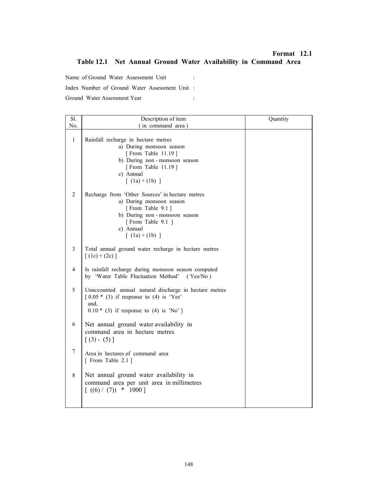#### Format 12.1

# Table 12.1 Net Annual Ground Water Availability in Command Area

Name of Ground Water Assessment Unit : Index Number of Ground Water Assessment Unit : Ground Water Assessment Year :

| Sl.              | Description of item                                                                                                                                                                              | Quantity |
|------------------|--------------------------------------------------------------------------------------------------------------------------------------------------------------------------------------------------|----------|
| No.              | (in command area)                                                                                                                                                                                |          |
| $\mathbf{1}$     | Rainfall recharge in hectare metres<br>a) During monsoon season<br>[From Table 11.19]<br>b) During non-monsoon season<br>[From Table 11.19]<br>c) Annual<br>$\lceil (1a) + (1b) \rceil$          |          |
| $\overline{2}$   | Recharge from 'Other Sources' in hectare metres<br>a) During monsoon season<br>[From Table 9.1]<br>b) During non-monsoon season<br>[From Table 9.1 ]<br>c) Annual<br>$\lceil (1a) + (1b) \rceil$ |          |
| 3                | Total annual ground water recharge in hectare metres<br>$[(1c) + (2c)]$                                                                                                                          |          |
| 4                | Is rainfall recharge during monsoon season computed<br>by 'Water Table Fluctuation Method'<br>(Yes/No)                                                                                           |          |
| 5                | Unaccounted annual natural discharge in hectare metres<br>$\lceil 0.05 * (3) \rceil$ if response to (4) is 'Yes'<br>and.<br>$0.10 * (3)$ if response to (4) is 'No']                             |          |
| 6                | Net annual ground water availability in<br>command area in hectare metres<br>$[(3) - (5)]$                                                                                                       |          |
| $\boldsymbol{7}$ | Area in hectares of command area<br>[ From Table 2.1]                                                                                                                                            |          |
| 8                | Net annual ground water availability in<br>command area per unit area in millimetres<br>$(6) / (7)$ * 1000]                                                                                      |          |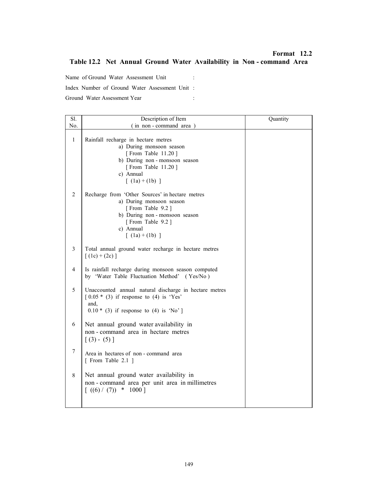# Format 12.2 Table 12.2 Net Annual Ground Water Availability in Non - command Area

Name of Ground Water Assessment Unit : Index Number of Ground Water Assessment Unit : Ground Water Assessment Year :

| Sl.              | Description of Item                                                                                                                                                                             | Quantity |
|------------------|-------------------------------------------------------------------------------------------------------------------------------------------------------------------------------------------------|----------|
| No.              | (in non-command area)                                                                                                                                                                           |          |
| $\mathbf{1}$     | Rainfall recharge in hectare metres<br>a) During monsoon season<br>[From Table 11.20]<br>b) During non-monsoon season<br>[From Table 11.20]<br>c) Annual<br>$\lceil (1a) + (1b) \rceil$         |          |
| $\overline{2}$   | Recharge from 'Other Sources' in hectare metres<br>a) During monsoon season<br>[From Table 9.2]<br>b) During non-monsoon season<br>[From Table 9.2]<br>c) Annual<br>$\lceil (1a) + (1b) \rceil$ |          |
| 3                | Total annual ground water recharge in hectare metres<br>$[(1c) + (2c)]$                                                                                                                         |          |
| 4                | Is rainfall recharge during monsoon season computed<br>by 'Water Table Fluctuation Method' (Yes/No)                                                                                             |          |
| 5                | Unaccounted annual natural discharge in hectare metres<br>$\lceil 0.05 * (3) \rceil$ if response to (4) is 'Yes'<br>and.<br>$0.10 * (3)$ if response to (4) is 'No']                            |          |
| 6                | Net annual ground water availability in<br>non - command area in hectare metres<br>$[(3) - (5)]$                                                                                                |          |
| $\boldsymbol{7}$ | Area in hectares of non-command area<br>[ From Table 2.1 ]                                                                                                                                      |          |
| $\,$ 8 $\,$      | Net annual ground water availability in<br>non - command area per unit area in millimetres<br>$\ast$<br>[(6)/(7)]<br>$1000$ ]                                                                   |          |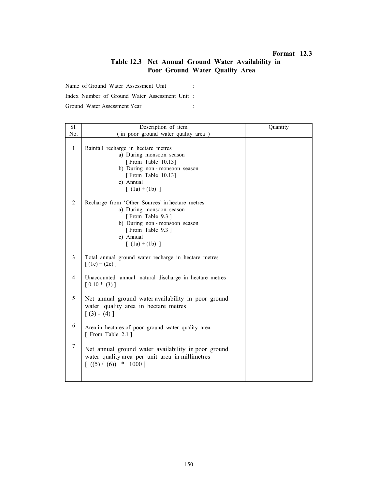#### Format 12.3

# Table 12.3 Net Annual Ground Water Availability in Poor Ground Water Quality Area

Name of Ground Water Assessment Unit :

Index Number of Ground Water Assessment Unit :

Ground Water Assessment Year :

| Sl.            | Description of item                                                                                                                                                                     | Quantity |
|----------------|-----------------------------------------------------------------------------------------------------------------------------------------------------------------------------------------|----------|
| No.            | (in poor ground water quality area)                                                                                                                                                     |          |
| $\mathbf{1}$   | Rainfall recharge in hectare metres<br>a) During monsoon season<br>[From Table 10.13]<br>b) During non-monsoon season<br>[From Table 10.13]<br>c) Annual<br>$\lceil (1a) + (1b) \rceil$ |          |
| $\overline{2}$ | Recharge from 'Other Sources' in hectare metres<br>a) During monsoon season<br>[From Table 9.3]<br>b) During non-monsoon season<br>[From Table 9.3]<br>c) Annual<br>$[ (1a) + (1b) ]$   |          |
| 3              | Total annual ground water recharge in hectare metres<br>$(1c) + (2c)$ ]                                                                                                                 |          |
| $\overline{4}$ | Unaccounted annual natural discharge in hectare metres<br>$[0.10*(3)]$                                                                                                                  |          |
| 5              | Net annual ground water availability in poor ground<br>water quality area in hectare metres<br>$[(3) - (4)]$                                                                            |          |
| 6              | Area in hectares of poor ground water quality area<br>[ From Table 2.1 ]                                                                                                                |          |
| $\overline{7}$ | Net annual ground water availability in poor ground<br>water quality area per unit area in millimetres<br>$\lceil ((5) / (6)) \cdot * 1000 \rceil$                                      |          |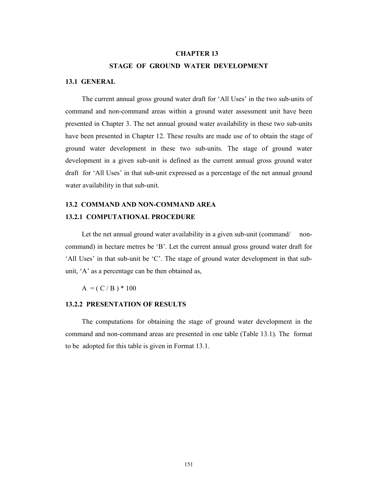#### CHAPTER 13

#### STAGE OF GROUND WATER DEVELOPMENT

#### 13.1 GENERAL

The current annual gross ground water draft for 'All Uses' in the two sub-units of command and non-command areas within a ground water assessment unit have been presented in Chapter 3. The net annual ground water availability in these two sub-units have been presented in Chapter 12. These results are made use of to obtain the stage of ground water development in these two sub-units. The stage of ground water development in a given sub-unit is defined as the current annual gross ground water draft for 'All Uses' in that sub-unit expressed as a percentage of the net annual ground water availability in that sub-unit.

# 13.2 COMMAND AND NON-COMMAND AREA 13.2.1 COMPUTATIONAL PROCEDURE

Let the net annual ground water availability in a given sub-unit (command/ noncommand) in hectare metres be 'B'. Let the current annual gross ground water draft for 'All Uses' in that sub-unit be 'C'. The stage of ground water development in that subunit, 'A' as a percentage can be then obtained as,

 $A = (C / B) * 100$ 

#### 13.2.2 PRESENTATION OF RESULTS

The computations for obtaining the stage of ground water development in the command and non-command areas are presented in one table (Table 13.1). The format to be adopted for this table is given in Format 13.1.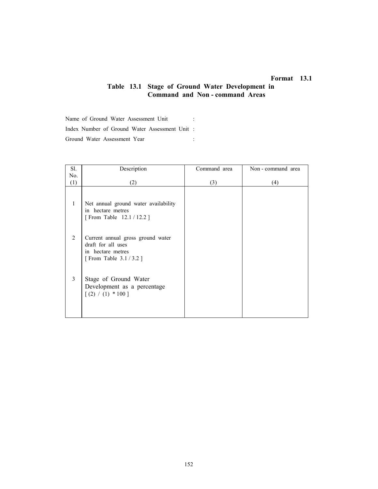# Format 13.1

# Table 13.1 Stage of Ground Water Development in Command and Non - command Areas

Name of Ground Water Assessment Unit : Index Number of Ground Water Assessment Unit : Ground Water Assessment Year :

| Sl.          | Description                                                                                               | Command area | Non - command area |
|--------------|-----------------------------------------------------------------------------------------------------------|--------------|--------------------|
| No.          |                                                                                                           |              |                    |
| (1)          | (2)                                                                                                       | (3)          | (4)                |
| $\mathbf{1}$ | Net annual ground water availability<br>in hectare metres<br>[From Table 12.1 / 12.2 ]                    |              |                    |
| 2            | Current annual gross ground water<br>draft for all uses<br>in hectare metres<br>[From Table $3.1 / 3.2$ ] |              |                    |
| 3            | Stage of Ground Water<br>Development as a percentage<br>$[(2) / (1) * 100]$                               |              |                    |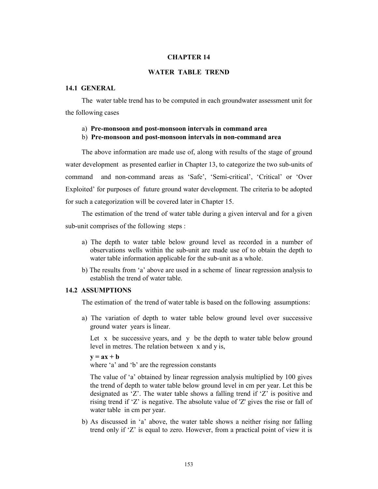#### CHAPTER 14

#### WATER TABLE TREND

#### 14.1 GENERAL

The water table trend has to be computed in each groundwater assessment unit for the following cases

#### a) Pre-monsoon and post-monsoon intervals in command area

## b) Pre-monsoon and post-monsoon intervals in non-command area

The above information are made use of, along with results of the stage of ground water development as presented earlier in Chapter 13, to categorize the two sub-units of command and non-command areas as 'Safe', 'Semi-critical', 'Critical' or 'Over Exploited' for purposes of future ground water development. The criteria to be adopted for such a categorization will be covered later in Chapter 15.

The estimation of the trend of water table during a given interval and for a given sub-unit comprises of the following steps :

- a) The depth to water table below ground level as recorded in a number of observations wells within the sub-unit are made use of to obtain the depth to water table information applicable for the sub-unit as a whole.
- b) The results from 'a' above are used in a scheme of linear regression analysis to establish the trend of water table.

#### 14.2 ASSUMPTIONS

The estimation of the trend of water table is based on the following assumptions:

a) The variation of depth to water table below ground level over successive ground water years is linear.

Let  $x$  be successive years, and  $y$  be the depth to water table below ground level in metres. The relation between x and y is,

 $y = ax + b$ where 'a' and 'b' are the regression constants

The value of 'a' obtained by linear regression analysis multiplied by 100 gives the trend of depth to water table below ground level in cm per year. Let this be designated as 'Z'. The water table shows a falling trend if 'Z' is positive and rising trend if 'Z' is negative. The absolute value of 'Z' gives the rise or fall of water table in cm per year.

b) As discussed in 'a' above, the water table shows a neither rising nor falling trend only if 'Z' is equal to zero. However, from a practical point of view it is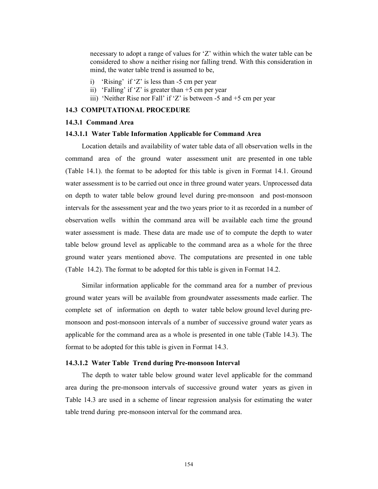necessary to adopt a range of values for 'Z' within which the water table can be considered to show a neither rising nor falling trend. With this consideration in mind, the water table trend is assumed to be,

- i) 'Rising' if 'Z' is less than -5 cm per year
- ii) 'Falling' if 'Z' is greater than  $+5$  cm per year
- iii) 'Neither Rise nor Fall' if 'Z' is between -5 and +5 cm per year

#### 14.3 COMPUTATIONAL PROCEDURE

#### 14.3.1 Command Area

#### 14.3.1.1 Water Table Information Applicable for Command Area

Location details and availability of water table data of all observation wells in the command area of the ground water assessment unit are presented in one table (Table 14.1). the format to be adopted for this table is given in Format 14.1. Ground water assessment is to be carried out once in three ground water years. Unprocessed data on depth to water table below ground level during pre-monsoon and post-monsoon intervals for the assessment year and the two years prior to it as recorded in a number of observation wells within the command area will be available each time the ground water assessment is made. These data are made use of to compute the depth to water table below ground level as applicable to the command area as a whole for the three ground water years mentioned above. The computations are presented in one table (Table 14.2). The format to be adopted for this table is given in Format 14.2.

Similar information applicable for the command area for a number of previous ground water years will be available from groundwater assessments made earlier. The complete set of information on depth to water table below ground level during premonsoon and post-monsoon intervals of a number of successive ground water years as applicable for the command area as a whole is presented in one table (Table 14.3). The format to be adopted for this table is given in Format 14.3.

#### 14.3.1.2 Water Table Trend during Pre-monsoon Interval

The depth to water table below ground water level applicable for the command area during the pre-monsoon intervals of successive ground water years as given in Table 14.3 are used in a scheme of linear regression analysis for estimating the water table trend during pre-monsoon interval for the command area.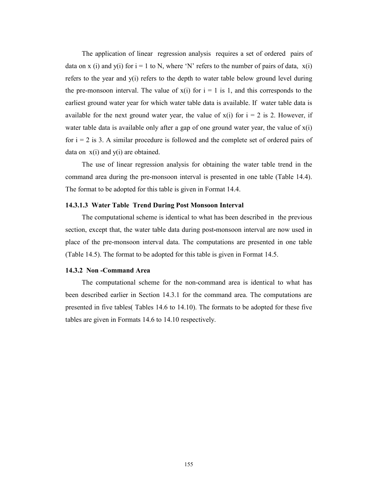The application of linear regression analysis requires a set of ordered pairs of data on x (i) and y(i) for  $i = 1$  to N, where 'N' refers to the number of pairs of data,  $x(i)$ refers to the year and y(i) refers to the depth to water table below ground level during the pre-monsoon interval. The value of  $x(i)$  for  $i = 1$  is 1, and this corresponds to the earliest ground water year for which water table data is available. If water table data is available for the next ground water year, the value of  $x(i)$  for  $i = 2$  is 2. However, if water table data is available only after a gap of one ground water year, the value of  $x(i)$ for  $i = 2$  is 3. A similar procedure is followed and the complete set of ordered pairs of data on  $x(i)$  and  $y(i)$  are obtained.

The use of linear regression analysis for obtaining the water table trend in the command area during the pre-monsoon interval is presented in one table (Table 14.4). The format to be adopted for this table is given in Format 14.4.

#### 14.3.1.3 Water Table Trend During Post Monsoon Interval

The computational scheme is identical to what has been described in the previous section, except that, the water table data during post-monsoon interval are now used in place of the pre-monsoon interval data. The computations are presented in one table (Table 14.5). The format to be adopted for this table is given in Format 14.5.

#### 14.3.2 Non -Command Area

The computational scheme for the non-command area is identical to what has been described earlier in Section 14.3.1 for the command area. The computations are presented in five tables( Tables 14.6 to 14.10). The formats to be adopted for these five tables are given in Formats 14.6 to 14.10 respectively.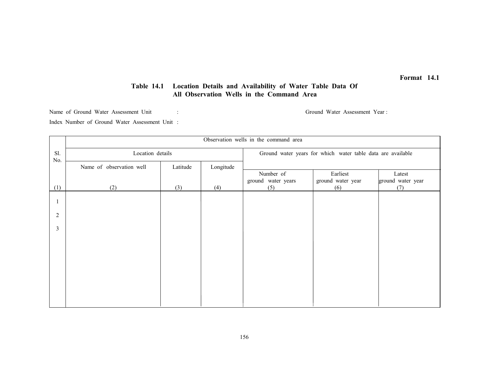# Table 14.1 Location Details and Availability of Water Table Data Of All Observation Wells in the Command Area

Name of Ground Water Assessment Unit : Ground Water Assessment Year :

Index Number of Ground Water Assessment Unit :

|            | Observation wells in the command area |          |           |                                                             |                               |                             |  |  |  |
|------------|---------------------------------------|----------|-----------|-------------------------------------------------------------|-------------------------------|-----------------------------|--|--|--|
| Sl.<br>No. | Location details                      |          |           | Ground water years for which water table data are available |                               |                             |  |  |  |
|            | Name of observation well              | Latitude | Longitude |                                                             |                               |                             |  |  |  |
|            |                                       |          |           | Number of<br>ground water years                             | Earliest<br>ground water year | Latest<br>ground water year |  |  |  |
| (1)        | (2)                                   | (3)      | (4)       | (5)                                                         | (6)                           | (7)                         |  |  |  |
| -1         |                                       |          |           |                                                             |                               |                             |  |  |  |
| 2          |                                       |          |           |                                                             |                               |                             |  |  |  |
| 3          |                                       |          |           |                                                             |                               |                             |  |  |  |
|            |                                       |          |           |                                                             |                               |                             |  |  |  |
|            |                                       |          |           |                                                             |                               |                             |  |  |  |
|            |                                       |          |           |                                                             |                               |                             |  |  |  |
|            |                                       |          |           |                                                             |                               |                             |  |  |  |
|            |                                       |          |           |                                                             |                               |                             |  |  |  |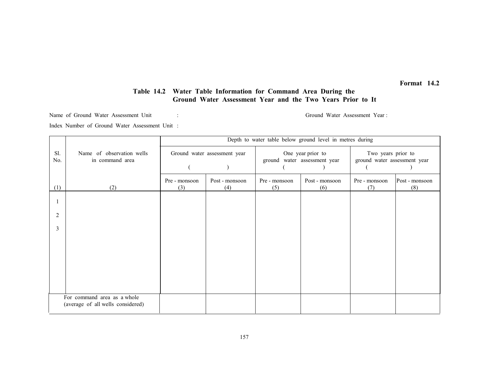# Table 14.2 Water Table Information for Command Area During the Ground Water Assessment Year and the Two Years Prior to It

Name of Ground Water Assessment Unit : Ground Water Assessment Year :

Index Number of Ground Water Assessment Unit :

|            |                                                                  | Depth to water table below ground level in metres during |                              |                                                                                                         |                       |                      |                       |  |
|------------|------------------------------------------------------------------|----------------------------------------------------------|------------------------------|---------------------------------------------------------------------------------------------------------|-----------------------|----------------------|-----------------------|--|
| Sl.<br>No. | Name of observation wells<br>in command area                     |                                                          | Ground water assessment year | One year prior to<br>Two years prior to<br>ground water assessment year<br>ground water assessment year |                       |                      |                       |  |
|            |                                                                  |                                                          |                              |                                                                                                         |                       |                      |                       |  |
| (1)        | (2)                                                              | Pre - monsoon<br>(3)                                     | Post - monsoon<br>(4)        | Pre - monsoon<br>(5)                                                                                    | Post - monsoon<br>(6) | Pre - monsoon<br>(7) | Post - monsoon<br>(8) |  |
|            |                                                                  |                                                          |                              |                                                                                                         |                       |                      |                       |  |
|            |                                                                  |                                                          |                              |                                                                                                         |                       |                      |                       |  |
| 2          |                                                                  |                                                          |                              |                                                                                                         |                       |                      |                       |  |
| 3          |                                                                  |                                                          |                              |                                                                                                         |                       |                      |                       |  |
|            |                                                                  |                                                          |                              |                                                                                                         |                       |                      |                       |  |
|            |                                                                  |                                                          |                              |                                                                                                         |                       |                      |                       |  |
|            |                                                                  |                                                          |                              |                                                                                                         |                       |                      |                       |  |
|            |                                                                  |                                                          |                              |                                                                                                         |                       |                      |                       |  |
|            |                                                                  |                                                          |                              |                                                                                                         |                       |                      |                       |  |
|            | For command area as a whole<br>(average of all wells considered) |                                                          |                              |                                                                                                         |                       |                      |                       |  |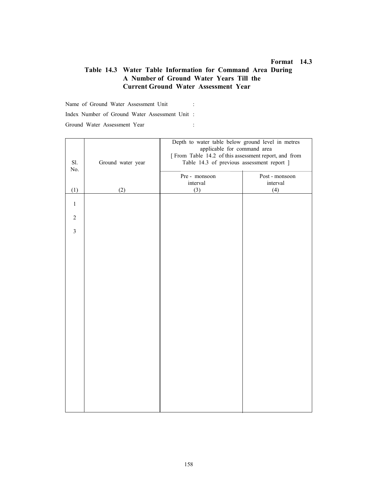# Table 14.3 Water Table Information for Command Area During A Number of Ground Water Years Till the Current Ground Water Assessment Year

Name of Ground Water Assessment Unit : Index Number of Ground Water Assessment Unit : Ground Water Assessment Year :

| Sl.<br>No.     | Ground water year | Depth to water table below ground level in metres<br>applicable for command area<br>[From Table 14.2 of this assessment report, and from<br>Table 14.3 of previous assessment report ] |                 |  |
|----------------|-------------------|----------------------------------------------------------------------------------------------------------------------------------------------------------------------------------------|-----------------|--|
|                |                   | Pre - monsoon                                                                                                                                                                          | Post - monsoon  |  |
| (1)            | (2)               | interval<br>(3)                                                                                                                                                                        | interval<br>(4) |  |
| $1\,$          |                   |                                                                                                                                                                                        |                 |  |
| $\overline{2}$ |                   |                                                                                                                                                                                        |                 |  |
| $\mathfrak{Z}$ |                   |                                                                                                                                                                                        |                 |  |
|                |                   |                                                                                                                                                                                        |                 |  |
|                |                   |                                                                                                                                                                                        |                 |  |
|                |                   |                                                                                                                                                                                        |                 |  |
|                |                   |                                                                                                                                                                                        |                 |  |
|                |                   |                                                                                                                                                                                        |                 |  |
|                |                   |                                                                                                                                                                                        |                 |  |
|                |                   |                                                                                                                                                                                        |                 |  |
|                |                   |                                                                                                                                                                                        |                 |  |
|                |                   |                                                                                                                                                                                        |                 |  |
|                |                   |                                                                                                                                                                                        |                 |  |
|                |                   |                                                                                                                                                                                        |                 |  |
|                |                   |                                                                                                                                                                                        |                 |  |
|                |                   |                                                                                                                                                                                        |                 |  |
|                |                   |                                                                                                                                                                                        |                 |  |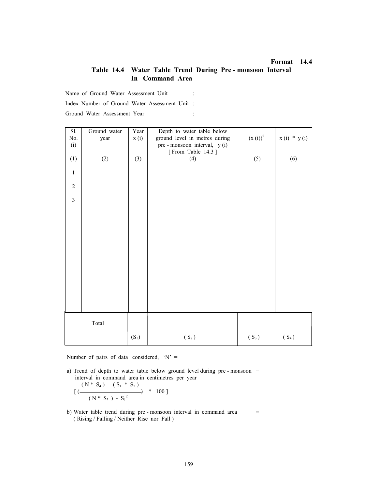# Table 14.4 Water Table Trend During Pre - monsoon Interval In Command Area

Name of Ground Water Assessment Unit :

Index Number of Ground Water Assessment Unit :

Ground Water Assessment Year :

| Sl.                     | Ground water | Year    | Depth to water table below    |              |               |
|-------------------------|--------------|---------|-------------------------------|--------------|---------------|
| $\rm No.$               | year         | x(i)    | ground level in metres during | $(x(i))^{2}$ | $x(i) * y(i)$ |
| (i)                     |              |         | pre - monsoon interval, y (i) |              |               |
|                         |              |         | [From Table 14.3]             |              |               |
| (1)                     | (2)          | (3)     | (4)                           | (5)          | (6)           |
| $\,1$                   |              |         |                               |              |               |
|                         |              |         |                               |              |               |
| $\overline{c}$          |              |         |                               |              |               |
|                         |              |         |                               |              |               |
| $\overline{\mathbf{3}}$ |              |         |                               |              |               |
|                         |              |         |                               |              |               |
|                         |              |         |                               |              |               |
|                         |              |         |                               |              |               |
|                         |              |         |                               |              |               |
|                         |              |         |                               |              |               |
|                         |              |         |                               |              |               |
|                         |              |         |                               |              |               |
|                         |              |         |                               |              |               |
|                         |              |         |                               |              |               |
|                         |              |         |                               |              |               |
|                         |              |         |                               |              |               |
|                         |              |         |                               |              |               |
|                         |              |         |                               |              |               |
|                         |              |         |                               |              |               |
|                         |              |         |                               |              |               |
|                         | Total        |         |                               |              |               |
|                         |              |         |                               |              |               |
|                         |              | $(S_1)$ | $(S_2)$                       | $(S_3)$      | $(S_4)$       |

Number of pairs of data considered, 'N' =

 a) Trend of depth to water table below ground level during pre - monsoon = interval in command area in centimetres per year

$$
[(\frac{(N * S_4) - (S_1 * S_2)}{(N * S_3) - S_1^2}] * 100]
$$

b) Water table trend during pre-monsoon interval in command area = ( Rising / Falling / Neither Rise nor Fall )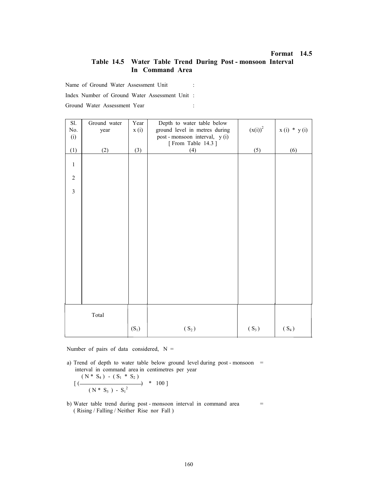## Table 14.5 Water Table Trend During Post - monsoon Interval In Command Area

Name of Ground Water Assessment Unit :

Index Number of Ground Water Assessment Unit :

Ground Water Assessment Year :

| Sl.              | Ground water | Year    | Depth to water table below     |              |               |
|------------------|--------------|---------|--------------------------------|--------------|---------------|
| $\rm No.$        | year         | x(i)    | ground level in metres during  | $(x(i))^{2}$ | $x(i) * y(i)$ |
| (i)              |              |         | post - monsoon interval, y (i) |              |               |
|                  |              |         | [From Table 14.3]              |              |               |
| (1)              | (2)          | (3)     | (4)                            | (5)          | (6)           |
|                  |              |         |                                |              |               |
| $\mathbf{1}$     |              |         |                                |              |               |
|                  |              |         |                                |              |               |
| $\boldsymbol{2}$ |              |         |                                |              |               |
|                  |              |         |                                |              |               |
| $\overline{3}$   |              |         |                                |              |               |
|                  |              |         |                                |              |               |
|                  |              |         |                                |              |               |
|                  |              |         |                                |              |               |
|                  |              |         |                                |              |               |
|                  |              |         |                                |              |               |
|                  |              |         |                                |              |               |
|                  |              |         |                                |              |               |
|                  |              |         |                                |              |               |
|                  |              |         |                                |              |               |
|                  |              |         |                                |              |               |
|                  |              |         |                                |              |               |
|                  |              |         |                                |              |               |
|                  |              |         |                                |              |               |
|                  |              |         |                                |              |               |
|                  |              |         |                                |              |               |
|                  |              |         |                                |              |               |
|                  | Total        |         |                                |              |               |
|                  |              |         |                                |              |               |
|                  |              | $(S_1)$ | $(S_2)$                        | $(S_3)$      | $(S_4)$       |
|                  |              |         |                                |              |               |

Number of pairs of data considered,  $N =$ 

a) Trend of depth to water table below ground level during post - monsoon = interval in command area in centimetres per year

$$
[(\frac{(N * S_4) - (S_1 * S_2)}{(N * S_3) - S_1^2}] * 100]
$$

b) Water table trend during post - monsoon interval in command area = ( Rising / Falling / Neither Rise nor Fall )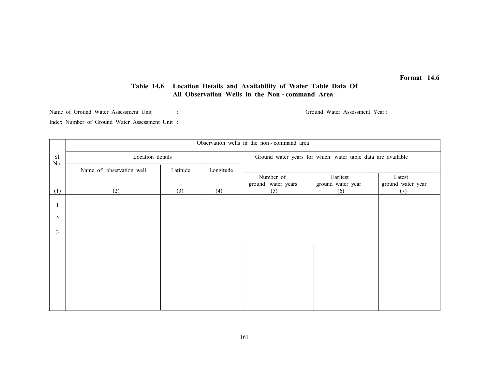# Table 14.6 Location Details and Availability of Water Table Data Of All Observation Wells in the Non - command Area

Name of Ground Water Assessment Unit : Ground Water Assessment Year :

Index Number of Ground Water Assessment Unit :

|                | Observation wells in the non-command area |          |           |                                 |                                                             |                             |
|----------------|-------------------------------------------|----------|-----------|---------------------------------|-------------------------------------------------------------|-----------------------------|
| Sl.<br>No.     | Location details                          |          |           |                                 | Ground water years for which water table data are available |                             |
|                | Name of observation well                  | Latitude | Longitude |                                 |                                                             |                             |
|                |                                           |          |           | Number of<br>ground water years | Earliest<br>ground water year                               | Latest<br>ground water year |
| (1)            | (2)                                       | (3)      | (4)       | (5)                             | (6)                                                         | (7)                         |
|                |                                           |          |           |                                 |                                                             |                             |
| $\overline{2}$ |                                           |          |           |                                 |                                                             |                             |
| $\overline{3}$ |                                           |          |           |                                 |                                                             |                             |
|                |                                           |          |           |                                 |                                                             |                             |
|                |                                           |          |           |                                 |                                                             |                             |
|                |                                           |          |           |                                 |                                                             |                             |
|                |                                           |          |           |                                 |                                                             |                             |
|                |                                           |          |           |                                 |                                                             |                             |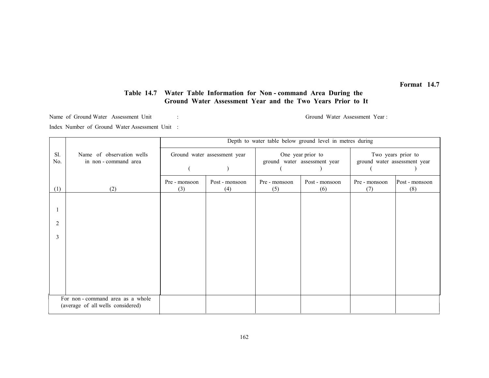# Table 14.7 Water Table Information for Non - command Area During the Ground Water Assessment Year and the Two Years Prior to It

Name of Ground Water Assessment Unit : Ground Water Assessment Year :

Index Number of Ground Water Assessment Unit :

|            |                                                                      | Depth to water table below ground level in metres during |                              |                      |                                                   |                              |                       |
|------------|----------------------------------------------------------------------|----------------------------------------------------------|------------------------------|----------------------|---------------------------------------------------|------------------------------|-----------------------|
| Sl.<br>No. | Name of observation wells<br>in non-command area                     |                                                          | Ground water assessment year |                      | One year prior to<br>ground water assessment year | ground water assessment year | Two years prior to    |
|            |                                                                      |                                                          |                              |                      |                                                   |                              |                       |
| (1)        | (2)                                                                  | Pre - monsoon<br>(3)                                     | Post - monsoon<br>(4)        | Pre - monsoon<br>(5) | Post - monsoon<br>(6)                             | Pre - monsoon<br>(7)         | Post - monsoon<br>(8) |
|            |                                                                      |                                                          |                              |                      |                                                   |                              |                       |
|            |                                                                      |                                                          |                              |                      |                                                   |                              |                       |
| 2          |                                                                      |                                                          |                              |                      |                                                   |                              |                       |
| 3          |                                                                      |                                                          |                              |                      |                                                   |                              |                       |
|            |                                                                      |                                                          |                              |                      |                                                   |                              |                       |
|            |                                                                      |                                                          |                              |                      |                                                   |                              |                       |
|            |                                                                      |                                                          |                              |                      |                                                   |                              |                       |
|            |                                                                      |                                                          |                              |                      |                                                   |                              |                       |
|            | For non-command area as a whole<br>(average of all wells considered) |                                                          |                              |                      |                                                   |                              |                       |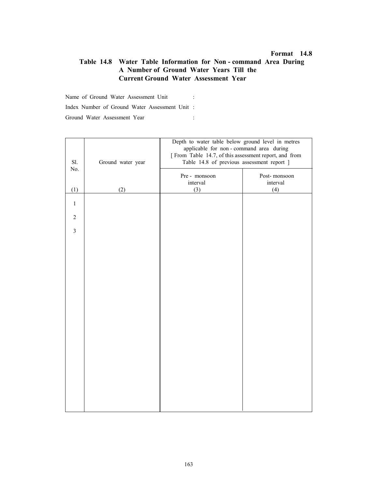# Table 14.8 Water Table Information for Non - command Area During A Number of Ground Water Years Till the Current Ground Water Assessment Year

Name of Ground Water Assessment Unit : Index Number of Ground Water Assessment Unit : Ground Water Assessment Year :

| Depth to water table below ground level in metres<br>applicable for non-command area during<br>[From Table 14.7, of this assessment report, and from<br>Sl.<br>Table 14.8 of previous assessment report ]<br>Ground water year |     |                           |                          |  |
|--------------------------------------------------------------------------------------------------------------------------------------------------------------------------------------------------------------------------------|-----|---------------------------|--------------------------|--|
| No.                                                                                                                                                                                                                            |     |                           |                          |  |
|                                                                                                                                                                                                                                |     | Pre - monsoon<br>interval | Post-monsoon<br>interval |  |
| (1)                                                                                                                                                                                                                            | (2) | (3)                       | (4)                      |  |
| $\mathbf{1}$                                                                                                                                                                                                                   |     |                           |                          |  |
| $\overline{2}$                                                                                                                                                                                                                 |     |                           |                          |  |
| $\overline{3}$                                                                                                                                                                                                                 |     |                           |                          |  |
|                                                                                                                                                                                                                                |     |                           |                          |  |
|                                                                                                                                                                                                                                |     |                           |                          |  |
|                                                                                                                                                                                                                                |     |                           |                          |  |
|                                                                                                                                                                                                                                |     |                           |                          |  |
|                                                                                                                                                                                                                                |     |                           |                          |  |
|                                                                                                                                                                                                                                |     |                           |                          |  |
|                                                                                                                                                                                                                                |     |                           |                          |  |
|                                                                                                                                                                                                                                |     |                           |                          |  |
|                                                                                                                                                                                                                                |     |                           |                          |  |
|                                                                                                                                                                                                                                |     |                           |                          |  |
|                                                                                                                                                                                                                                |     |                           |                          |  |
|                                                                                                                                                                                                                                |     |                           |                          |  |
|                                                                                                                                                                                                                                |     |                           |                          |  |
|                                                                                                                                                                                                                                |     |                           |                          |  |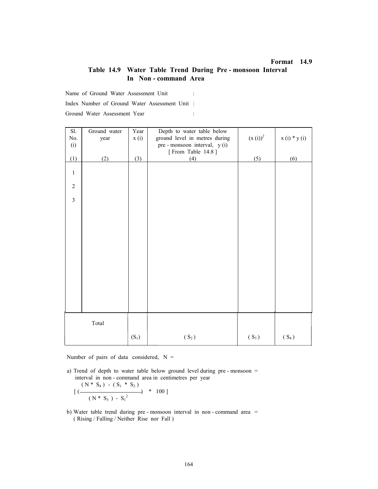# Table 14.9 Water Table Trend During Pre - monsoon Interval In Non - command Area

Name of Ground Water Assessment Unit :

Index Number of Ground Water Assessment Unit :

Ground Water Assessment Year :

| Sl.<br>$\rm No.$ | Ground water<br>year | Year<br>x(i) | Depth to water table below<br>ground level in metres during | $(x(i))^{2}$ | $x(i) * y(i)$ |
|------------------|----------------------|--------------|-------------------------------------------------------------|--------------|---------------|
| (i)              |                      |              | pre - monsoon interval, y (i)<br>[From Table 14.8]          |              |               |
| (1)              | (2)                  | (3)          | (4)                                                         | (5)          | (6)           |
| $\mathbf{1}$     |                      |              |                                                             |              |               |
| $\sqrt{2}$       |                      |              |                                                             |              |               |
| $\overline{3}$   |                      |              |                                                             |              |               |
|                  |                      |              |                                                             |              |               |
|                  |                      |              |                                                             |              |               |
|                  |                      |              |                                                             |              |               |
|                  |                      |              |                                                             |              |               |
|                  |                      |              |                                                             |              |               |
|                  |                      |              |                                                             |              |               |
|                  |                      |              |                                                             |              |               |
|                  |                      |              |                                                             |              |               |
|                  | Total                |              |                                                             |              |               |
|                  |                      | $(S_1)$      | $(S_2)$                                                     | $(S_3)$      | $(S_4)$       |

Number of pairs of data considered,  $N =$ 

 a) Trend of depth to water table below ground level during pre - monsoon = interval in non - command area in centimetres per year

$$
[(\frac{(N * S_4) - (S_1 * S_2)}{(N * S_3) - S_1^2}] * 100]
$$

 b) Water table trend during pre - monsoon interval in non - command area = ( Rising / Falling / Neither Rise nor Fall )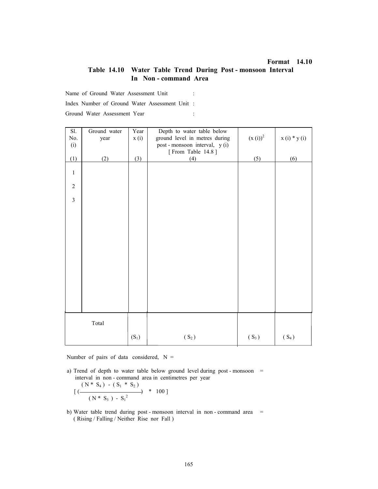# Table 14.10 Water Table Trend During Post - monsoon Interval In Non - command Area

Name of Ground Water Assessment Unit :

Index Number of Ground Water Assessment Unit :

Ground Water Assessment Year :

| Sl.            | Ground water | Year    | Depth to water table below     |              |               |
|----------------|--------------|---------|--------------------------------|--------------|---------------|
| $\rm No.$      | year         | x(i)    | ground level in metres during  | $(x(i))^{2}$ | $x(i) * y(i)$ |
| (i)            |              |         | post - monsoon interval, y (i) |              |               |
|                |              |         | [From Table 14.8]              |              |               |
| (1)            | (2)          | (3)     | (4)                            | (5)          | (6)           |
|                |              |         |                                |              |               |
| $\,1\,$        |              |         |                                |              |               |
|                |              |         |                                |              |               |
| $\sqrt{2}$     |              |         |                                |              |               |
|                |              |         |                                |              |               |
| $\overline{3}$ |              |         |                                |              |               |
|                |              |         |                                |              |               |
|                |              |         |                                |              |               |
|                |              |         |                                |              |               |
|                |              |         |                                |              |               |
|                |              |         |                                |              |               |
|                |              |         |                                |              |               |
|                |              |         |                                |              |               |
|                |              |         |                                |              |               |
|                |              |         |                                |              |               |
|                |              |         |                                |              |               |
|                |              |         |                                |              |               |
|                |              |         |                                |              |               |
|                |              |         |                                |              |               |
|                |              |         |                                |              |               |
|                |              |         |                                |              |               |
|                |              |         |                                |              |               |
|                | Total        |         |                                |              |               |
|                |              |         |                                |              |               |
|                |              | $(S_1)$ | $(S_2)$                        | $(S_3)$      | $(S_4)$       |
|                |              |         |                                |              |               |

Number of pairs of data considered,  $N =$ 

a) Trend of depth to water table below ground level during post - monsoon  $=$ interval in non - command area in centimetres per year

$$
[(\frac{(N * S_4) - (S_1 * S_2)}{(N * S_3) - S_1^2}] * 100]
$$

b) Water table trend during post - monsoon interval in non - command area = ( Rising / Falling / Neither Rise nor Fall )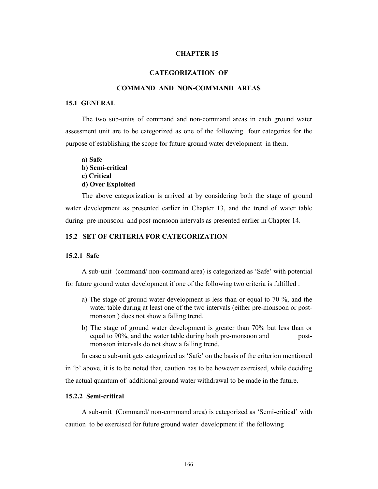#### CHAPTER 15

#### CATEGORIZATION OF

#### COMMAND AND NON-COMMAND AREAS

#### 15.1 GENERAL

The two sub-units of command and non-command areas in each ground water assessment unit are to be categorized as one of the following four categories for the purpose of establishing the scope for future ground water development in them.

a) Safe b) Semi-critical c) Critical d) Over Exploited

The above categorization is arrived at by considering both the stage of ground water development as presented earlier in Chapter 13, and the trend of water table during pre-monsoon and post-monsoon intervals as presented earlier in Chapter 14.

#### 15.2 SET OF CRITERIA FOR CATEGORIZATION

#### 15.2.1 Safe

A sub-unit (command/ non-command area) is categorized as 'Safe' with potential for future ground water development if one of the following two criteria is fulfilled :

- a) The stage of ground water development is less than or equal to 70 %, and the water table during at least one of the two intervals (either pre-monsoon or postmonsoon ) does not show a falling trend.
- b) The stage of ground water development is greater than 70% but less than or equal to 90%, and the water table during both pre-monsoon and postmonsoon intervals do not show a falling trend.

In case a sub-unit gets categorized as 'Safe' on the basis of the criterion mentioned

in 'b' above, it is to be noted that, caution has to be however exercised, while deciding the actual quantum of additional ground water withdrawal to be made in the future.

#### 15.2.2 Semi-critical

A sub-unit (Command/ non-command area) is categorized as 'Semi-critical' with caution to be exercised for future ground water development if the following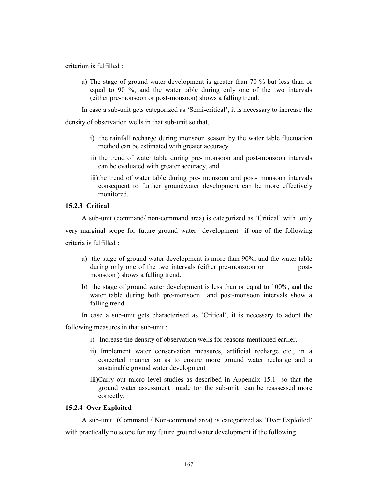criterion is fulfilled :

a) The stage of ground water development is greater than 70 % but less than or equal to 90 %, and the water table during only one of the two intervals (either pre-monsoon or post-monsoon) shows a falling trend.

In case a sub-unit gets categorized as 'Semi-critical', it is necessary to increase the

density of observation wells in that sub-unit so that,

- i) the rainfall recharge during monsoon season by the water table fluctuation method can be estimated with greater accuracy.
- ii) the trend of water table during pre- monsoon and post-monsoon intervals can be evaluated with greater accuracy, and
- iii)the trend of water table during pre- monsoon and post- monsoon intervals consequent to further groundwater development can be more effectively monitored.

#### 15.2.3 Critical

A sub-unit (command/ non-command area) is categorized as 'Critical' with only very marginal scope for future ground water development if one of the following criteria is fulfilled :

- a) the stage of ground water development is more than 90%, and the water table during only one of the two intervals (either pre-monsoon or postmonsoon ) shows a falling trend.
- b) the stage of ground water development is less than or equal to 100%, and the water table during both pre-monsoon and post-monsoon intervals show a falling trend.
- In case a sub-unit gets characterised as 'Critical', it is necessary to adopt the

following measures in that sub-unit :

- i) Increase the density of observation wells for reasons mentioned earlier.
- ii) Implement water conservation measures, artificial recharge etc., in a concerted manner so as to ensure more ground water recharge and a sustainable ground water development .
- iii)Carry out micro level studies as described in Appendix 15.1 so that the ground water assessment made for the sub-unit can be reassessed more correctly.

#### 15.2.4 Over Exploited

A sub-unit (Command / Non-command area) is categorized as 'Over Exploited' with practically no scope for any future ground water development if the following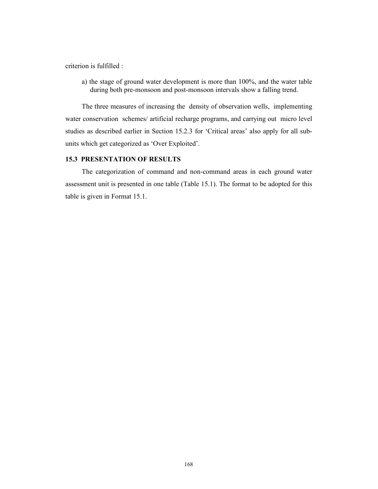criterion is fulfilled :

a) the stage of ground water development is more than 100%, and the water table during both pre-monsoon and post-monsoon intervals show a falling trend.

The three measures of increasing the density of observation wells, implementing water conservation schemes/ artificial recharge programs, and carrying out micro level studies as described earlier in Section 15.2.3 for 'Critical areas' also apply for all subunits which get categorized as 'Over Exploited'.

# 15.3 PRESENTATION OF RESULTS

The categorization of command and non-command areas in each ground water assessment unit is presented in one table (Table 15.1). The format to be adopted for this table is given in Format 15.1.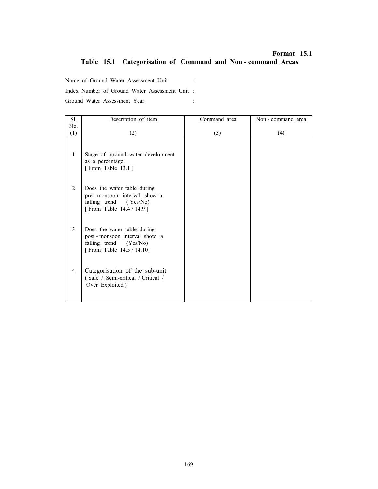# Format 15.1 Table 15.1 Categorisation of Command and Non - command Areas

Name of Ground Water Assessment Unit :

Index Number of Ground Water Assessment Unit :

Ground Water Assessment Year :

| Sl. | Description of item                                                                                                | Command area | Non - command area |
|-----|--------------------------------------------------------------------------------------------------------------------|--------------|--------------------|
| No. |                                                                                                                    |              |                    |
| (1) | (2)                                                                                                                | (3)          | (4)                |
| 1   | Stage of ground water development<br>as a percentage<br>[From Table 13.1]                                          |              |                    |
| 2   | Does the water table during<br>pre-monsoon interval show a<br>falling trend (Yes/No)<br>[From Table 14.4 / 14.9]   |              |                    |
| 3   | Does the water table during<br>post-monsoon interval show a<br>falling trend (Yes/No)<br>[From Table 14.5 / 14.10] |              |                    |
| 4   | Categorisation of the sub-unit<br>(Safe / Semi-critical / Critical /<br>Over Exploited)                            |              |                    |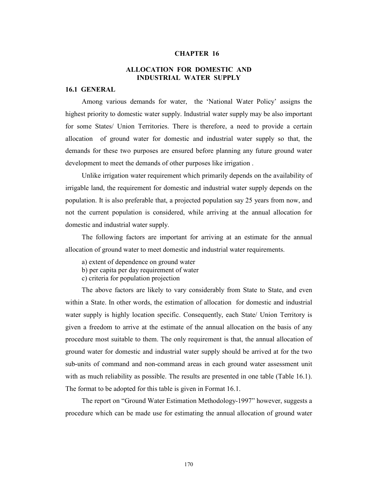#### CHAPTER 16

# ALLOCATION FOR DOMESTIC AND INDUSTRIAL WATER SUPPLY

#### 16.1 GENERAL

Among various demands for water, the 'National Water Policy' assigns the highest priority to domestic water supply. Industrial water supply may be also important for some States/ Union Territories. There is therefore, a need to provide a certain allocation of ground water for domestic and industrial water supply so that, the demands for these two purposes are ensured before planning any future ground water development to meet the demands of other purposes like irrigation .

Unlike irrigation water requirement which primarily depends on the availability of irrigable land, the requirement for domestic and industrial water supply depends on the population. It is also preferable that, a projected population say 25 years from now, and not the current population is considered, while arriving at the annual allocation for domestic and industrial water supply.

The following factors are important for arriving at an estimate for the annual allocation of ground water to meet domestic and industrial water requirements.

- a) extent of dependence on ground water
- b) per capita per day requirement of water
- c) criteria for population projection

The above factors are likely to vary considerably from State to State, and even within a State. In other words, the estimation of allocation for domestic and industrial water supply is highly location specific. Consequently, each State/ Union Territory is given a freedom to arrive at the estimate of the annual allocation on the basis of any procedure most suitable to them. The only requirement is that, the annual allocation of ground water for domestic and industrial water supply should be arrived at for the two sub-units of command and non-command areas in each ground water assessment unit with as much reliability as possible. The results are presented in one table (Table 16.1). The format to be adopted for this table is given in Format 16.1.

The report on "Ground Water Estimation Methodology-1997" however, suggests a procedure which can be made use for estimating the annual allocation of ground water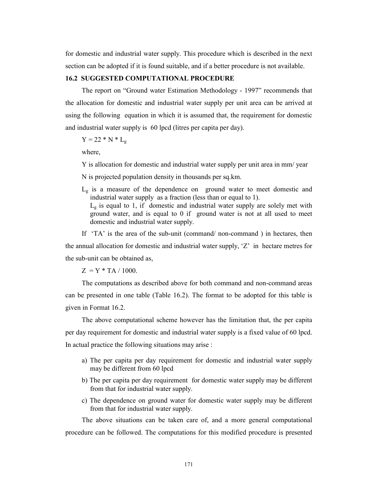for domestic and industrial water supply. This procedure which is described in the next section can be adopted if it is found suitable, and if a better procedure is not available.

#### 16.2 SUGGESTED COMPUTATIONAL PROCEDURE

The report on "Ground water Estimation Methodology - 1997" recommends that the allocation for domestic and industrial water supply per unit area can be arrived at using the following equation in which it is assumed that, the requirement for domestic and industrial water supply is 60 lpcd (litres per capita per day).

 $Y = 22 * N * L_{\sigma}$ 

where,

Y is allocation for domestic and industrial water supply per unit area in mm/ year

N is projected population density in thousands per sq.km.

 $L_g$  is a measure of the dependence on ground water to meet domestic and industrial water supply as a fraction (less than or equal to 1).  $L<sub>g</sub>$  is equal to 1, if domestic and industrial water supply are solely met with ground water, and is equal to 0 if ground water is not at all used to meet domestic and industrial water supply.

If 'TA' is the area of the sub-unit (command/ non-command ) in hectares, then the annual allocation for domestic and industrial water supply,  $Z'$  in hectare metres for the sub-unit can be obtained as,

 $Z = Y * TA / 1000$ .

The computations as described above for both command and non-command areas can be presented in one table (Table 16.2). The format to be adopted for this table is given in Format 16.2.

The above computational scheme however has the limitation that, the per capita per day requirement for domestic and industrial water supply is a fixed value of 60 lpcd. In actual practice the following situations may arise :

- a) The per capita per day requirement for domestic and industrial water supply may be different from 60 lpcd
- b) The per capita per day requirement for domestic water supply may be different from that for industrial water supply.
- c) The dependence on ground water for domestic water supply may be different from that for industrial water supply.

The above situations can be taken care of, and a more general computational procedure can be followed. The computations for this modified procedure is presented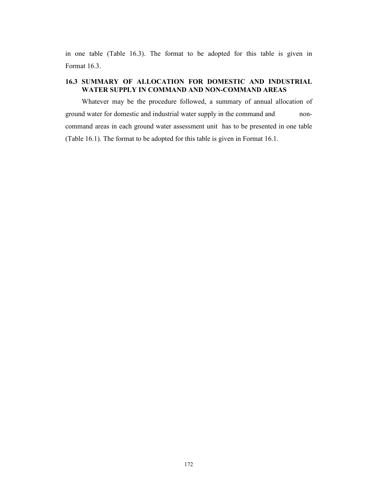in one table (Table 16.3). The format to be adopted for this table is given in Format 16.3.

# 16.3 SUMMARY OF ALLOCATION FOR DOMESTIC AND INDUSTRIAL WATER SUPPLY IN COMMAND AND NON-COMMAND AREAS

Whatever may be the procedure followed, a summary of annual allocation of ground water for domestic and industrial water supply in the command and noncommand areas in each ground water assessment unit has to be presented in one table (Table 16.1). The format to be adopted for this table is given in Format 16.1.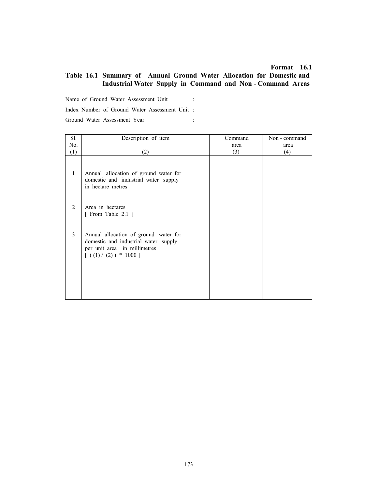#### Format 16.1

# Table 16.1 Summary of Annual Ground Water Allocation for Domestic and Industrial Water Supply in Command and Non - Command Areas

Name of Ground Water Assessment Unit : Index Number of Ground Water Assessment Unit : Ground Water Assessment Year :

| Sl. | Description of item                                                                                                                        | Command | Non - command |
|-----|--------------------------------------------------------------------------------------------------------------------------------------------|---------|---------------|
| No. |                                                                                                                                            | area    | area          |
| (1) | (2)                                                                                                                                        | (3)     | (4)           |
| 1   | Annual allocation of ground water for<br>domestic and industrial water supply<br>in hectare metres                                         |         |               |
| 2   | Area in hectares<br>[ From Table 2.1 ]                                                                                                     |         |               |
| 3   | Annual allocation of ground water for<br>domestic and industrial water supply<br>per unit area in millimetres<br>$[( (1) / (2) ) * 1000 ]$ |         |               |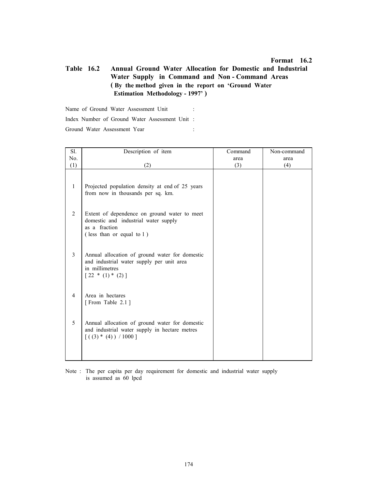#### Format 16.2

# Table 16.2 Annual Ground Water Allocation for Domestic and Industrial Water Supply in Command and Non - Command Areas ( By the method given in the report on 'Ground Water Estimation Methodology - 1997' )

Name of Ground Water Assessment Unit : Index Number of Ground Water Assessment Unit : Ground Water Assessment Year :

| Sl.            | Description of item                                                                                                                 | Command | Non-command |
|----------------|-------------------------------------------------------------------------------------------------------------------------------------|---------|-------------|
| No.            |                                                                                                                                     | area    | area        |
| (1)            | (2)                                                                                                                                 | (3)     | (4)         |
| $\mathbf{1}$   | Projected population density at end of 25 years<br>from now in thousands per sq. km.                                                |         |             |
| 2              | Extent of dependence on ground water to meet<br>domestic and industrial water supply<br>as a fraction<br>(less than or equal to 1)  |         |             |
| 3              | Annual allocation of ground water for domestic<br>and industrial water supply per unit area<br>in millimetres<br>$[22 * (1) * (2)]$ |         |             |
| $\overline{4}$ | Area in hectares<br>[From Table 2.1]                                                                                                |         |             |
| 5              | Annual allocation of ground water for domestic<br>and industrial water supply in hectare metres<br>$[(3) * (4)) / 1000]$            |         |             |

Note : The per capita per day requirement for domestic and industrial water supply is assumed as 60 lpcd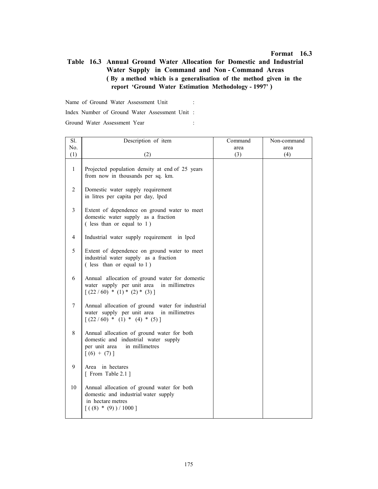# Table 16.3 Annual Ground Water Allocation for Domestic and Industrial Water Supply in Command and Non - Command Areas ( By a method which is a generalisation of the method given in the report 'Ground Water Estimation Methodology - 1997' )

Name of Ground Water Assessment Unit : Index Number of Ground Water Assessment Unit : Ground Water Assessment Year :

| Sl.          | Description of item                                                                                                                    | Command | Non-command |
|--------------|----------------------------------------------------------------------------------------------------------------------------------------|---------|-------------|
| No.          |                                                                                                                                        | area    | area        |
| (1)          | (2)                                                                                                                                    | (3)     | (4)         |
| $\mathbf{1}$ | Projected population density at end of 25 years<br>from now in thousands per sq. km.                                                   |         |             |
| 2            | Domestic water supply requirement<br>in litres per capita per day, lpcd                                                                |         |             |
| 3            | Extent of dependence on ground water to meet<br>domestic water supply as a fraction<br>(less than or equal to 1)                       |         |             |
| 4            | Industrial water supply requirement in lpcd                                                                                            |         |             |
| 5            | Extent of dependence on ground water to meet<br>industrial water supply as a fraction<br>(less than or equal to 1)                     |         |             |
| 6            | Annual allocation of ground water for domestic<br>water supply per unit area<br>in millimetres<br>$[(22/60) * (1) * (2) * (3)]$        |         |             |
| $\tau$       | Annual allocation of ground water for industrial<br>water supply per unit area in millimetres<br>$[(22/60) * (1) * (4) * (5)]$         |         |             |
| $8\,$        | Annual allocation of ground water for both<br>domestic and industrial water supply<br>per unit area<br>in millimetres<br>$[(6) + (7)]$ |         |             |
| 9            | Area in hectares<br>[ From Table 2.1 ]                                                                                                 |         |             |
| 10           | Annual allocation of ground water for both<br>domestic and industrial water supply<br>in hectare metres<br>$[((8) * (9)) / 1000]$      |         |             |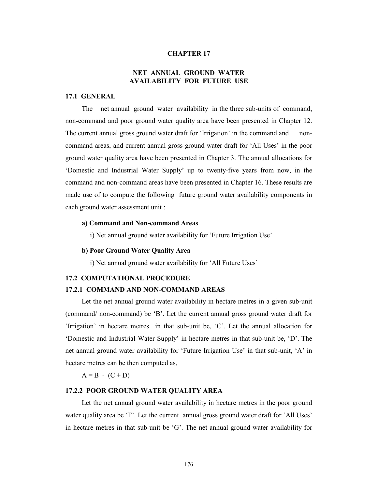#### CHAPTER 17

# NET ANNUAL GROUND WATER AVAILABILITY FOR FUTURE USE

#### 17.1 GENERAL

The net annual ground water availability in the three sub-units of command, non-command and poor ground water quality area have been presented in Chapter 12. The current annual gross ground water draft for 'Irrigation' in the command and noncommand areas, and current annual gross ground water draft for 'All Uses' in the poor ground water quality area have been presented in Chapter 3. The annual allocations for 'Domestic and Industrial Water Supply' up to twenty-five years from now, in the command and non-command areas have been presented in Chapter 16. These results are made use of to compute the following future ground water availability components in each ground water assessment unit :

#### a) Command and Non-command Areas

i) Net annual ground water availability for 'Future Irrigation Use'

#### b) Poor Ground Water Quality Area

i) Net annual ground water availability for 'All Future Uses'

#### 17.2 COMPUTATIONAL PROCEDURE

#### 17.2.1 COMMAND AND NON-COMMAND AREAS

Let the net annual ground water availability in hectare metres in a given sub-unit (command/ non-command) be 'B'. Let the current annual gross ground water draft for 'Irrigation' in hectare metres in that sub-unit be, 'C'. Let the annual allocation for 'Domestic and Industrial Water Supply' in hectare metres in that sub-unit be, 'D'. The net annual ground water availability for 'Future Irrigation Use' in that sub-unit, 'A' in hectare metres can be then computed as,

 $A = B - (C + D)$ 

#### 17.2.2 POOR GROUND WATER QUALITY AREA

Let the net annual ground water availability in hectare metres in the poor ground water quality area be 'F'. Let the current annual gross ground water draft for 'All Uses' in hectare metres in that sub-unit be 'G'. The net annual ground water availability for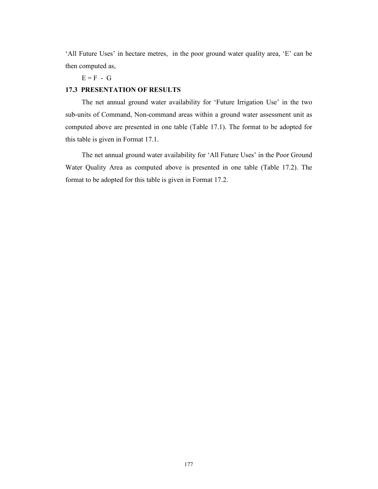'All Future Uses' in hectare metres, in the poor ground water quality area, 'E' can be then computed as,

 $E = F - G$ 

# 17.3 PRESENTATION OF RESULTS

The net annual ground water availability for 'Future Irrigation Use' in the two sub-units of Command, Non-command areas within a ground water assessment unit as computed above are presented in one table (Table 17.1). The format to be adopted for this table is given in Format 17.1.

The net annual ground water availability for 'All Future Uses' in the Poor Ground Water Quality Area as computed above is presented in one table (Table 17.2). The format to be adopted for this table is given in Format 17.2.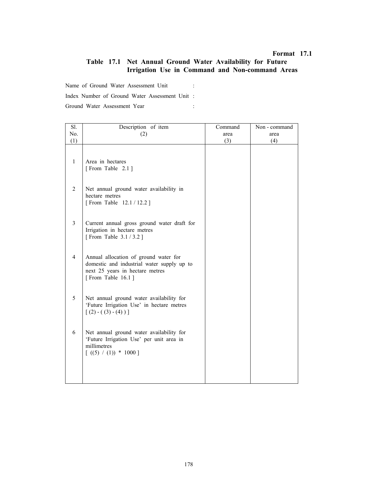### Format 17.1

# Table 17.1 Net Annual Ground Water Availability for Future Irrigation Use in Command and Non-command Areas

Name of Ground Water Assessment Unit :

Index Number of Ground Water Assessment Unit :

Ground Water Assessment Year :

| Sl.            | Description of item                                                                                                                         | Command | Non - command |
|----------------|---------------------------------------------------------------------------------------------------------------------------------------------|---------|---------------|
| No.            | (2)                                                                                                                                         | area    | area          |
| (1)            |                                                                                                                                             | (3)     | (4)           |
| $\mathbf{1}$   | Area in hectares<br>[From Table 2.1]                                                                                                        |         |               |
| 2              | Net annual ground water availability in<br>hectare metres<br>[From Table 12.1 / 12.2 ]                                                      |         |               |
| $\overline{3}$ | Current annual gross ground water draft for<br>Irrigation in hectare metres<br>[From Table 3.1/3.2]                                         |         |               |
| $\overline{4}$ | Annual allocation of ground water for<br>domestic and industrial water supply up to<br>next 25 years in hectare metres<br>[From Table 16.1] |         |               |
| 5              | Net annual ground water availability for<br>'Future Irrigation Use' in hectare metres<br>$[(2) - ((3) - (4))]$                              |         |               |
| 6              | Net annual ground water availability for<br>'Future Irrigation Use' per unit area in<br>millimetres<br>$[( (5) / (1) ) * 1000 ]$            |         |               |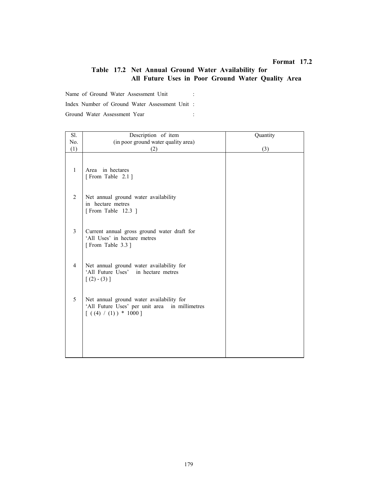# Format 17.2

# Table 17.2 Net Annual Ground Water Availability for All Future Uses in Poor Ground Water Quality Area

Name of Ground Water Assessment Unit :

Index Number of Ground Water Assessment Unit :

Ground Water Assessment Year :

| Sl. | Description of item                                                                                                 | Quantity |
|-----|---------------------------------------------------------------------------------------------------------------------|----------|
| No. | (in poor ground water quality area)                                                                                 |          |
| (1) | (2)                                                                                                                 | (3)      |
| 1   | Area in hectares<br>[From Table 2.1]                                                                                |          |
| 2   | Net annual ground water availability<br>in hectare metres<br>[From Table 12.3]                                      |          |
| 3   | Current annual gross ground water draft for<br>'All Uses' in hectare metres<br>[From Table 3.3]                     |          |
| 4   | Net annual ground water availability for<br>'All Future Uses'<br>in hectare metres<br>$[(2)-(3)]$                   |          |
| 5   | Net annual ground water availability for<br>'All Future Uses' per unit area in millimetres<br>$[(4) / (1)) * 1000]$ |          |
|     |                                                                                                                     |          |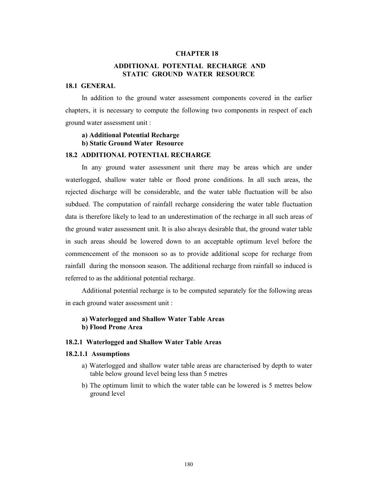#### CHAPTER 18

# ADDITIONAL POTENTIAL RECHARGE AND STATIC GROUND WATER RESOURCE

## 18.1 GENERAL

In addition to the ground water assessment components covered in the earlier chapters, it is necessary to compute the following two components in respect of each ground water assessment unit :

## a) Additional Potential Recharge b) Static Ground Water Resource

## 18.2 ADDITIONAL POTENTIAL RECHARGE

In any ground water assessment unit there may be areas which are under waterlogged, shallow water table or flood prone conditions. In all such areas, the rejected discharge will be considerable, and the water table fluctuation will be also subdued. The computation of rainfall recharge considering the water table fluctuation data is therefore likely to lead to an underestimation of the recharge in all such areas of the ground water assessment unit. It is also always desirable that, the ground water table in such areas should be lowered down to an acceptable optimum level before the commencement of the monsoon so as to provide additional scope for recharge from rainfall during the monsoon season. The additional recharge from rainfall so induced is referred to as the additional potential recharge.

Additional potential recharge is to be computed separately for the following areas in each ground water assessment unit :

## a) Waterlogged and Shallow Water Table Areas b) Flood Prone Area

### 18.2.1 Waterlogged and Shallow Water Table Areas

### 18.2.1.1 Assumptions

- a) Waterlogged and shallow water table areas are characterised by depth to water table below ground level being less than 5 metres
- b) The optimum limit to which the water table can be lowered is 5 metres below ground level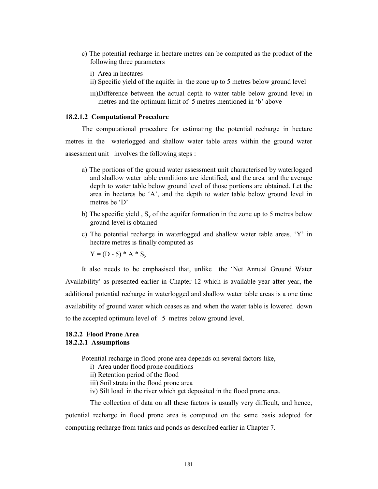- c) The potential recharge in hectare metres can be computed as the product of the following three parameters
	- i) Area in hectares
	- ii) Specific yield of the aquifer in the zone up to 5 metres below ground level
	- iii)Difference between the actual depth to water table below ground level in metres and the optimum limit of 5 metres mentioned in 'b' above

### 18.2.1.2 Computational Procedure

The computational procedure for estimating the potential recharge in hectare metres in the waterlogged and shallow water table areas within the ground water assessment unit involves the following steps :

- a) The portions of the ground water assessment unit characterised by waterlogged and shallow water table conditions are identified, and the area and the average depth to water table below ground level of those portions are obtained. Let the area in hectares be 'A', and the depth to water table below ground level in metres be 'D'
- b) The specific yield,  $S_y$  of the aquifer formation in the zone up to 5 metres below ground level is obtained
- c) The potential recharge in waterlogged and shallow water table areas, 'Y' in hectare metres is finally computed as

 $Y = (D - 5) * A * S_v$ 

It also needs to be emphasised that, unlike the 'Net Annual Ground Water Availability' as presented earlier in Chapter 12 which is available year after year, the additional potential recharge in waterlogged and shallow water table areas is a one time availability of ground water which ceases as and when the water table is lowered down to the accepted optimum level of 5 metres below ground level.

## 18.2.2 Flood Prone Area 18.2.2.1 Assumptions

Potential recharge in flood prone area depends on several factors like,

- i) Area under flood prone conditions
- ii) Retention period of the flood
- iii) Soil strata in the flood prone area
- iv) Silt load in the river which get deposited in the flood prone area.

The collection of data on all these factors is usually very difficult, and hence, potential recharge in flood prone area is computed on the same basis adopted for computing recharge from tanks and ponds as described earlier in Chapter 7.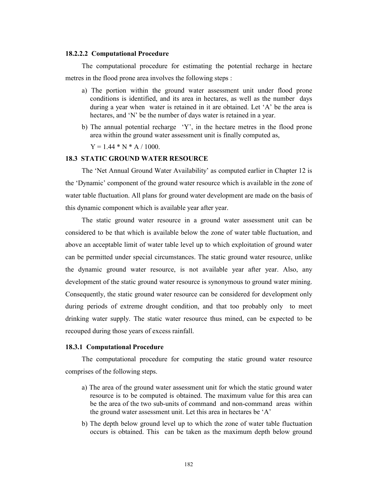### 18.2.2.2 Computational Procedure

The computational procedure for estimating the potential recharge in hectare metres in the flood prone area involves the following steps :

- a) The portion within the ground water assessment unit under flood prone conditions is identified, and its area in hectares, as well as the number days during a year when water is retained in it are obtained. Let 'A' be the area is hectares, and 'N' be the number of days water is retained in a year.
- b) The annual potential recharge 'Y', in the hectare metres in the flood prone area within the ground water assessment unit is finally computed as,

 $Y = 1.44 * N * A / 1000.$ 

### 18.3 STATIC GROUND WATER RESOURCE

The 'Net Annual Ground Water Availability' as computed earlier in Chapter 12 is the 'Dynamic' component of the ground water resource which is available in the zone of water table fluctuation. All plans for ground water development are made on the basis of this dynamic component which is available year after year.

The static ground water resource in a ground water assessment unit can be considered to be that which is available below the zone of water table fluctuation, and above an acceptable limit of water table level up to which exploitation of ground water can be permitted under special circumstances. The static ground water resource, unlike the dynamic ground water resource, is not available year after year. Also, any development of the static ground water resource is synonymous to ground water mining. Consequently, the static ground water resource can be considered for development only during periods of extreme drought condition, and that too probably only to meet drinking water supply. The static water resource thus mined, can be expected to be recouped during those years of excess rainfall.

#### 18.3.1 Computational Procedure

The computational procedure for computing the static ground water resource comprises of the following steps.

- a) The area of the ground water assessment unit for which the static ground water resource is to be computed is obtained. The maximum value for this area can be the area of the two sub-units of command and non-command areas within the ground water assessment unit. Let this area in hectares be 'A'
- b) The depth below ground level up to which the zone of water table fluctuation occurs is obtained. This can be taken as the maximum depth below ground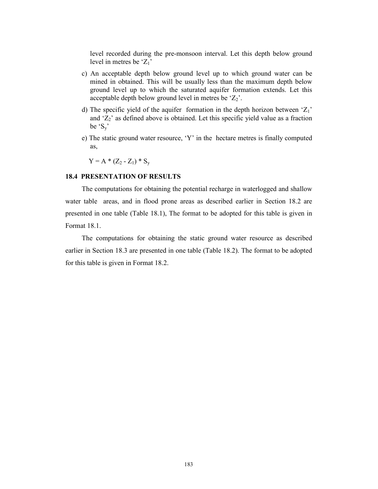level recorded during the pre-monsoon interval. Let this depth below ground level in metres be  $Z_1$ '

- c) An acceptable depth below ground level up to which ground water can be mined in obtained. This will be usually less than the maximum depth below ground level up to which the saturated aquifer formation extends. Let this acceptable depth below ground level in metres be  $Z_2$ .
- d) The specific yield of the aquifer formation in the depth horizon between  $Z_1$ ' and  $Z_2$ ' as defined above is obtained. Let this specific yield value as a fraction be  $^{\circ}S_{v}$
- e) The static ground water resource, 'Y' in the hectare metres is finally computed as,

 $Y = A * (Z_2 - Z_1) * S_y$ 

### 18.4 PRESENTATION OF RESULTS

The computations for obtaining the potential recharge in waterlogged and shallow water table areas, and in flood prone areas as described earlier in Section 18.2 are presented in one table (Table 18.1), The format to be adopted for this table is given in Format 18.1.

The computations for obtaining the static ground water resource as described earlier in Section 18.3 are presented in one table (Table 18.2). The format to be adopted for this table is given in Format 18.2.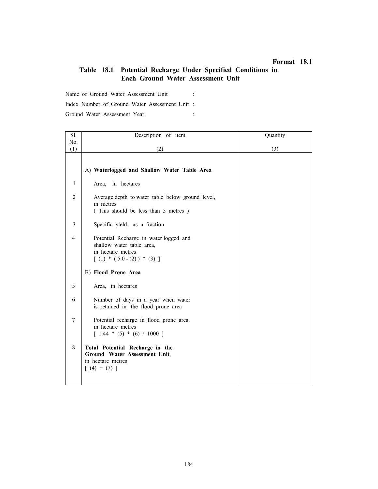# Format 18.1

# Table 18.1 Potential Recharge Under Specified Conditions in Each Ground Water Assessment Unit

Name of Ground Water Assessment Unit :

Index Number of Ground Water Assessment Unit :

Ground Water Assessment Year : :

| Sl.            | Description of item                                                                                                       | Quantity |
|----------------|---------------------------------------------------------------------------------------------------------------------------|----------|
| No.            |                                                                                                                           |          |
| (1)            | (2)                                                                                                                       | (3)      |
|                | A) Waterlogged and Shallow Water Table Area                                                                               |          |
| 1              | in hectares<br>Area,                                                                                                      |          |
| $\overline{2}$ | Average depth to water table below ground level,<br>in metres<br>(This should be less than 5 metres)                      |          |
| 3              | Specific yield, as a fraction                                                                                             |          |
| $\overline{4}$ | Potential Recharge in water logged and<br>shallow water table area,<br>in hectare metres<br>$[ (1) * (5.0 - (2)) * (3) ]$ |          |
|                | <b>B) Flood Prone Area</b>                                                                                                |          |
| 5              | Area, in hectares                                                                                                         |          |
| 6              | Number of days in a year when water<br>is retained in the flood prone area                                                |          |
| $\tau$         | Potential recharge in flood prone area,<br>in hectare metres<br>$\lceil 1.44 * (5) * (6) / 1000 \rceil$                   |          |
| 8              | Total Potential Recharge in the<br>Ground Water Assessment Unit,<br>in hectare metres<br>$(4) + (7)$ ]                    |          |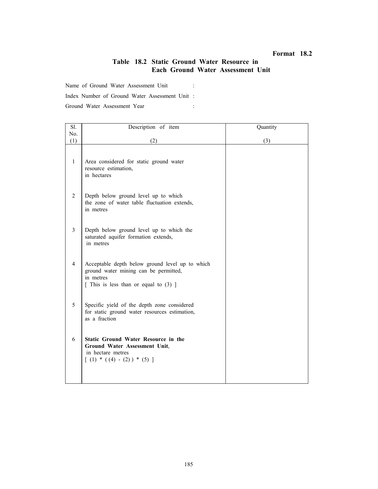### Format 18.2

# Table 18.2 Static Ground Water Resource in Each Ground Water Assessment Unit

Name of Ground Water Assessment Unit :

Index Number of Ground Water Assessment Unit :

Ground Water Assessment Year :

| Sl.            | Description of item                                                                                                                              | Quantity |
|----------------|--------------------------------------------------------------------------------------------------------------------------------------------------|----------|
| No.            |                                                                                                                                                  |          |
| (1)            | (2)                                                                                                                                              | (3)      |
| 1              | Area considered for static ground water<br>resource estimation,<br>in hectares                                                                   |          |
| $\overline{2}$ | Depth below ground level up to which<br>the zone of water table fluctuation extends,<br>in metres                                                |          |
| 3              | Depth below ground level up to which the<br>saturated aquifer formation extends,<br>in metres                                                    |          |
| $\overline{4}$ | Acceptable depth below ground level up to which<br>ground water mining can be permitted,<br>in metres<br>[ This is less than or equal to $(3)$ ] |          |
| 5              | Specific yield of the depth zone considered<br>for static ground water resources estimation,<br>as a fraction                                    |          |
| 6              | <b>Static Ground Water Resource in the</b><br>Ground Water Assessment Unit,<br>in hectare metres<br>$[ (1) * ( (4) - (2) ) * (5) ]$              |          |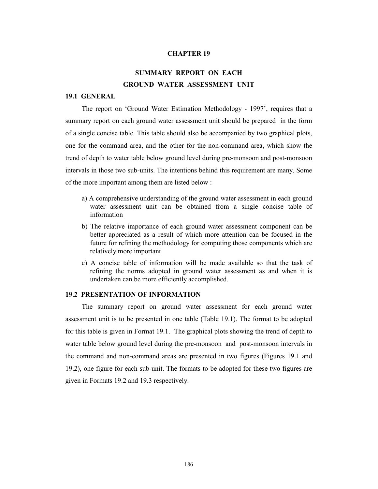### CHAPTER 19

# SUMMARY REPORT ON EACH GROUND WATER ASSESSMENT UNIT

### 19.1 GENERAL

The report on 'Ground Water Estimation Methodology - 1997', requires that a summary report on each ground water assessment unit should be prepared in the form of a single concise table. This table should also be accompanied by two graphical plots, one for the command area, and the other for the non-command area, which show the trend of depth to water table below ground level during pre-monsoon and post-monsoon intervals in those two sub-units. The intentions behind this requirement are many. Some of the more important among them are listed below :

- a) A comprehensive understanding of the ground water assessment in each ground water assessment unit can be obtained from a single concise table of information
- b) The relative importance of each ground water assessment component can be better appreciated as a result of which more attention can be focused in the future for refining the methodology for computing those components which are relatively more important
- c) A concise table of information will be made available so that the task of refining the norms adopted in ground water assessment as and when it is undertaken can be more efficiently accomplished.

### 19.2 PRESENTATION OF INFORMATION

The summary report on ground water assessment for each ground water assessment unit is to be presented in one table (Table 19.1). The format to be adopted for this table is given in Format 19.1. The graphical plots showing the trend of depth to water table below ground level during the pre-monsoon and post-monsoon intervals in the command and non-command areas are presented in two figures (Figures 19.1 and 19.2), one figure for each sub-unit. The formats to be adopted for these two figures are given in Formats 19.2 and 19.3 respectively.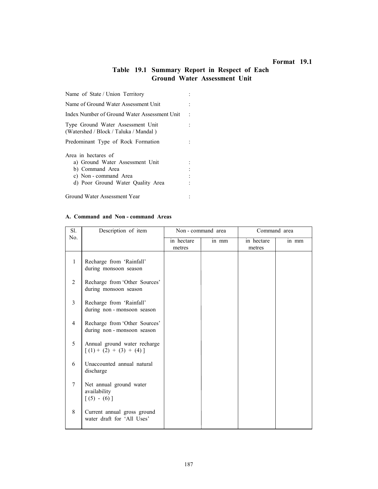# Format 19.1

# Table 19.1 Summary Report in Respect of Each Ground Water Assessment Unit

| Name of State / Union Territory                                            |  |
|----------------------------------------------------------------------------|--|
| Name of Ground Water Assessment Unit                                       |  |
| Index Number of Ground Water Assessment Unit                               |  |
| Type Ground Water Assessment Unit<br>(Watershed / Block / Taluka / Mandal) |  |
| Predominant Type of Rock Formation                                         |  |
| Area in hectares of                                                        |  |
| a) Ground Water Assessment Unit                                            |  |
| b) Command Area                                                            |  |
| c) Non - command Area                                                      |  |
| d) Poor Ground Water Quality Area                                          |  |
| Ground Water Assessment Year                                               |  |

#### A. Command and Non - command Areas

| Sl.            | Description of item                                        | Non - command area |       | Command area |       |
|----------------|------------------------------------------------------------|--------------------|-------|--------------|-------|
| No.            |                                                            | in hectare         | in mm | in hectare   | in mm |
|                |                                                            | metres             |       | metres       |       |
| $\mathbf{1}$   | Recharge from 'Rainfall'<br>during monsoon season          |                    |       |              |       |
| 2              | Recharge from 'Other Sources'<br>during monsoon season     |                    |       |              |       |
| 3              | Recharge from 'Rainfall'<br>during non-monsoon season      |                    |       |              |       |
| $\overline{4}$ | Recharge from 'Other Sources'<br>during non-monsoon season |                    |       |              |       |
| 5              | Annual ground water recharge<br>$[(1) + (2) + (3) + (4)]$  |                    |       |              |       |
| 6              | Unaccounted annual natural<br>discharge                    |                    |       |              |       |
| $\overline{7}$ | Net annual ground water<br>availability<br>$[(5) - (6)]$   |                    |       |              |       |
| 8              | Current annual gross ground<br>water draft for 'All Uses'  |                    |       |              |       |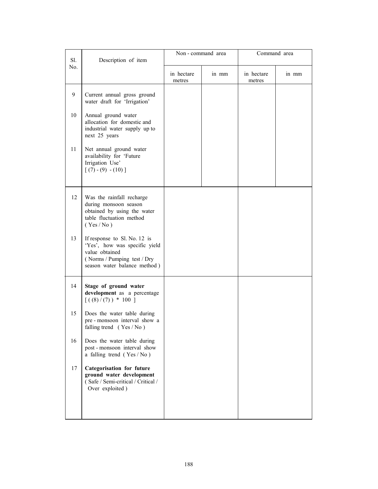|            |                                                                                                                                                |            | Non-command area |            | Command area |
|------------|------------------------------------------------------------------------------------------------------------------------------------------------|------------|------------------|------------|--------------|
| Sl.<br>No. | Description of item                                                                                                                            | in hectare | in mm            | in hectare | in mm        |
|            |                                                                                                                                                | metres     |                  | metres     |              |
| 9          | Current annual gross ground<br>water draft for 'Irrigation'                                                                                    |            |                  |            |              |
| 10         | Annual ground water<br>allocation for domestic and<br>industrial water supply up to<br>next 25 years                                           |            |                  |            |              |
| 11         | Net annual ground water<br>availability for 'Future<br>Irrigation Use'<br>$[(7)-(9)-(10)]$                                                     |            |                  |            |              |
| 12         | Was the rainfall recharge<br>during monsoon season<br>obtained by using the water<br>table fluctuation method<br>(Yes/No)                      |            |                  |            |              |
| 13         | If response to Sl. No. 12 is<br>'Yes', how was specific yield<br>value obtained<br>(Norms / Pumping test / Dry<br>season water balance method) |            |                  |            |              |
| 14         | Stage of ground water<br>development as a percentage<br>$[( (8) / (7) ) * 100 ]$                                                               |            |                  |            |              |
| 15         | Does the water table during<br>pre-monsoon interval show a<br>falling trend $(Yes/No)$                                                         |            |                  |            |              |
| 16         | Does the water table during<br>post-monsoon interval show<br>a falling trend (Yes/No)                                                          |            |                  |            |              |
| 17         | <b>Categorisation for future</b><br>ground water development<br>(Safe / Semi-critical / Critical /<br>Over exploited)                          |            |                  |            |              |
|            |                                                                                                                                                |            |                  |            |              |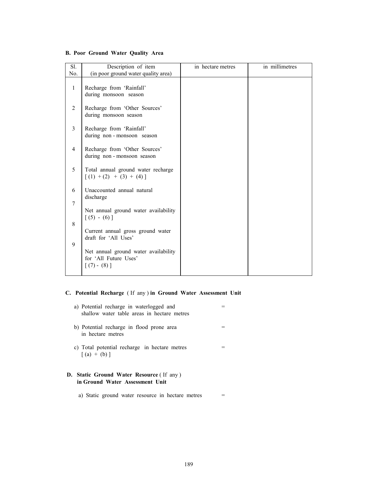# B. Poor Ground Water Quality Area

| Sl.            | Description of item                                                                        | in hectare metres | in millimetres |
|----------------|--------------------------------------------------------------------------------------------|-------------------|----------------|
| No.            | (in poor ground water quality area)                                                        |                   |                |
| $\mathbf{1}$   | Recharge from 'Rainfall'<br>during monsoon season                                          |                   |                |
| 2              | Recharge from 'Other Sources'<br>during monsoon season                                     |                   |                |
| 3              | Recharge from 'Rainfall'<br>during non-monsoon season                                      |                   |                |
| $\overline{4}$ | Recharge from 'Other Sources'<br>during non-monsoon season                                 |                   |                |
| 5              | Total annual ground water recharge<br>$[(1) + (2) + (3) + (4)]$                            |                   |                |
| 6              | Unaccounted annual natural<br>discharge                                                    |                   |                |
| $\overline{7}$ | Net annual ground water availability<br>$[(5) - (6)]$                                      |                   |                |
| 8              | Current annual gross ground water<br>draft for 'All Uses'                                  |                   |                |
| 9              | Net annual ground water availability<br>for 'All Future Uses'<br>$\lceil (7) - (8) \rceil$ |                   |                |

# C. Potential Recharge ( If any ) in Ground Water Assessment Unit

| a) Potential recharge in waterlogged and<br>shallow water table areas in hectare metres |  |
|-----------------------------------------------------------------------------------------|--|
| b) Potential recharge in flood prone area<br>in hectare metres                          |  |
| c) Total potential recharge in hectare metres<br>$(a) + (b)$ ]                          |  |
| <b>D.</b> Static Ground Water Resource (If any)<br>in Ground Water Assessment Unit      |  |
| a) Static ground water resource in hectare metres                                       |  |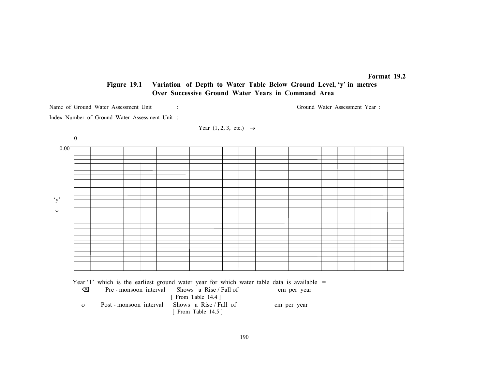### Format 19.2

# Figure 19.1 Variation of Depth to Water Table Below Ground Level, 'y' in metres Over Successive Ground Water Years in Command Area

Name of Ground Water Assessment Unit : Ground Water Assessment Year :

Index Number of Ground Water Assessment Unit :

Year 
$$
(1, 2, 3, etc.) \rightarrow
$$



Year '1' which is the earliest ground water year for which water table data is available =

| $-\infty$ - Pre - monsoon interval                         | Shows a Rise / Fall of | cm per year |
|------------------------------------------------------------|------------------------|-------------|
|                                                            | [ From Table $14.4$ ]  |             |
| $\sim$ 0 $\sim$ Post-monsoon interval Shows a Rise/Fall of |                        | cm per year |
|                                                            | [ From Table $14.5$ ]  |             |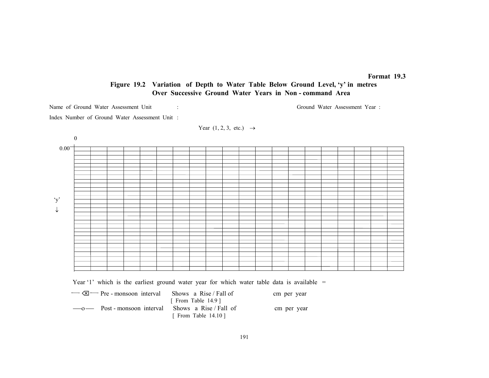### Format 19.3

# Figure 19.2 Variation of Depth to Water Table Below Ground Level, 'y' in metres Over Successive Ground Water Years in Non - command Area

Name of Ground Water Assessment Unit : Ground Water Assessment Year : Ground Water Assessment Year :

Index Number of Ground Water Assessment Unit :

Year 
$$
(1, 2, 3, etc.) \rightarrow
$$



Year '1' which is the earliest ground water year for which water table data is available =

 Pre - monsoon interval Shows a Rise / Fall of cm per year [ From Table 14.9 ] ο Post - monsoon interval Shows a Rise / Fall of cm per year [ From Table 14.10 ]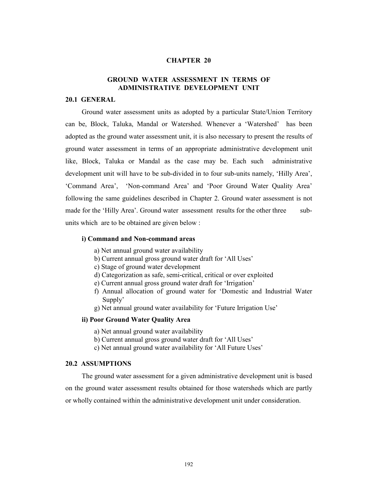### CHAPTER 20

# GROUND WATER ASSESSMENT IN TERMS OF ADMINISTRATIVE DEVELOPMENT UNIT

### 20.1 GENERAL

Ground water assessment units as adopted by a particular State/Union Territory can be, Block, Taluka, Mandal or Watershed. Whenever a 'Watershed' has been adopted as the ground water assessment unit, it is also necessary to present the results of ground water assessment in terms of an appropriate administrative development unit like, Block, Taluka or Mandal as the case may be. Each such administrative development unit will have to be sub-divided in to four sub-units namely, 'Hilly Area', 'Command Area', 'Non-command Area' and 'Poor Ground Water Quality Area' following the same guidelines described in Chapter 2. Ground water assessment is not made for the 'Hilly Area'. Ground water assessment results for the other three subunits which are to be obtained are given below :

### i) Command and Non-command areas

- a) Net annual ground water availability
- b) Current annual gross ground water draft for 'All Uses'
- c) Stage of ground water development
- d) Categorization as safe, semi-critical, critical or over exploited
- e) Current annual gross ground water draft for 'Irrigation'
- f) Annual allocation of ground water for 'Domestic and Industrial Water Supply'
- g) Net annual ground water availability for 'Future Irrigation Use'

### ii) Poor Ground Water Quality Area

- a) Net annual ground water availability
- b) Current annual gross ground water draft for 'All Uses'
- c) Net annual ground water availability for 'All Future Uses'

## 20.2 ASSUMPTIONS

The ground water assessment for a given administrative development unit is based on the ground water assessment results obtained for those watersheds which are partly or wholly contained within the administrative development unit under consideration.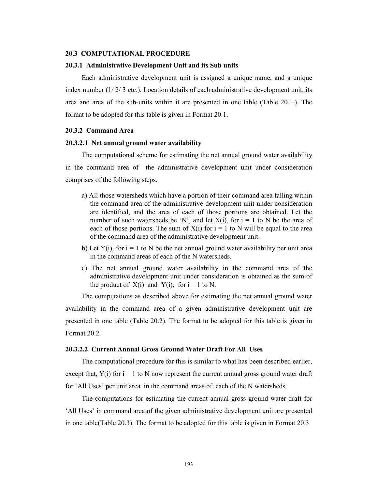#### 20.3 COMPUTATIONAL PROCEDURE

#### 20.3.1 Administrative Development Unit and its Sub units

Each administrative development unit is assigned a unique name, and a unique index number  $(1/2/3$  etc.). Location details of each administrative development unit, its area and area of the sub-units within it are presented in one table (Table 20.1.). The format to be adopted for this table is given in Format 20.1.

### 20.3.2 Command Area

### 20.3.2.1 Net annual ground water availability

The computational scheme for estimating the net annual ground water availability in the command area of the administrative development unit under consideration comprises of the following steps.

- a) All those watersheds which have a portion of their command area falling within the command area of the administrative development unit under consideration are identified, and the area of each of those portions are obtained. Let the number of such watersheds be 'N', and let  $X(i)$ , for  $i = 1$  to N be the area of each of those portions. The sum of  $X(i)$  for  $i = 1$  to N will be equal to the area of the command area of the administrative development unit.
- b) Let  $Y(i)$ , for  $i = 1$  to N be the net annual ground water availability per unit area in the command areas of each of the N watersheds.
- c) The net annual ground water availability in the command area of the administrative development unit under consideration is obtained as the sum of the product of  $X(i)$  and  $Y(i)$ , for  $i = 1$  to N.

The computations as described above for estimating the net annual ground water availability in the command area of a given administrative development unit are presented in one table (Table 20.2). The format to be adopted for this table is given in Format 20.2.

#### 20.3.2.2 Current Annual Gross Ground Water Draft For All Uses

The computational procedure for this is similar to what has been described earlier, except that,  $Y(i)$  for  $i = 1$  to N now represent the current annual gross ground water draft for 'All Uses' per unit area in the command areas of each of the N watersheds.

The computations for estimating the current annual gross ground water draft for 'All Uses' in command area of the given administrative development unit are presented in one table(Table 20.3). The format to be adopted for this table is given in Format 20.3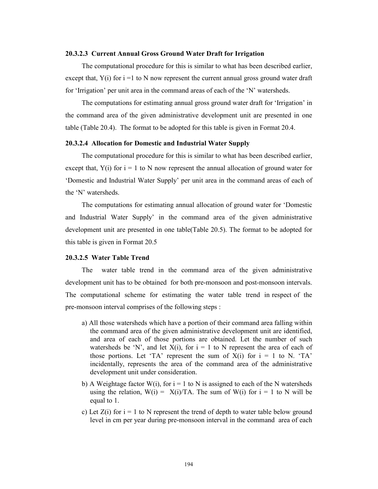#### 20.3.2.3 Current Annual Gross Ground Water Draft for Irrigation

The computational procedure for this is similar to what has been described earlier, except that,  $Y(i)$  for  $i = 1$  to N now represent the current annual gross ground water draft for 'Irrigation' per unit area in the command areas of each of the 'N' watersheds.

The computations for estimating annual gross ground water draft for 'Irrigation' in the command area of the given administrative development unit are presented in one table (Table 20.4). The format to be adopted for this table is given in Format 20.4.

### 20.3.2.4 Allocation for Domestic and Industrial Water Supply

The computational procedure for this is similar to what has been described earlier, except that,  $Y(i)$  for  $i = 1$  to N now represent the annual allocation of ground water for 'Domestic and Industrial Water Supply' per unit area in the command areas of each of the 'N' watersheds.

The computations for estimating annual allocation of ground water for 'Domestic and Industrial Water Supply' in the command area of the given administrative development unit are presented in one table(Table 20.5). The format to be adopted for this table is given in Format 20.5

### 20.3.2.5 Water Table Trend

The water table trend in the command area of the given administrative development unit has to be obtained for both pre-monsoon and post-monsoon intervals. The computational scheme for estimating the water table trend in respect of the pre-monsoon interval comprises of the following steps :

- a) All those watersheds which have a portion of their command area falling within the command area of the given administrative development unit are identified, and area of each of those portions are obtained. Let the number of such watersheds be 'N', and let  $X(i)$ , for  $i = 1$  to N represent the area of each of those portions. Let 'TA' represent the sum of  $X(i)$  for  $i = 1$  to N. 'TA' incidentally, represents the area of the command area of the administrative development unit under consideration.
- b) A Weightage factor W(i), for  $i = 1$  to N is assigned to each of the N watersheds using the relation,  $W(i) = X(i)/TA$ . The sum of  $W(i)$  for  $i = 1$  to N will be equal to 1.
- c) Let  $Z(i)$  for  $i = 1$  to N represent the trend of depth to water table below ground level in cm per year during pre-monsoon interval in the command area of each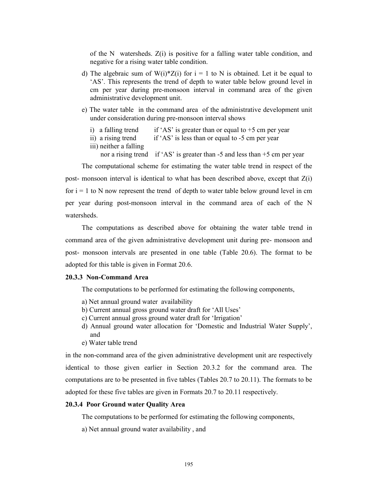of the N watersheds.  $Z(i)$  is positive for a falling water table condition, and negative for a rising water table condition.

- d) The algebraic sum of  $W(i)*Z(i)$  for  $i = 1$  to N is obtained. Let it be equal to 'AS'. This represents the trend of depth to water table below ground level in cm per year during pre-monsoon interval in command area of the given administrative development unit.
- e) The water table in the command area of the administrative development unit under consideration during pre-monsoon interval shows
	- i) a falling trend if 'AS' is greater than or equal to  $+5$  cm per year
	- ii) a rising trend if 'AS' is less than or equal to -5 cm per year
	- iii) neither a falling

nor a rising trend if 'AS' is greater than -5 and less than +5 cm per year

The computational scheme for estimating the water table trend in respect of the post- monsoon interval is identical to what has been described above, except that  $Z(i)$ for  $i = 1$  to N now represent the trend of depth to water table below ground level in cm per year during post-monsoon interval in the command area of each of the N watersheds.

The computations as described above for obtaining the water table trend in command area of the given administrative development unit during pre- monsoon and post- monsoon intervals are presented in one table (Table 20.6). The format to be adopted for this table is given in Format 20.6.

### 20.3.3 Non-Command Area

The computations to be performed for estimating the following components,

- a) Net annual ground water availability
- b) Current annual gross ground water draft for 'All Uses'
- c) Current annual gross ground water draft for 'Irrigation'
- d) Annual ground water allocation for 'Domestic and Industrial Water Supply', and
- e) Water table trend

in the non-command area of the given administrative development unit are respectively identical to those given earlier in Section 20.3.2 for the command area. The computations are to be presented in five tables (Tables 20.7 to 20.11). The formats to be adopted for these five tables are given in Formats 20.7 to 20.11 respectively.

### 20.3.4 Poor Ground water Quality Area

The computations to be performed for estimating the following components,

a) Net annual ground water availability , and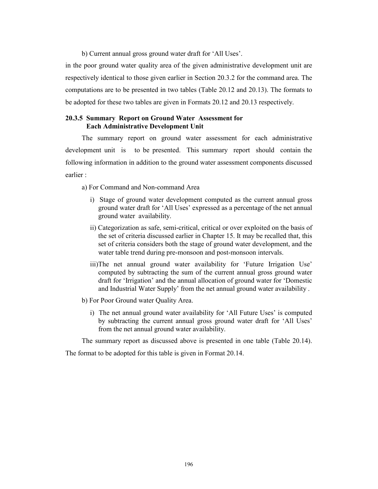b) Current annual gross ground water draft for 'All Uses'.

in the poor ground water quality area of the given administrative development unit are respectively identical to those given earlier in Section 20.3.2 for the command area. The computations are to be presented in two tables (Table 20.12 and 20.13). The formats to be adopted for these two tables are given in Formats 20.12 and 20.13 respectively.

## 20.3.5 Summary Report on Ground Water Assessment for Each Administrative Development Unit

The summary report on ground water assessment for each administrative development unit is to be presented. This summary report should contain the following information in addition to the ground water assessment components discussed earlier :

a) For Command and Non-command Area

- i) Stage of ground water development computed as the current annual gross ground water draft for 'All Uses' expressed as a percentage of the net annual ground water availability.
- ii) Categorization as safe, semi-critical, critical or over exploited on the basis of the set of criteria discussed earlier in Chapter 15. It may be recalled that, this set of criteria considers both the stage of ground water development, and the water table trend during pre-monsoon and post-monsoon intervals.
- iii)The net annual ground water availability for 'Future Irrigation Use' computed by subtracting the sum of the current annual gross ground water draft for 'Irrigation' and the annual allocation of ground water for 'Domestic and Industrial Water Supply' from the net annual ground water availability .
- b) For Poor Ground water Quality Area.
	- i) The net annual ground water availability for 'All Future Uses' is computed by subtracting the current annual gross ground water draft for 'All Uses' from the net annual ground water availability.

The summary report as discussed above is presented in one table (Table 20.14).

The format to be adopted for this table is given in Format 20.14.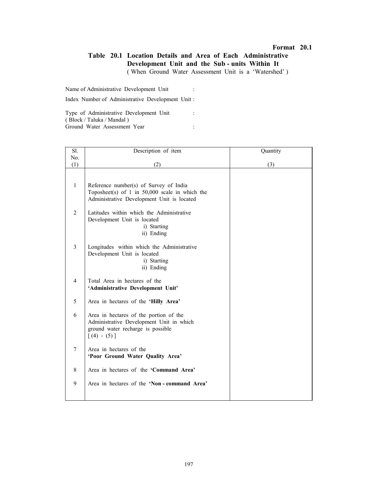# Table 20.1 Location Details and Area of Each Administrative Development Unit and the Sub - units Within It

( When Ground Water Assessment Unit is a 'Watershed' )

Name of Administrative Development Unit :

Index Number of Administrative Development Unit :

Type of Administrative Development Unit : ( Block / Taluka / Mandal ) Ground Water Assessment Year :

| Sl.            | Description of item                                                                                                                      | Quantity |
|----------------|------------------------------------------------------------------------------------------------------------------------------------------|----------|
| No.            |                                                                                                                                          |          |
| (1)            | (2)                                                                                                                                      | (3)      |
| $\mathbf{1}$   | Reference number(s) of Survey of India<br>Toposheet(s) of 1 in $50,000$ scale in which the<br>Administrative Development Unit is located |          |
| $\overline{2}$ | Latitudes within which the Administrative<br>Development Unit is located<br>i) Starting<br>ii) Ending                                    |          |
| 3              | Longitudes within which the Administrative<br>Development Unit is located<br>i) Starting<br>ii) Ending                                   |          |
| 4              | Total Area in hectares of the<br>'Administrative Development Unit'                                                                       |          |
| 5              | Area in hectares of the 'Hilly Area'                                                                                                     |          |
| 6              | Area in hectares of the portion of the<br>Administrative Development Unit in which<br>ground water recharge is possible<br>$[(4) - (5)]$ |          |
| $\overline{7}$ | Area in hectares of the<br>'Poor Ground Water Quality Area'                                                                              |          |
| 8              | Area in hectares of the 'Command Area'                                                                                                   |          |
| 9              | Area in hectares of the 'Non - command Area'                                                                                             |          |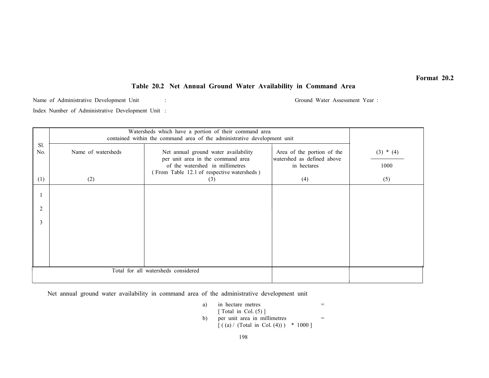# Table 20.2 Net Annual Ground Water Availability in Command Area

Name of Administrative Development Unit : Ground Water Assessment Year :

Index Number of Administrative Development Unit :

|                | Watersheds which have a portion of their command area<br>contained within the command area of the administrative development unit |                                                                                                                                                            |                                                                         |                     |  |  |
|----------------|-----------------------------------------------------------------------------------------------------------------------------------|------------------------------------------------------------------------------------------------------------------------------------------------------------|-------------------------------------------------------------------------|---------------------|--|--|
| Sl.<br>No.     | Name of watersheds                                                                                                                | Net annual ground water availability<br>per unit area in the command area<br>of the watershed in millimetres<br>(From Table 12.1 of respective watersheds) | Area of the portion of the<br>watershed as defined above<br>in hectares | $(3) * (4)$<br>1000 |  |  |
| (1)            | (2)                                                                                                                               | (3)                                                                                                                                                        | (4)                                                                     | (5)                 |  |  |
|                |                                                                                                                                   |                                                                                                                                                            |                                                                         |                     |  |  |
| $\overline{2}$ |                                                                                                                                   |                                                                                                                                                            |                                                                         |                     |  |  |
| 3              |                                                                                                                                   |                                                                                                                                                            |                                                                         |                     |  |  |
|                |                                                                                                                                   |                                                                                                                                                            |                                                                         |                     |  |  |
|                |                                                                                                                                   |                                                                                                                                                            |                                                                         |                     |  |  |
|                | Total for all watersheds considered                                                                                               |                                                                                                                                                            |                                                                         |                     |  |  |

Net annual ground water availability in command area of the administrative development unit

\n- a) in hectare metres 
$$
=
$$
 [Total in Col. (5)]
\n- b) per unit area in millimetres  $=$  [( (a) / (Total in Col. (4))) \* 1000 ]
\n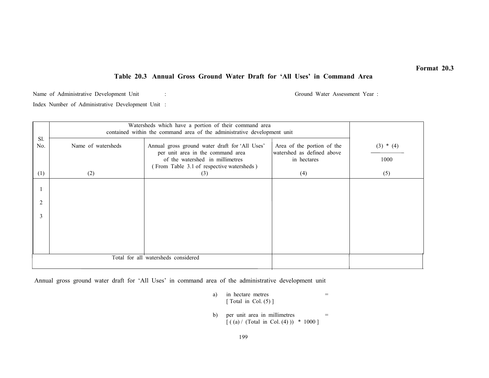# Table 20.3 Annual Gross Ground Water Draft for 'All Uses' in Command Area

Name of Administrative Development Unit : Ground Water Assessment Year : Ground Water Assessment Year :

Index Number of Administrative Development Unit :

|            | Watersheds which have a portion of their command area<br>contained within the command area of the administrative development unit |                                                                                                                                                                     |                                                                         |                     |
|------------|-----------------------------------------------------------------------------------------------------------------------------------|---------------------------------------------------------------------------------------------------------------------------------------------------------------------|-------------------------------------------------------------------------|---------------------|
| Sl.<br>No. | Name of watersheds                                                                                                                | Annual gross ground water draft for 'All Uses'<br>per unit area in the command area<br>of the watershed in millimetres<br>(From Table 3.1 of respective watersheds) | Area of the portion of the<br>watershed as defined above<br>in hectares | $(3) * (4)$<br>1000 |
| (1)        | (2)                                                                                                                               | (3)                                                                                                                                                                 | (4)                                                                     | (5)                 |
|            |                                                                                                                                   |                                                                                                                                                                     |                                                                         |                     |
| 2          |                                                                                                                                   |                                                                                                                                                                     |                                                                         |                     |
| 3          |                                                                                                                                   |                                                                                                                                                                     |                                                                         |                     |
|            |                                                                                                                                   |                                                                                                                                                                     |                                                                         |                     |
|            |                                                                                                                                   |                                                                                                                                                                     |                                                                         |                     |
|            |                                                                                                                                   |                                                                                                                                                                     |                                                                         |                     |

Annual gross ground water draft for 'All Uses' in command area of the administrative development unit

- a) in hectare metres  $=$ [ Total in Col. (5) ]
- b) per unit area in millimetres  $=$  $[( (a) / (Total in Col. (4) )) * 1000 ]$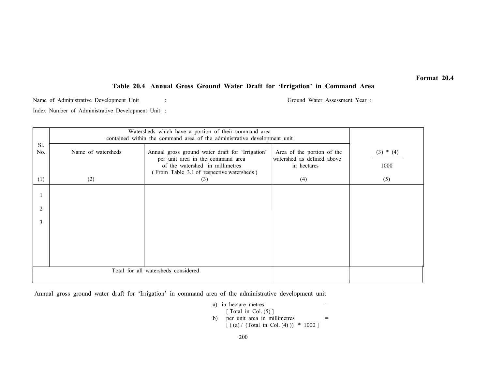# Table 20.4 Annual Gross Ground Water Draft for 'Irrigation' in Command Area

Name of Administrative Development Unit : Ground Water Assessment Year :

Index Number of Administrative Development Unit :

|                | Watersheds which have a portion of their command area<br>contained within the command area of the administrative development unit |                                                                                                                                                                       |                                                                         |                     |  |  |
|----------------|-----------------------------------------------------------------------------------------------------------------------------------|-----------------------------------------------------------------------------------------------------------------------------------------------------------------------|-------------------------------------------------------------------------|---------------------|--|--|
| Sl.<br>No.     | Name of watersheds                                                                                                                | Annual gross ground water draft for 'Irrigation'<br>per unit area in the command area<br>of the watershed in millimetres<br>(From Table 3.1 of respective watersheds) | Area of the portion of the<br>watershed as defined above<br>in hectares | $(3) * (4)$<br>1000 |  |  |
| (1)            | (2)                                                                                                                               | (3)                                                                                                                                                                   | (4)                                                                     | (5)                 |  |  |
|                |                                                                                                                                   |                                                                                                                                                                       |                                                                         |                     |  |  |
| $\overline{2}$ |                                                                                                                                   |                                                                                                                                                                       |                                                                         |                     |  |  |
| 3              |                                                                                                                                   |                                                                                                                                                                       |                                                                         |                     |  |  |
|                |                                                                                                                                   |                                                                                                                                                                       |                                                                         |                     |  |  |
|                |                                                                                                                                   |                                                                                                                                                                       |                                                                         |                     |  |  |
|                | Total for all watersheds considered                                                                                               |                                                                                                                                                                       |                                                                         |                     |  |  |

Annual gross ground water draft for 'Irrigation' in command area of the administrative development unit

 a) in hectare metres = [ Total in Col. (5) ] b) per unit area in millimetres = [ ( (a) / (Total in Col. (4) )) \* 1000 ]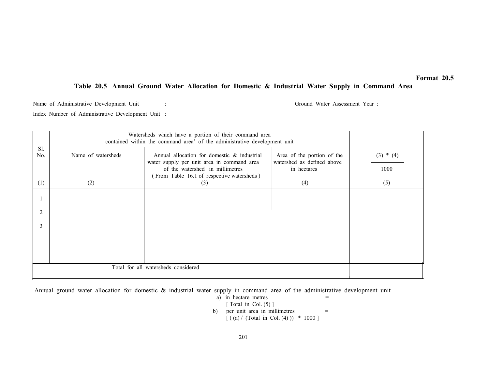# Table 20.5 Annual Ground Water Allocation for Domestic & Industrial Water Supply in Command Area

Name of Administrative Development Unit : Ground Water Assessment Year :

Index Number of Administrative Development Unit :

|            | Watersheds which have a portion of their command area<br>contained within the command area' of the administrative development unit |                                                                                                                                                                            |                                                                         |                     |  |  |
|------------|------------------------------------------------------------------------------------------------------------------------------------|----------------------------------------------------------------------------------------------------------------------------------------------------------------------------|-------------------------------------------------------------------------|---------------------|--|--|
| Sl.<br>No. | Name of watersheds                                                                                                                 | Annual allocation for domestic & industrial<br>water supply per unit area in command area<br>of the watershed in millimetres<br>(From Table 16.1 of respective watersheds) | Area of the portion of the<br>watershed as defined above<br>in hectares | $(3) * (4)$<br>1000 |  |  |
| (1)        | (2)                                                                                                                                | (3)                                                                                                                                                                        | (4)                                                                     | (5)                 |  |  |
|            |                                                                                                                                    |                                                                                                                                                                            |                                                                         |                     |  |  |
| 2          |                                                                                                                                    |                                                                                                                                                                            |                                                                         |                     |  |  |
| 3          |                                                                                                                                    |                                                                                                                                                                            |                                                                         |                     |  |  |
|            |                                                                                                                                    |                                                                                                                                                                            |                                                                         |                     |  |  |
|            |                                                                                                                                    |                                                                                                                                                                            |                                                                         |                     |  |  |
|            | Total for all watersheds considered                                                                                                |                                                                                                                                                                            |                                                                         |                     |  |  |

Annual ground water allocation for domestic & industrial water supply in command area of the administrative development unit

\n- a) in hectare metres 
$$
=
$$
 [Total in Col. (5)]
\n- b) per unit area in millimetres  $[((a) / (Total in Col. (4))) * 1000]$
\n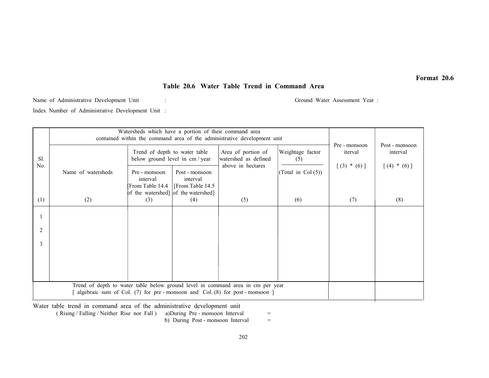## Table 20.6 Water Table Trend in Command Area

Name of Administrative Development Unit : Ground Water Assessment Year :

Index Number of Administrative Development Unit :

|                                                                                 | Watersheds which have a portion of their command area<br>contained within the command area of the administrative development unit |                                                                                     |                                                 |                                                                               |                         |                          |                            |
|---------------------------------------------------------------------------------|-----------------------------------------------------------------------------------------------------------------------------------|-------------------------------------------------------------------------------------|-------------------------------------------------|-------------------------------------------------------------------------------|-------------------------|--------------------------|----------------------------|
| Sl.<br>No.                                                                      |                                                                                                                                   | Trend of depth to water table<br>below ground level in cm / year                    |                                                 | Area of portion of<br>watershed as defined                                    | Weightage factor<br>(5) | Pre - monsoon<br>iterval | Post - monsoon<br>interval |
|                                                                                 | Name of watersheds                                                                                                                | Pre - monsoon<br>interval<br>From Table 14.4<br>of the watershed] of the watershed] | Post - monsoon<br>interval<br>[From Table 14.5] | above in hectares<br>(Total in Col $(5)$ )                                    | $[(3) * (6)]$           | $[(4) * (6)]$            |                            |
| (1)                                                                             | (2)                                                                                                                               | (3)                                                                                 | (4)                                             | (5)                                                                           | (6)                     | (7)                      | (8)                        |
|                                                                                 |                                                                                                                                   |                                                                                     |                                                 |                                                                               |                         |                          |                            |
| $\overline{2}$                                                                  |                                                                                                                                   |                                                                                     |                                                 |                                                                               |                         |                          |                            |
| 3                                                                               |                                                                                                                                   |                                                                                     |                                                 |                                                                               |                         |                          |                            |
|                                                                                 |                                                                                                                                   |                                                                                     |                                                 |                                                                               |                         |                          |                            |
|                                                                                 |                                                                                                                                   |                                                                                     |                                                 |                                                                               |                         |                          |                            |
| Trend of depth to water table below ground level in command area in cm per year |                                                                                                                                   |                                                                                     |                                                 |                                                                               |                         |                          |                            |
|                                                                                 |                                                                                                                                   |                                                                                     |                                                 | algebraic sum of Col. $(7)$ for pre-monsoon and Col. $(8)$ for post-monsoon ] |                         |                          |                            |

Water table trend in command area of the administrative development unit

 $(Rising / Falling / Neither Rise nor Fall)$  a)During Pre - monsoon Interval  $=$ 

b) During Post - monsoon Interval

 $\equiv$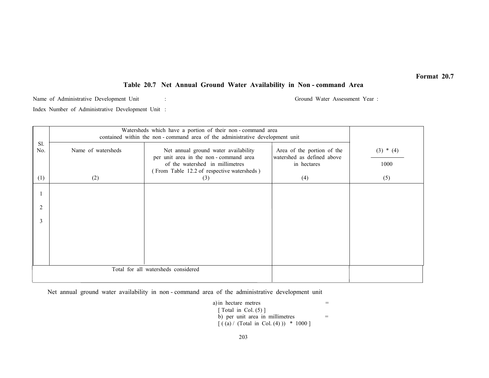### Table 20.7 Net Annual Ground Water Availability in Non - command Area

Name of Administrative Development Unit : Ground Water Assessment Year : Index Number of Administrative Development Unit :

|                | Watersheds which have a portion of their non-command area<br>contained within the non-command area of the administrative development unit |                                                                                                                                                                |                                                                         |                     |  |  |  |
|----------------|-------------------------------------------------------------------------------------------------------------------------------------------|----------------------------------------------------------------------------------------------------------------------------------------------------------------|-------------------------------------------------------------------------|---------------------|--|--|--|
| Sl.<br>No.     | Name of watersheds                                                                                                                        | Net annual ground water availability<br>per unit area in the non-command area<br>of the watershed in millimetres<br>(From Table 12.2 of respective watersheds) | Area of the portion of the<br>watershed as defined above<br>in hectares | $(3) * (4)$<br>1000 |  |  |  |
| (1)            | (2)                                                                                                                                       | (3)                                                                                                                                                            | (4)                                                                     | (5)                 |  |  |  |
|                |                                                                                                                                           |                                                                                                                                                                |                                                                         |                     |  |  |  |
| $\overline{2}$ |                                                                                                                                           |                                                                                                                                                                |                                                                         |                     |  |  |  |
| 3              |                                                                                                                                           |                                                                                                                                                                |                                                                         |                     |  |  |  |
|                |                                                                                                                                           |                                                                                                                                                                |                                                                         |                     |  |  |  |
|                |                                                                                                                                           |                                                                                                                                                                |                                                                         |                     |  |  |  |
|                | Total for all watersheds considered                                                                                                       |                                                                                                                                                                |                                                                         |                     |  |  |  |
|                |                                                                                                                                           |                                                                                                                                                                |                                                                         |                     |  |  |  |

Net annual ground water availability in non - command area of the administrative development unit

 $a)$  in hectare metres  $=$ [ Total in Col.  $(5)$ ] b) per unit area in millimetres  $=$  $[( (a) / (Total in Col. (4) )) * 1000]$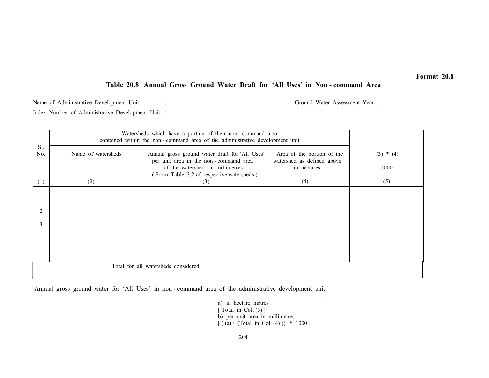# Table 20.8 Annual Gross Ground Water Draft for 'All Uses' in Non - command Area

Name of Administrative Development Unit : Ground Water Assessment Year :

Index Number of Administrative Development Unit :

|            | Watersheds which have a portion of their non-command area<br>contained within the non-command area of the administrative development unit |                                                                                                                                                                         |                                                                         |                     |  |  |
|------------|-------------------------------------------------------------------------------------------------------------------------------------------|-------------------------------------------------------------------------------------------------------------------------------------------------------------------------|-------------------------------------------------------------------------|---------------------|--|--|
| Sl.<br>No. | Name of watersheds                                                                                                                        | Annual gross ground water draft for 'All Uses'<br>per unit area in the non-command area<br>of the watershed in millimetres<br>(From Table 3.2 of respective watersheds) | Area of the portion of the<br>watershed as defined above<br>in hectares | $(3) * (4)$<br>1000 |  |  |
| (1)        | (2)                                                                                                                                       | (3)                                                                                                                                                                     | (4)                                                                     | (5)                 |  |  |
|            |                                                                                                                                           |                                                                                                                                                                         |                                                                         |                     |  |  |
| 2          |                                                                                                                                           |                                                                                                                                                                         |                                                                         |                     |  |  |
| 3          |                                                                                                                                           |                                                                                                                                                                         |                                                                         |                     |  |  |
|            |                                                                                                                                           |                                                                                                                                                                         |                                                                         |                     |  |  |
|            |                                                                                                                                           |                                                                                                                                                                         |                                                                         |                     |  |  |
|            | Total for all watersheds considered                                                                                                       |                                                                                                                                                                         |                                                                         |                     |  |  |

Annual gross ground water for 'All Uses' in non - command area of the administrative development unit

| a) in hectare metres                  |  |
|---------------------------------------|--|
| [ Total in Col. $(5)$ ]               |  |
| b) per unit area in millimetres       |  |
| $[(a) / (Total in Col. (4))) * 1000]$ |  |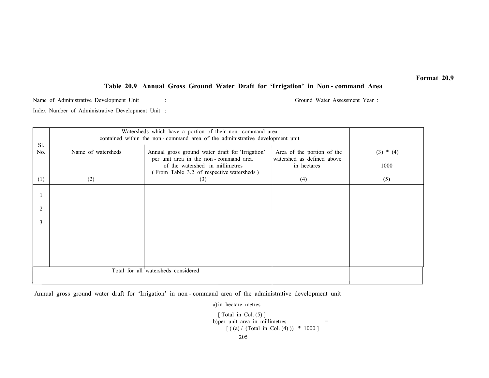# Table 20.9 Annual Gross Ground Water Draft for 'Irrigation' in Non - command Area

Name of Administrative Development Unit : Ground Water Assessment Year : Ground Water Assessment Year :

Index Number of Administrative Development Unit :

|                | Watersheds which have a portion of their non-command area<br>contained within the non-command area of the administrative development unit |                                                                                                                                                                           |                                                                         |                     |  |  |
|----------------|-------------------------------------------------------------------------------------------------------------------------------------------|---------------------------------------------------------------------------------------------------------------------------------------------------------------------------|-------------------------------------------------------------------------|---------------------|--|--|
| Sl.<br>No.     | Name of watersheds                                                                                                                        | Annual gross ground water draft for 'Irrigation'<br>per unit area in the non-command area<br>of the watershed in millimetres<br>(From Table 3.2 of respective watersheds) | Area of the portion of the<br>watershed as defined above<br>in hectares | $(3) * (4)$<br>1000 |  |  |
| (1)            | (2)                                                                                                                                       | (3)                                                                                                                                                                       | (4)                                                                     | (5)                 |  |  |
|                |                                                                                                                                           |                                                                                                                                                                           |                                                                         |                     |  |  |
| $\overline{2}$ |                                                                                                                                           |                                                                                                                                                                           |                                                                         |                     |  |  |
| 3              |                                                                                                                                           |                                                                                                                                                                           |                                                                         |                     |  |  |
|                |                                                                                                                                           |                                                                                                                                                                           |                                                                         |                     |  |  |
|                |                                                                                                                                           |                                                                                                                                                                           |                                                                         |                     |  |  |
|                | Total for all watersheds considered                                                                                                       |                                                                                                                                                                           |                                                                         |                     |  |  |

Annual gross ground water draft for 'Irrigation' in non - command area of the administrative development unit

205a) in hectare metres  $=$  $\lceil$  Total in Col. (5)  $\rceil$ b) per unit area in millimetres  $=$  $[( (a) / (Total in Col. (4) )) * 1000 ]$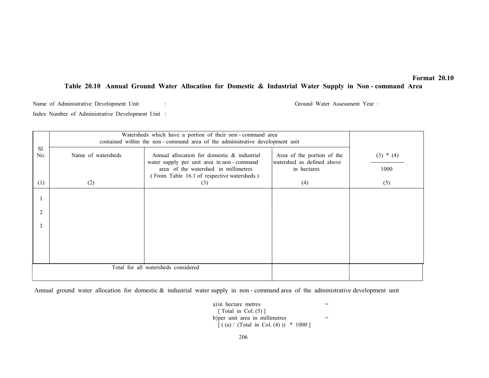## Table 20.10 Annual Ground Water Allocation for Domestic & Industrial Water Supply in Non - command Area

Name of Administrative Development Unit : Ground Water Assessment Year :

Index Number of Administrative Development Unit :

|                | Watersheds which have a portion of their non-command area<br>contained within the non-command area of the administrative development unit |                                                                                                                                                                                |                                                                         |                     |  |  |
|----------------|-------------------------------------------------------------------------------------------------------------------------------------------|--------------------------------------------------------------------------------------------------------------------------------------------------------------------------------|-------------------------------------------------------------------------|---------------------|--|--|
| Sl.<br>No.     | Name of watersheds                                                                                                                        | Annual allocation for domestic & industrial<br>water supply per unit area in non-command<br>area of the watershed in millimetres<br>(From Table 16.1 of respective watersheds) | Area of the portion of the<br>watershed as defined above<br>in hectares | $(3) * (4)$<br>1000 |  |  |
| (1)            | (2)                                                                                                                                       | (3)                                                                                                                                                                            | (4)                                                                     | (5)                 |  |  |
|                |                                                                                                                                           |                                                                                                                                                                                |                                                                         |                     |  |  |
| $\overline{2}$ |                                                                                                                                           |                                                                                                                                                                                |                                                                         |                     |  |  |
| 3              |                                                                                                                                           |                                                                                                                                                                                |                                                                         |                     |  |  |
|                |                                                                                                                                           |                                                                                                                                                                                |                                                                         |                     |  |  |
|                |                                                                                                                                           |                                                                                                                                                                                |                                                                         |                     |  |  |
|                | Total for all watersheds considered                                                                                                       |                                                                                                                                                                                |                                                                         |                     |  |  |

Annual ground water allocation for domestic & industrial water supply in non - command area of the administrative development unit

a) in hectare metres  $=$  $\lceil$  Total in Col. (5)  $\rceil$ b) per unit area in millimetres  $=$  $[( (a) / (Total in Col. (4) )) * 1000 ]$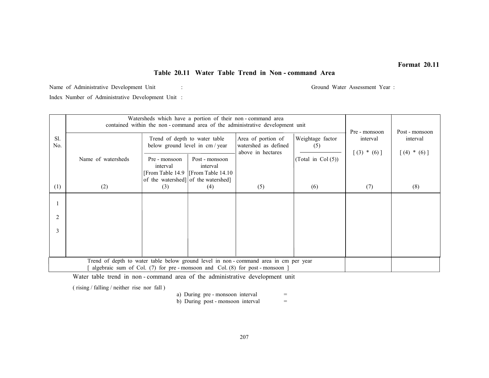# Table 20.11 Water Table Trend in Non - command Area

Name of Administrative Development Unit : Ground Water Assessment Year :

Index Number of Administrative Development Unit :

|                | Watersheds which have a portion of their non-command area<br>contained within the non-command area of the administrative development unit |                                     |                                                                     |                                                                                     |                         | Pre - monsoon             | Post - monsoon            |
|----------------|-------------------------------------------------------------------------------------------------------------------------------------------|-------------------------------------|---------------------------------------------------------------------|-------------------------------------------------------------------------------------|-------------------------|---------------------------|---------------------------|
| Sl.<br>No.     |                                                                                                                                           | Trend of depth to water table       | below ground level in cm / year                                     | Area of portion of<br>watershed as defined<br>above in hectares                     | Weightage factor<br>(5) | interval<br>$[(3) * (6)]$ | interval<br>$[(4) * (6)]$ |
|                | Name of watersheds                                                                                                                        | Pre - monsoon<br>interval           | Post - monsoon<br>interval<br>[From Table 14.9   [From Table 14.10] |                                                                                     | (Total in Col $(5)$ )   |                           |                           |
|                |                                                                                                                                           | of the watershed] of the watershed] |                                                                     |                                                                                     |                         |                           |                           |
| (1)            | (2)                                                                                                                                       | (3)                                 | (4)                                                                 | (5)                                                                                 | (6)                     | (7)                       | (8)                       |
|                |                                                                                                                                           |                                     |                                                                     |                                                                                     |                         |                           |                           |
| $\overline{2}$ |                                                                                                                                           |                                     |                                                                     |                                                                                     |                         |                           |                           |
| 3              |                                                                                                                                           |                                     |                                                                     |                                                                                     |                         |                           |                           |
|                |                                                                                                                                           |                                     |                                                                     |                                                                                     |                         |                           |                           |
|                |                                                                                                                                           |                                     |                                                                     | Trend of depth to water table below ground level in non-command area in cm per year |                         |                           |                           |
|                | algebraic sum of Col. (7) for pre-monsoon and Col. (8) for post-monsoon ]                                                                 |                                     |                                                                     |                                                                                     |                         |                           |                           |

Water table trend in non - command area of the administrative development unit

( rising / falling / neither rise nor fall )

a) During pre - monsoon interval =

b) During post - monsoon interval

 $\equiv$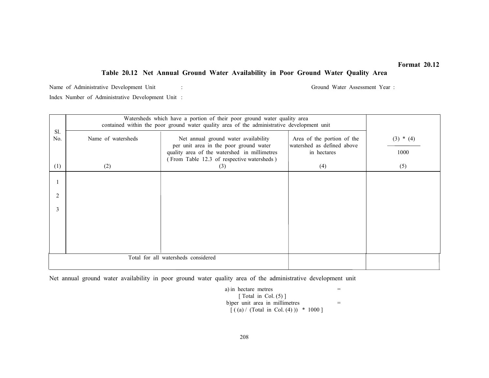# Table 20.12 Net Annual Ground Water Availability in Poor Ground Water Quality Area

Name of Administrative Development Unit : Ground Water Assessment Year :

Index Number of Administrative Development Unit :

|            | Watersheds which have a portion of their poor ground water quality area<br>contained within the poor ground water quality area of the administrative development unit |                                                                                                                                                                              |                                                                         |                     |  |
|------------|-----------------------------------------------------------------------------------------------------------------------------------------------------------------------|------------------------------------------------------------------------------------------------------------------------------------------------------------------------------|-------------------------------------------------------------------------|---------------------|--|
| Sl.<br>No. | Name of watersheds                                                                                                                                                    | Net annual ground water availability<br>per unit area in the poor ground water<br>quality area of the watershed in millimetres<br>(From Table 12.3 of respective watersheds) | Area of the portion of the<br>watershed as defined above<br>in hectares | $(3) * (4)$<br>1000 |  |
| (1)        | (2)                                                                                                                                                                   | (3)                                                                                                                                                                          | (4)                                                                     | (5)                 |  |
| 2<br>3     |                                                                                                                                                                       |                                                                                                                                                                              |                                                                         |                     |  |
|            |                                                                                                                                                                       |                                                                                                                                                                              |                                                                         |                     |  |
|            | Total for all watersheds considered                                                                                                                                   |                                                                                                                                                                              |                                                                         |                     |  |

Net annual ground water availability in poor ground water quality area of the administrative development unit

 $a)$  in hectare metres  $=$ [ Total in Col.  $(5)$ ] b) per unit area in millimetres  $=$  $\int ($  (a) / (Total in Col. (4))) \* 1000 ]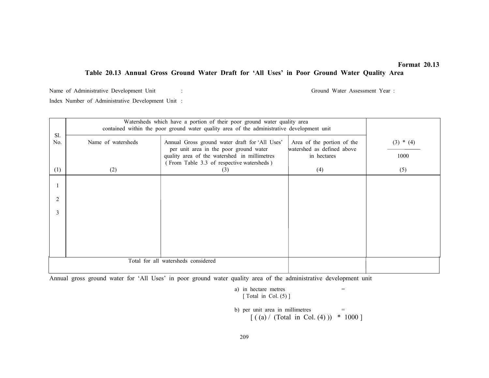## Table 20.13 Annual Gross Ground Water Draft for 'All Uses' in Poor Ground Water Quality Area

Name of Administrative Development Unit : Ground Water Assessment Year : Ground Water Assessment Year : Index Number of Administrative Development Unit :

|            | Watersheds which have a portion of their poor ground water quality area<br>contained within the poor ground water quality area of the administrative development unit |                                                                                                                                                                                       |                                                                         |                     |  |  |
|------------|-----------------------------------------------------------------------------------------------------------------------------------------------------------------------|---------------------------------------------------------------------------------------------------------------------------------------------------------------------------------------|-------------------------------------------------------------------------|---------------------|--|--|
| Sl.<br>No. | Name of watersheds                                                                                                                                                    | Annual Gross ground water draft for 'All Uses'<br>per unit area in the poor ground water<br>quality area of the watershed in millimetres<br>(From Table 3.3 of respective watersheds) | Area of the portion of the<br>watershed as defined above<br>in hectares | $(3) * (4)$<br>1000 |  |  |
| (1)        | (2)                                                                                                                                                                   | (3)                                                                                                                                                                                   | (4)                                                                     | (5)                 |  |  |
|            |                                                                                                                                                                       |                                                                                                                                                                                       |                                                                         |                     |  |  |
| 2          |                                                                                                                                                                       |                                                                                                                                                                                       |                                                                         |                     |  |  |
| 3          |                                                                                                                                                                       |                                                                                                                                                                                       |                                                                         |                     |  |  |
|            |                                                                                                                                                                       |                                                                                                                                                                                       |                                                                         |                     |  |  |
|            |                                                                                                                                                                       |                                                                                                                                                                                       |                                                                         |                     |  |  |
|            | Total for all watersheds considered                                                                                                                                   |                                                                                                                                                                                       |                                                                         |                     |  |  |

Annual gross ground water for 'All Uses' in poor ground water quality area of the administrative development unit

a) in hectare metres  $=$ [ Total in Col. (5) ]

b) per unit area in millimetres  $=$  $[( (a) / (Total in Col. (4) )) * 1000 ]$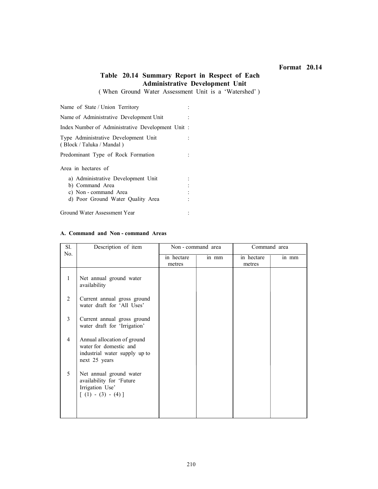# Table 20.14 Summary Report in Respect of Each Administrative Development Unit

( When Ground Water Assessment Unit is a 'Watershed' )

Name of State / Union Territory :

Name of Administrative Development Unit : Index Number of Administrative Development Unit :

Type Administrative Development Unit : ( Block / Taluka / Mandal )

Predominant Type of Rock Formation :

Area in hectares of

- a) Administrative Development Unit :
- b) Command Area :
- c) Non command Area :
- d) Poor Ground Water Quality Area :

Ground Water Assessment Year :

#### A. Command and Non - command Areas

| Sl.            | Description of item                                                                                     | Non - command area   |       | Command area         |       |
|----------------|---------------------------------------------------------------------------------------------------------|----------------------|-------|----------------------|-------|
| No.            |                                                                                                         | in hectare<br>metres | in mm | in hectare<br>metres | in mm |
| $\mathbf{1}$   | Net annual ground water<br>availability                                                                 |                      |       |                      |       |
| $\overline{2}$ | Current annual gross ground<br>water draft for 'All Uses'                                               |                      |       |                      |       |
| 3              | Current annual gross ground<br>water draft for 'Irrigation'                                             |                      |       |                      |       |
| $\overline{4}$ | Annual allocation of ground<br>water for domestic and<br>industrial water supply up to<br>next 25 years |                      |       |                      |       |
| 5              | Net annual ground water<br>availability for 'Future<br>Irrigation Use'<br>$[ (1) - (3) - (4) ]$         |                      |       |                      |       |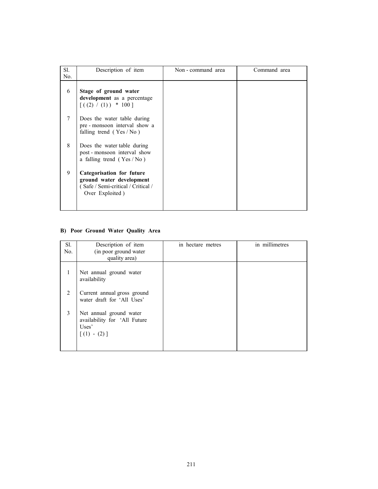| Sl.<br>No. | Description of item                                                                                            | Non - command area | Command area |
|------------|----------------------------------------------------------------------------------------------------------------|--------------------|--------------|
| 6          | Stage of ground water<br>development as a percentage<br>$[( (2) / (1) ) * 100 ]$                               |                    |              |
| 7          | Does the water table during<br>pre - monsoon interval show a<br>falling trend $(Yes/No)$                       |                    |              |
| 8          | Does the water table during<br>post - monsoon interval show<br>a falling trend $(Yes/No)$                      |                    |              |
| 9          | Categorisation for future<br>ground water development<br>(Safe / Semi-critical / Critical /<br>Over Exploited) |                    |              |

# B) Poor Ground Water Quality Area

| Sl.<br>No. | Description of item                                                               | in hectare metres | in millimetres |
|------------|-----------------------------------------------------------------------------------|-------------------|----------------|
|            | (in poor ground water<br>quality area)                                            |                   |                |
| 1          | Net annual ground water<br>availability                                           |                   |                |
| 2          | Current annual gross ground<br>water draft for 'All Uses'                         |                   |                |
| 3          | Net annual ground water<br>availability for 'All Future<br>Uses'<br>$[(1) - (2)]$ |                   |                |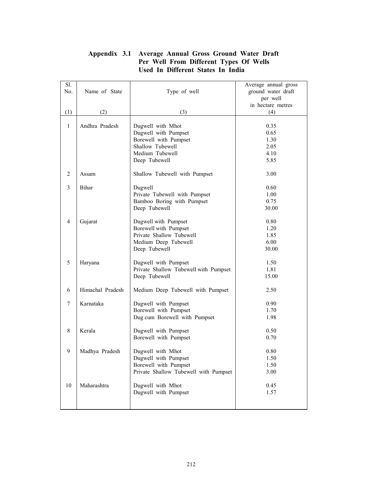| Sl.<br>No.     | Name of State    | Type of well                                                                                                               | Average annual gross<br>ground water draft<br>per well<br>in hectare metres |
|----------------|------------------|----------------------------------------------------------------------------------------------------------------------------|-----------------------------------------------------------------------------|
| (1)            | (2)              | (3)                                                                                                                        | (4)                                                                         |
| $\mathbf{1}$   | Andhra Pradesh   | Dugwell with Mhot<br>Dugwell with Pumpset<br>Borewell with Pumpset<br>Shallow Tubewell<br>Medium Tubewell<br>Deep Tubewell | 0.35<br>0.65<br>1.30<br>2.05<br>4.10<br>5.85                                |
| $\overline{2}$ | Assam            | Shallow Tubewell with Pumpset                                                                                              | 3.00                                                                        |
| $\mathfrak{Z}$ | <b>Bihar</b>     | Dugwell<br>Private Tubewell with Pumpset<br>Bamboo Boring with Pumpset<br>Deep Tubewell                                    | 0.60<br>1.00<br>0.75<br>30.00                                               |
| $\overline{4}$ | Gujarat          | Dugwell with Pumpset<br>Borewell with Pumpset<br>Private Shallow Tubewell<br>Medium Deep Tubewell<br>Deep Tubewell         | 0.80<br>1.20<br>1.85<br>6.00<br>30.00                                       |
| 5              | Haryana          | Dugwell with Pumpset<br>Private Shallow Tubewell with Pumpset<br>Deep Tubewell                                             | 1.50<br>1.81<br>15.00                                                       |
| 6              | Himachal Pradesh | Medium Deep Tubewell with Pumpset                                                                                          | 2.50                                                                        |
| 7              | Karnataka        | Dugwell with Pumpset<br>Borewell with Pumpset<br>Dug cum Borewell with Pumpset                                             | 0.90<br>1.70<br>1.98                                                        |
| 8              | Kerala           | Dugwell with Pumpset<br>Borewell with Pumpset                                                                              | 0.50<br>0.70                                                                |
| 9              | Madhya Pradesh   | Dugwell with Mhot<br>Dugwell with Pumpset<br>Borewell with Pumpset<br>Private Shallow Tubewell with Pumpset                | 0.80<br>1.50<br>1.50<br>3.00                                                |
| 10             | Maharashtra      | Dugwell with Mhot<br>Dugwell with Pumpset                                                                                  | 0.45<br>1.57                                                                |

# Appendix 3.1 Average Annual Gross Ground Water Draft Per Well From Different Types Of Wells Used In Different States In India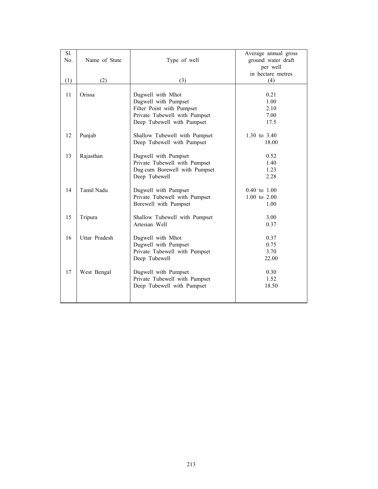| Sl. |               |                               | Average annual gross    |
|-----|---------------|-------------------------------|-------------------------|
| No. | Name of State | Type of well                  | ground water draft      |
|     |               |                               | per well                |
|     |               |                               | in hectare metres       |
| (1) | (2)           | (3)                           | (4)                     |
|     |               |                               |                         |
| 11  | Orissa        | Dugwell with Mhot             | 0.21                    |
|     |               | Dugwell with Pumpset          | 1.00                    |
|     |               | Filter Point with Pumpset     | 2.10                    |
|     |               | Private Tubewell with Pumpset | 7.00                    |
|     |               | Deep Tubewell with Pumpset    | 17.5                    |
|     |               |                               |                         |
| 12  | Punjab        | Shallow Tubewell with Pumpset | 1.30 to 3.40            |
|     |               | Deep Tubewell with Pumpset    | 18.00                   |
|     |               |                               |                         |
| 13  | Rajasthan     | Dugwell with Pumpset          | 0.52                    |
|     |               | Private Tubewell with Pumpset | 1.40                    |
|     |               | Dug cum Borewell with Pumpset | 1.23                    |
|     |               | Deep Tubewell                 | 2.28                    |
|     |               |                               |                         |
| 14  | Tamil Nadu    | Dugwell with Pumpset          | $0.40 \text{ to } 1.00$ |
|     |               | Private Tubewell with Pumpset | $1.00 \text{ to } 2.00$ |
|     |               | Borewell with Pumpset         | 1.00                    |
|     |               |                               |                         |
| 15  | Tripura       | Shallow Tubewell with Pumpset | 3.00                    |
|     |               | Artesian Well                 | 0.37                    |
|     |               |                               |                         |
| 16  | Uttar Pradesh | Dugwell with Mhot             | 0.37                    |
|     |               | Dugwell with Pumpset          | 0.75                    |
|     |               | Private Tubewell with Pumpset | 3.70                    |
|     |               | Deep Tubewell                 | 22.00                   |
|     |               |                               |                         |
| 17  | West Bengal   | Dugwell with Pumpset          | 0.30                    |
|     |               | Private Tubewell with Pumpset | 1.52                    |
|     |               | Deep Tubewell with Pumpset    | 18.50                   |
|     |               |                               |                         |
|     |               |                               |                         |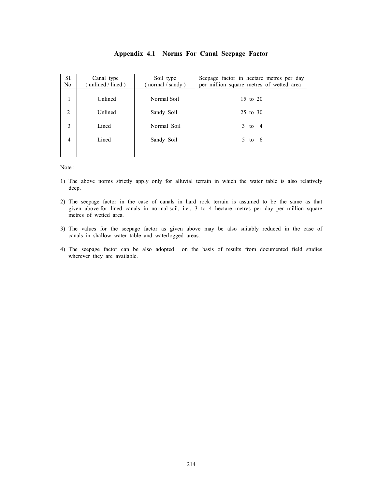| Sl.            | Canal type            | Soil type            | Seepage factor in hectare metres per day |
|----------------|-----------------------|----------------------|------------------------------------------|
| No.            | unlined $/$ lined $)$ | normal $/$ sandy $)$ | per million square metres of wetted area |
| 1              | Unlined               | Normal Soil          | 15 to 20                                 |
| $\overline{2}$ | Unlined               | Sandy Soil           | 25 to 30                                 |
| 3              | Lined                 | Normal Soil          | $3$ to $4$                               |
| $\overline{4}$ | Lined                 | Sandy Soil           | $5$ to 6                                 |
|                |                       |                      |                                          |

### Appendix 4.1 Norms For Canal Seepage Factor

Note :

- 1) The above norms strictly apply only for alluvial terrain in which the water table is also relatively deep.
- 2) The seepage factor in the case of canals in hard rock terrain is assumed to be the same as that given above for lined canals in normal soil, i.e., 3 to 4 hectare metres per day per million square metres of wetted area.
- 3) The values for the seepage factor as given above may be also suitably reduced in the case of canals in shallow water table and waterlogged areas.
- 4) The seepage factor can be also adopted on the basis of results from documented field studies wherever they are available.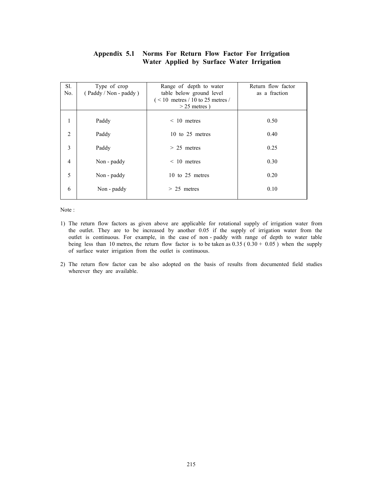## Appendix 5.1 Norms For Return Flow Factor For Irrigation Water Applied by Surface Water Irrigation

| Sl.<br>No.     | Type of crop<br>(Paddy / Non - paddy) | Range of depth to water<br>table below ground level<br>$($ < 10 metres / 10 to 25 metres /<br>$>$ 25 metres) | Return flow factor<br>as a fraction |
|----------------|---------------------------------------|--------------------------------------------------------------------------------------------------------------|-------------------------------------|
| 1              | Paddy                                 | $< 10$ metres                                                                                                | 0.50                                |
| $\overline{2}$ | Paddy                                 | 10 to $25$ metres                                                                                            | 0.40                                |
| 3              | Paddy                                 | $> 25$ metres                                                                                                | 0.25                                |
| $\overline{4}$ | Non - paddy                           | $\leq 10$ metres                                                                                             | 0.30                                |
| 5              | Non - paddy                           | 10 to 25 metres                                                                                              | 0.20                                |
| 6              | Non - paddy                           | $> 25$ metres                                                                                                | 0.10                                |

Note :

- 1) The return flow factors as given above are applicable for rotational supply of irrigation water from the outlet. They are to be increased by another 0.05 if the supply of irrigation water from the outlet is continuous. For example, in the case of non - paddy with range of depth to water table being less than 10 metres, the return flow factor is to be taken as  $0.35$  ( $0.30 + 0.05$ ) when the supply of surface water irrigation from the outlet is continuous.
- 2) The return flow factor can be also adopted on the basis of results from documented field studies wherever they are available.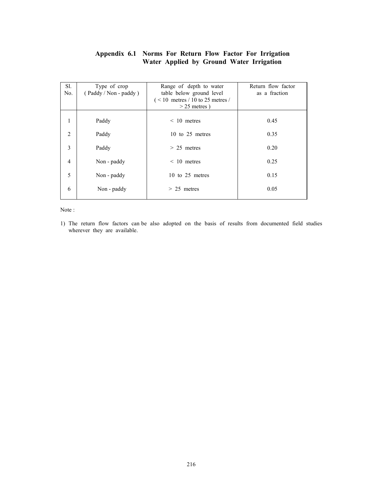# Appendix 6.1 Norms For Return Flow Factor For Irrigation Water Applied by Ground Water Irrigation

| Sl.<br>No.     | Type of crop<br>(Paddy / Non - paddy) | Range of depth to water<br>table below ground level<br>$($ < 10 metres / 10 to 25 metres /<br>$>$ 25 metres) | Return flow factor<br>as a fraction |
|----------------|---------------------------------------|--------------------------------------------------------------------------------------------------------------|-------------------------------------|
| 1              | Paddy                                 | $< 10$ metres                                                                                                | 0.45                                |
| 2              | Paddy                                 | 10 to $25$ metres                                                                                            | 0.35                                |
| 3              | Paddy                                 | $> 25$ metres                                                                                                | 0.20                                |
| $\overline{4}$ | Non - paddy                           | $\leq 10$ metres                                                                                             | 0.25                                |
| 5              | Non - paddy                           | 10 to 25 metres                                                                                              | 0.15                                |
| 6              | Non - paddy                           | $> 25$ metres                                                                                                | 0.05                                |

Note :

1) The return flow factors can be also adopted on the basis of results from documented field studies wherever they are available.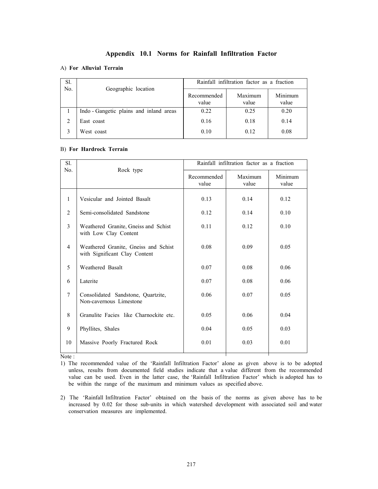## Appendix 10.1 Norms for Rainfall Infiltration Factor

### A) For Alluvial Terrain

| Sl.<br>No. |                                         | Rainfall infiltration factor as a fraction |                  |                  |
|------------|-----------------------------------------|--------------------------------------------|------------------|------------------|
|            | Geographic location                     | Recommended<br>value                       | Maximum<br>value | Minimum<br>value |
|            | Indo - Gangetic plains and inland areas | 0.22                                       | 0.25             | 0.20             |
|            | East coast                              | 0.16                                       | 0.18             | 0.14             |
|            | West coast                              | 0.10                                       | 0.12             | 0.08             |

#### B) For Hardrock Terrain

| Sl.<br>No.     | Rock type                                                             | Rainfall infiltration factor as a fraction |                  |                  |
|----------------|-----------------------------------------------------------------------|--------------------------------------------|------------------|------------------|
|                |                                                                       | Recommended<br>value                       | Maximum<br>value | Minimum<br>value |
| $\mathbf{1}$   | Vesicular and Jointed Basalt                                          | 0.13                                       | 0.14             | 0.12             |
| 2              | Semi-consolidated Sandstone                                           | 0.12                                       | 0.14             | 0.10             |
| 3              | Weathered Granite, Gneiss and Schist<br>with Low Clay Content         | 0.11                                       | 0.12             | 0.10             |
| $\overline{4}$ | Weathered Granite, Gneiss and Schist<br>with Significant Clay Content | 0.08                                       | 0.09             | 0.05             |
| 5              | Weathered Basalt                                                      | 0.07                                       | 0.08             | 0.06             |
| 6              | Laterite                                                              | 0.07                                       | 0.08             | 0.06             |
| $\tau$         | Consolidated Sandstone, Quartzite,<br>Non-cavernous Limestone         | 0.06                                       | 0.07             | 0.05             |
| 8              | Granulite Facies like Charnockite etc.                                | 0.05                                       | 0.06             | 0.04             |
| 9              | Phyllites, Shales                                                     | 0.04                                       | 0.05             | 0.03             |
| 10             | Massive Poorly Fractured Rock                                         | 0.01                                       | 0.03             | 0.01             |

Note :

1) The recommended value of the 'Rainfall Infiltration Factor' alone as given above is to be adopted unless, results from documented field studies indicate that a value different from the recommended value can be used. Even in the latter case, the 'Rainfall Infiltration Factor' which is adopted has to be within the range of the maximum and minimum values as specified above.

2) The 'Rainfall Infiltration Factor' obtained on the basis of the norms as given above has to be increased by 0.02 for those sub-units in which watershed development with associated soil and water conservation measures are implemented.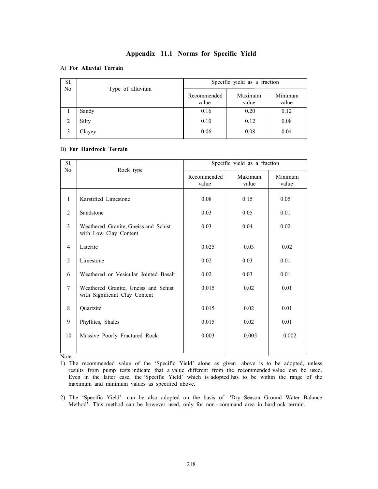## Appendix 11.1 Norms for Specific Yield

#### A) For Alluvial Terrain

| Sl.<br>No. |                  | Specific yield as a fraction |                  |                  |
|------------|------------------|------------------------------|------------------|------------------|
|            | Type of alluvium | Recommended<br>value         | Maximum<br>value | Minimum<br>value |
|            | Sandy            | 0.16                         | 0.20             | 0.12             |
|            | Silty            | 0.10                         | 0.12             | 0.08             |
|            | Clayey           | 0.06                         | 0.08             | 0.04             |

#### B) For Hardrock Terrain

| Sl.<br>No.     | Rock type                                                             | Specific yield as a fraction |                  |                  |
|----------------|-----------------------------------------------------------------------|------------------------------|------------------|------------------|
|                |                                                                       | Recommended<br>value         | Maximum<br>value | Minimum<br>value |
| $\mathbf{1}$   | Karstified Limestone                                                  | 0.08                         | 0.15             | 0.05             |
| 2              | Sandstone                                                             | 0.03                         | 0.05             | 0.01             |
| $\overline{3}$ | Weathered Granite, Gneiss and Schist<br>with Low Clay Content         | 0.03                         | 0.04             | 0.02             |
| $\overline{4}$ | Laterite                                                              | 0.025                        | 0.03             | 0.02             |
| 5              | Limestone                                                             | 0.02                         | 0.03             | 0.01             |
| 6              | Weathered or Vesicular Jointed Basalt                                 | 0.02                         | 0.03             | 0.01             |
| $\tau$         | Weathered Granite, Gneiss and Schist<br>with Significant Clay Content | 0.015                        | 0.02             | 0.01             |
| 8              | Quartzite                                                             | 0.015                        | 0.02             | 0.01             |
| 9              | Phyllites, Shales                                                     | 0.015                        | 0.02             | 0.01             |
| 10             | Massive Poorly Fractured Rock                                         | 0.003                        | 0.005            | 0.002            |
|                |                                                                       |                              |                  |                  |

Note :

1) The recommended value of the 'Specific Yield' alone as given above is to be adopted, unless results from pump tests indicate that a value different from the recommended value can be used. Even in the latter case, the 'Specific Yield' which is adopted has to be within the range of the maximum and minimum values as specified above.

2) The 'Specific Yield' can be also adopted on the basis of 'Dry Season Ground Water Balance Method'. This method can be however used, only for non - command area in hardrock terrain.